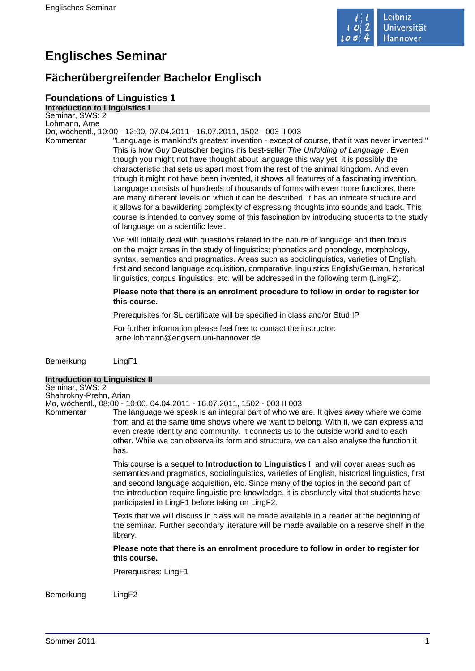

# **Englisches Seminar**

# **Fächerübergreifender Bachelor Englisch**

### **Foundations of Linguistics 1**

**Introduction to Linguistics I** Seminar, SWS: 2 Lohmann, Arne Do, wöchentl., 10:00 - 12:00, 07.04.2011 - 16.07.2011, 1502 - 003 II 003 Kommentar "Language is mankind's greatest invention - except of course, that it was never invented." This is how Guy Deutscher begins his best-seller The Unfolding of Language . Even

though you might not have thought about language this way yet, it is possibly the characteristic that sets us apart most from the rest of the animal kingdom. And even though it might not have been invented, it shows all features of a fascinating invention. Language consists of hundreds of thousands of forms with even more functions, there are many different levels on which it can be described, it has an intricate structure and it allows for a bewildering complexity of expressing thoughts into sounds and back. This course is intended to convey some of this fascination by introducing students to the study of language on a scientific level.

We will initially deal with questions related to the nature of language and then focus on the major areas in the study of linguistics: phonetics and phonology, morphology, syntax, semantics and pragmatics. Areas such as sociolinguistics, varieties of English, first and second language acquisition, comparative linguistics English/German, historical linguistics, corpus linguistics, etc. will be addressed in the following term (LingF2).

### **Please note that there is an enrolment procedure to follow in order to register for this course.**

Prerequisites for SL certificate will be specified in class and/or Stud.IP

For further information please feel free to contact the instructor: arne.lohmann@engsem.uni-hannover.de

Bemerkung LingF1

### **Introduction to Linguistics II**

Seminar, SWS: 2 Shahrokny-Prehn, Arian

Mo, wöchentl., 08:00 - 10:00, 04.04.2011 - 16.07.2011, 1502 - 003 II 003

Kommentar The language we speak is an integral part of who we are. It gives away where we come from and at the same time shows where we want to belong. With it, we can express and even create identity and community. It connects us to the outside world and to each other. While we can observe its form and structure, we can also analyse the function it has.

> This course is a sequel to **Introduction to Linguistics I** and will cover areas such as semantics and pragmatics, sociolinguistics, varieties of English, historical linguistics, first and second language acquisition, etc. Since many of the topics in the second part of the introduction require linguistic pre-knowledge, it is absolutely vital that students have participated in LingF1 before taking on LingF2.

> Texts that we will discuss in class will be made available in a reader at the beginning of the seminar. Further secondary literature will be made available on a reserve shelf in the library.

**Please note that there is an enrolment procedure to follow in order to register for this course.** 

Prerequisites: LingF1

Bemerkung LingF2

Sommer 2011 1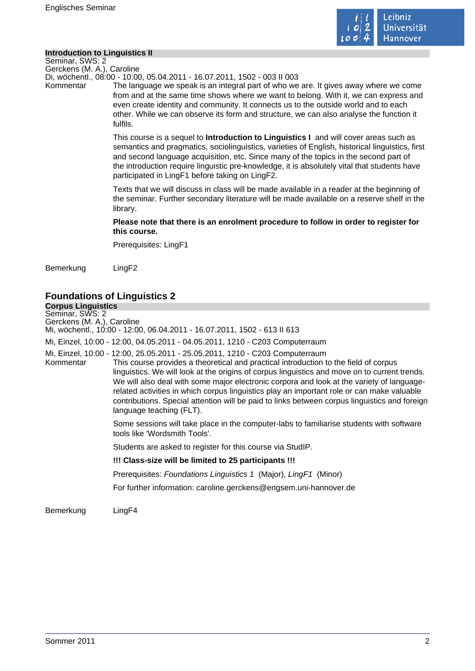

### **Introduction to Linguistics II**

Seminar, SWS: 2 Gerckens (M. A.), Caroline

Di, wöchentl., 08:00 - 10:00, 05.04.2011 - 16.07.2011, 1502 - 003 II 003

Kommentar The language we speak is an integral part of who we are. It gives away where we come from and at the same time shows where we want to belong. With it, we can express and even create identity and community. It connects us to the outside world and to each other. While we can observe its form and structure, we can also analyse the function it fulfils.

> This course is a sequel to **Introduction to Linguistics I** and will cover areas such as semantics and pragmatics, sociolinguistics, varieties of English, historical linguistics, first and second language acquisition, etc. Since many of the topics in the second part of the introduction require linguistic pre-knowledge, it is absolutely vital that students have participated in LingF1 before taking on LingF2.

> Texts that we will discuss in class will be made available in a reader at the beginning of the seminar. Further secondary literature will be made available on a reserve shelf in the library.

### **Please note that there is an enrolment procedure to follow in order to register for this course.**

Prerequisites: LingF1

Bemerkung LingF2

# **Foundations of Linguistics 2**

**Corpus Linguistics** Seminar, SWS: 2 Gerckens (M. A.), Caroline

Mi, wöchentl., 10:00 - 12:00, 06.04.2011 - 16.07.2011, 1502 - 613 II 613

Mi, Einzel, 10:00 - 12:00, 04.05.2011 - 04.05.2011, 1210 - C203 Computerraum

Mi, Einzel, 10:00 - 12:00, 25.05.2011 - 25.05.2011, 1210 - C203 Computerraum This course provides a theoretical and practical introduction to the field of corpus linguistics. We will look at the origins of corpus linguistics and move on to current trends. We will also deal with some major electronic corpora and look at the variety of languagerelated activities in which corpus linguistics play an important role or can make valuable contributions. Special attention will be paid to links between corpus linguistics and foreign language teaching (FLT).

> Some sessions will take place in the computer-labs to familiarise students with software tools like 'Wordsmith Tools'.

Students are asked to register for this course via StudIP.

**!!! Class-size will be limited to 25 participants !!!** 

Prerequisites: Foundations Linguistics 1 (Major), LingF1 (Minor)

For further information: caroline.gerckens@engsem.uni-hannover.de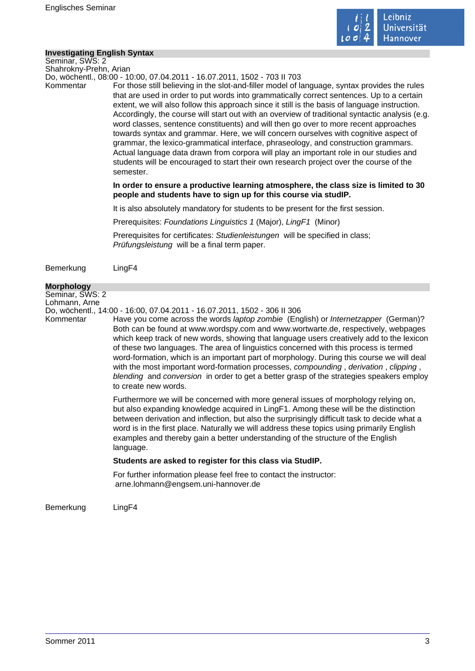

### **Investigating English Syntax**

Seminar, SWS: 2 Shahrokny-Prehn, Arian

Do, wöchentl., 08:00 - 10:00, 07.04.2011 - 16.07.2011, 1502 - 703 II 703

Kommentar For those still believing in the slot-and-filler model of language, syntax provides the rules that are used in order to put words into grammatically correct sentences. Up to a certain extent, we will also follow this approach since it still is the basis of language instruction. Accordingly, the course will start out with an overview of traditional syntactic analysis (e.g. word classes, sentence constituents) and will then go over to more recent approaches towards syntax and grammar. Here, we will concern ourselves with cognitive aspect of grammar, the lexico-grammatical interface, phraseology, and construction grammars. Actual language data drawn from corpora will play an important role in our studies and students will be encouraged to start their own research project over the course of the semester.

> **In order to ensure a productive learning atmosphere, the class size is limited to 30 people and students have to sign up for this course via studIP.**

It is also absolutely mandatory for students to be present for the first session.

Prerequisites: Foundations Linguistics 1 (Major), LingF1 (Minor)

Prerequisites for certificates: Studienleistungen will be specified in class; Prüfungsleistung will be a final term paper.

Bemerkung LingF4

#### **Morphology**

Seminar, SWS: 2

Lohmann, Arne

Do, wöchentl., 14:00 - 16:00, 07.04.2011 - 16.07.2011, 1502 - 306 II 306

Kommentar Have you come across the words *laptop zombie* (English) or *Internetzapper* (German)? Both can be found at www.wordspy.com and www.wortwarte.de, respectively, webpages which keep track of new words, showing that language users creatively add to the lexicon of these two languages. The area of linguistics concerned with this process is termed word-formation, which is an important part of morphology. During this course we will deal with the most important word-formation processes, compounding, derivation, clipping, blending and conversion in order to get a better grasp of the strategies speakers employ to create new words.

> Furthermore we will be concerned with more general issues of morphology relying on, but also expanding knowledge acquired in LingF1. Among these will be the distinction between derivation and inflection, but also the surprisingly difficult task to decide what a word is in the first place. Naturally we will address these topics using primarily English examples and thereby gain a better understanding of the structure of the English language.

### **Students are asked to register for this class via StudIP.**

For further information please feel free to contact the instructor: arne.lohmann@engsem.uni-hannover.de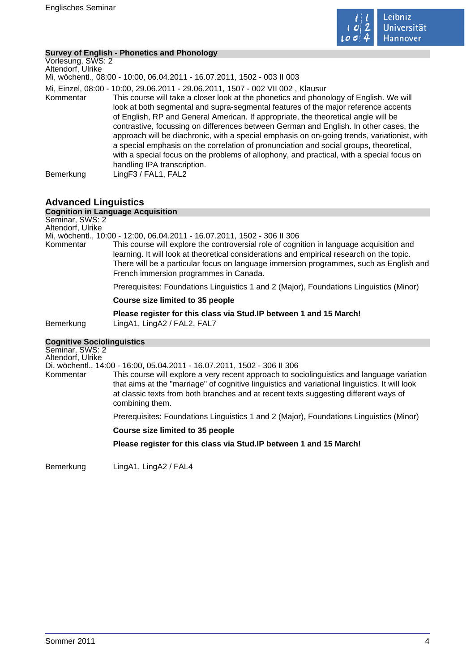

### **Survey of English - Phonetics and Phonology**

| Vorlesung, SWS: 2<br>Altendorf, Ulrike<br>Mi, wöchentl., 08:00 - 10:00, 06.04.2011 - 16.07.2011, 1502 - 003 II 003                                                                                                                                                                                                                                                                                                                                                                                                                                                                                                                                                                                                                                                               |  |
|----------------------------------------------------------------------------------------------------------------------------------------------------------------------------------------------------------------------------------------------------------------------------------------------------------------------------------------------------------------------------------------------------------------------------------------------------------------------------------------------------------------------------------------------------------------------------------------------------------------------------------------------------------------------------------------------------------------------------------------------------------------------------------|--|
| Mi, Einzel, 08:00 - 10:00, 29.06.2011 - 29.06.2011, 1507 - 002 VII 002, Klausur<br>This course will take a closer look at the phonetics and phonology of English. We will<br>Kommentar<br>look at both segmental and supra-segmental features of the major reference accents<br>of English, RP and General American. If appropriate, the theoretical angle will be<br>contrastive, focussing on differences between German and English. In other cases, the<br>approach will be diachronic, with a special emphasis on on-going trends, variationist, with<br>a special emphasis on the correlation of pronunciation and social groups, theoretical,<br>with a special focus on the problems of allophony, and practical, with a special focus on<br>handling IPA transcription. |  |
| LingF3 / FAL1, FAL2<br>Bemerkung                                                                                                                                                                                                                                                                                                                                                                                                                                                                                                                                                                                                                                                                                                                                                 |  |

### **Advanced Linguistics**

|                                      | <b>Cognition in Language Acquisition</b>                                                                                                                                                                                                                                                                                  |
|--------------------------------------|---------------------------------------------------------------------------------------------------------------------------------------------------------------------------------------------------------------------------------------------------------------------------------------------------------------------------|
| Seminar, SWS: 2                      |                                                                                                                                                                                                                                                                                                                           |
| Altendorf, Ulrike                    |                                                                                                                                                                                                                                                                                                                           |
|                                      | Mi, wöchentl., 10:00 - 12:00, 06.04.2011 - 16.07.2011, 1502 - 306 II 306                                                                                                                                                                                                                                                  |
| Kommentar                            | This course will explore the controversial role of cognition in language acquisition and<br>learning. It will look at theoretical considerations and empirical research on the topic.<br>There will be a particular focus on language immersion programmes, such as English and<br>French immersion programmes in Canada. |
|                                      | Prerequisites: Foundations Linguistics 1 and 2 (Major), Foundations Linguistics (Minor)                                                                                                                                                                                                                                   |
|                                      | Course size limited to 35 people                                                                                                                                                                                                                                                                                          |
| Bemerkung                            | Please register for this class via Stud. IP between 1 and 15 March!<br>LingA1, LingA2 / FAL2, FAL7                                                                                                                                                                                                                        |
| <b>Cognitive Sociolinguistics</b>    |                                                                                                                                                                                                                                                                                                                           |
| Seminar, SWS: 2<br>Altendorf, Ulrike | Di, wöchentl., 14:00 - 16:00, 05.04.2011 - 16.07.2011, 1502 - 306 II 306                                                                                                                                                                                                                                                  |
|                                      |                                                                                                                                                                                                                                                                                                                           |
| Kommentar                            | This course will explore a very recent approach to sociolinguistics and language variation<br>that aims at the "marriage" of cognitive linguistics and variational linguistics. It will look                                                                                                                              |

at classic texts from both branches and at recent texts suggesting different ways of combining them.

Prerequisites: Foundations Linguistics 1 and 2 (Major), Foundations Linguistics (Minor)

### **Course size limited to 35 people**

**Please register for this class via Stud.IP between 1 and 15 March!** 

Bemerkung LingA1, LingA2 / FAL4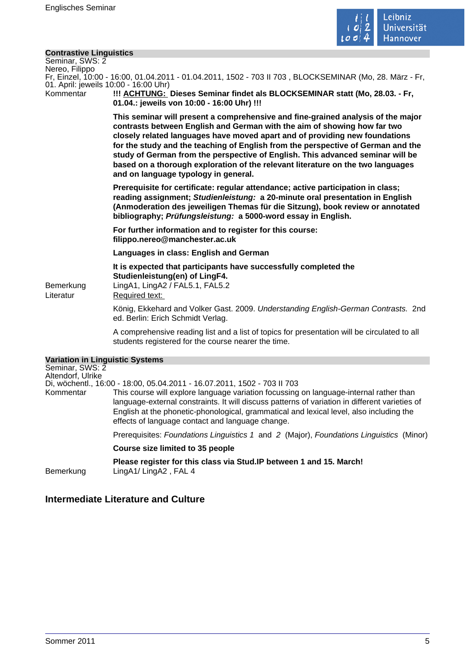

### **Contrastive Linguistics**

| Seminar, SWS: 2           |  |
|---------------------------|--|
| Nereo, Filippo            |  |
| $Fr$ Einzel 10:00 - 16:00 |  |

16:00, 01.04.2011 - 01.04.2011, 1502 - 703 II 703, BLOCKSEMINAR (Mo. 28. März - Fr. 01. April: jeweils 10:00 - 16:00 Uhr)

Kommentar **!!! ACHTUNG: Dieses Seminar findet als BLOCKSEMINAR statt (Mo, 28.03. - Fr, 01.04.: jeweils von 10:00 - 16:00 Uhr) !!!** 

> **This seminar will present a comprehensive and fine-grained analysis of the major contrasts between English and German with the aim of showing how far two closely related languages have moved apart and of providing new foundations for the study and the teaching of English from the perspective of German and the study of German from the perspective of English. This advanced seminar will be based on a thorough exploration of the relevant literature on the two languages and on language typology in general.**

> **Prerequisite for certificate: regular attendance; active participation in class; reading assignment; Studienleistung: a 20-minute oral presentation in English (Anmoderation des jeweiligen Themas für die Sitzung), book review or annotated bibliography; Prüfungsleistung: a 5000-word essay in English.**

**For further information and to register for this course: filippo.nereo@manchester.ac.uk** 

**Languages in class: English and German** 

**It is expected that participants have successfully completed the Studienleistung(en) of LingF4.**  Bemerkung LingA1, LingA2 / FAL5.1, FAL5.2

Literatur Required text:

König, Ekkehard and Volker Gast. 2009. Understanding English-German Contrasts. 2nd ed. Berlin: Erich Schmidt Verlag.

A comprehensive reading list and a list of topics for presentation will be circulated to all students registered for the course nearer the time.

| <b>Variation in Linguistic Systems</b> |                                                                                                                                                                                                                                                                                                                                         |
|----------------------------------------|-----------------------------------------------------------------------------------------------------------------------------------------------------------------------------------------------------------------------------------------------------------------------------------------------------------------------------------------|
| Seminar, SWS: 2<br>Altendorf, Ulrike   |                                                                                                                                                                                                                                                                                                                                         |
|                                        | Di, wöchentl., 16:00 - 18:00, 05.04.2011 - 16.07.2011, 1502 - 703 II 703                                                                                                                                                                                                                                                                |
| Kommentar                              | This course will explore language variation focussing on language-internal rather than<br>language-external constraints. It will discuss patterns of variation in different varieties of<br>English at the phonetic-phonological, grammatical and lexical level, also including the<br>effects of language contact and language change. |
|                                        | Prerequisites: Foundations Linguistics 1 and 2 (Major), Foundations Linguistics (Minor)                                                                                                                                                                                                                                                 |
|                                        | Course size limited to 35 people                                                                                                                                                                                                                                                                                                        |
| Bemerkung                              | Please register for this class via Stud. IP between 1 and 15. March!<br>LingA1/LingA2, FAL 4                                                                                                                                                                                                                                            |

### **Intermediate Literature and Culture**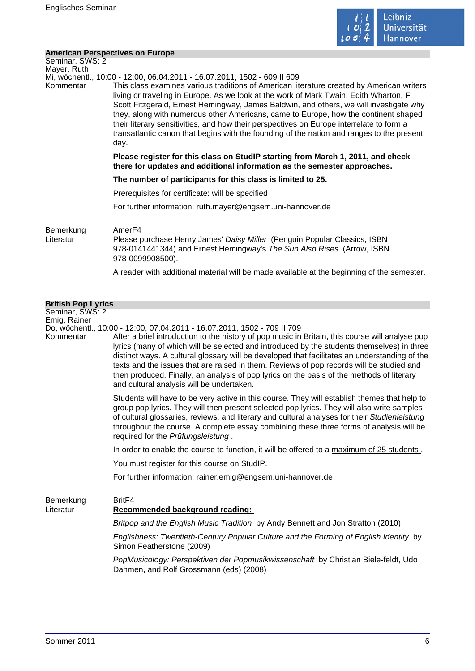

### **American Perspectives on Europe**

| Seminar, SWS: 2<br>Mayer, Ruth  |                                                                                                                                                                                                                                                                                                                                                                                                                                                                                                                                                                                                                                                   |
|---------------------------------|---------------------------------------------------------------------------------------------------------------------------------------------------------------------------------------------------------------------------------------------------------------------------------------------------------------------------------------------------------------------------------------------------------------------------------------------------------------------------------------------------------------------------------------------------------------------------------------------------------------------------------------------------|
| Kommentar                       | Mi, wöchentl., 10:00 - 12:00, 06.04.2011 - 16.07.2011, 1502 - 609 II 609<br>This class examines various traditions of American literature created by American writers<br>living or traveling in Europe. As we look at the work of Mark Twain, Edith Wharton, F.<br>Scott Fitzgerald, Ernest Hemingway, James Baldwin, and others, we will investigate why<br>they, along with numerous other Americans, came to Europe, how the continent shaped<br>their literary sensitivities, and how their perspectives on Europe interrelate to form a<br>transatlantic canon that begins with the founding of the nation and ranges to the present<br>day. |
|                                 | Please register for this class on StudIP starting from March 1, 2011, and check<br>there for updates and additional information as the semester approaches.                                                                                                                                                                                                                                                                                                                                                                                                                                                                                       |
|                                 | The number of participants for this class is limited to 25.                                                                                                                                                                                                                                                                                                                                                                                                                                                                                                                                                                                       |
|                                 | Prerequisites for certificate: will be specified                                                                                                                                                                                                                                                                                                                                                                                                                                                                                                                                                                                                  |
|                                 | For further information: ruth.mayer@engsem.uni-hannover.de                                                                                                                                                                                                                                                                                                                                                                                                                                                                                                                                                                                        |
| Bemerkung<br>Literatur          | Amer <sub>F4</sub><br>Please purchase Henry James' Daisy Miller (Penguin Popular Classics, ISBN<br>978-0141441344) and Ernest Hemingway's The Sun Also Rises (Arrow, ISBN<br>978-0099908500).                                                                                                                                                                                                                                                                                                                                                                                                                                                     |
|                                 | A reader with additional material will be made available at the beginning of the semester.                                                                                                                                                                                                                                                                                                                                                                                                                                                                                                                                                        |
| <b>British Pop Lyrics</b>       |                                                                                                                                                                                                                                                                                                                                                                                                                                                                                                                                                                                                                                                   |
| Seminar, SWS: 2<br>Emig, Rainer | Do, wöchentl., 10:00 - 12:00, 07.04.2011 - 16.07.2011, 1502 - 709 II 709                                                                                                                                                                                                                                                                                                                                                                                                                                                                                                                                                                          |
| Kommentar                       | After a brief introduction to the history of pop music in Britain, this course will analyse pop<br>lyrics (many of which will be selected and introduced by the students themselves) in three<br>distinct ways. A cultural glossary will be developed that facilitates an understanding of the<br>texts and the issues that are raised in them. Reviews of pop records will be studied and<br>then produced. Finally, an analysis of pop lyrics on the basis of the methods of literary                                                                                                                                                           |

Students will have to be very active in this course. They will establish themes that help to group pop lyrics. They will then present selected pop lyrics. They will also write samples of cultural glossaries, reviews, and literary and cultural analyses for their Studienleistung throughout the course. A complete essay combining these three forms of analysis will be required for the Prüfungsleistung .

In order to enable the course to function, it will be offered to a maximum of 25 students.

You must register for this course on StudIP.

and cultural analysis will be undertaken.

For further information: rainer.emig@engsem.uni-hannover.de

Bemerkung BritF4 Literatur **Recommended background reading:**  Britpop and the English Music Tradition by Andy Bennett and Jon Stratton (2010) Englishness: Twentieth-Century Popular Culture and the Forming of English Identity by Simon Featherstone (2009)

> PopMusicology: Perspektiven der Popmusikwissenschaft by Christian Biele-feldt, Udo Dahmen, and Rolf Grossmann (eds) (2008)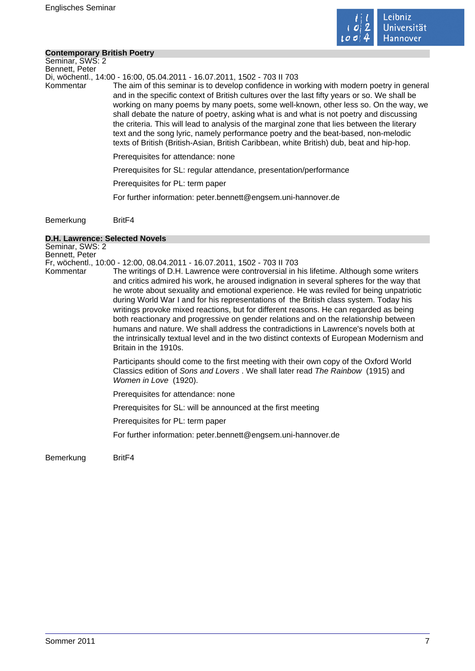

### **Contemporary British Poetry**

Seminar, SWS: 2 Bennett, Peter

Di, wöchentl., 14:00 - 16:00, 05.04.2011 - 16.07.2011, 1502 - 703 II 703

Kommentar The aim of this seminar is to develop confidence in working with modern poetry in general and in the specific context of British cultures over the last fifty years or so. We shall be working on many poems by many poets, some well-known, other less so. On the way, we shall debate the nature of poetry, asking what is and what is not poetry and discussing the criteria. This will lead to analysis of the marginal zone that lies between the literary text and the song lyric, namely performance poetry and the beat-based, non-melodic texts of British (British-Asian, British Caribbean, white British) dub, beat and hip-hop.

Prerequisites for attendance: none

Prerequisites for SL: regular attendance, presentation/performance

Prerequisites for PL: term paper

For further information: peter.bennett@engsem.uni-hannover.de

Bemerkung BritF4

#### **D.H. Lawrence: Selected Novels**

Seminar, SWS: 2 Bennett, Peter Fr, wöchentl., 10:00 - 12:00, 08.04.2011 - 16.07.2011, 1502 - 703 II 703 Kommentar The writings of D.H. Lawrence were controversial in his lifetime. Although some writers and critics admired his work, he aroused indignation in several spheres for the way that he wrote about sexuality and emotional experience. He was reviled for being unpatriotic during World War I and for his representations of the British class system. Today his writings provoke mixed reactions, but for different reasons. He can regarded as being both reactionary and progressive on gender relations and on the relationship between humans and nature. We shall address the contradictions in Lawrence's novels both at the intrinsically textual level and in the two distinct contexts of European Modernism and Britain in the 1910s. Participants should come to the first meeting with their own copy of the Oxford World Classics edition of Sons and Lovers . We shall later read The Rainbow (1915) and Women in Love (1920). Prerequisites for attendance: none Prerequisites for SL: will be announced at the first meeting Prerequisites for PL: term paper For further information: peter.bennett@engsem.uni-hannover.de

Bemerkung BritF4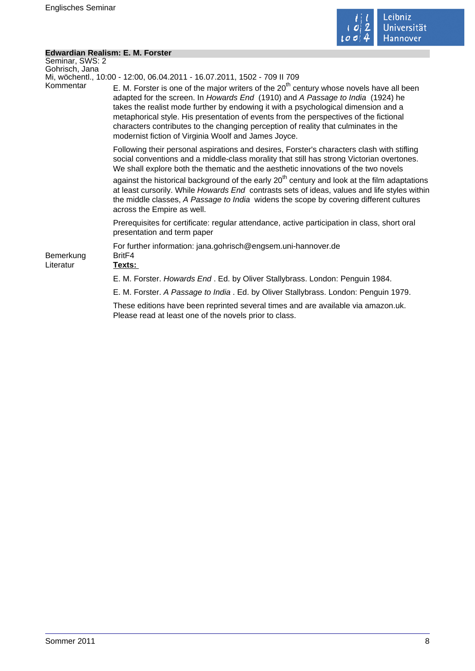

÷,

### **Edwardian Realism: E. M. Forster**

| Seminar, SWS: 2        |                                                                                                                                                                                                                                                                                                                                                                                                                                                                                                            |
|------------------------|------------------------------------------------------------------------------------------------------------------------------------------------------------------------------------------------------------------------------------------------------------------------------------------------------------------------------------------------------------------------------------------------------------------------------------------------------------------------------------------------------------|
| Gohrisch, Jana         | Mi, wöchentl., 10:00 - 12:00, 06.04.2011 - 16.07.2011, 1502 - 709 II 709                                                                                                                                                                                                                                                                                                                                                                                                                                   |
| Kommentar              | E. M. Forster is one of the major writers of the $20th$ century whose novels have all been<br>adapted for the screen. In Howards End (1910) and A Passage to India (1924) he<br>takes the realist mode further by endowing it with a psychological dimension and a<br>metaphorical style. His presentation of events from the perspectives of the fictional<br>characters contributes to the changing perception of reality that culminates in the<br>modernist fiction of Virginia Woolf and James Joyce. |
|                        | Following their personal aspirations and desires, Forster's characters clash with stifling<br>social conventions and a middle-class morality that still has strong Victorian overtones.<br>We shall explore both the thematic and the aesthetic innovations of the two novels                                                                                                                                                                                                                              |
|                        | against the historical background of the early 20 <sup>th</sup> century and look at the film adaptations<br>at least cursorily. While Howards End contrasts sets of ideas, values and life styles within<br>the middle classes, A Passage to India widens the scope by covering different cultures<br>across the Empire as well.                                                                                                                                                                           |
|                        | Prerequisites for certificate: regular attendance, active participation in class, short oral<br>presentation and term paper                                                                                                                                                                                                                                                                                                                                                                                |
| Bemerkung<br>Literatur | For further information: jana.gohrisch@engsem.uni-hannover.de<br>Brit <sub>F4</sub><br>Texts:                                                                                                                                                                                                                                                                                                                                                                                                              |
|                        | E. M. Forster. Howards End. Ed. by Oliver Stallybrass. London: Penguin 1984.                                                                                                                                                                                                                                                                                                                                                                                                                               |
|                        | E. M. Forster. A Passage to India . Ed. by Oliver Stallybrass. London: Penguin 1979.                                                                                                                                                                                                                                                                                                                                                                                                                       |
|                        | These editions have been reprinted several times and are available via amazon.uk.<br>Please read at least one of the novels prior to class.                                                                                                                                                                                                                                                                                                                                                                |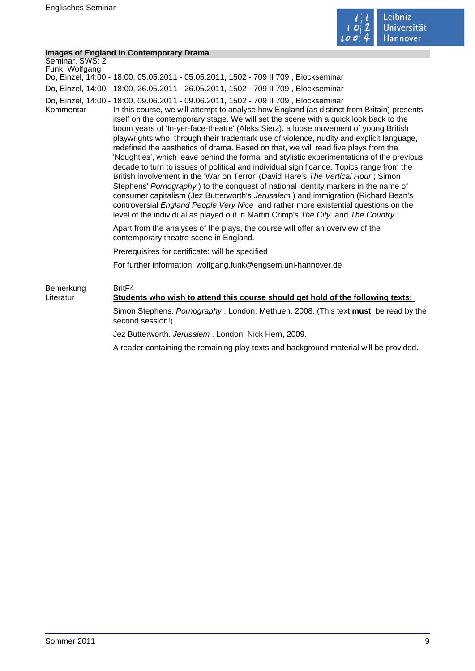

### **Images of England in Contemporary Drama**

|                                   | <b>Images of England in Contemporary Drama</b>                                                                                                                                                                                                                                                                                                                                                                                                                                                                                                                                                                                                                                                                                                                                                                                                                                                                                                                                                                                                                                                                                                                                           |
|-----------------------------------|------------------------------------------------------------------------------------------------------------------------------------------------------------------------------------------------------------------------------------------------------------------------------------------------------------------------------------------------------------------------------------------------------------------------------------------------------------------------------------------------------------------------------------------------------------------------------------------------------------------------------------------------------------------------------------------------------------------------------------------------------------------------------------------------------------------------------------------------------------------------------------------------------------------------------------------------------------------------------------------------------------------------------------------------------------------------------------------------------------------------------------------------------------------------------------------|
| Seminar, SWS: 2<br>Funk, Wolfgang |                                                                                                                                                                                                                                                                                                                                                                                                                                                                                                                                                                                                                                                                                                                                                                                                                                                                                                                                                                                                                                                                                                                                                                                          |
|                                   | Do, Einzel, 14:00 - 18:00, 05.05.2011 - 05.05.2011, 1502 - 709 II 709, Blockseminar                                                                                                                                                                                                                                                                                                                                                                                                                                                                                                                                                                                                                                                                                                                                                                                                                                                                                                                                                                                                                                                                                                      |
|                                   | Do, Einzel, 14:00 - 18:00, 26.05.2011 - 26.05.2011, 1502 - 709 II 709, Blockseminar                                                                                                                                                                                                                                                                                                                                                                                                                                                                                                                                                                                                                                                                                                                                                                                                                                                                                                                                                                                                                                                                                                      |
| Kommentar                         | Do, Einzel, 14:00 - 18:00, 09.06.2011 - 09.06.2011, 1502 - 709 II 709, Blockseminar<br>In this course, we will attempt to analyse how England (as distinct from Britain) presents<br>itself on the contemporary stage. We will set the scene with a quick look back to the<br>boom years of 'In-yer-face-theatre' (Aleks Sierz), a loose movement of young British<br>playwrights who, through their trademark use of violence, nudity and explicit language,<br>redefined the aesthetics of drama. Based on that, we will read five plays from the<br>'Noughties', which leave behind the formal and stylistic experimentations of the previous<br>decade to turn to issues of political and individual significance. Topics range from the<br>British involvement in the 'War on Terror' (David Hare's The Vertical Hour; Simon<br>Stephens' Pornography) to the conquest of national identity markers in the name of<br>consumer capitalism (Jez Butterworth's Jerusalem) and immigration (Richard Bean's<br>controversial England People Very Nice and rather more existential questions on the<br>level of the individual as played out in Martin Crimp's The City and The Country. |
|                                   | Apart from the analyses of the plays, the course will offer an overview of the<br>contemporary theatre scene in England.                                                                                                                                                                                                                                                                                                                                                                                                                                                                                                                                                                                                                                                                                                                                                                                                                                                                                                                                                                                                                                                                 |
|                                   | Prerequisites for certificate: will be specified                                                                                                                                                                                                                                                                                                                                                                                                                                                                                                                                                                                                                                                                                                                                                                                                                                                                                                                                                                                                                                                                                                                                         |
|                                   | For further information: wolfgang.funk@engsem.uni-hannover.de                                                                                                                                                                                                                                                                                                                                                                                                                                                                                                                                                                                                                                                                                                                                                                                                                                                                                                                                                                                                                                                                                                                            |
| Bemerkung<br>Literatur            | Brit <sub>F4</sub><br>Students who wish to attend this course should get hold of the following texts:                                                                                                                                                                                                                                                                                                                                                                                                                                                                                                                                                                                                                                                                                                                                                                                                                                                                                                                                                                                                                                                                                    |
|                                   | Simon Stephens. Pornography . London: Methuen, 2008. (This text must be read by the<br>second session!)                                                                                                                                                                                                                                                                                                                                                                                                                                                                                                                                                                                                                                                                                                                                                                                                                                                                                                                                                                                                                                                                                  |
|                                   | Jez Butterworth. Jerusalem. London: Nick Hern, 2009.                                                                                                                                                                                                                                                                                                                                                                                                                                                                                                                                                                                                                                                                                                                                                                                                                                                                                                                                                                                                                                                                                                                                     |
|                                   | A reader containing the remaining play-texts and background material will be provided.                                                                                                                                                                                                                                                                                                                                                                                                                                                                                                                                                                                                                                                                                                                                                                                                                                                                                                                                                                                                                                                                                                   |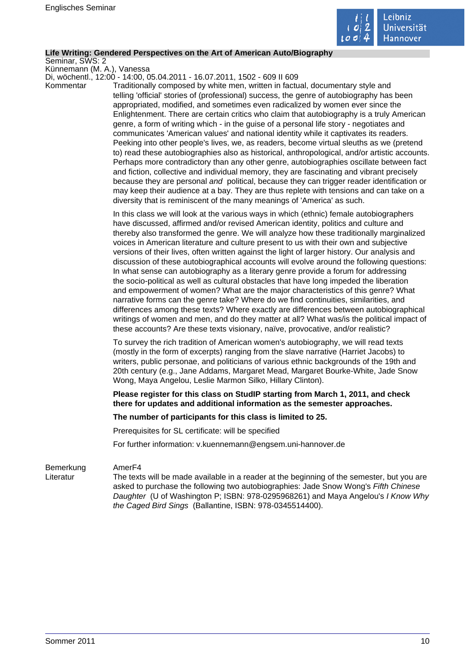

#### **Life Writing: Gendered Perspectives on the Art of American Auto/Biography**

Seminar, SWS: 2

Künnemann (M. A.), Vanessa Di, wöchentl., 12:00 - 14:00, 05.04.2011 - 16.07.2011, 1502 - 609 II 609

Kommentar Traditionally composed by white men, written in factual, documentary style and telling 'official' stories of (professional) success, the genre of autobiography has been appropriated, modified, and sometimes even radicalized by women ever since the Enlightenment. There are certain critics who claim that autobiography is a truly American genre, a form of writing which - in the guise of a personal life story - negotiates and communicates 'American values' and national identity while it captivates its readers. Peeking into other people's lives, we, as readers, become virtual sleuths as we (pretend to) read these autobiographies also as historical, anthropological, and/or artistic accounts. Perhaps more contradictory than any other genre, autobiographies oscillate between fact and fiction, collective and individual memory, they are fascinating and vibrant precisely because they are personal and political, because they can trigger reader identification or may keep their audience at a bay. They are thus replete with tensions and can take on a diversity that is reminiscent of the many meanings of 'America' as such.

> In this class we will look at the various ways in which (ethnic) female autobiographers have discussed, affirmed and/or revised American identity, politics and culture and thereby also transformed the genre. We will analyze how these traditionally marginalized voices in American literature and culture present to us with their own and subjective versions of their lives, often written against the light of larger history. Our analysis and discussion of these autobiographical accounts will evolve around the following questions: In what sense can autobiography as a literary genre provide a forum for addressing the socio-political as well as cultural obstacles that have long impeded the liberation and empowerment of women? What are the major characteristics of this genre? What narrative forms can the genre take? Where do we find continuities, similarities, and differences among these texts? Where exactly are differences between autobiographical writings of women and men, and do they matter at all? What was/is the political impact of these accounts? Are these texts visionary, naïve, provocative, and/or realistic?

To survey the rich tradition of American women's autobiography, we will read texts (mostly in the form of excerpts) ranging from the slave narrative (Harriet Jacobs) to writers, public personae, and politicians of various ethnic backgrounds of the 19th and 20th century (e.g., Jane Addams, Margaret Mead, Margaret Bourke-White, Jade Snow Wong, Maya Angelou, Leslie Marmon Silko, Hillary Clinton).

**Please register for this class on StudIP starting from March 1, 2011, and check there for updates and additional information as the semester approaches.** 

#### **The number of participants for this class is limited to 25.**

Prerequisites for SL certificate: will be specified

For further information: v.kuennemann@engsem.uni-hannover.de

#### Bemerkung AmerF4

Literatur The texts will be made available in a reader at the beginning of the semester, but you are asked to purchase the following two autobiographies: Jade Snow Wong's Fifth Chinese Daughter (U of Washington P; ISBN: 978-0295968261) and Maya Angelou's I Know Why the Caged Bird Sings (Ballantine, ISBN: 978-0345514400).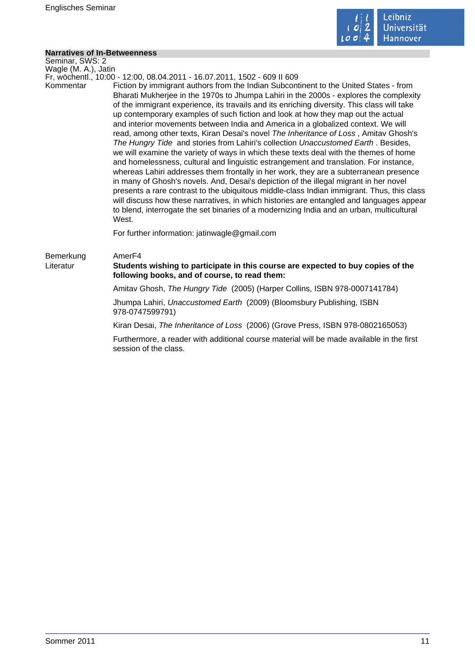

### **Narratives of In-Betweenness**

| <b>Narratives of In-Betweenness</b> |                                                                                                                                                                                                                                                                                                                                                                                                                                                                                                                                                                                                                                                                                                                                                                                                                                                                                                                                                                                                                                                                                                                                                                                                                                                                                                                                                                                      |  |
|-------------------------------------|--------------------------------------------------------------------------------------------------------------------------------------------------------------------------------------------------------------------------------------------------------------------------------------------------------------------------------------------------------------------------------------------------------------------------------------------------------------------------------------------------------------------------------------------------------------------------------------------------------------------------------------------------------------------------------------------------------------------------------------------------------------------------------------------------------------------------------------------------------------------------------------------------------------------------------------------------------------------------------------------------------------------------------------------------------------------------------------------------------------------------------------------------------------------------------------------------------------------------------------------------------------------------------------------------------------------------------------------------------------------------------------|--|
| Seminar, SWS: 2                     |                                                                                                                                                                                                                                                                                                                                                                                                                                                                                                                                                                                                                                                                                                                                                                                                                                                                                                                                                                                                                                                                                                                                                                                                                                                                                                                                                                                      |  |
| Wagle (M. A.), Jatin                |                                                                                                                                                                                                                                                                                                                                                                                                                                                                                                                                                                                                                                                                                                                                                                                                                                                                                                                                                                                                                                                                                                                                                                                                                                                                                                                                                                                      |  |
| Kommentar                           | Fr, wöchentl., 10:00 - 12:00, 08.04.2011 - 16.07.2011, 1502 - 609 II 609<br>Fiction by immigrant authors from the Indian Subcontinent to the United States - from<br>Bharati Mukherjee in the 1970s to Jhumpa Lahiri in the 2000s - explores the complexity<br>of the immigrant experience, its travails and its enriching diversity. This class will take<br>up contemporary examples of such fiction and look at how they map out the actual<br>and interior movements between India and America in a globalized context. We will<br>read, among other texts, Kiran Desai's novel The Inheritance of Loss, Amitav Ghosh's<br>The Hungry Tide and stories from Lahiri's collection Unaccustomed Earth. Besides,<br>we will examine the variety of ways in which these texts deal with the themes of home<br>and homelessness, cultural and linguistic estrangement and translation. For instance,<br>whereas Lahiri addresses them frontally in her work, they are a subterranean presence<br>in many of Ghosh's novels. And, Desai's depiction of the illegal migrant in her novel<br>presents a rare contrast to the ubiquitous middle-class Indian immigrant. Thus, this class<br>will discuss how these narratives, in which histories are entangled and languages appear<br>to blend, interrogate the set binaries of a modernizing India and an urban, multicultural<br>West. |  |
|                                     | For further information: jatinwagle@gmail.com                                                                                                                                                                                                                                                                                                                                                                                                                                                                                                                                                                                                                                                                                                                                                                                                                                                                                                                                                                                                                                                                                                                                                                                                                                                                                                                                        |  |
| Bemerkung<br>Literatur              | Amer <sub>F4</sub><br>Students wishing to participate in this course are expected to buy copies of the<br>following books, and of course, to read them:                                                                                                                                                                                                                                                                                                                                                                                                                                                                                                                                                                                                                                                                                                                                                                                                                                                                                                                                                                                                                                                                                                                                                                                                                              |  |
|                                     | Amitav Ghosh, The Hungry Tide (2005) (Harper Collins, ISBN 978-0007141784)                                                                                                                                                                                                                                                                                                                                                                                                                                                                                                                                                                                                                                                                                                                                                                                                                                                                                                                                                                                                                                                                                                                                                                                                                                                                                                           |  |
|                                     | Jhumpa Lahiri, Unaccustomed Earth (2009) (Bloomsbury Publishing, ISBN<br>978-0747599791)                                                                                                                                                                                                                                                                                                                                                                                                                                                                                                                                                                                                                                                                                                                                                                                                                                                                                                                                                                                                                                                                                                                                                                                                                                                                                             |  |
|                                     | Kiran Desai, The Inheritance of Loss (2006) (Grove Press, ISBN 978-0802165053)                                                                                                                                                                                                                                                                                                                                                                                                                                                                                                                                                                                                                                                                                                                                                                                                                                                                                                                                                                                                                                                                                                                                                                                                                                                                                                       |  |
|                                     | Furthermore, a reader with additional course material will be made available in the first<br>session of the class.                                                                                                                                                                                                                                                                                                                                                                                                                                                                                                                                                                                                                                                                                                                                                                                                                                                                                                                                                                                                                                                                                                                                                                                                                                                                   |  |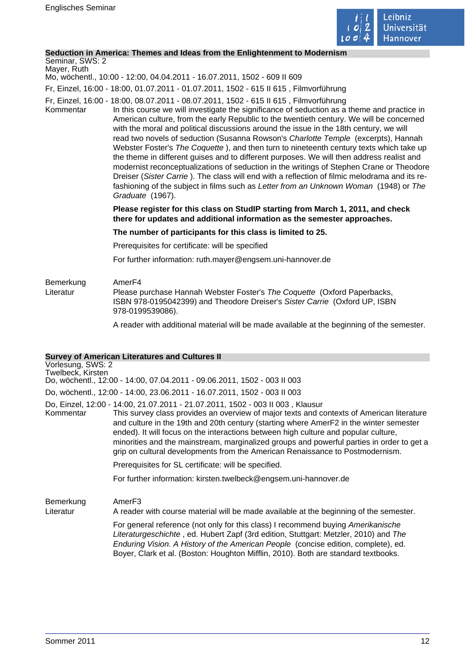

### **Seduction in America: Themes and Ideas from the Enlightenment to Modernism**

# Seminar, SWS: 2

Mayer, Ruth Mo, wöchentl., 10:00 - 12:00, 04.04.2011 - 16.07.2011, 1502 - 609 II 609

Fr, Einzel, 16:00 - 18:00, 01.07.2011 - 01.07.2011, 1502 - 615 II 615 , Filmvorführung

- Fr, Einzel, 16:00 18:00, 08.07.2011 08.07.2011, 1502 615 II 615 , Filmvorführung
- Kommentar In this course we will investigate the significance of seduction as a theme and practice in American culture, from the early Republic to the twentieth century. We will be concerned with the moral and political discussions around the issue in the 18th century, we will read two novels of seduction (Susanna Rowson's Charlotte Temple (excerpts), Hannah Webster Foster's The Coquette ), and then turn to nineteenth century texts which take up the theme in different guises and to different purposes. We will then address realist and modernist reconceptualizations of seduction in the writings of Stephen Crane or Theodore Dreiser (Sister Carrie ). The class will end with a reflection of filmic melodrama and its refashioning of the subject in films such as Letter from an Unknown Woman (1948) or The Graduate (1967).

### **Please register for this class on StudIP starting from March 1, 2011, and check there for updates and additional information as the semester approaches.**

### **The number of participants for this class is limited to 25.**

Prerequisites for certificate: will be specified

For further information: ruth.mayer@engsem.uni-hannover.de

### Bemerkung AmerF4<br>Literatur Please r Please purchase Hannah Webster Foster's The Coquette (Oxford Paperbacks, ISBN 978-0195042399) and Theodore Dreiser's Sister Carrie (Oxford UP, ISBN 978-0199539086).

A reader with additional material will be made available at the beginning of the semester.

### **Survey of American Literatures and Cultures II**

|                                        | <u>Julyey Of Alliencall Literatures and Cultures in</u>                                                                                                                                                                                                                                                                                                                                                                                                                                                                                     |
|----------------------------------------|---------------------------------------------------------------------------------------------------------------------------------------------------------------------------------------------------------------------------------------------------------------------------------------------------------------------------------------------------------------------------------------------------------------------------------------------------------------------------------------------------------------------------------------------|
| Vorlesung, SWS: 2<br>Twelbeck, Kirsten | Do, wöchentl., 12:00 - 14:00, 07.04.2011 - 09.06.2011, 1502 - 003 II 003                                                                                                                                                                                                                                                                                                                                                                                                                                                                    |
|                                        | Do, wöchentl., 12:00 - 14:00, 23.06.2011 - 16.07.2011, 1502 - 003 II 003                                                                                                                                                                                                                                                                                                                                                                                                                                                                    |
| Kommentar                              | Do, Einzel, 12:00 - 14:00, 21.07.2011 - 21.07.2011, 1502 - 003 II 003 , Klausur<br>This survey class provides an overview of major texts and contexts of American literature<br>and culture in the 19th and 20th century (starting where AmerF2 in the winter semester<br>ended). It will focus on the interactions between high culture and popular culture,<br>minorities and the mainstream, marginalized groups and powerful parties in order to get a<br>grip on cultural developments from the American Renaissance to Postmodernism. |
|                                        | Prerequisites for SL certificate: will be specified.                                                                                                                                                                                                                                                                                                                                                                                                                                                                                        |
|                                        |                                                                                                                                                                                                                                                                                                                                                                                                                                                                                                                                             |

For further information: kirsten.twelbeck@engsem.uni-hannover.de

Bemerkung AmerF3

Literatur A reader with course material will be made available at the beginning of the semester.

For general reference (not only for this class) I recommend buying Amerikanische Literaturgeschichte , ed. Hubert Zapf (3rd edition, Stuttgart: Metzler, 2010) and The Enduring Vision. A History of the American People (concise edition, complete), ed. Boyer, Clark et al. (Boston: Houghton Mifflin, 2010). Both are standard textbooks.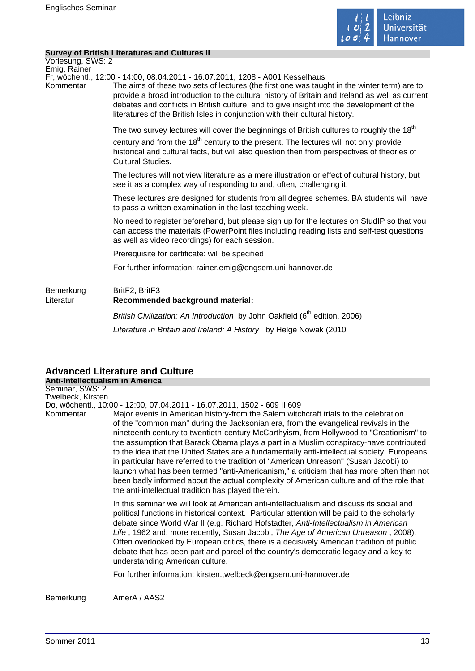

### **Survey of British Literatures and Cultures II**

Vorlesung, SWS: 2 Emig, Rainer

Fr, wöchentl., 12:00 - 14:00, 08.04.2011 - 16.07.2011, 1208 - A001 Kesselhaus

Kommentar The aims of these two sets of lectures (the first one was taught in the winter term) are to provide a broad introduction to the cultural history of Britain and Ireland as well as current debates and conflicts in British culture; and to give insight into the development of the literatures of the British Isles in conjunction with their cultural history.

> The two survey lectures will cover the beginnings of British cultures to roughly the  $18<sup>th</sup>$ century and from the  $18<sup>th</sup>$  century to the present. The lectures will not only provide historical and cultural facts, but will also question then from perspectives of theories of Cultural Studies.

The lectures will not view literature as a mere illustration or effect of cultural history, but see it as a complex way of responding to and, often, challenging it.

These lectures are designed for students from all degree schemes. BA students will have to pass a written examination in the last teaching week.

No need to register beforehand, but please sign up for the lectures on StudIP so that you can access the materials (PowerPoint files including reading lists and self-test questions as well as video recordings) for each session.

Prerequisite for certificate: will be specified

For further information: rainer.emig@engsem.uni-hannover.de

### Bemerkung BritF2, BritF3 Literatur **Recommended background material:**

British Civilization: An Introduction by John Oakfield (6<sup>th</sup> edition, 2006) Literature in Britain and Ireland: A History by Helge Nowak (2010

### **Advanced Literature and Culture Anti-Intellectualism in America**

Seminar, SWS: 2 Twelbeck, Kirsten

Do, wöchentl., 10:00 - 12:00, 07.04.2011 - 16.07.2011, 1502 - 609 II 609

Kommentar Major events in American history-from the Salem witchcraft trials to the celebration of the "common man" during the Jacksonian era, from the evangelical revivals in the nineteenth century to twentieth-century McCarthyism, from Hollywood to "Creationism" to the assumption that Barack Obama plays a part in a Muslim conspiracy-have contributed to the idea that the United States are a fundamentally anti-intellectual society. Europeans in particular have referred to the tradition of "American Unreason" (Susan Jacobi) to launch what has been termed "anti-Americanism," a criticism that has more often than not been badly informed about the actual complexity of American culture and of the role that the anti-intellectual tradition has played therein.

> In this seminar we will look at American anti-intellectualism and discuss its social and political functions in historical context. Particular attention will be paid to the scholarly debate since World War II (e.g. Richard Hofstadter, Anti-Intellectualism in American Life , 1962 and, more recently, Susan Jacobi, The Age of American Unreason , 2008). Often overlooked by European critics, there is a decisively American tradition of public debate that has been part and parcel of the country's democratic legacy and a key to understanding American culture.

For further information: kirsten.twelbeck@engsem.uni-hannover.de

Bemerkung AmerA / AAS2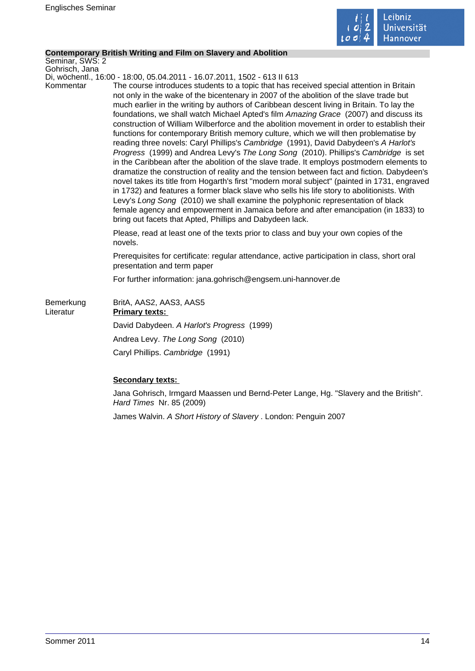

### **Contemporary British Writing and Film on Slavery and Abolition**

Seminar, SWS: 2 Gohrisch, Jana

Di, wöchentl., 16:00 - 18:00, 05.04.2011 - 16.07.2011, 1502 - 613 II 613

Kommentar The course introduces students to a topic that has received special attention in Britain not only in the wake of the bicentenary in 2007 of the abolition of the slave trade but much earlier in the writing by authors of Caribbean descent living in Britain. To lay the foundations, we shall watch Michael Apted's film Amazing Grace (2007) and discuss its construction of William Wilberforce and the abolition movement in order to establish their functions for contemporary British memory culture, which we will then problematise by reading three novels: Caryl Phillips's Cambridge (1991), David Dabydeen's A Harlot's Progress (1999) and Andrea Levy's The Long Song (2010). Phillips's Cambridge is set in the Caribbean after the abolition of the slave trade. It employs postmodern elements to dramatize the construction of reality and the tension between fact and fiction. Dabydeen's novel takes its title from Hogarth's first "modern moral subject" (painted in 1731, engraved in 1732) and features a former black slave who sells his life story to abolitionists. With Levy's Long Song (2010) we shall examine the polyphonic representation of black female agency and empowerment in Jamaica before and after emancipation (in 1833) to bring out facets that Apted, Phillips and Dabydeen lack.

> Please, read at least one of the texts prior to class and buy your own copies of the novels.

Prerequisites for certificate: regular attendance, active participation in class, short oral presentation and term paper

For further information: jana.gohrisch@engsem.uni-hannover.de

| Bemerkung<br>Literatur | BritA, AAS2, AAS3, AAS5<br><b>Primary texts:</b> |
|------------------------|--------------------------------------------------|
|                        | David Dabydeen. A Harlot's Progress (1999)       |
|                        | Andrea Levy. The Long Song (2010)                |
|                        | Caryl Phillips. Cambridge (1991)                 |

### **Secondary texts:**

Jana Gohrisch, Irmgard Maassen und Bernd-Peter Lange, Hg. "Slavery and the British". Hard Times Nr. 85 (2009)

James Walvin. A Short History of Slavery . London: Penguin 2007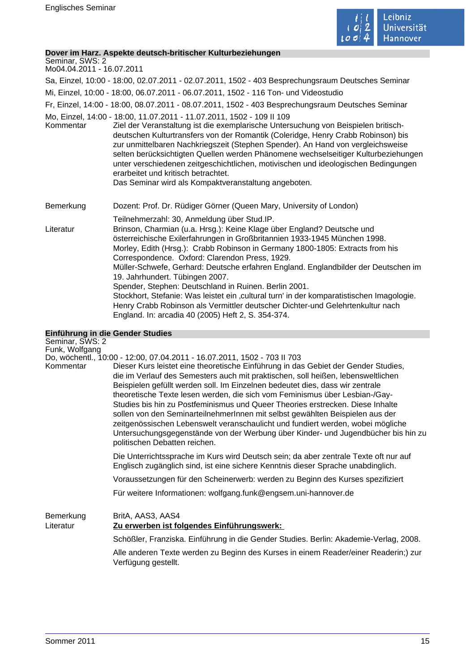

### **Dover im Harz. Aspekte deutsch-britischer Kulturbeziehungen**

Seminar, SWS: 2 Mo04.04.2011 - 16.07.2011

Sa, Einzel, 10:00 - 18:00, 02.07.2011 - 02.07.2011, 1502 - 403 Besprechungsraum Deutsches Seminar

Mi, Einzel, 10:00 - 18:00, 06.07.2011 - 06.07.2011, 1502 - 116 Ton- und Videostudio

Fr, Einzel, 14:00 - 18:00, 08.07.2011 - 08.07.2011, 1502 - 403 Besprechungsraum Deutsches Seminar

Mo, Einzel, 14:00 - 18:00, 11.07.2011 - 11.07.2011, 1502 - 109 II 109

Kommentar Ziel der Veranstaltung ist die exemplarische Untersuchung von Beispielen britischdeutschen Kulturtransfers von der Romantik (Coleridge, Henry Crabb Robinson) bis zur unmittelbaren Nachkriegszeit (Stephen Spender). An Hand von vergleichsweise selten berücksichtigten Quellen werden Phänomene wechselseitiger Kulturbeziehungen unter verschiedenen zeitgeschichtlichen, motivischen und ideologischen Bedingungen erarbeitet und kritisch betrachtet. Das Seminar wird als Kompaktveranstaltung angeboten.

Bemerkung Dozent: Prof. Dr. Rüdiger Görner (Queen Mary, University of London)

Teilnehmerzahl: 30, Anmeldung über Stud.IP. Literatur Brinson, Charmian (u.a. Hrsg.): Keine Klage über England? Deutsche und österreichische Exilerfahrungen in Großbritannien 1933-1945 München 1998. Morley, Edith (Hrsg.): Crabb Robinson in Germany 1800-1805: Extracts from his Correspondence. Oxford: Clarendon Press, 1929. Müller-Schwefe, Gerhard: Deutsche erfahren England. Englandbilder der Deutschen im 19. Jahrhundert. Tübingen 2007. Spender, Stephen: Deutschland in Ruinen. Berlin 2001. Stockhort, Stefanie: Was leistet ein 'cultural turn' in der komparatistischen Imagologie. Henry Crabb Robinson als Vermittler deutscher Dichter-und Gelehrtenkultur nach England. In: arcadia 40 (2005) Heft 2, S. 354-374.

# **Einführung in die Gender Studies**

| Seminar, SWS: 2        |                                                                                                                                                                                                                                                                                                                                                                                                                                                                                                                                                                                                                                                                                                                    |
|------------------------|--------------------------------------------------------------------------------------------------------------------------------------------------------------------------------------------------------------------------------------------------------------------------------------------------------------------------------------------------------------------------------------------------------------------------------------------------------------------------------------------------------------------------------------------------------------------------------------------------------------------------------------------------------------------------------------------------------------------|
| Funk, Wolfgang         | Do, wöchentl., 10:00 - 12:00, 07.04.2011 - 16.07.2011, 1502 - 703 II 703                                                                                                                                                                                                                                                                                                                                                                                                                                                                                                                                                                                                                                           |
| Kommentar              | Dieser Kurs leistet eine theoretische Einführung in das Gebiet der Gender Studies,<br>die im Verlauf des Semesters auch mit praktischen, soll heißen, lebensweltlichen<br>Beispielen gefüllt werden soll. Im Einzelnen bedeutet dies, dass wir zentrale<br>theoretische Texte lesen werden, die sich vom Feminismus über Lesbian-/Gay-<br>Studies bis hin zu Postfeminismus und Queer Theories erstrecken. Diese Inhalte<br>sollen von den SeminarteilnehmerInnen mit selbst gewählten Beispielen aus der<br>zeitgenössischen Lebenswelt veranschaulicht und fundiert werden, wobei mögliche<br>Untersuchungsgegenstände von der Werbung über Kinder- und Jugendbücher bis hin zu<br>politischen Debatten reichen. |
|                        | Die Unterrichtssprache im Kurs wird Deutsch sein; da aber zentrale Texte oft nur auf<br>Englisch zugänglich sind, ist eine sichere Kenntnis dieser Sprache unabdinglich.                                                                                                                                                                                                                                                                                                                                                                                                                                                                                                                                           |
|                        | Voraussetzungen für den Scheinerwerb: werden zu Beginn des Kurses spezifiziert                                                                                                                                                                                                                                                                                                                                                                                                                                                                                                                                                                                                                                     |
|                        | Für weitere Informationen: wolfgang.funk@engsem.uni-hannover.de                                                                                                                                                                                                                                                                                                                                                                                                                                                                                                                                                                                                                                                    |
| Bemerkung<br>Literatur | BritA, AAS3, AAS4<br>Zu erwerben ist folgendes Einführungswerk:                                                                                                                                                                                                                                                                                                                                                                                                                                                                                                                                                                                                                                                    |
|                        | Schößler, Franziska. Einführung in die Gender Studies. Berlin: Akademie-Verlag, 2008.                                                                                                                                                                                                                                                                                                                                                                                                                                                                                                                                                                                                                              |
|                        | Alle anderen Texte werden zu Beginn des Kurses in einem Reader/einer Readerin;) zur<br>Verfügung gestellt.                                                                                                                                                                                                                                                                                                                                                                                                                                                                                                                                                                                                         |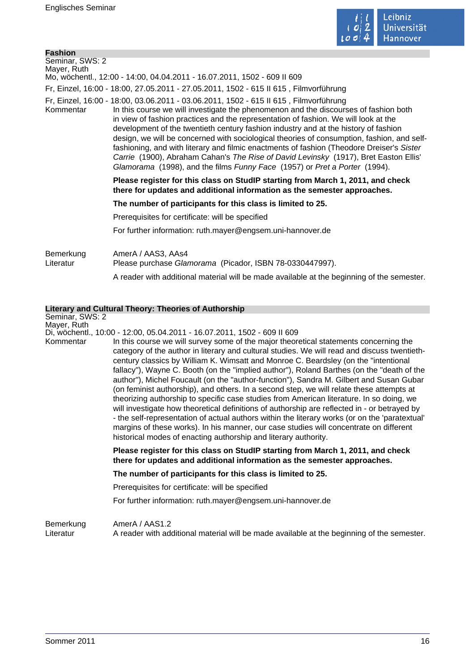

| Seminar, SWS: 2                                                                                                                                                                                                                                                                                                                                                                                                                                                                                                                                                                                                                                                                                                                           |  |
|-------------------------------------------------------------------------------------------------------------------------------------------------------------------------------------------------------------------------------------------------------------------------------------------------------------------------------------------------------------------------------------------------------------------------------------------------------------------------------------------------------------------------------------------------------------------------------------------------------------------------------------------------------------------------------------------------------------------------------------------|--|
| Mayer, Ruth<br>Mo, wöchentl., 12:00 - 14:00, 04.04.2011 - 16.07.2011, 1502 - 609 II 609                                                                                                                                                                                                                                                                                                                                                                                                                                                                                                                                                                                                                                                   |  |
|                                                                                                                                                                                                                                                                                                                                                                                                                                                                                                                                                                                                                                                                                                                                           |  |
| Fr, Einzel, 16:00 - 18:00, 27.05.2011 - 27.05.2011, 1502 - 615 II 615, Filmvorführung                                                                                                                                                                                                                                                                                                                                                                                                                                                                                                                                                                                                                                                     |  |
| Fr, Einzel, 16:00 - 18:00, 03.06.2011 - 03.06.2011, 1502 - 615 II 615, Filmvorführung<br>In this course we will investigate the phenomenon and the discourses of fashion both<br>Kommentar<br>in view of fashion practices and the representation of fashion. We will look at the<br>development of the twentieth century fashion industry and at the history of fashion<br>design, we will be concerned with sociological theories of consumption, fashion, and self-<br>fashioning, and with literary and filmic enactments of fashion (Theodore Dreiser's Sister<br>Carrie (1900), Abraham Cahan's The Rise of David Levinsky (1917), Bret Easton Ellis'<br>Glamorama (1998), and the films Funny Face (1957) or Pret a Porter (1994). |  |
| Please register for this class on StudIP starting from March 1, 2011, and check<br>there for updates and additional information as the semester approaches.                                                                                                                                                                                                                                                                                                                                                                                                                                                                                                                                                                               |  |
| The number of participants for this class is limited to 25.                                                                                                                                                                                                                                                                                                                                                                                                                                                                                                                                                                                                                                                                               |  |
| Prerequisites for certificate: will be specified                                                                                                                                                                                                                                                                                                                                                                                                                                                                                                                                                                                                                                                                                          |  |
| For further information: ruth.mayer@engsem.uni-hannover.de                                                                                                                                                                                                                                                                                                                                                                                                                                                                                                                                                                                                                                                                                |  |
| Bemerkung<br>AmerA / AAS3, AAs4<br>Literatur<br>Please purchase Glamorama (Picador, ISBN 78-0330447997).<br>A reader with additional material will be made available at the beginning of the semester.                                                                                                                                                                                                                                                                                                                                                                                                                                                                                                                                    |  |

|                          | <b>Literary and Cultural Theory: Theories of Authorship</b>                                                                                                                                                                                                                                                                                                                                                                                                                                                                                                                                                                                                                                                                                                                                                                                                                                                                                                                                                                                                                                             |
|--------------------------|---------------------------------------------------------------------------------------------------------------------------------------------------------------------------------------------------------------------------------------------------------------------------------------------------------------------------------------------------------------------------------------------------------------------------------------------------------------------------------------------------------------------------------------------------------------------------------------------------------------------------------------------------------------------------------------------------------------------------------------------------------------------------------------------------------------------------------------------------------------------------------------------------------------------------------------------------------------------------------------------------------------------------------------------------------------------------------------------------------|
| Seminar, SWS: 2          |                                                                                                                                                                                                                                                                                                                                                                                                                                                                                                                                                                                                                                                                                                                                                                                                                                                                                                                                                                                                                                                                                                         |
| Mayer, Ruth<br>Kommentar | Di, wöchentl., 10:00 - 12:00, 05.04.2011 - 16.07.2011, 1502 - 609 II 609<br>In this course we will survey some of the major theoretical statements concerning the<br>category of the author in literary and cultural studies. We will read and discuss twentieth-<br>century classics by William K. Wimsatt and Monroe C. Beardsley (on the "intentional<br>fallacy"), Wayne C. Booth (on the "implied author"), Roland Barthes (on the "death of the<br>author"), Michel Foucault (on the "author-function"), Sandra M. Gilbert and Susan Gubar<br>(on feminist authorship), and others. In a second step, we will relate these attempts at<br>theorizing authorship to specific case studies from American literature. In so doing, we<br>will investigate how theoretical definitions of authorship are reflected in - or betrayed by<br>- the self-representation of actual authors within the literary works (or on the 'paratextual'<br>margins of these works). In his manner, our case studies will concentrate on different<br>historical modes of enacting authorship and literary authority. |
|                          | Please register for this class on StudIP starting from March 1, 2011, and check<br>there for updates and additional information as the semester approaches.                                                                                                                                                                                                                                                                                                                                                                                                                                                                                                                                                                                                                                                                                                                                                                                                                                                                                                                                             |
|                          | The number of participants for this class is limited to 25.                                                                                                                                                                                                                                                                                                                                                                                                                                                                                                                                                                                                                                                                                                                                                                                                                                                                                                                                                                                                                                             |
|                          | Prerequisites for certificate: will be specified                                                                                                                                                                                                                                                                                                                                                                                                                                                                                                                                                                                                                                                                                                                                                                                                                                                                                                                                                                                                                                                        |
|                          | For further information: ruth.mayer@engsem.uni-hannover.de                                                                                                                                                                                                                                                                                                                                                                                                                                                                                                                                                                                                                                                                                                                                                                                                                                                                                                                                                                                                                                              |
| Bemerkung<br>Literatur   | AmerA / AAS1.2<br>A reader with additional material will be made available at the beginning of the semester.                                                                                                                                                                                                                                                                                                                                                                                                                                                                                                                                                                                                                                                                                                                                                                                                                                                                                                                                                                                            |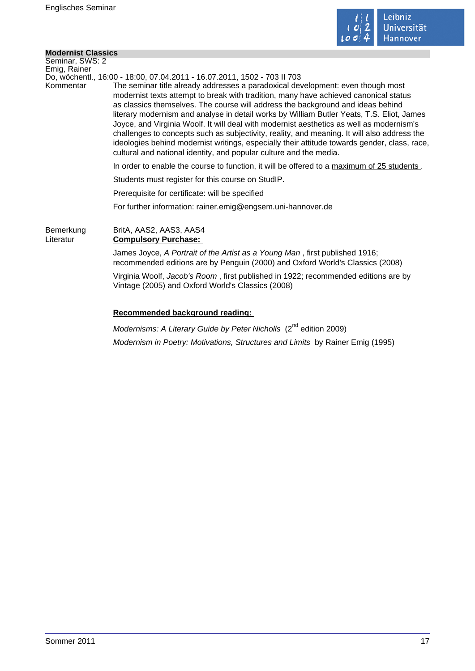

 $\mathcal{L}_{\mathcal{A}}$ 

### **Modernist Classics**

| Seminar, SWS: 2        |                                                                                                                                                                                                                                                                                                                                                                                                                                                                                                                                                                                                                                                                                                                          |
|------------------------|--------------------------------------------------------------------------------------------------------------------------------------------------------------------------------------------------------------------------------------------------------------------------------------------------------------------------------------------------------------------------------------------------------------------------------------------------------------------------------------------------------------------------------------------------------------------------------------------------------------------------------------------------------------------------------------------------------------------------|
| Emig, Rainer           | Do, wöchentl., 16:00 - 18:00, 07.04.2011 - 16.07.2011, 1502 - 703 II 703                                                                                                                                                                                                                                                                                                                                                                                                                                                                                                                                                                                                                                                 |
| Kommentar              | The seminar title already addresses a paradoxical development: even though most<br>modernist texts attempt to break with tradition, many have achieved canonical status<br>as classics themselves. The course will address the background and ideas behind<br>literary modernism and analyse in detail works by William Butler Yeats, T.S. Eliot, James<br>Joyce, and Virginia Woolf. It will deal with modernist aesthetics as well as modernism's<br>challenges to concepts such as subjectivity, reality, and meaning. It will also address the<br>ideologies behind modernist writings, especially their attitude towards gender, class, race,<br>cultural and national identity, and popular culture and the media. |
|                        | In order to enable the course to function, it will be offered to a maximum of 25 students.                                                                                                                                                                                                                                                                                                                                                                                                                                                                                                                                                                                                                               |
|                        | Students must register for this course on StudIP.                                                                                                                                                                                                                                                                                                                                                                                                                                                                                                                                                                                                                                                                        |
|                        | Prerequisite for certificate: will be specified                                                                                                                                                                                                                                                                                                                                                                                                                                                                                                                                                                                                                                                                          |
|                        | For further information: rainer.emig@engsem.uni-hannover.de                                                                                                                                                                                                                                                                                                                                                                                                                                                                                                                                                                                                                                                              |
| Bemerkung<br>Literatur | BritA, AAS2, AAS3, AAS4<br><b>Compulsory Purchase:</b>                                                                                                                                                                                                                                                                                                                                                                                                                                                                                                                                                                                                                                                                   |
|                        | James Joyce, A Portrait of the Artist as a Young Man, first published 1916;<br>recommended editions are by Penguin (2000) and Oxford World's Classics (2008)                                                                                                                                                                                                                                                                                                                                                                                                                                                                                                                                                             |
|                        | Virginia Woolf, Jacob's Room, first published in 1922; recommended editions are by<br>Vintage (2005) and Oxford World's Classics (2008)                                                                                                                                                                                                                                                                                                                                                                                                                                                                                                                                                                                  |
|                        | Recommended background reading:                                                                                                                                                                                                                                                                                                                                                                                                                                                                                                                                                                                                                                                                                          |
|                        | nd                                                                                                                                                                                                                                                                                                                                                                                                                                                                                                                                                                                                                                                                                                                       |

Modernisms: A Literary Guide by Peter Nicholls (2<sup>nd</sup> edition 2009) Modernism in Poetry: Motivations, Structures and Limits by Rainer Emig (1995)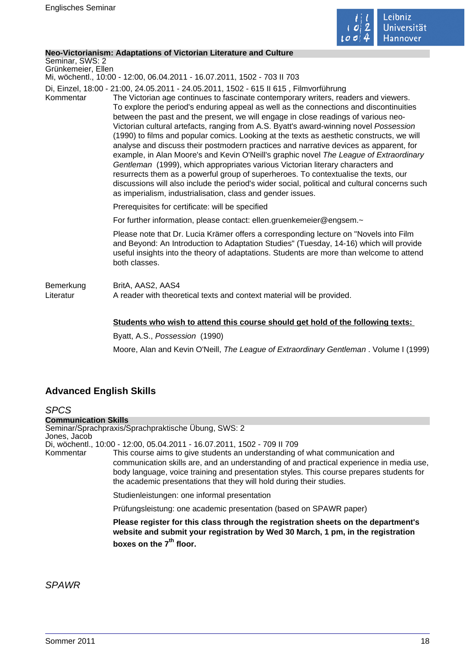

#### **Neo-Victorianism: Adaptations of Victorian Literature and Culture**

Seminar, SWS: 2 Grünkemeier, Ellen

Mi, wöchentl., 10:00 - 12:00, 06.04.2011 - 16.07.2011, 1502 - 703 II 703

Di, Einzel, 18:00 - 21:00, 24.05.2011 - 24.05.2011, 1502 - 615 II 615 , Filmvorführung

Kommentar The Victorian age continues to fascinate contemporary writers, readers and viewers. To explore the period's enduring appeal as well as the connections and discontinuities between the past and the present, we will engage in close readings of various neo-Victorian cultural artefacts, ranging from A.S. Byatt's award-winning novel Possession (1990) to films and popular comics. Looking at the texts as aesthetic constructs, we will analyse and discuss their postmodern practices and narrative devices as apparent, for example, in Alan Moore's and Kevin O'Neill's graphic novel The League of Extraordinary Gentleman (1999), which appropriates various Victorian literary characters and resurrects them as a powerful group of superheroes. To contextualise the texts, our discussions will also include the period's wider social, political and cultural concerns such as imperialism, industrialisation, class and gender issues.

Prerequisites for certificate: will be specified

For further information, please contact: ellen.gruenkemeier@engsem.~

Please note that Dr. Lucia Krämer offers a corresponding lecture on "Novels into Film and Beyond: An Introduction to Adaptation Studies" (Tuesday, 14-16) which will provide useful insights into the theory of adaptations. Students are more than welcome to attend both classes.

Bemerkung BritA, AAS2, AAS4 Literatur **A** reader with theoretical texts and context material will be provided.

#### **Students who wish to attend this course should get hold of the following texts:**

Byatt, A.S., Possession (1990)

Moore, Alan and Kevin O'Neill, The League of Extraordinary Gentleman . Volume I (1999)

### **Advanced English Skills**

SPCS **Communication Skills** Seminar/Sprachpraxis/Sprachpraktische Übung, SWS: 2 Jones, Jacob Di, wöchentl., 10:00 - 12:00, 05.04.2011 - 16.07.2011, 1502 - 709 II 709 Kommentar This course aims to give students an understanding of what communication and communication skills are, and an understanding of and practical experience in media use, body language, voice training and presentation styles. This course prepares students for the academic presentations that they will hold during their studies. Studienleistungen: one informal presentation Prüfungsleistung: one academic presentation (based on SPAWR paper) **Please register for this class through the registration sheets on the department's website and submit your registration by Wed 30 March, 1 pm, in the registration boxes on the 7th floor.** 

SPAWR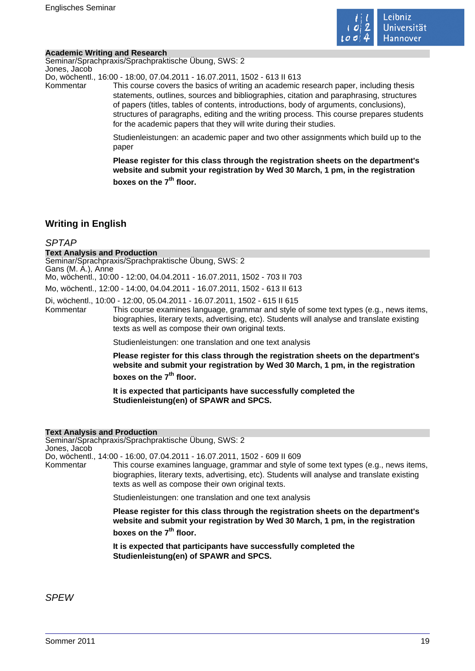

### **Academic Writing and Research**

Seminar/Sprachpraxis/Sprachpraktische Übung, SWS: 2 Jones, Jacob

Do, wöchentl., 16:00 - 18:00, 07.04.2011 - 16.07.2011, 1502 - 613 II 613

Kommentar This course covers the basics of writing an academic research paper, including thesis statements, outlines, sources and bibliographies, citation and paraphrasing, structures of papers (titles, tables of contents, introductions, body of arguments, conclusions), structures of paragraphs, editing and the writing process. This course prepares students for the academic papers that they will write during their studies.

> Studienleistungen: an academic paper and two other assignments which build up to the paper

> **Please register for this class through the registration sheets on the department's website and submit your registration by Wed 30 March, 1 pm, in the registration boxes on the 7th floor.**

### **Writing in English**

### SPTAP

#### **Text Analysis and Production**

Seminar/Sprachpraxis/Sprachpraktische Übung, SWS: 2 Gans (M. A.), Anne

Mo, wöchentl., 10:00 - 12:00, 04.04.2011 - 16.07.2011, 1502 - 703 II 703

Mo, wöchentl., 12:00 - 14:00, 04.04.2011 - 16.07.2011, 1502 - 613 II 613

Di, wöchentl., 10:00 - 12:00, 05.04.2011 - 16.07.2011, 1502 - 615 II 615

This course examines language, grammar and style of some text types (e.g., news items, biographies, literary texts, advertising, etc). Students will analyse and translate existing texts as well as compose their own original texts.

Studienleistungen: one translation and one text analysis

**Please register for this class through the registration sheets on the department's website and submit your registration by Wed 30 March, 1 pm, in the registration boxes on the 7th floor.** 

**It is expected that participants have successfully completed the Studienleistung(en) of SPAWR and SPCS.** 

#### **Text Analysis and Production**

Seminar/Sprachpraxis/Sprachpraktische Übung, SWS: 2 Jones, Jacob

Do, wöchentl., 14:00 - 16:00, 07.04.2011 - 16.07.2011, 1502 - 609 II 609

Kommentar This course examines language, grammar and style of some text types (e.g., news items, biographies, literary texts, advertising, etc). Students will analyse and translate existing texts as well as compose their own original texts.

Studienleistungen: one translation and one text analysis

**Please register for this class through the registration sheets on the department's website and submit your registration by Wed 30 March, 1 pm, in the registration**

**boxes on the 7th floor.** 

**It is expected that participants have successfully completed the Studienleistung(en) of SPAWR and SPCS.** 

SPEW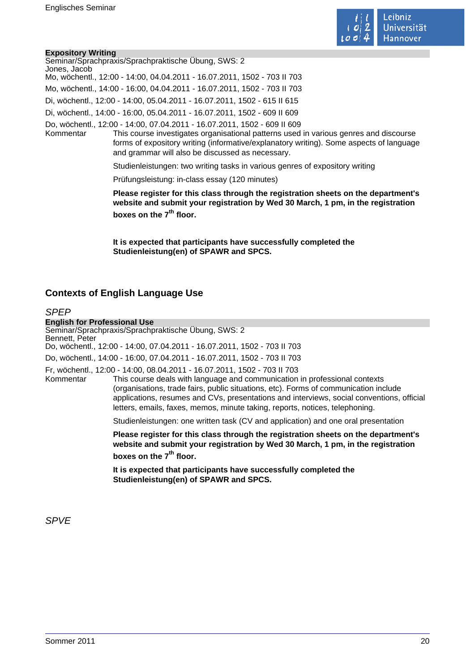

### **Expository Writing**

| $-200$       |                                                                                                                                                                                                                                                                                                                  |
|--------------|------------------------------------------------------------------------------------------------------------------------------------------------------------------------------------------------------------------------------------------------------------------------------------------------------------------|
| Jones, Jacob | Seminar/Sprachpraxis/Sprachpraktische Übung, SWS: 2                                                                                                                                                                                                                                                              |
|              | Mo, wöchentl., 12:00 - 14:00, 04.04.2011 - 16.07.2011, 1502 - 703 II 703                                                                                                                                                                                                                                         |
|              | Mo, wöchentl., 14:00 - 16:00, 04.04.2011 - 16.07.2011, 1502 - 703 II 703                                                                                                                                                                                                                                         |
|              | Di, wöchentl., 12:00 - 14:00, 05.04.2011 - 16.07.2011, 1502 - 615 II 615                                                                                                                                                                                                                                         |
|              | Di, wöchentl., 14:00 - 16:00, 05.04.2011 - 16.07.2011, 1502 - 609 II 609                                                                                                                                                                                                                                         |
| Kommentar    | Do, wöchentl., 12:00 - 14:00, 07.04.2011 - 16.07.2011, 1502 - 609 II 609<br>This course investigates organisational patterns used in various genres and discourse<br>forms of expository writing (informative/explanatory writing). Some aspects of language<br>and grammar will also be discussed as necessary. |
|              | Studienleistungen: two writing tasks in various genres of expository writing                                                                                                                                                                                                                                     |
|              |                                                                                                                                                                                                                                                                                                                  |

Prüfungsleistung: in-class essay (120 minutes)

**Please register for this class through the registration sheets on the department's website and submit your registration by Wed 30 March, 1 pm, in the registration boxes on the 7th floor.** 

**It is expected that participants have successfully completed the Studienleistung(en) of SPAWR and SPCS.** 

### **Contexts of English Language Use**

### **SPFP**

**English for Professional Use** Seminar/Sprachpraxis/Sprachpraktische Übung, SWS: 2 Bennett, Peter Do, wöchentl., 12:00 - 14:00, 07.04.2011 - 16.07.2011, 1502 - 703 II 703 Do, wöchentl., 14:00 - 16:00, 07.04.2011 - 16.07.2011, 1502 - 703 II 703 Fr, wöchentl., 12:00 - 14:00, 08.04.2011 - 16.07.2011, 1502 - 703 II 703 This course deals with language and communication in professional contexts (organisations, trade fairs, public situations, etc). Forms of communication include applications, resumes and CVs, presentations and interviews, social conventions, official letters, emails, faxes, memos, minute taking, reports, notices, telephoning. Studienleistungen: one written task (CV and application) and one oral presentation **Please register for this class through the registration sheets on the department's website and submit your registration by Wed 30 March, 1 pm, in the registration boxes on the 7th floor. It is expected that participants have successfully completed the Studienleistung(en) of SPAWR and SPCS.** 

SPVE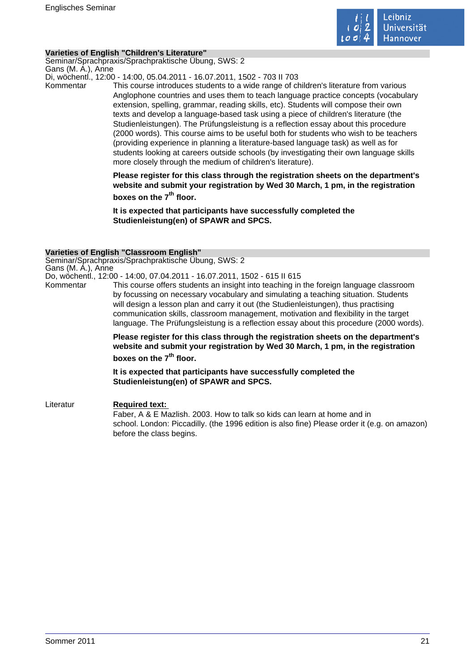

### **Varieties of English "Children's Literature"**

Seminar/Sprachpraxis/Sprachpraktische Übung, SWS: 2 Gans (M. A.), Anne

Di, wöchentl., 12:00 - 14:00, 05.04.2011 - 16.07.2011, 1502 - 703 II 703

Kommentar This course introduces students to a wide range of children's literature from various Anglophone countries and uses them to teach language practice concepts (vocabulary extension, spelling, grammar, reading skills, etc). Students will compose their own texts and develop a language-based task using a piece of children's literature (the Studienleistungen). The Prüfungsleistung is a reflection essay about this procedure (2000 words). This course aims to be useful both for students who wish to be teachers (providing experience in planning a literature-based language task) as well as for students looking at careers outside schools (by investigating their own language skills more closely through the medium of children's literature).

> **Please register for this class through the registration sheets on the department's website and submit your registration by Wed 30 March, 1 pm, in the registration boxes on the 7th floor.**

**It is expected that participants have successfully completed the Studienleistung(en) of SPAWR and SPCS.** 

### **Varieties of English "Classroom English"**

Seminar/Sprachpraxis/Sprachpraktische Übung, SWS: 2 Gans (M. A.), Anne

Do, wöchentl., 12:00 - 14:00, 07.04.2011 - 16.07.2011, 1502 - 615 II 615

Kommentar This course offers students an insight into teaching in the foreign language classroom by focussing on necessary vocabulary and simulating a teaching situation. Students will design a lesson plan and carry it out (the Studienleistungen), thus practising communication skills, classroom management, motivation and flexibility in the target language. The Prüfungsleistung is a reflection essay about this procedure (2000 words).

> **Please register for this class through the registration sheets on the department's website and submit your registration by Wed 30 March, 1 pm, in the registration**

**boxes on the 7th floor.** 

**It is expected that participants have successfully completed the Studienleistung(en) of SPAWR and SPCS.** 

Literatur **Required text:**  Faber, A & E Mazlish. 2003. How to talk so kids can learn at home and in school. London: Piccadilly. (the 1996 edition is also fine) Please order it (e.g. on amazon) before the class begins.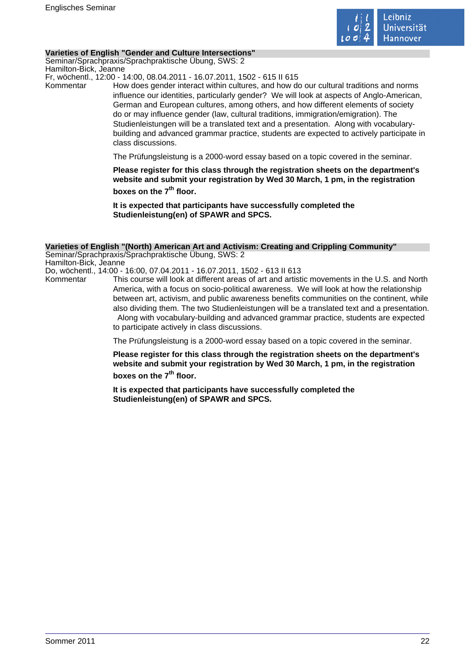

### **Varieties of English "Gender and Culture Intersections"**

Seminar/Sprachpraxis/Sprachpraktische Übung, SWS: 2 Hamilton-Bick, Jeanne

Fr, wöchentl., 12:00 - 14:00, 08.04.2011 - 16.07.2011, 1502 - 615 II 615

Kommentar How does gender interact within cultures, and how do our cultural traditions and norms influence our identities, particularly gender? We will look at aspects of Anglo-American, German and European cultures, among others, and how different elements of society do or may influence gender (law, cultural traditions, immigration/emigration). The Studienleistungen will be a translated text and a presentation. Along with vocabularybuilding and advanced grammar practice, students are expected to actively participate in class discussions.

The Prüfungsleistung is a 2000-word essay based on a topic covered in the seminar.

**Please register for this class through the registration sheets on the department's website and submit your registration by Wed 30 March, 1 pm, in the registration boxes on the 7th floor.** 

**It is expected that participants have successfully completed the Studienleistung(en) of SPAWR and SPCS.** 

#### **Varieties of English "(North) American Art and Activism: Creating and Crippling Community"**

Seminar/Sprachpraxis/Sprachpraktische Übung, SWS: 2 Hamilton-Bick, Jeanne Do, wöchentl., 14:00 - 16:00, 07.04.2011 - 16.07.2011, 1502 - 613 II 613

Kommentar This course will look at different areas of art and artistic movements in the U.S. and North America, with a focus on socio-political awareness. We will look at how the relationship between art, activism, and public awareness benefits communities on the continent, while also dividing them. The two Studienleistungen will be a translated text and a presentation. Along with vocabulary-building and advanced grammar practice, students are expected to participate actively in class discussions.

The Prüfungsleistung is a 2000-word essay based on a topic covered in the seminar.

**Please register for this class through the registration sheets on the department's website and submit your registration by Wed 30 March, 1 pm, in the registration boxes on the 7th floor.** 

**It is expected that participants have successfully completed the Studienleistung(en) of SPAWR and SPCS.**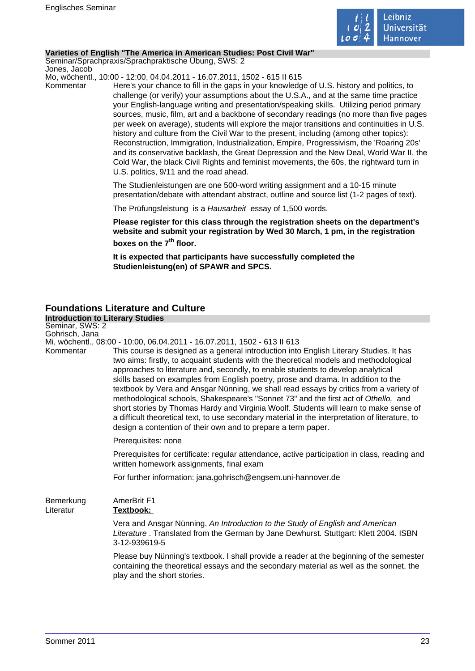

### **Varieties of English "The America in American Studies: Post Civil War"**

Seminar/Sprachpraxis/Sprachpraktische Übung, SWS: 2 Jones, Jacob

Mo, wöchentl., 10:00 - 12:00, 04.04.2011 - 16.07.2011, 1502 - 615 II 615

Kommentar Here's your chance to fill in the gaps in your knowledge of U.S. history and politics, to challenge (or verify) your assumptions about the U.S.A., and at the same time practice your English-language writing and presentation/speaking skills. Utilizing period primary sources, music, film, art and a backbone of secondary readings (no more than five pages per week on average), students will explore the major transitions and continuities in U.S. history and culture from the Civil War to the present, including (among other topics): Reconstruction, Immigration, Industrialization, Empire, Progressivism, the 'Roaring 20s' and its conservative backlash, the Great Depression and the New Deal, World War II, the Cold War, the black Civil Rights and feminist movements, the 60s, the rightward turn in U.S. politics, 9/11 and the road ahead.

> The Studienleistungen are one 500-word writing assignment and a 10-15 minute presentation/debate with attendant abstract, outline and source list (1-2 pages of text).

The Prüfungsleistung is a Hausarbeit essay of 1,500 words.

**Please register for this class through the registration sheets on the department's website and submit your registration by Wed 30 March, 1 pm, in the registration boxes on the 7th floor.** 

**It is expected that participants have successfully completed the Studienleistung(en) of SPAWR and SPCS.** 

### **Foundations Literature and Culture**

| <b>Introduction to Literary Studies</b> |                                                                                                                                                                                                                                                                                                                                                                                                                                                                                                                                                                                                                                                                                                                                                                                                                                                                                       |
|-----------------------------------------|---------------------------------------------------------------------------------------------------------------------------------------------------------------------------------------------------------------------------------------------------------------------------------------------------------------------------------------------------------------------------------------------------------------------------------------------------------------------------------------------------------------------------------------------------------------------------------------------------------------------------------------------------------------------------------------------------------------------------------------------------------------------------------------------------------------------------------------------------------------------------------------|
| Seminar, SWS: 2                         |                                                                                                                                                                                                                                                                                                                                                                                                                                                                                                                                                                                                                                                                                                                                                                                                                                                                                       |
| Gohrisch, Jana<br>Kommentar             | Mi, wöchentl., 08:00 - 10:00, 06.04.2011 - 16.07.2011, 1502 - 613 II 613<br>This course is designed as a general introduction into English Literary Studies. It has<br>two aims: firstly, to acquaint students with the theoretical models and methodological<br>approaches to literature and, secondly, to enable students to develop analytical<br>skills based on examples from English poetry, prose and drama. In addition to the<br>textbook by Vera and Ansgar Nünning, we shall read essays by critics from a variety of<br>methodological schools, Shakespeare's "Sonnet 73" and the first act of Othello, and<br>short stories by Thomas Hardy and Virginia Woolf. Students will learn to make sense of<br>a difficult theoretical text, to use secondary material in the interpretation of literature, to<br>design a contention of their own and to prepare a term paper. |
|                                         | Prerequisites: none                                                                                                                                                                                                                                                                                                                                                                                                                                                                                                                                                                                                                                                                                                                                                                                                                                                                   |
|                                         | Prerequisites for certificate: regular attendance, active participation in class, reading and<br>written homework assignments, final exam                                                                                                                                                                                                                                                                                                                                                                                                                                                                                                                                                                                                                                                                                                                                             |
|                                         | For further information: jana.gohrisch@engsem.uni-hannover.de                                                                                                                                                                                                                                                                                                                                                                                                                                                                                                                                                                                                                                                                                                                                                                                                                         |
| Bemerkung<br>Literatur                  | AmerBrit F1<br>Textbook:                                                                                                                                                                                                                                                                                                                                                                                                                                                                                                                                                                                                                                                                                                                                                                                                                                                              |
|                                         | Vera and Ansgar Nünning. An Introduction to the Study of English and American<br>Literature . Translated from the German by Jane Dewhurst. Stuttgart: Klett 2004. ISBN<br>3-12-939619-5                                                                                                                                                                                                                                                                                                                                                                                                                                                                                                                                                                                                                                                                                               |
|                                         | Please buy Nünning's textbook. I shall provide a reader at the beginning of the semester<br>containing the theoretical essays and the secondary material as well as the sonnet, the<br>play and the short stories.                                                                                                                                                                                                                                                                                                                                                                                                                                                                                                                                                                                                                                                                    |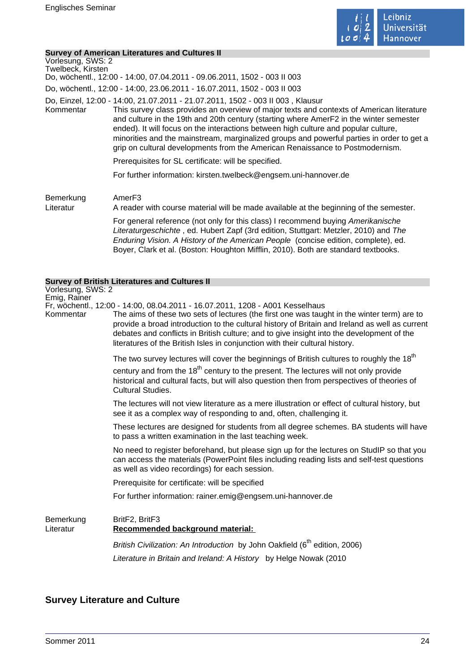

### **Survey of American Literatures and Cultures II**

| Vorlesung, SWS: 2<br>Twelbeck, Kirsten | 000 TV TO ANION DUN ENGLARI CO UNU OUNULCO I<br>Do, wöchentl., 12:00 - 14:00, 07.04.2011 - 09.06.2011, 1502 - 003 II 003                                                                                                                                                                                                                                                                                                                                                                                                                   |
|----------------------------------------|--------------------------------------------------------------------------------------------------------------------------------------------------------------------------------------------------------------------------------------------------------------------------------------------------------------------------------------------------------------------------------------------------------------------------------------------------------------------------------------------------------------------------------------------|
|                                        | Do, wöchentl., 12:00 - 14:00, 23.06.2011 - 16.07.2011, 1502 - 003 II 003                                                                                                                                                                                                                                                                                                                                                                                                                                                                   |
| Kommentar                              | Do, Einzel, 12:00 - 14:00, 21.07.2011 - 21.07.2011, 1502 - 003 II 003, Klausur<br>This survey class provides an overview of major texts and contexts of American literature<br>and culture in the 19th and 20th century (starting where AmerF2 in the winter semester<br>ended). It will focus on the interactions between high culture and popular culture,<br>minorities and the mainstream, marginalized groups and powerful parties in order to get a<br>grip on cultural developments from the American Renaissance to Postmodernism. |
|                                        | Prerequisites for SL certificate: will be specified.                                                                                                                                                                                                                                                                                                                                                                                                                                                                                       |
|                                        | For further information: kirsten.twelbeck@engsem.uni-hannover.de                                                                                                                                                                                                                                                                                                                                                                                                                                                                           |
| Bemerkung<br>Literatur                 | Amer <sub>F3</sub><br>A reader with course material will be made available at the beginning of the semester.                                                                                                                                                                                                                                                                                                                                                                                                                               |
|                                        | For general reference (not only for this class) I recommend buying Amerikanische<br>Literaturgeschichte, ed. Hubert Zapf (3rd edition, Stuttgart: Metzler, 2010) and The<br>Enduring Vision. A History of the American People (concise edition, complete), ed.<br>Boyer, Clark et al. (Boston: Houghton Mifflin, 2010). Both are standard textbooks.                                                                                                                                                                                       |
|                                        | <b>Survey of British Literatures and Cultures II</b>                                                                                                                                                                                                                                                                                                                                                                                                                                                                                       |
| Vorlesung, SWS: 2<br>Emig, Rainer      | Fr, wöchentl., 12:00 - 14:00, 08.04.2011 - 16.07.2011, 1208 - A001 Kesselhaus                                                                                                                                                                                                                                                                                                                                                                                                                                                              |

Kommentar The aims of these two sets of lectures (the first one was taught in the winter term) are to provide a broad introduction to the cultural history of Britain and Ireland as well as current debates and conflicts in British culture; and to give insight into the development of the literatures of the British Isles in conjunction with their cultural history.

The two survey lectures will cover the beginnings of British cultures to roughly the  $18<sup>th</sup>$ 

century and from the  $18<sup>th</sup>$  century to the present. The lectures will not only provide historical and cultural facts, but will also question then from perspectives of theories of Cultural Studies.

The lectures will not view literature as a mere illustration or effect of cultural history, but see it as a complex way of responding to and, often, challenging it.

These lectures are designed for students from all degree schemes. BA students will have to pass a written examination in the last teaching week.

No need to register beforehand, but please sign up for the lectures on StudIP so that you can access the materials (PowerPoint files including reading lists and self-test questions as well as video recordings) for each session.

Prerequisite for certificate: will be specified

For further information: rainer.emig@engsem.uni-hannover.de

Bemerkung BritF2, BritF3

### Literatur **Recommended background material:**

British Civilization: An Introduction by John Oakfield  $(6<sup>th</sup>$  edition, 2006) Literature in Britain and Ireland: A History by Helge Nowak (2010

### **Survey Literature and Culture**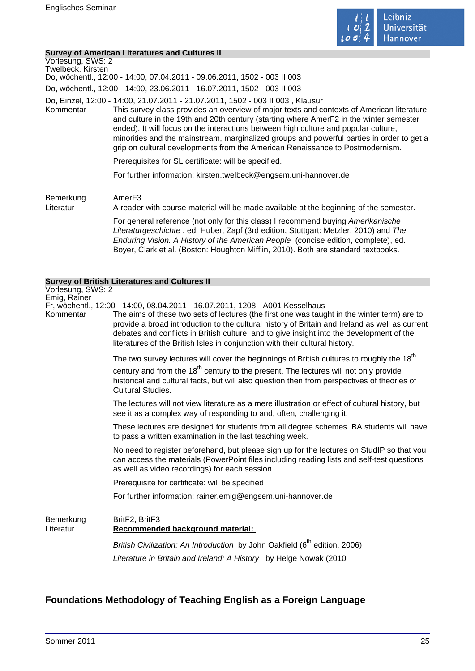

### **Survey of American Literatures and Cultures II**

| Vorlesung, SWS: 2<br>Twelbeck, Kirsten | <u>oar roy or Amonoan Encratares and Ounarcs r</u><br>Do, wöchentl., 12:00 - 14:00, 07.04.2011 - 09.06.2011, 1502 - 003 II 003                                                                                                                                                                                                                                                                                                                                                                                                             |
|----------------------------------------|--------------------------------------------------------------------------------------------------------------------------------------------------------------------------------------------------------------------------------------------------------------------------------------------------------------------------------------------------------------------------------------------------------------------------------------------------------------------------------------------------------------------------------------------|
|                                        | Do, wöchentl., 12:00 - 14:00, 23.06.2011 - 16.07.2011, 1502 - 003 II 003                                                                                                                                                                                                                                                                                                                                                                                                                                                                   |
| Kommentar                              | Do, Einzel, 12:00 - 14:00, 21.07.2011 - 21.07.2011, 1502 - 003 II 003, Klausur<br>This survey class provides an overview of major texts and contexts of American literature<br>and culture in the 19th and 20th century (starting where AmerF2 in the winter semester<br>ended). It will focus on the interactions between high culture and popular culture,<br>minorities and the mainstream, marginalized groups and powerful parties in order to get a<br>grip on cultural developments from the American Renaissance to Postmodernism. |
|                                        | Prerequisites for SL certificate: will be specified.                                                                                                                                                                                                                                                                                                                                                                                                                                                                                       |
|                                        | For further information: kirsten.twelbeck@engsem.uni-hannover.de                                                                                                                                                                                                                                                                                                                                                                                                                                                                           |
| Bemerkung<br>Literatur                 | Amer <sub>F3</sub><br>A reader with course material will be made available at the beginning of the semester.                                                                                                                                                                                                                                                                                                                                                                                                                               |
|                                        | For general reference (not only for this class) I recommend buying Amerikanische<br>Literaturgeschichte, ed. Hubert Zapf (3rd edition, Stuttgart: Metzler, 2010) and The<br>Enduring Vision. A History of the American People (concise edition, complete), ed.<br>Boyer, Clark et al. (Boston: Houghton Mifflin, 2010). Both are standard textbooks.                                                                                                                                                                                       |
|                                        | <b>Survey of British Literatures and Cultures II</b>                                                                                                                                                                                                                                                                                                                                                                                                                                                                                       |
| Vorlesung, SWS: 2<br>Emig, Rainer      | Fr, wöchentl., 12:00 - 14:00, 08.04.2011 - 16.07.2011, 1208 - A001 Kesselhaus                                                                                                                                                                                                                                                                                                                                                                                                                                                              |

Kommentar The aims of these two sets of lectures (the first one was taught in the winter term) are to provide a broad introduction to the cultural history of Britain and Ireland as well as current debates and conflicts in British culture; and to give insight into the development of the literatures of the British Isles in conjunction with their cultural history.

The two survey lectures will cover the beginnings of British cultures to roughly the  $18<sup>th</sup>$ 

century and from the  $18<sup>th</sup>$  century to the present. The lectures will not only provide historical and cultural facts, but will also question then from perspectives of theories of Cultural Studies.

The lectures will not view literature as a mere illustration or effect of cultural history, but see it as a complex way of responding to and, often, challenging it.

These lectures are designed for students from all degree schemes. BA students will have to pass a written examination in the last teaching week.

No need to register beforehand, but please sign up for the lectures on StudIP so that you can access the materials (PowerPoint files including reading lists and self-test questions as well as video recordings) for each session.

Prerequisite for certificate: will be specified

For further information: rainer.emig@engsem.uni-hannover.de

Bemerkung BritF2, BritF3 Literatur **Recommended background material:**  British Civilization: An Introduction by John Oakfield  $(6<sup>th</sup>$  edition, 2006)

Literature in Britain and Ireland: A History by Helge Nowak (2010

### **Foundations Methodology of Teaching English as a Foreign Language**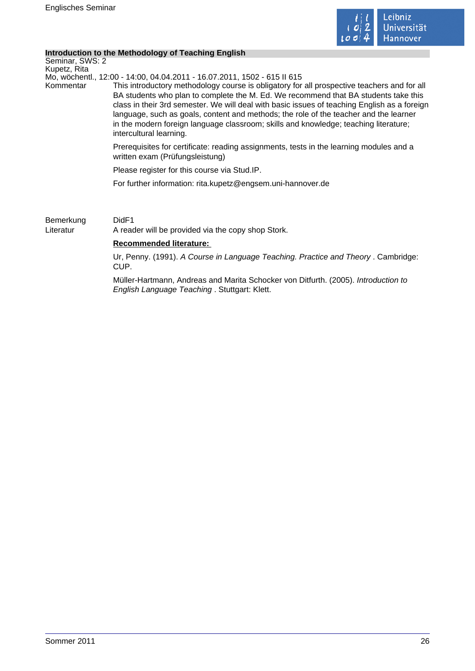

### **Introduction to the Methodology of Teaching English**

Seminar, SWS: 2 Kupetz, Rita

Mo, wöchentl., 12:00 - 14:00, 04.04.2011 - 16.07.2011, 1502 - 615 II 615

Kommentar This introductory methodology course is obligatory for all prospective teachers and for all BA students who plan to complete the M. Ed. We recommend that BA students take this class in their 3rd semester. We will deal with basic issues of teaching English as a foreign language, such as goals, content and methods; the role of the teacher and the learner in the modern foreign language classroom; skills and knowledge; teaching literature; intercultural learning.

> Prerequisites for certificate: reading assignments, tests in the learning modules and a written exam (Prüfungsleistung)

Please register for this course via Stud.IP.

For further information: rita.kupetz@engsem.uni-hannover.de

Bemerkung DidF1 Literatur A reader will be provided via the copy shop Stork.

### **Recommended literature:**

Ur, Penny. (1991). A Course in Language Teaching. Practice and Theory . Cambridge: CUP.

Müller-Hartmann, Andreas and Marita Schocker von Ditfurth. (2005). Introduction to English Language Teaching . Stuttgart: Klett.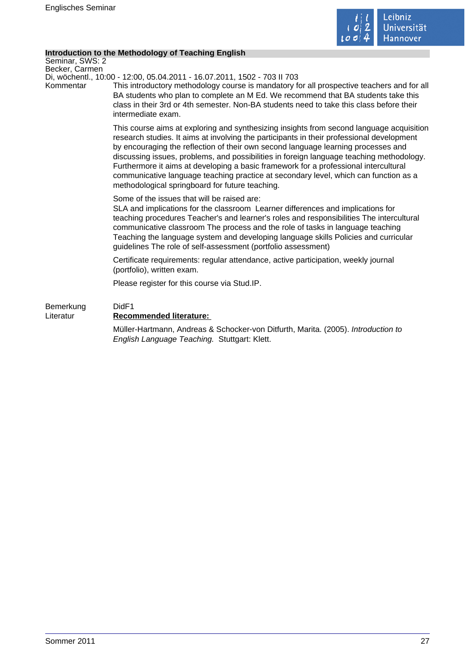

### **Introduction to the Methodology of Teaching English**

Seminar, SWS: 2 Becker, Carmen

Di, wöchentl., 10:00 - 12:00, 05.04.2011 - 16.07.2011, 1502 - 703 II 703

Kommentar This introductory methodology course is mandatory for all prospective teachers and for all BA students who plan to complete an M Ed. We recommend that BA students take this class in their 3rd or 4th semester. Non-BA students need to take this class before their intermediate exam.

> This course aims at exploring and synthesizing insights from second language acquisition research studies. It aims at involving the participants in their professional development by encouraging the reflection of their own second language learning processes and discussing issues, problems, and possibilities in foreign language teaching methodology. Furthermore it aims at developing a basic framework for a professional intercultural communicative language teaching practice at secondary level, which can function as a methodological springboard for future teaching.

Some of the issues that will be raised are:

SLA and implications for the classroom Learner differences and implications for teaching procedures Teacher's and learner's roles and responsibilities The intercultural communicative classroom The process and the role of tasks in language teaching Teaching the language system and developing language skills Policies and curricular guidelines The role of self-assessment (portfolio assessment)

Certificate requirements: regular attendance, active participation, weekly journal (portfolio), written exam.

Please register for this course via Stud.IP.

### Bemerkung DidF1 Literatur **Recommended literature:**  Müller-Hartmann, Andreas & Schocker-von Ditfurth, Marita. (2005). Introduction to English Language Teaching. Stuttgart: Klett.

Sommer 2011 27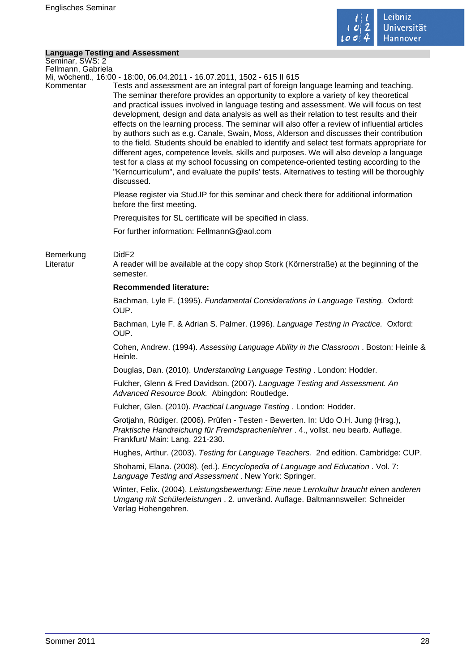

### **Language Testing and Assessment**

| Seminar, SWS: 2        |                                                                                                                                                                                                                                                                                                                                                                                                                                                                                                                                                                                                                                                                                                                                                                                                                                                                                                                                                                      |
|------------------------|----------------------------------------------------------------------------------------------------------------------------------------------------------------------------------------------------------------------------------------------------------------------------------------------------------------------------------------------------------------------------------------------------------------------------------------------------------------------------------------------------------------------------------------------------------------------------------------------------------------------------------------------------------------------------------------------------------------------------------------------------------------------------------------------------------------------------------------------------------------------------------------------------------------------------------------------------------------------|
| Fellmann, Gabriela     | Mi, wöchentl., 16:00 - 18:00, 06.04.2011 - 16.07.2011, 1502 - 615 II 615                                                                                                                                                                                                                                                                                                                                                                                                                                                                                                                                                                                                                                                                                                                                                                                                                                                                                             |
| Kommentar              | Tests and assessment are an integral part of foreign language learning and teaching.<br>The seminar therefore provides an opportunity to explore a variety of key theoretical<br>and practical issues involved in language testing and assessment. We will focus on test<br>development, design and data analysis as well as their relation to test results and their<br>effects on the learning process. The seminar will also offer a review of influential articles<br>by authors such as e.g. Canale, Swain, Moss, Alderson and discusses their contribution<br>to the field. Students should be enabled to identify and select test formats appropriate for<br>different ages, competence levels, skills and purposes. We will also develop a language<br>test for a class at my school focussing on competence-oriented testing according to the<br>"Kerncurriculum", and evaluate the pupils' tests. Alternatives to testing will be thoroughly<br>discussed. |
|                        | Please register via Stud. IP for this seminar and check there for additional information<br>before the first meeting.                                                                                                                                                                                                                                                                                                                                                                                                                                                                                                                                                                                                                                                                                                                                                                                                                                                |
|                        | Prerequisites for SL certificate will be specified in class.                                                                                                                                                                                                                                                                                                                                                                                                                                                                                                                                                                                                                                                                                                                                                                                                                                                                                                         |
|                        | For further information: FellmannG@aol.com                                                                                                                                                                                                                                                                                                                                                                                                                                                                                                                                                                                                                                                                                                                                                                                                                                                                                                                           |
| Bemerkung<br>Literatur | DidF <sub>2</sub><br>A reader will be available at the copy shop Stork (Körnerstraße) at the beginning of the<br>semester.                                                                                                                                                                                                                                                                                                                                                                                                                                                                                                                                                                                                                                                                                                                                                                                                                                           |
|                        | <b>Recommended literature:</b>                                                                                                                                                                                                                                                                                                                                                                                                                                                                                                                                                                                                                                                                                                                                                                                                                                                                                                                                       |
|                        | Bachman, Lyle F. (1995). Fundamental Considerations in Language Testing. Oxford:<br>OUP.                                                                                                                                                                                                                                                                                                                                                                                                                                                                                                                                                                                                                                                                                                                                                                                                                                                                             |
|                        | Bachman, Lyle F. & Adrian S. Palmer. (1996). Language Testing in Practice. Oxford:<br>OUP.                                                                                                                                                                                                                                                                                                                                                                                                                                                                                                                                                                                                                                                                                                                                                                                                                                                                           |
|                        | Cohen, Andrew. (1994). Assessing Language Ability in the Classroom. Boston: Heinle &<br>Heinle.                                                                                                                                                                                                                                                                                                                                                                                                                                                                                                                                                                                                                                                                                                                                                                                                                                                                      |
|                        | Douglas, Dan. (2010). Understanding Language Testing. London: Hodder.                                                                                                                                                                                                                                                                                                                                                                                                                                                                                                                                                                                                                                                                                                                                                                                                                                                                                                |
|                        | Fulcher, Glenn & Fred Davidson. (2007). Language Testing and Assessment. An<br>Advanced Resource Book. Abingdon: Routledge.                                                                                                                                                                                                                                                                                                                                                                                                                                                                                                                                                                                                                                                                                                                                                                                                                                          |
|                        | Fulcher, Glen. (2010). Practical Language Testing. London: Hodder.                                                                                                                                                                                                                                                                                                                                                                                                                                                                                                                                                                                                                                                                                                                                                                                                                                                                                                   |
|                        | Grotjahn, Rüdiger. (2006). Prüfen - Testen - Bewerten. In: Udo O.H. Jung (Hrsg.),<br>Praktische Handreichung für Fremdsprachenlehrer . 4., vollst. neu bearb. Auflage.<br>Frankfurt/ Main: Lang. 221-230.                                                                                                                                                                                                                                                                                                                                                                                                                                                                                                                                                                                                                                                                                                                                                            |
|                        | Hughes, Arthur. (2003). Testing for Language Teachers. 2nd edition. Cambridge: CUP.                                                                                                                                                                                                                                                                                                                                                                                                                                                                                                                                                                                                                                                                                                                                                                                                                                                                                  |
|                        | Shohami, Elana. (2008). (ed.). Encyclopedia of Language and Education. Vol. 7:<br>Language Testing and Assessment. New York: Springer.                                                                                                                                                                                                                                                                                                                                                                                                                                                                                                                                                                                                                                                                                                                                                                                                                               |
|                        | Winter, Felix. (2004). Leistungsbewertung: Eine neue Lernkultur braucht einen anderen<br>Umgang mit Schülerleistungen . 2. unveränd. Auflage. Baltmannsweiler: Schneider<br>Verlag Hohengehren.                                                                                                                                                                                                                                                                                                                                                                                                                                                                                                                                                                                                                                                                                                                                                                      |
|                        |                                                                                                                                                                                                                                                                                                                                                                                                                                                                                                                                                                                                                                                                                                                                                                                                                                                                                                                                                                      |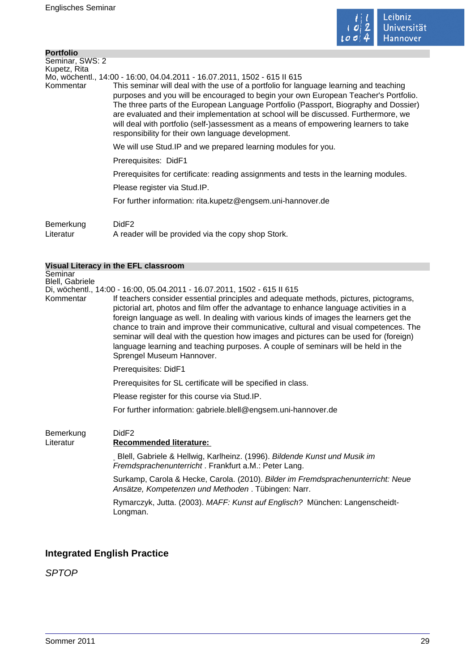

| <b>Portfolio</b> |                                                                                                                                                                                                                                                                                                                                                                                                                                                                                                           |
|------------------|-----------------------------------------------------------------------------------------------------------------------------------------------------------------------------------------------------------------------------------------------------------------------------------------------------------------------------------------------------------------------------------------------------------------------------------------------------------------------------------------------------------|
| Seminar, SWS: 2  |                                                                                                                                                                                                                                                                                                                                                                                                                                                                                                           |
| Kupetz, Rita     |                                                                                                                                                                                                                                                                                                                                                                                                                                                                                                           |
|                  | Mo, wöchentl., 14:00 - 16:00, 04.04.2011 - 16.07.2011, 1502 - 615 II 615                                                                                                                                                                                                                                                                                                                                                                                                                                  |
| Kommentar        | This seminar will deal with the use of a portfolio for language learning and teaching<br>purposes and you will be encouraged to begin your own European Teacher's Portfolio.<br>The three parts of the European Language Portfolio (Passport, Biography and Dossier)<br>are evaluated and their implementation at school will be discussed. Furthermore, we<br>will deal with portfolio (self-)assessment as a means of empowering learners to take<br>responsibility for their own language development. |
|                  | We will use Stud. IP and we prepared learning modules for you.                                                                                                                                                                                                                                                                                                                                                                                                                                            |
|                  | Prerequisites: DidF1                                                                                                                                                                                                                                                                                                                                                                                                                                                                                      |
|                  | Prerequisites for certificate: reading assignments and tests in the learning modules.                                                                                                                                                                                                                                                                                                                                                                                                                     |
|                  | Please register via Stud.IP.                                                                                                                                                                                                                                                                                                                                                                                                                                                                              |
|                  | For further information: rita.kupetz@engsem.uni-hannover.de                                                                                                                                                                                                                                                                                                                                                                                                                                               |
| Bemerkung        | DidF <sub>2</sub>                                                                                                                                                                                                                                                                                                                                                                                                                                                                                         |

Literatur A reader will be provided via the copy shop Stork.

### **Visual Literacy in the EFL classroom**

Seminar Blell, Gabriele

Di, wöchentl., 14:00 - 16:00, 05.04.2011 - 16.07.2011, 1502 - 615 II 615

| Kommentar | If teachers consider essential principles and adequate methods, pictures, pictograms,<br>pictorial art, photos and film offer the advantage to enhance language activities in a                                                                                          |
|-----------|--------------------------------------------------------------------------------------------------------------------------------------------------------------------------------------------------------------------------------------------------------------------------|
|           | foreign language as well. In dealing with various kinds of images the learners get the<br>chance to train and improve their communicative, cultural and visual competences. The<br>seminar will deal with the question how images and pictures can be used for (foreign) |
|           | language learning and teaching purposes. A couple of seminars will be held in the<br>Sprengel Museum Hannover.                                                                                                                                                           |

Prerequisites: DidF1

Prerequisites for SL certificate will be specified in class.

Please register for this course via Stud.IP.

For further information: gabriele.blell@engsem.uni-hannover.de

### Bemerkung DidF2

### Literatur **Recommended literature:**

Blell, Gabriele & Hellwig, Karlheinz. (1996). Bildende Kunst und Musik im Fremdsprachenunterricht . Frankfurt a.M.: Peter Lang.

Surkamp, Carola & Hecke, Carola. (2010). Bilder im Fremdsprachenunterricht: Neue Ansätze, Kompetenzen und Methoden . Tübingen: Narr.

Rymarczyk, Jutta. (2003). MAFF: Kunst auf Englisch? München: Langenscheidt-Longman.

### **Integrated English Practice**

SPTOP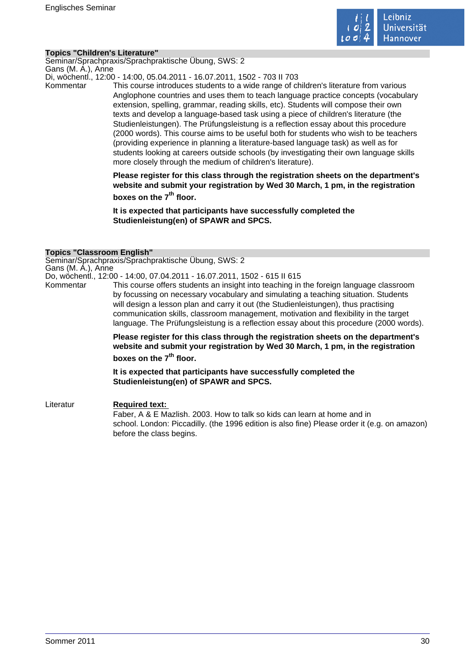

### **Topics "Children's Literature"**

Seminar/Sprachpraxis/Sprachpraktische Übung, SWS: 2 Gans (M. A.), Anne

Di, wöchentl., 12:00 - 14:00, 05.04.2011 - 16.07.2011, 1502 - 703 II 703

Kommentar This course introduces students to a wide range of children's literature from various Anglophone countries and uses them to teach language practice concepts (vocabulary extension, spelling, grammar, reading skills, etc). Students will compose their own texts and develop a language-based task using a piece of children's literature (the Studienleistungen). The Prüfungsleistung is a reflection essay about this procedure (2000 words). This course aims to be useful both for students who wish to be teachers (providing experience in planning a literature-based language task) as well as for students looking at careers outside schools (by investigating their own language skills more closely through the medium of children's literature).

> **Please register for this class through the registration sheets on the department's website and submit your registration by Wed 30 March, 1 pm, in the registration boxes on the 7th floor.**

**It is expected that participants have successfully completed the Studienleistung(en) of SPAWR and SPCS.** 

### **Topics "Classroom English"**

Seminar/Sprachpraxis/Sprachpraktische Übung, SWS: 2 Gans (M. A.), Anne

Do, wöchentl., 12:00 - 14:00, 07.04.2011 - 16.07.2011, 1502 - 615 II 615

Kommentar This course offers students an insight into teaching in the foreign language classroom by focussing on necessary vocabulary and simulating a teaching situation. Students will design a lesson plan and carry it out (the Studienleistungen), thus practising communication skills, classroom management, motivation and flexibility in the target language. The Prüfungsleistung is a reflection essay about this procedure (2000 words).

> **Please register for this class through the registration sheets on the department's website and submit your registration by Wed 30 March, 1 pm, in the registration**

# **boxes on the 7th floor.**

**It is expected that participants have successfully completed the Studienleistung(en) of SPAWR and SPCS.** 

Literatur **Required text:**  Faber, A & E Mazlish. 2003. How to talk so kids can learn at home and in school. London: Piccadilly. (the 1996 edition is also fine) Please order it (e.g. on amazon) before the class begins.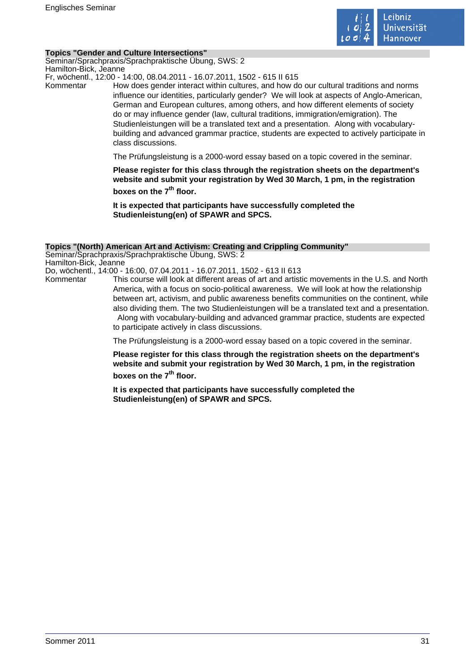

### **Topics "Gender and Culture Intersections"**

Seminar/Sprachpraxis/Sprachpraktische Übung, SWS: 2 Hamilton-Bick, Jeanne

Fr, wöchentl., 12:00 - 14:00, 08.04.2011 - 16.07.2011, 1502 - 615 II 615

Kommentar How does gender interact within cultures, and how do our cultural traditions and norms influence our identities, particularly gender? We will look at aspects of Anglo-American, German and European cultures, among others, and how different elements of society do or may influence gender (law, cultural traditions, immigration/emigration). The Studienleistungen will be a translated text and a presentation. Along with vocabularybuilding and advanced grammar practice, students are expected to actively participate in class discussions.

The Prüfungsleistung is a 2000-word essay based on a topic covered in the seminar.

**Please register for this class through the registration sheets on the department's website and submit your registration by Wed 30 March, 1 pm, in the registration boxes on the 7th floor.** 

**It is expected that participants have successfully completed the Studienleistung(en) of SPAWR and SPCS.** 

### **Topics "(North) American Art and Activism: Creating and Crippling Community"**

Seminar/Sprachpraxis/Sprachpraktische Übung, SWS: 2 Hamilton-Bick, Jeanne Do, wöchentl., 14:00 - 16:00, 07.04.2011 - 16.07.2011, 1502 - 613 II 613

Kommentar This course will look at different areas of art and artistic movements in the U.S. and North America, with a focus on socio-political awareness. We will look at how the relationship between art, activism, and public awareness benefits communities on the continent, while also dividing them. The two Studienleistungen will be a translated text and a presentation. Along with vocabulary-building and advanced grammar practice, students are expected to participate actively in class discussions.

The Prüfungsleistung is a 2000-word essay based on a topic covered in the seminar.

**Please register for this class through the registration sheets on the department's website and submit your registration by Wed 30 March, 1 pm, in the registration boxes on the 7th floor.** 

**It is expected that participants have successfully completed the Studienleistung(en) of SPAWR and SPCS.**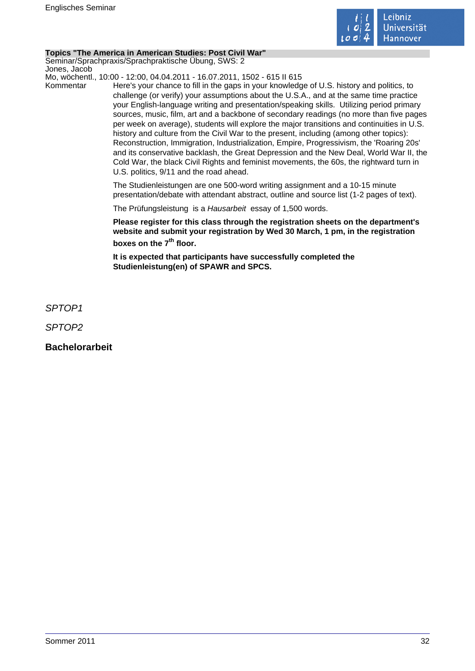

### **Topics "The America in American Studies: Post Civil War"**

Seminar/Sprachpraxis/Sprachpraktische Übung, SWS: 2 Jones, Jacob

Mo, wöchentl., 10:00 - 12:00, 04.04.2011 - 16.07.2011, 1502 - 615 II 615

Kommentar Here's your chance to fill in the gaps in your knowledge of U.S. history and politics, to challenge (or verify) your assumptions about the U.S.A., and at the same time practice your English-language writing and presentation/speaking skills. Utilizing period primary sources, music, film, art and a backbone of secondary readings (no more than five pages per week on average), students will explore the major transitions and continuities in U.S. history and culture from the Civil War to the present, including (among other topics): Reconstruction, Immigration, Industrialization, Empire, Progressivism, the 'Roaring 20s' and its conservative backlash, the Great Depression and the New Deal, World War II, the Cold War, the black Civil Rights and feminist movements, the 60s, the rightward turn in U.S. politics, 9/11 and the road ahead.

> The Studienleistungen are one 500-word writing assignment and a 10-15 minute presentation/debate with attendant abstract, outline and source list (1-2 pages of text).

The Prüfungsleistung is a Hausarbeit essay of 1,500 words.

**Please register for this class through the registration sheets on the department's website and submit your registration by Wed 30 March, 1 pm, in the registration boxes on the 7th floor.** 

**It is expected that participants have successfully completed the Studienleistung(en) of SPAWR and SPCS.** 

SPTOP1

SPTOP2

**Bachelorarbeit**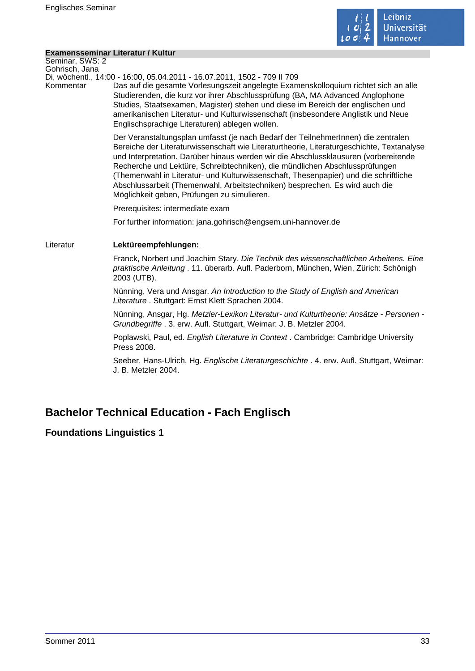

### **Examensseminar Literatur / Kultur**

Seminar, SWS: 2 Gohrisch, Jana

Di, wöchentl., 14:00 - 16:00, 05.04.2011 - 16.07.2011, 1502 - 709 II 709

Kommentar Das auf die gesamte Vorlesungszeit angelegte Examenskolloquium richtet sich an alle Studierenden, die kurz vor ihrer Abschlussprüfung (BA, MA Advanced Anglophone Studies, Staatsexamen, Magister) stehen und diese im Bereich der englischen und amerikanischen Literatur- und Kulturwissenschaft (insbesondere Anglistik und Neue Englischsprachige Literaturen) ablegen wollen.

> Der Veranstaltungsplan umfasst (je nach Bedarf der TeilnehmerInnen) die zentralen Bereiche der Literaturwissenschaft wie Literaturtheorie, Literaturgeschichte, Textanalyse und Interpretation. Darüber hinaus werden wir die Abschlussklausuren (vorbereitende Recherche und Lektüre, Schreibtechniken), die mündlichen Abschlussprüfungen (Themenwahl in Literatur- und Kulturwissenschaft, Thesenpapier) und die schriftliche Abschlussarbeit (Themenwahl, Arbeitstechniken) besprechen. Es wird auch die Möglichkeit geben, Prüfungen zu simulieren.

Prerequisites: intermediate exam

For further information: jana.gohrisch@engsem.uni-hannover.de

### Literatur **Lektüreempfehlungen:**

Franck, Norbert und Joachim Stary. Die Technik des wissenschaftlichen Arbeitens. Eine praktische Anleitung . 11. überarb. Aufl. Paderborn, München, Wien, Zürich: Schönigh 2003 (UTB).

Nünning, Vera und Ansgar. An Introduction to the Study of English and American Literature . Stuttgart: Ernst Klett Sprachen 2004.

Nünning, Ansgar, Hg. Metzler-Lexikon Literatur- und Kulturtheorie: Ansätze - Personen - Grundbegriffe . 3. erw. Aufl. Stuttgart, Weimar: J. B. Metzler 2004.

Poplawski, Paul, ed. English Literature in Context . Cambridge: Cambridge University Press 2008.

Seeber, Hans-Ulrich, Hg. Englische Literaturgeschichte . 4. erw. Aufl. Stuttgart, Weimar: J. B. Metzler 2004.

# **Bachelor Technical Education - Fach Englisch**

### **Foundations Linguistics 1**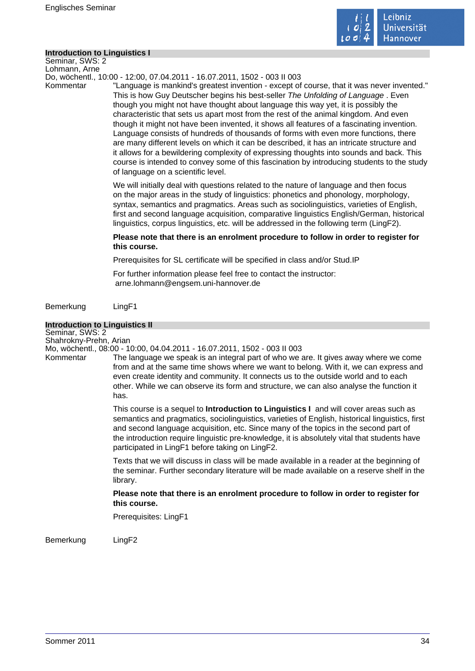

### **Introduction to Linguistics I**

Seminar, SWS: 2 Lohmann, Arne

Do, wöchentl., 10:00 - 12:00, 07.04.2011 - 16.07.2011, 1502 - 003 II 003

Kommentar "Language is mankind's greatest invention - except of course, that it was never invented." This is how Guy Deutscher begins his best-seller The Unfolding of Language . Even though you might not have thought about language this way yet, it is possibly the characteristic that sets us apart most from the rest of the animal kingdom. And even though it might not have been invented, it shows all features of a fascinating invention. Language consists of hundreds of thousands of forms with even more functions, there are many different levels on which it can be described, it has an intricate structure and it allows for a bewildering complexity of expressing thoughts into sounds and back. This course is intended to convey some of this fascination by introducing students to the study of language on a scientific level.

> We will initially deal with questions related to the nature of language and then focus on the major areas in the study of linguistics: phonetics and phonology, morphology, syntax, semantics and pragmatics. Areas such as sociolinguistics, varieties of English, first and second language acquisition, comparative linguistics English/German, historical linguistics, corpus linguistics, etc. will be addressed in the following term (LingF2).

### **Please note that there is an enrolment procedure to follow in order to register for this course.**

Prerequisites for SL certificate will be specified in class and/or Stud.IP

For further information please feel free to contact the instructor:

arne.lohmann@engsem.uni-hannover.de

Bemerkung LingF1

### **Introduction to Linguistics II**

Seminar, SWS: 2 Shahrokny-Prehn, Arian

Mo, wöchentl., 08:00 - 10:00, 04.04.2011 - 16.07.2011, 1502 - 003 II 003

Kommentar The language we speak is an integral part of who we are. It gives away where we come from and at the same time shows where we want to belong. With it, we can express and even create identity and community. It connects us to the outside world and to each other. While we can observe its form and structure, we can also analyse the function it has.

> This course is a sequel to **Introduction to Linguistics I** and will cover areas such as semantics and pragmatics, sociolinguistics, varieties of English, historical linguistics, first and second language acquisition, etc. Since many of the topics in the second part of the introduction require linguistic pre-knowledge, it is absolutely vital that students have participated in LingF1 before taking on LingF2.

> Texts that we will discuss in class will be made available in a reader at the beginning of the seminar. Further secondary literature will be made available on a reserve shelf in the library.

**Please note that there is an enrolment procedure to follow in order to register for this course.** 

Prerequisites: LingF1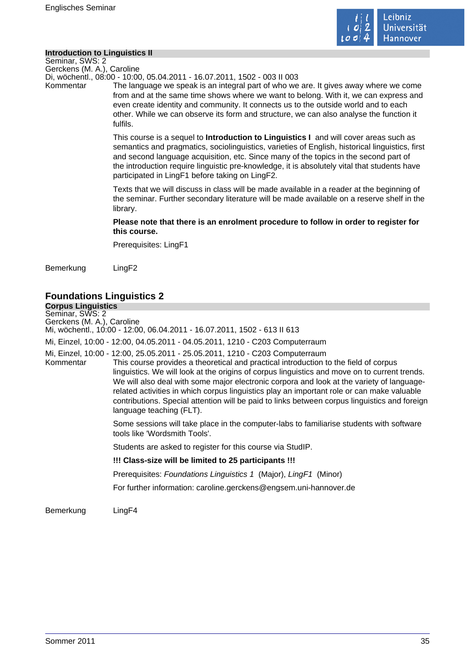

### **Introduction to Linguistics II**

Seminar, SWS: 2 Gerckens (M. A.), Caroline

Di, wöchentl., 08:00 - 10:00, 05.04.2011 - 16.07.2011, 1502 - 003 II 003

Kommentar The language we speak is an integral part of who we are. It gives away where we come from and at the same time shows where we want to belong. With it, we can express and even create identity and community. It connects us to the outside world and to each other. While we can observe its form and structure, we can also analyse the function it fulfils.

> This course is a sequel to **Introduction to Linguistics I** and will cover areas such as semantics and pragmatics, sociolinguistics, varieties of English, historical linguistics, first and second language acquisition, etc. Since many of the topics in the second part of the introduction require linguistic pre-knowledge, it is absolutely vital that students have participated in LingF1 before taking on LingF2.

> Texts that we will discuss in class will be made available in a reader at the beginning of the seminar. Further secondary literature will be made available on a reserve shelf in the library.

### **Please note that there is an enrolment procedure to follow in order to register for this course.**

Prerequisites: LingF1

Bemerkung LingF2

# **Foundations Linguistics 2**

**Corpus Linguistics** Seminar, SWS: 2 Gerckens (M. A.), Caroline Mi, wöchentl., 10:00 - 12:00, 06.04.2011 - 16.07.2011, 1502 - 613 II 613 Mi, Einzel, 10:00 - 12:00, 04.05.2011 - 04.05.2011, 1210 - C203 Computerraum Mi, Einzel, 10:00 - 12:00, 25.05.2011 - 25.05.2011, 1210 - C203 Computerraum This course provides a theoretical and practical introduction to the field of corpus linguistics. We will look at the origins of corpus linguistics and move on to current trends. We will also deal with some major electronic corpora and look at the variety of languagerelated activities in which corpus linguistics play an important role or can make valuable contributions. Special attention will be paid to links between corpus linguistics and foreign language teaching (FLT). Some sessions will take place in the computer-labs to familiarise students with software tools like 'Wordsmith Tools'. Students are asked to register for this course via StudIP. **!!! Class-size will be limited to 25 participants !!!**  Prerequisites: Foundations Linguistics 1 (Major), LingF1 (Minor) For further information: caroline.gerckens@engsem.uni-hannover.de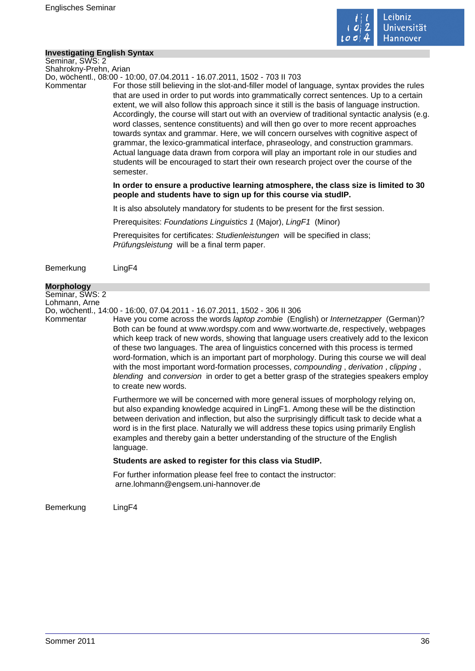

### **Investigating English Syntax**

Seminar, SWS: 2 Shahrokny-Prehn, Arian

Do, wöchentl., 08:00 - 10:00, 07.04.2011 - 16.07.2011, 1502 - 703 II 703

Kommentar For those still believing in the slot-and-filler model of language, syntax provides the rules that are used in order to put words into grammatically correct sentences. Up to a certain extent, we will also follow this approach since it still is the basis of language instruction. Accordingly, the course will start out with an overview of traditional syntactic analysis (e.g. word classes, sentence constituents) and will then go over to more recent approaches towards syntax and grammar. Here, we will concern ourselves with cognitive aspect of grammar, the lexico-grammatical interface, phraseology, and construction grammars. Actual language data drawn from corpora will play an important role in our studies and students will be encouraged to start their own research project over the course of the semester.

> **In order to ensure a productive learning atmosphere, the class size is limited to 30 people and students have to sign up for this course via studIP.**

It is also absolutely mandatory for students to be present for the first session.

Prerequisites: Foundations Linguistics 1 (Major), LingF1 (Minor)

Prerequisites for certificates: Studienleistungen will be specified in class; Prüfungsleistung will be a final term paper.

Bemerkung LingF4

#### **Morphology**

Seminar, SWS: 2

Lohmann, Arne

Do, wöchentl., 14:00 - 16:00, 07.04.2011 - 16.07.2011, 1502 - 306 II 306

Kommentar Have you come across the words *laptop zombie* (English) or *Internetzapper* (German)? Both can be found at www.wordspy.com and www.wortwarte.de, respectively, webpages which keep track of new words, showing that language users creatively add to the lexicon of these two languages. The area of linguistics concerned with this process is termed word-formation, which is an important part of morphology. During this course we will deal with the most important word-formation processes, compounding, derivation, clipping, blending and conversion in order to get a better grasp of the strategies speakers employ to create new words.

> Furthermore we will be concerned with more general issues of morphology relying on, but also expanding knowledge acquired in LingF1. Among these will be the distinction between derivation and inflection, but also the surprisingly difficult task to decide what a word is in the first place. Naturally we will address these topics using primarily English examples and thereby gain a better understanding of the structure of the English language.

### **Students are asked to register for this class via StudIP.**

For further information please feel free to contact the instructor: arne.lohmann@engsem.uni-hannover.de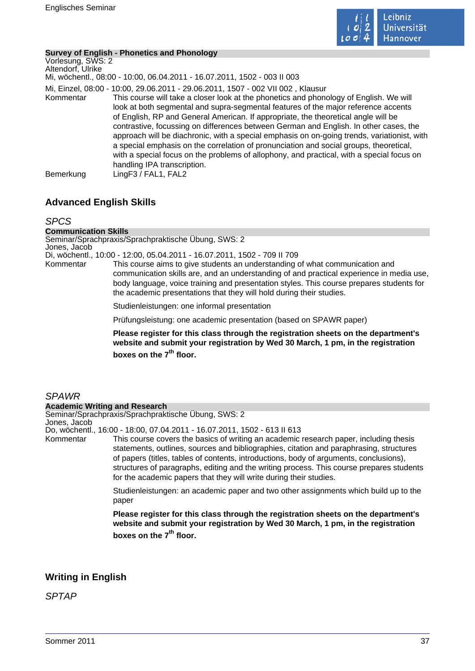

### **Survey of English - Phonetics and Phonology**

Vorlesung, SWS: 2 Altendorf, Ulrike Mi, wöchentl., 08:00 - 10:00, 06.04.2011 - 16.07.2011, 1502 - 003 II 003 Mi, Einzel, 08:00 - 10:00, 29.06.2011 - 29.06.2011, 1507 - 002 VII 002 , Klausur Kommentar This course will take a closer look at the phonetics and phonology of English. We will look at both segmental and supra-segmental features of the major reference accents of English, RP and General American. If appropriate, the theoretical angle will be contrastive, focussing on differences between German and English. In other cases, the approach will be diachronic, with a special emphasis on on-going trends, variationist, with a special emphasis on the correlation of pronunciation and social groups, theoretical, with a special focus on the problems of allophony, and practical, with a special focus on handling IPA transcription. Bemerkung LingF3 / FAL1, FAL2

# **Advanced English Skills**

### SPCS

#### **Communication Skills**

Seminar/Sprachpraxis/Sprachpraktische Übung, SWS: 2 Jones, Jacob

Di, wöchentl., 10:00 - 12:00, 05.04.2011 - 16.07.2011, 1502 - 709 II 709

Kommentar This course aims to give students an understanding of what communication and communication skills are, and an understanding of and practical experience in media use, body language, voice training and presentation styles. This course prepares students for the academic presentations that they will hold during their studies.

Studienleistungen: one informal presentation

Prüfungsleistung: one academic presentation (based on SPAWR paper)

**Please register for this class through the registration sheets on the department's website and submit your registration by Wed 30 March, 1 pm, in the registration boxes on the 7th floor.** 

# SPAWR

#### **Academic Writing and Research**

Seminar/Sprachpraxis/Sprachpraktische Übung, SWS: 2

Jones, Jacob

Do, wöchentl., 16:00 - 18:00, 07.04.2011 - 16.07.2011, 1502 - 613 II 613

Kommentar This course covers the basics of writing an academic research paper, including thesis statements, outlines, sources and bibliographies, citation and paraphrasing, structures of papers (titles, tables of contents, introductions, body of arguments, conclusions), structures of paragraphs, editing and the writing process. This course prepares students for the academic papers that they will write during their studies.

> Studienleistungen: an academic paper and two other assignments which build up to the paper

> **Please register for this class through the registration sheets on the department's website and submit your registration by Wed 30 March, 1 pm, in the registration boxes on the 7th floor.**

# **Writing in English**

SPTAP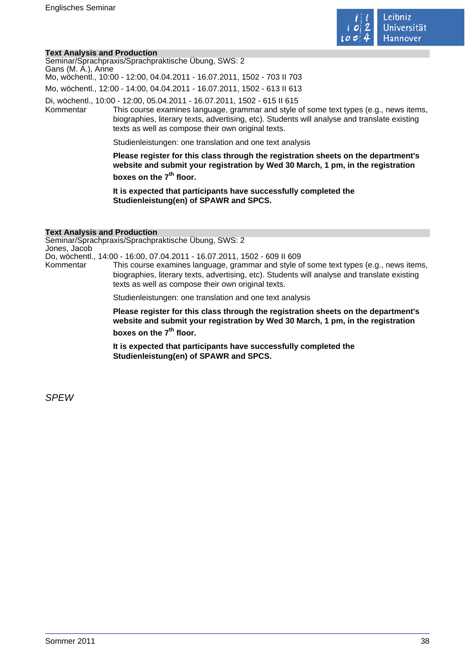

#### **Text Analysis and Production**

| Text Analysis and Production |                                                                                                                                                                                                                                                                                                                          |
|------------------------------|--------------------------------------------------------------------------------------------------------------------------------------------------------------------------------------------------------------------------------------------------------------------------------------------------------------------------|
| Gans (M. A.), Anne           | Seminar/Sprachpraxis/Sprachpraktische Übung, SWS: 2                                                                                                                                                                                                                                                                      |
|                              | Mo, wöchentl., 10:00 - 12:00, 04.04.2011 - 16.07.2011, 1502 - 703 II 703                                                                                                                                                                                                                                                 |
|                              | Mo, wöchentl., 12:00 - 14:00, 04.04.2011 - 16.07.2011, 1502 - 613 II 613                                                                                                                                                                                                                                                 |
| Kommentar                    | Di, wöchentl., 10:00 - 12:00, 05.04.2011 - 16.07.2011, 1502 - 615 II 615<br>This course examines language, grammar and style of some text types (e.g., news items,<br>biographies, literary texts, advertising, etc). Students will analyse and translate existing<br>texts as well as compose their own original texts. |
|                              | Studienleistungen: one translation and one text analysis                                                                                                                                                                                                                                                                 |
|                              | Please register for this class through the registration sheets on the department's<br>website and submit your registration by Wed 30 March, 1 pm, in the registration<br>boxes on the 7 <sup>th</sup> floor.                                                                                                             |

**It is expected that participants have successfully completed the Studienleistung(en) of SPAWR and SPCS.** 

#### **Text Analysis and Production**

Seminar/Sprachpraxis/Sprachpraktische Übung, SWS: 2 Jones, Jacob

Do, wöchentl., 14:00 - 16:00, 07.04.2011 - 16.07.2011, 1502 - 609 II 609 This course examines language, grammar and style of some text types (e.g., news items, biographies, literary texts, advertising, etc). Students will analyse and translate existing texts as well as compose their own original texts.

Studienleistungen: one translation and one text analysis

**Please register for this class through the registration sheets on the department's website and submit your registration by Wed 30 March, 1 pm, in the registration boxes on the 7th floor.** 

**It is expected that participants have successfully completed the Studienleistung(en) of SPAWR and SPCS.** 

SPEW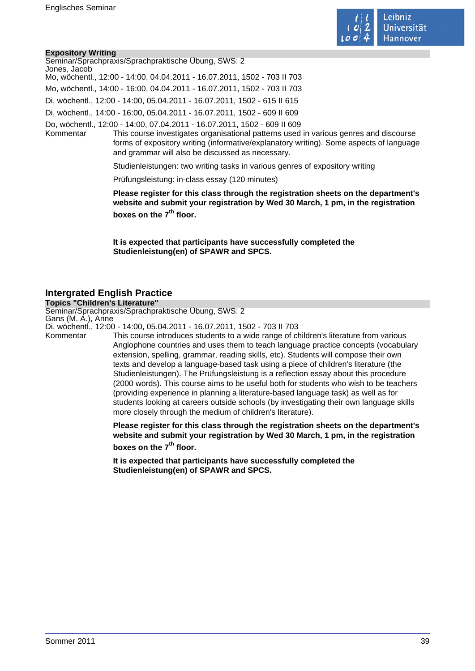

#### **Expository Writing**

| Seminar/Sprachpraxis/Sprachpraktische Übung, SWS: 2                                                |
|----------------------------------------------------------------------------------------------------|
| Jones, Jacob                                                                                       |
| Mo, wöchentl., 12:00 - 14:00, 04.04.2011 - 16.07.2011, 1502 - 703 II 703                           |
| Mo, wöchentl., 14:00 - 16:00, 04.04.2011 - 16.07.2011, 1502 - 703 II 703                           |
| Di, wöchentl., 12:00 - 14:00, 05.04.2011 - 16.07.2011, 1502 - 615 II 615                           |
| Di, wöchentl., 14:00 - 16:00, 05.04.2011 - 16.07.2011, 1502 - 609 II 609                           |
| Do, wöchentl., 12:00 - 14:00, 07.04.2011 - 16.07.2011, 1502 - 609 II 609                           |
| This course investigates organisational patterns used in various genres and discourse<br>Kommentar |
| forms of expository writing (informative/explanatory writing). Some aspects of language            |
| and grammar will also be discussed as necessary.                                                   |

Studienleistungen: two writing tasks in various genres of expository writing

Prüfungsleistung: in-class essay (120 minutes)

**Please register for this class through the registration sheets on the department's website and submit your registration by Wed 30 March, 1 pm, in the registration boxes on the 7th floor.** 

**It is expected that participants have successfully completed the Studienleistung(en) of SPAWR and SPCS.** 

## **Intergrated English Practice**

**Topics "Children's Literature"** Seminar/Sprachpraxis/Sprachpraktische Übung, SWS: 2 Gans (M. A.), Anne

Di, wöchentl., 12:00 - 14:00, 05.04.2011 - 16.07.2011, 1502 - 703 II 703

This course introduces students to a wide range of children's literature from various Anglophone countries and uses them to teach language practice concepts (vocabulary extension, spelling, grammar, reading skills, etc). Students will compose their own texts and develop a language-based task using a piece of children's literature (the Studienleistungen). The Prüfungsleistung is a reflection essay about this procedure (2000 words). This course aims to be useful both for students who wish to be teachers (providing experience in planning a literature-based language task) as well as for students looking at careers outside schools (by investigating their own language skills more closely through the medium of children's literature).

**Please register for this class through the registration sheets on the department's website and submit your registration by Wed 30 March, 1 pm, in the registration boxes on the 7th floor.** 

**It is expected that participants have successfully completed the Studienleistung(en) of SPAWR and SPCS.**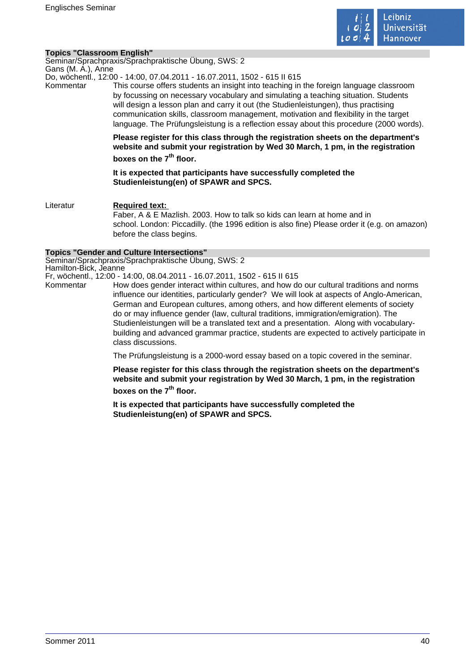

#### **Topics "Classroom English"**

Seminar/Sprachpraxis/Sprachpraktische Übung, SWS: 2 Gans (M. A.), Anne

Do, wöchentl., 12:00 - 14:00, 07.04.2011 - 16.07.2011, 1502 - 615 II 615

Kommentar This course offers students an insight into teaching in the foreign language classroom by focussing on necessary vocabulary and simulating a teaching situation. Students will design a lesson plan and carry it out (the Studienleistungen), thus practising communication skills, classroom management, motivation and flexibility in the target language. The Prüfungsleistung is a reflection essay about this procedure (2000 words).

> **Please register for this class through the registration sheets on the department's website and submit your registration by Wed 30 March, 1 pm, in the registration boxes on the 7th floor.**

**It is expected that participants have successfully completed the Studienleistung(en) of SPAWR and SPCS.** 

Literatur **Required text:**  Faber, A & E Mazlish. 2003. How to talk so kids can learn at home and in school. London: Piccadilly. (the 1996 edition is also fine) Please order it (e.g. on amazon) before the class begins.

#### **Topics "Gender and Culture Intersections"**

Seminar/Sprachpraxis/Sprachpraktische Übung, SWS: 2 Hamilton-Bick, Jeanne

Fr, wöchentl., 12:00 - 14:00, 08.04.2011 - 16.07.2011, 1502 - 615 II 615

Kommentar How does gender interact within cultures, and how do our cultural traditions and norms influence our identities, particularly gender? We will look at aspects of Anglo-American, German and European cultures, among others, and how different elements of society do or may influence gender (law, cultural traditions, immigration/emigration). The Studienleistungen will be a translated text and a presentation. Along with vocabularybuilding and advanced grammar practice, students are expected to actively participate in class discussions.

The Prüfungsleistung is a 2000-word essay based on a topic covered in the seminar.

**Please register for this class through the registration sheets on the department's website and submit your registration by Wed 30 March, 1 pm, in the registration boxes on the 7th floor.** 

**It is expected that participants have successfully completed the Studienleistung(en) of SPAWR and SPCS.**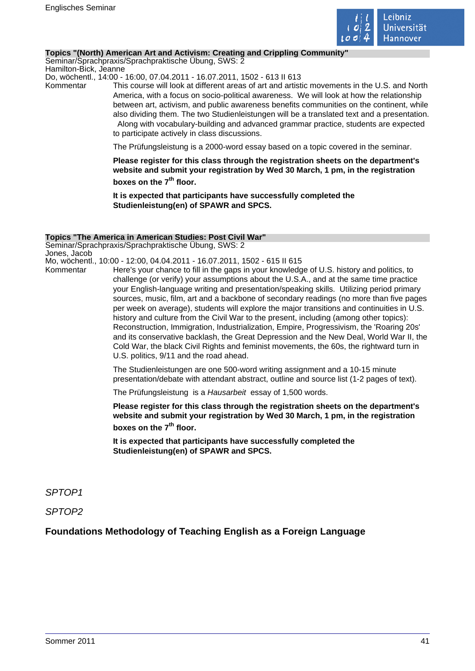

#### **Topics "(North) American Art and Activism: Creating and Crippling Community"**

Seminar/Sprachpraxis/Sprachpraktische Übung, SWS: 2 Hamilton-Bick, Jeanne

Do, wöchentl., 14:00 - 16:00, 07.04.2011 - 16.07.2011, 1502 - 613 II 613

Kommentar This course will look at different areas of art and artistic movements in the U.S. and North America, with a focus on socio-political awareness. We will look at how the relationship between art, activism, and public awareness benefits communities on the continent, while also dividing them. The two Studienleistungen will be a translated text and a presentation. Along with vocabulary-building and advanced grammar practice, students are expected to participate actively in class discussions.

The Prüfungsleistung is a 2000-word essay based on a topic covered in the seminar.

**Please register for this class through the registration sheets on the department's website and submit your registration by Wed 30 March, 1 pm, in the registration boxes on the 7th floor.** 

**It is expected that participants have successfully completed the Studienleistung(en) of SPAWR and SPCS.** 

#### **Topics "The America in American Studies: Post Civil War"**

Seminar/Sprachpraxis/Sprachpraktische Übung, SWS: 2 Jones, Jacob

Mo, wöchentl., 10:00 - 12:00, 04.04.2011 - 16.07.2011, 1502 - 615 II 615

Kommentar Here's your chance to fill in the gaps in your knowledge of U.S. history and politics, to challenge (or verify) your assumptions about the U.S.A., and at the same time practice your English-language writing and presentation/speaking skills. Utilizing period primary sources, music, film, art and a backbone of secondary readings (no more than five pages per week on average), students will explore the major transitions and continuities in U.S. history and culture from the Civil War to the present, including (among other topics): Reconstruction, Immigration, Industrialization, Empire, Progressivism, the 'Roaring 20s' and its conservative backlash, the Great Depression and the New Deal, World War II, the Cold War, the black Civil Rights and feminist movements, the 60s, the rightward turn in U.S. politics, 9/11 and the road ahead.

> The Studienleistungen are one 500-word writing assignment and a 10-15 minute presentation/debate with attendant abstract, outline and source list (1-2 pages of text).

The Prüfungsleistung is a Hausarbeit essay of 1,500 words.

**Please register for this class through the registration sheets on the department's website and submit your registration by Wed 30 March, 1 pm, in the registration boxes on the 7th floor.** 

**It is expected that participants have successfully completed the Studienleistung(en) of SPAWR and SPCS.** 

SPTOP1

SPTOP2

# **Foundations Methodology of Teaching English as a Foreign Language**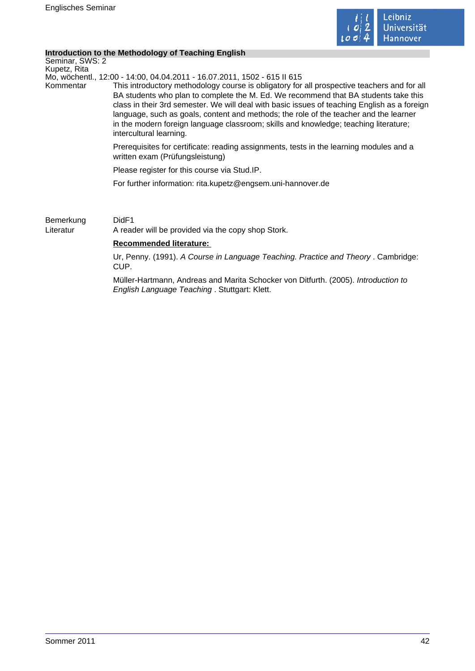

#### **Introduction to the Methodology of Teaching English**

Seminar, SWS: 2 Kupetz, Rita

Mo, wöchentl., 12:00 - 14:00, 04.04.2011 - 16.07.2011, 1502 - 615 II 615

Kommentar This introductory methodology course is obligatory for all prospective teachers and for all BA students who plan to complete the M. Ed. We recommend that BA students take this class in their 3rd semester. We will deal with basic issues of teaching English as a foreign language, such as goals, content and methods; the role of the teacher and the learner in the modern foreign language classroom; skills and knowledge; teaching literature; intercultural learning.

> Prerequisites for certificate: reading assignments, tests in the learning modules and a written exam (Prüfungsleistung)

Please register for this course via Stud.IP.

For further information: rita.kupetz@engsem.uni-hannover.de

Bemerkung DidF1 Literatur A reader will be provided via the copy shop Stork.

### **Recommended literature:**

Ur, Penny. (1991). A Course in Language Teaching. Practice and Theory . Cambridge: CUP.

Müller-Hartmann, Andreas and Marita Schocker von Ditfurth. (2005). Introduction to English Language Teaching . Stuttgart: Klett.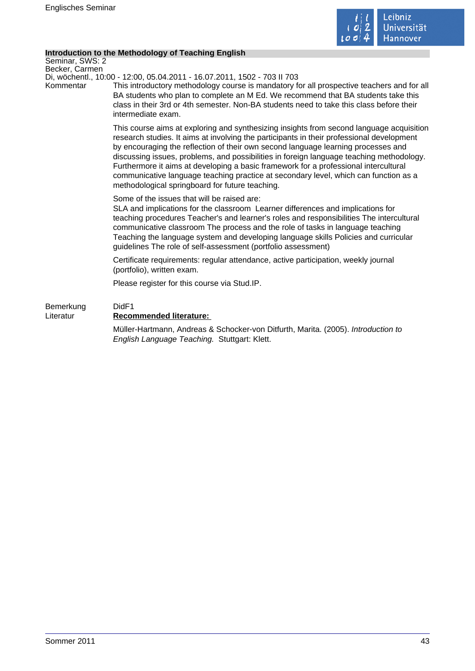

### **Introduction to the Methodology of Teaching English**

Seminar, SWS: 2 Becker, Carmen

Di, wöchentl., 10:00 - 12:00, 05.04.2011 - 16.07.2011, 1502 - 703 II 703

Kommentar This introductory methodology course is mandatory for all prospective teachers and for all BA students who plan to complete an M Ed. We recommend that BA students take this class in their 3rd or 4th semester. Non-BA students need to take this class before their intermediate exam.

> This course aims at exploring and synthesizing insights from second language acquisition research studies. It aims at involving the participants in their professional development by encouraging the reflection of their own second language learning processes and discussing issues, problems, and possibilities in foreign language teaching methodology. Furthermore it aims at developing a basic framework for a professional intercultural communicative language teaching practice at secondary level, which can function as a methodological springboard for future teaching.

Some of the issues that will be raised are:

SLA and implications for the classroom Learner differences and implications for teaching procedures Teacher's and learner's roles and responsibilities The intercultural communicative classroom The process and the role of tasks in language teaching Teaching the language system and developing language skills Policies and curricular guidelines The role of self-assessment (portfolio assessment)

Certificate requirements: regular attendance, active participation, weekly journal (portfolio), written exam.

Please register for this course via Stud.IP.

# Bemerkung DidF1 Literatur **Recommended literature:**  Müller-Hartmann, Andreas & Schocker-von Ditfurth, Marita. (2005). Introduction to English Language Teaching. Stuttgart: Klett.

Sommer 2011 43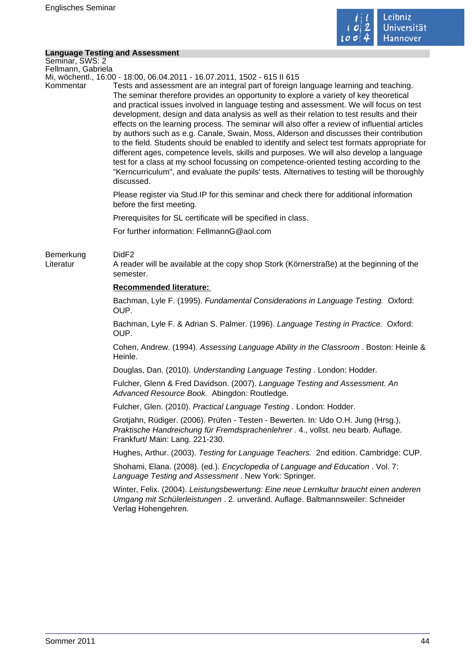

# **Language Testing and Assessment**

| <b>Language Testing and Assessment</b> |                                                                                                                                                                                                                                                                                                                                                                                                                                                                                                                                                                                                                                                                                                                                                                                                                                                                                                                                                                      |
|----------------------------------------|----------------------------------------------------------------------------------------------------------------------------------------------------------------------------------------------------------------------------------------------------------------------------------------------------------------------------------------------------------------------------------------------------------------------------------------------------------------------------------------------------------------------------------------------------------------------------------------------------------------------------------------------------------------------------------------------------------------------------------------------------------------------------------------------------------------------------------------------------------------------------------------------------------------------------------------------------------------------|
| Seminar, SWS: 2<br>Fellmann, Gabriela  |                                                                                                                                                                                                                                                                                                                                                                                                                                                                                                                                                                                                                                                                                                                                                                                                                                                                                                                                                                      |
|                                        | Mi, wöchentl., 16:00 - 18:00, 06.04.2011 - 16.07.2011, 1502 - 615 II 615                                                                                                                                                                                                                                                                                                                                                                                                                                                                                                                                                                                                                                                                                                                                                                                                                                                                                             |
| Kommentar                              | Tests and assessment are an integral part of foreign language learning and teaching.<br>The seminar therefore provides an opportunity to explore a variety of key theoretical<br>and practical issues involved in language testing and assessment. We will focus on test<br>development, design and data analysis as well as their relation to test results and their<br>effects on the learning process. The seminar will also offer a review of influential articles<br>by authors such as e.g. Canale, Swain, Moss, Alderson and discusses their contribution<br>to the field. Students should be enabled to identify and select test formats appropriate for<br>different ages, competence levels, skills and purposes. We will also develop a language<br>test for a class at my school focussing on competence-oriented testing according to the<br>"Kerncurriculum", and evaluate the pupils' tests. Alternatives to testing will be thoroughly<br>discussed. |
|                                        | Please register via Stud. IP for this seminar and check there for additional information<br>before the first meeting.                                                                                                                                                                                                                                                                                                                                                                                                                                                                                                                                                                                                                                                                                                                                                                                                                                                |
|                                        | Prerequisites for SL certificate will be specified in class.                                                                                                                                                                                                                                                                                                                                                                                                                                                                                                                                                                                                                                                                                                                                                                                                                                                                                                         |
|                                        | For further information: FellmannG@aol.com                                                                                                                                                                                                                                                                                                                                                                                                                                                                                                                                                                                                                                                                                                                                                                                                                                                                                                                           |
| Bemerkung<br>Literatur                 | DidF <sub>2</sub><br>A reader will be available at the copy shop Stork (Körnerstraße) at the beginning of the<br>semester.                                                                                                                                                                                                                                                                                                                                                                                                                                                                                                                                                                                                                                                                                                                                                                                                                                           |
|                                        | <b>Recommended literature:</b>                                                                                                                                                                                                                                                                                                                                                                                                                                                                                                                                                                                                                                                                                                                                                                                                                                                                                                                                       |
|                                        | Bachman, Lyle F. (1995). Fundamental Considerations in Language Testing. Oxford:<br>OUP.                                                                                                                                                                                                                                                                                                                                                                                                                                                                                                                                                                                                                                                                                                                                                                                                                                                                             |
|                                        | Bachman, Lyle F. & Adrian S. Palmer. (1996). Language Testing in Practice. Oxford:<br>OUP.                                                                                                                                                                                                                                                                                                                                                                                                                                                                                                                                                                                                                                                                                                                                                                                                                                                                           |
|                                        | Cohen, Andrew. (1994). Assessing Language Ability in the Classroom. Boston: Heinle &<br>Heinle.                                                                                                                                                                                                                                                                                                                                                                                                                                                                                                                                                                                                                                                                                                                                                                                                                                                                      |
|                                        | Douglas, Dan. (2010). Understanding Language Testing. London: Hodder.                                                                                                                                                                                                                                                                                                                                                                                                                                                                                                                                                                                                                                                                                                                                                                                                                                                                                                |
|                                        | Fulcher, Glenn & Fred Davidson. (2007). Language Testing and Assessment. An<br>Advanced Resource Book. Abingdon: Routledge.                                                                                                                                                                                                                                                                                                                                                                                                                                                                                                                                                                                                                                                                                                                                                                                                                                          |
|                                        | Fulcher, Glen. (2010). Practical Language Testing. London: Hodder.                                                                                                                                                                                                                                                                                                                                                                                                                                                                                                                                                                                                                                                                                                                                                                                                                                                                                                   |
|                                        | Grotjahn, Rüdiger. (2006). Prüfen - Testen - Bewerten. In: Udo O.H. Jung (Hrsg.),<br>Praktische Handreichung für Fremdsprachenlehrer . 4., vollst. neu bearb. Auflage.<br>Frankfurt/ Main: Lang. 221-230.                                                                                                                                                                                                                                                                                                                                                                                                                                                                                                                                                                                                                                                                                                                                                            |
|                                        | Hughes, Arthur. (2003). Testing for Language Teachers. 2nd edition. Cambridge: CUP.                                                                                                                                                                                                                                                                                                                                                                                                                                                                                                                                                                                                                                                                                                                                                                                                                                                                                  |
|                                        | Shohami, Elana. (2008). (ed.). Encyclopedia of Language and Education. Vol. 7:<br>Language Testing and Assessment. New York: Springer.                                                                                                                                                                                                                                                                                                                                                                                                                                                                                                                                                                                                                                                                                                                                                                                                                               |
|                                        | Winter, Felix. (2004). Leistungsbewertung: Eine neue Lernkultur braucht einen anderen<br>Umgang mit Schülerleistungen . 2. unveränd. Auflage. Baltmannsweiler: Schneider<br>Verlag Hohengehren.                                                                                                                                                                                                                                                                                                                                                                                                                                                                                                                                                                                                                                                                                                                                                                      |
|                                        |                                                                                                                                                                                                                                                                                                                                                                                                                                                                                                                                                                                                                                                                                                                                                                                                                                                                                                                                                                      |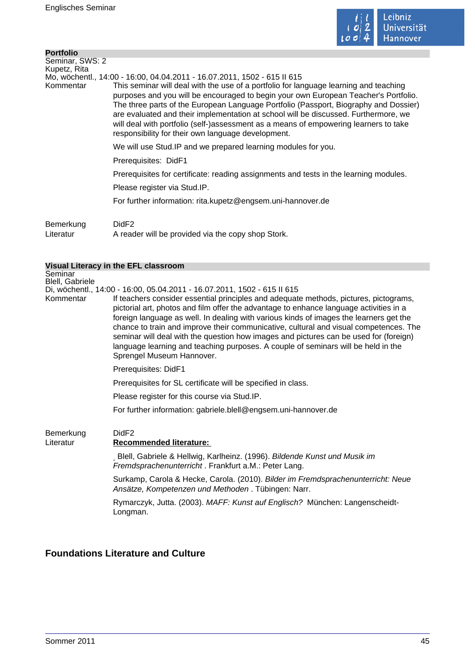

| <b>Portfolio</b> |                                                                                                                                                                                                                                                                                                                                                                                                                                                                                                           |
|------------------|-----------------------------------------------------------------------------------------------------------------------------------------------------------------------------------------------------------------------------------------------------------------------------------------------------------------------------------------------------------------------------------------------------------------------------------------------------------------------------------------------------------|
| Seminar, SWS: 2  |                                                                                                                                                                                                                                                                                                                                                                                                                                                                                                           |
| Kupetz, Rita     |                                                                                                                                                                                                                                                                                                                                                                                                                                                                                                           |
|                  | Mo, wöchentl., 14:00 - 16:00, 04.04.2011 - 16.07.2011, 1502 - 615 II 615                                                                                                                                                                                                                                                                                                                                                                                                                                  |
| Kommentar        | This seminar will deal with the use of a portfolio for language learning and teaching<br>purposes and you will be encouraged to begin your own European Teacher's Portfolio.<br>The three parts of the European Language Portfolio (Passport, Biography and Dossier)<br>are evaluated and their implementation at school will be discussed. Furthermore, we<br>will deal with portfolio (self-)assessment as a means of empowering learners to take<br>responsibility for their own language development. |
|                  | We will use Stud. IP and we prepared learning modules for you.                                                                                                                                                                                                                                                                                                                                                                                                                                            |
|                  | Prerequisites: DidF1                                                                                                                                                                                                                                                                                                                                                                                                                                                                                      |
|                  | Prerequisites for certificate: reading assignments and tests in the learning modules.                                                                                                                                                                                                                                                                                                                                                                                                                     |
|                  | Please register via Stud.IP.                                                                                                                                                                                                                                                                                                                                                                                                                                                                              |
|                  | For further information: rita.kupetz@engsem.uni-hannover.de                                                                                                                                                                                                                                                                                                                                                                                                                                               |
| Bemerkung        | DidF <sub>2</sub>                                                                                                                                                                                                                                                                                                                                                                                                                                                                                         |

Literatur A reader will be provided via the copy shop Stork.

#### **Visual Literacy in the EFL classroom**

**Seminar** Blell, Gabriele

Di, wöchentl., 14:00 - 16:00, 05.04.2011 - 16.07.2011, 1502 - 615 II 615 If teachers consider essential principles and adequate methods, pictures, pictograms, pictorial art, photos and film offer the advantage to enhance language activities in a foreign language as well. In dealing with various kinds of images the learners get the chance to train and improve their communicative, cultural and visual competences. The seminar will deal with the question how images and pictures can be used for (foreign) language learning and teaching purposes. A couple of seminars will be held in the Sprengel Museum Hannover.

Prerequisites: DidF1

Prerequisites for SL certificate will be specified in class.

Please register for this course via Stud.IP.

For further information: gabriele.blell@engsem.uni-hannover.de

# Bemerkung DidF2

#### Literatur **Recommended literature:**

Blell, Gabriele & Hellwig, Karlheinz. (1996). Bildende Kunst und Musik im Fremdsprachenunterricht . Frankfurt a.M.: Peter Lang.

Surkamp, Carola & Hecke, Carola. (2010). Bilder im Fremdsprachenunterricht: Neue Ansätze, Kompetenzen und Methoden . Tübingen: Narr.

Rymarczyk, Jutta. (2003). MAFF: Kunst auf Englisch? München: Langenscheidt-Longman.

# **Foundations Literature and Culture**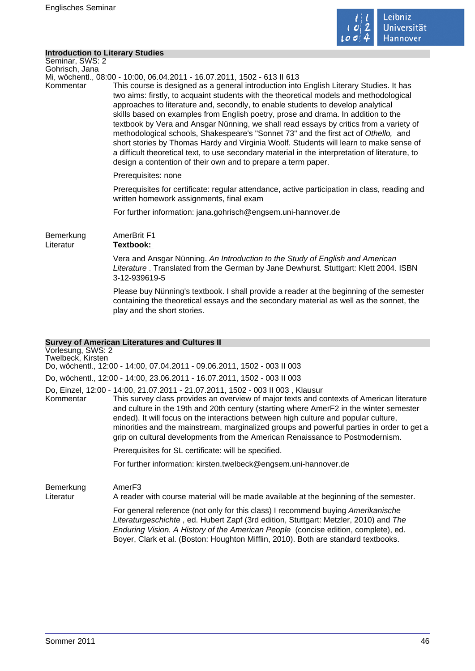

#### **Introduction to Literary Studies**

Seminar, SWS: 2 Gohrisch, Jana Mi, wöchentl., 08:00 - 10:00, 06.04.2011 - 16.07.2011, 1502 - 613 II 613 Kommentar This course is designed as a general introduction into English Literary Studies. It has two aims: firstly, to acquaint students with the theoretical models and methodological approaches to literature and, secondly, to enable students to develop analytical skills based on examples from English poetry, prose and drama. In addition to the textbook by Vera and Ansgar Nünning, we shall read essays by critics from a variety of methodological schools, Shakespeare's "Sonnet 73" and the first act of Othello, and short stories by Thomas Hardy and Virginia Woolf. Students will learn to make sense of a difficult theoretical text, to use secondary material in the interpretation of literature, to design a contention of their own and to prepare a term paper. Prerequisites: none Prerequisites for certificate: regular attendance, active participation in class, reading and written homework assignments, final exam For further information: jana.gohrisch@engsem.uni-hannover.de Bemerkung AmerBrit F1 Literatur **Textbook:**  Vera and Ansgar Nünning. An Introduction to the Study of English and American Literature . Translated from the German by Jane Dewhurst. Stuttgart: Klett 2004. ISBN 3-12-939619-5 Please buy Nünning's textbook. I shall provide a reader at the beginning of the semester containing the theoretical essays and the secondary material as well as the sonnet, the play and the short stories.

#### **Survey of American Literatures and Cultures II**

Vorlesung, SWS: 2 Twelbeck, Kirsten Do, wöchentl., 12:00 - 14:00, 07.04.2011 - 09.06.2011, 1502 - 003 II 003 Do, wöchentl., 12:00 - 14:00, 23.06.2011 - 16.07.2011, 1502 - 003 II 003 Do, Einzel, 12:00 - 14:00, 21.07.2011 - 21.07.2011, 1502 - 003 II 003 , Klausur This survey class provides an overview of major texts and contexts of American literature and culture in the 19th and 20th century (starting where AmerF2 in the winter semester ended). It will focus on the interactions between high culture and popular culture, minorities and the mainstream, marginalized groups and powerful parties in order to get a grip on cultural developments from the American Renaissance to Postmodernism. Prerequisites for SL certificate: will be specified. For further information: kirsten.twelbeck@engsem.uni-hannover.de Bemerkung AmerF3 Literatur A reader with course material will be made available at the beginning of the semester. For general reference (not only for this class) I recommend buying Amerikanische Literaturgeschichte , ed. Hubert Zapf (3rd edition, Stuttgart: Metzler, 2010) and The Enduring Vision. A History of the American People (concise edition, complete), ed. Boyer, Clark et al. (Boston: Houghton Mifflin, 2010). Both are standard textbooks.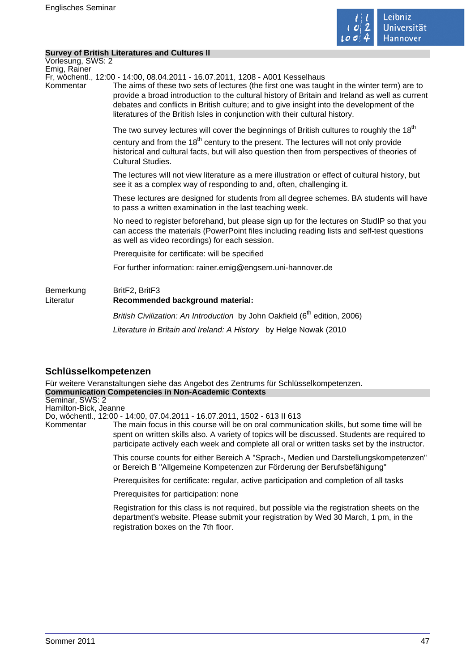

#### **Survey of British Literatures and Cultures II**

Vorlesung, SWS: 2 Emig, Rainer

Fr, wöchentl., 12:00 - 14:00, 08.04.2011 - 16.07.2011, 1208 - A001 Kesselhaus

Kommentar The aims of these two sets of lectures (the first one was taught in the winter term) are to provide a broad introduction to the cultural history of Britain and Ireland as well as current debates and conflicts in British culture; and to give insight into the development of the literatures of the British Isles in conjunction with their cultural history.

> The two survey lectures will cover the beginnings of British cultures to roughly the  $18<sup>th</sup>$ century and from the  $18<sup>th</sup>$  century to the present. The lectures will not only provide historical and cultural facts, but will also question then from perspectives of theories of Cultural Studies.

The lectures will not view literature as a mere illustration or effect of cultural history, but see it as a complex way of responding to and, often, challenging it.

These lectures are designed for students from all degree schemes. BA students will have to pass a written examination in the last teaching week.

No need to register beforehand, but please sign up for the lectures on StudIP so that you can access the materials (PowerPoint files including reading lists and self-test questions as well as video recordings) for each session.

Prerequisite for certificate: will be specified

For further information: rainer.emig@engsem.uni-hannover.de

Bemerkung BritF2, BritF3 Literatur **Recommended background material:** 

British Civilization: An Introduction by John Oakfield (6<sup>th</sup> edition, 2006) Literature in Britain and Ireland: A History by Helge Nowak (2010

# **Schlüsselkompetenzen**

Für weitere Veranstaltungen siehe das Angebot des Zentrums für Schlüsselkompetenzen. **Communication Competencies in Non-Academic Contexts** Seminar, SWS: 2 Hamilton-Bick, Jeanne Do, wöchentl., 12:00 - 14:00, 07.04.2011 - 16.07.2011, 1502 - 613 II 613 Kommentar The main focus in this course will be on oral communication skills, but some time will be spent on written skills also. A variety of topics will be discussed. Students are required to participate actively each week and complete all oral or written tasks set by the instructor. This course counts for either Bereich A "Sprach-, Medien und Darstellungskompetenzen" or Bereich B "Allgemeine Kompetenzen zur Förderung der Berufsbefähigung" Prerequisites for certificate: regular, active participation and completion of all tasks Prerequisites for participation: none Registration for this class is not required, but possible via the registration sheets on the department's website. Please submit your registration by Wed 30 March, 1 pm, in the registration boxes on the 7th floor.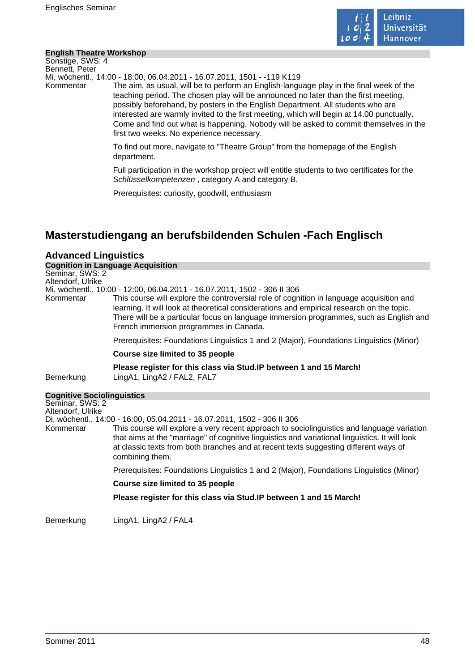

#### **English Theatre Workshop**

Sonstige, SWS: 4 Bennett, Peter

Mi, wöchentl., 14:00 - 18:00, 06.04.2011 - 16.07.2011, 1501 - -119 K119

Kommentar The aim, as usual, will be to perform an English-language play in the final week of the teaching period. The chosen play will be announced no later than the first meeting, possibly beforehand, by posters in the English Department. All students who are interested are warmly invited to the first meeting, which will begin at 14.00 punctually. Come and find out what is happening. Nobody will be asked to commit themselves in the first two weeks. No experience necessary.

> To find out more, navigate to "Theatre Group" from the homepage of the English department.

Full participation in the workshop project will entitle students to two certificates for the Schlüsselkompetenzen , category A and category B.

Prerequisites: curiosity, goodwill, enthusiasm

# **Masterstudiengang an berufsbildenden Schulen -Fach Englisch**

| <b>Advanced Linguistics</b>                       |                                                                                                                                                                                                                                                                                                                                                                                                       |
|---------------------------------------------------|-------------------------------------------------------------------------------------------------------------------------------------------------------------------------------------------------------------------------------------------------------------------------------------------------------------------------------------------------------------------------------------------------------|
|                                                   | <b>Cognition in Language Acquisition</b>                                                                                                                                                                                                                                                                                                                                                              |
| Seminar, SWS: 2<br>Altendorf, Ulrike              |                                                                                                                                                                                                                                                                                                                                                                                                       |
| Kommentar                                         | Mi, wöchentl., 10:00 - 12:00, 06.04.2011 - 16.07.2011, 1502 - 306 II 306<br>This course will explore the controversial role of cognition in language acquisition and<br>learning. It will look at theoretical considerations and empirical research on the topic.<br>There will be a particular focus on language immersion programmes, such as English and<br>French immersion programmes in Canada. |
|                                                   | Prerequisites: Foundations Linguistics 1 and 2 (Major), Foundations Linguistics (Minor)                                                                                                                                                                                                                                                                                                               |
|                                                   | <b>Course size limited to 35 people</b>                                                                                                                                                                                                                                                                                                                                                               |
| Bemerkung                                         | Please register for this class via Stud.IP between 1 and 15 March!<br>LingA1, LingA2 / FAL2, FAL7                                                                                                                                                                                                                                                                                                     |
| <b>Cognitive Sociolinguistics</b>                 |                                                                                                                                                                                                                                                                                                                                                                                                       |
| Seminar, SWS: 2<br>Altendorf, Ulrike<br>Kommentar | Di, wöchentl., 14:00 - 16:00, 05.04.2011 - 16.07.2011, 1502 - 306 II 306<br>This course will explore a very recent approach to sociolinguistics and language variation<br>that aims at the "marriage" of cognitive linguistics and variational linguistics. It will look<br>at classic texts from both branches and at recent texts suggesting different ways of<br>combining them.                   |
|                                                   | Prerequisites: Foundations Linguistics 1 and 2 (Major), Foundations Linguistics (Minor)                                                                                                                                                                                                                                                                                                               |
|                                                   | Course size limited to 35 people                                                                                                                                                                                                                                                                                                                                                                      |
|                                                   | Please register for this class via Stud. IP between 1 and 15 March!                                                                                                                                                                                                                                                                                                                                   |

Bemerkung LingA1, LingA2 / FAL4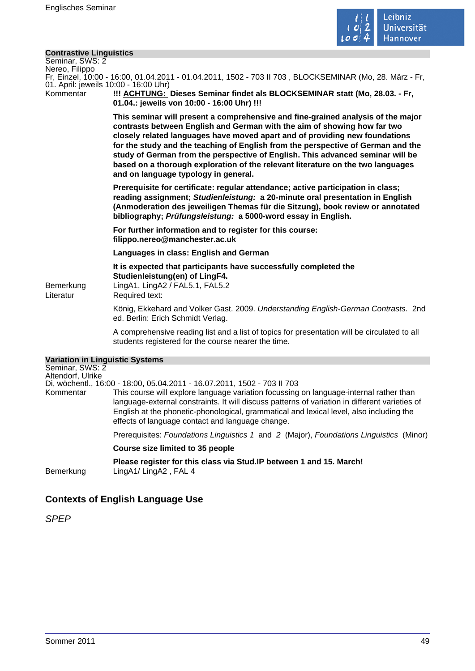

#### **Contrastive Linguistics**

| Seminar, SWS: 2           |  |
|---------------------------|--|
| Nereo, Filippo            |  |
| Er Einzel 10:00 - 16:00 1 |  |

16:00, 01.04.2011 - 01.04.2011, 1502 - 703 II 703 , BLOCKSEMINAR (Mo. 28. März - Fr. 01. April: jeweils 10:00 - 16:00 Uhr)

Kommentar **!!! ACHTUNG: Dieses Seminar findet als BLOCKSEMINAR statt (Mo, 28.03. - Fr, 01.04.: jeweils von 10:00 - 16:00 Uhr) !!!** 

> **This seminar will present a comprehensive and fine-grained analysis of the major contrasts between English and German with the aim of showing how far two closely related languages have moved apart and of providing new foundations for the study and the teaching of English from the perspective of German and the study of German from the perspective of English. This advanced seminar will be based on a thorough exploration of the relevant literature on the two languages and on language typology in general.**

> **Prerequisite for certificate: regular attendance; active participation in class; reading assignment; Studienleistung: a 20-minute oral presentation in English (Anmoderation des jeweiligen Themas für die Sitzung), book review or annotated bibliography; Prüfungsleistung: a 5000-word essay in English.**

**For further information and to register for this course: filippo.nereo@manchester.ac.uk** 

**Languages in class: English and German** 

**It is expected that participants have successfully completed the Studienleistung(en) of LingF4.**  Bemerkung LingA1, LingA2 / FAL5.1, FAL5.2

Literatur Required text:

König, Ekkehard and Volker Gast. 2009. Understanding English-German Contrasts. 2nd ed. Berlin: Erich Schmidt Verlag.

A comprehensive reading list and a list of topics for presentation will be circulated to all students registered for the course nearer the time.

| <b>Variation in Linguistic Systems</b><br>Seminar, SWS: 2<br>Altendorf, Ulrike |                                                                                                                                                                                                                                                                                                                                         |
|--------------------------------------------------------------------------------|-----------------------------------------------------------------------------------------------------------------------------------------------------------------------------------------------------------------------------------------------------------------------------------------------------------------------------------------|
|                                                                                | Di, wöchentl., 16:00 - 18:00, 05.04.2011 - 16.07.2011, 1502 - 703 II 703                                                                                                                                                                                                                                                                |
| Kommentar                                                                      | This course will explore language variation focussing on language-internal rather than<br>language-external constraints. It will discuss patterns of variation in different varieties of<br>English at the phonetic-phonological, grammatical and lexical level, also including the<br>effects of language contact and language change. |
|                                                                                | Prerequisites: Foundations Linguistics 1 and 2 (Major), Foundations Linguistics (Minor)                                                                                                                                                                                                                                                 |
|                                                                                | Course size limited to 35 people                                                                                                                                                                                                                                                                                                        |
| <b>Bemerkung</b>                                                               | Please register for this class via Stud. IP between 1 and 15. March!<br>LingA1/LingA2, FAL 4                                                                                                                                                                                                                                            |

# **Contexts of English Language Use**

SPEP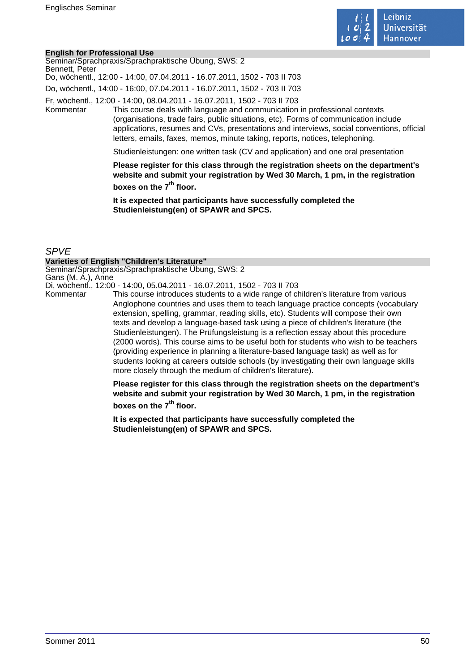

#### **English for Professional Use**

| Bennett, Peter | Seminar/Sprachpraxis/Sprachpraktische Übung, SWS: 2<br>Do, wöchentl., 12:00 - 14:00, 07.04.2011 - 16.07.2011, 1502 - 703 II 703                                                                                                                                                                                                                                                                                             |
|----------------|-----------------------------------------------------------------------------------------------------------------------------------------------------------------------------------------------------------------------------------------------------------------------------------------------------------------------------------------------------------------------------------------------------------------------------|
|                | Do, wöchentl., 14:00 - 16:00, 07.04.2011 - 16.07.2011, 1502 - 703 II 703                                                                                                                                                                                                                                                                                                                                                    |
| Kommentar      | Fr, wöchentl., 12:00 - 14:00, 08.04.2011 - 16.07.2011, 1502 - 703 II 703<br>This course deals with language and communication in professional contexts<br>(organisations, trade fairs, public situations, etc). Forms of communication include<br>applications, resumes and CVs, presentations and interviews, social conventions, official<br>letters, emails, faxes, memos, minute taking, reports, notices, telephoning. |
|                | Studienleistungen: one written task (CV and application) and one oral presentation                                                                                                                                                                                                                                                                                                                                          |
|                | Please register for this class through the registration sheets on the department's<br>website and submit your registration by Wed 30 March, 1 pm, in the registration                                                                                                                                                                                                                                                       |

**boxes on the 7th floor.** 

**It is expected that participants have successfully completed the Studienleistung(en) of SPAWR and SPCS.** 

## SPVE

#### **Varieties of English "Children's Literature"**

Seminar/Sprachpraxis/Sprachpraktische Übung, SWS: 2 Gans (M. A.), Anne

Di, wöchentl., 12:00 - 14:00, 05.04.2011 - 16.07.2011, 1502 - 703 II 703

This course introduces students to a wide range of children's literature from various Anglophone countries and uses them to teach language practice concepts (vocabulary extension, spelling, grammar, reading skills, etc). Students will compose their own texts and develop a language-based task using a piece of children's literature (the Studienleistungen). The Prüfungsleistung is a reflection essay about this procedure (2000 words). This course aims to be useful both for students who wish to be teachers (providing experience in planning a literature-based language task) as well as for students looking at careers outside schools (by investigating their own language skills more closely through the medium of children's literature).

**Please register for this class through the registration sheets on the department's website and submit your registration by Wed 30 March, 1 pm, in the registration boxes on the 7th floor.** 

**It is expected that participants have successfully completed the Studienleistung(en) of SPAWR and SPCS.**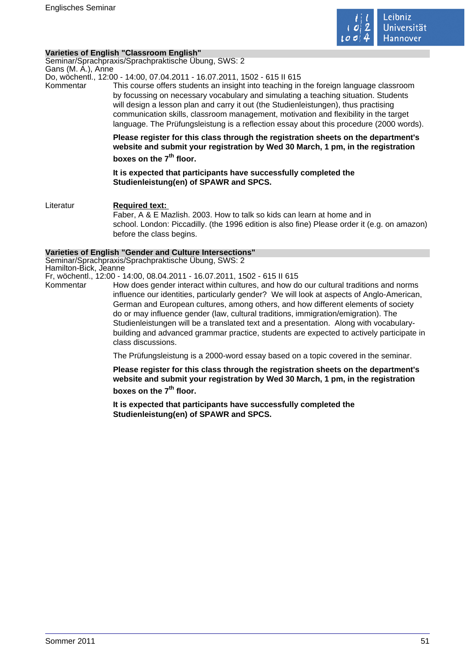

### **Varieties of English "Classroom English"**

Seminar/Sprachpraxis/Sprachpraktische Übung, SWS: 2 Gans (M. A.), Anne

Do, wöchentl., 12:00 - 14:00, 07.04.2011 - 16.07.2011, 1502 - 615 II 615

Kommentar This course offers students an insight into teaching in the foreign language classroom by focussing on necessary vocabulary and simulating a teaching situation. Students will design a lesson plan and carry it out (the Studienleistungen), thus practising communication skills, classroom management, motivation and flexibility in the target language. The Prüfungsleistung is a reflection essay about this procedure (2000 words).

> **Please register for this class through the registration sheets on the department's website and submit your registration by Wed 30 March, 1 pm, in the registration boxes on the 7th floor.**

**It is expected that participants have successfully completed the Studienleistung(en) of SPAWR and SPCS.** 

Literatur **Required text:**  Faber, A & E Mazlish. 2003. How to talk so kids can learn at home and in school. London: Piccadilly. (the 1996 edition is also fine) Please order it (e.g. on amazon) before the class begins.

#### **Varieties of English "Gender and Culture Intersections"**

Seminar/Sprachpraxis/Sprachpraktische Übung, SWS: 2 Hamilton-Bick, Jeanne

Fr, wöchentl., 12:00 - 14:00, 08.04.2011 - 16.07.2011, 1502 - 615 II 615

Kommentar How does gender interact within cultures, and how do our cultural traditions and norms influence our identities, particularly gender? We will look at aspects of Anglo-American, German and European cultures, among others, and how different elements of society do or may influence gender (law, cultural traditions, immigration/emigration). The

Studienleistungen will be a translated text and a presentation. Along with vocabularybuilding and advanced grammar practice, students are expected to actively participate in class discussions.

The Prüfungsleistung is a 2000-word essay based on a topic covered in the seminar.

**Please register for this class through the registration sheets on the department's website and submit your registration by Wed 30 March, 1 pm, in the registration boxes on the 7th floor.** 

**It is expected that participants have successfully completed the Studienleistung(en) of SPAWR and SPCS.**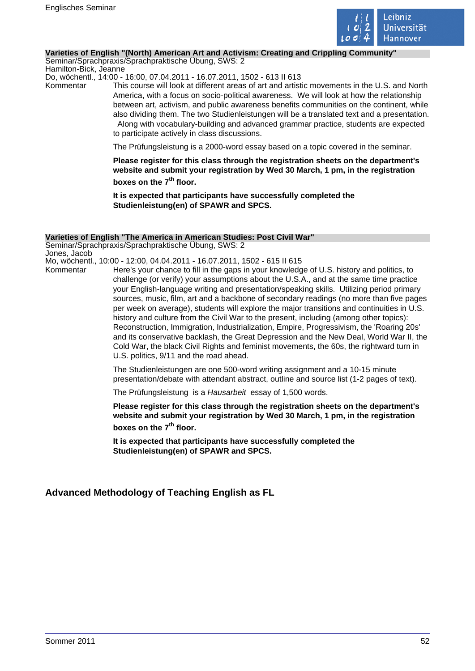

#### **Varieties of English "(North) American Art and Activism: Creating and Crippling Community"**

Seminar/Sprachpraxis/Sprachpraktische Übung, SWS: 2 Hamilton-Bick, Jeanne

Do, wöchentl., 14:00 - 16:00, 07.04.2011 - 16.07.2011, 1502 - 613 II 613

Kommentar This course will look at different areas of art and artistic movements in the U.S. and North America, with a focus on socio-political awareness. We will look at how the relationship between art, activism, and public awareness benefits communities on the continent, while also dividing them. The two Studienleistungen will be a translated text and a presentation. Along with vocabulary-building and advanced grammar practice, students are expected to participate actively in class discussions.

The Prüfungsleistung is a 2000-word essay based on a topic covered in the seminar.

**Please register for this class through the registration sheets on the department's website and submit your registration by Wed 30 March, 1 pm, in the registration boxes on the 7th floor.** 

**It is expected that participants have successfully completed the Studienleistung(en) of SPAWR and SPCS.** 

#### **Varieties of English "The America in American Studies: Post Civil War"**

Seminar/Sprachpraxis/Sprachpraktische Übung, SWS: 2 Jones, Jacob Mo, wöchentl., 10:00 - 12:00, 04.04.2011 - 16.07.2011, 1502 - 615 II 615

Kommentar Here's your chance to fill in the gaps in your knowledge of U.S. history and politics, to challenge (or verify) your assumptions about the U.S.A., and at the same time practice your English-language writing and presentation/speaking skills. Utilizing period primary sources, music, film, art and a backbone of secondary readings (no more than five pages per week on average), students will explore the major transitions and continuities in U.S. history and culture from the Civil War to the present, including (among other topics): Reconstruction, Immigration, Industrialization, Empire, Progressivism, the 'Roaring 20s' and its conservative backlash, the Great Depression and the New Deal, World War II, the Cold War, the black Civil Rights and feminist movements, the 60s, the rightward turn in U.S. politics, 9/11 and the road ahead.

> The Studienleistungen are one 500-word writing assignment and a 10-15 minute presentation/debate with attendant abstract, outline and source list (1-2 pages of text).

The Prüfungsleistung is a Hausarbeit essay of 1,500 words.

**Please register for this class through the registration sheets on the department's website and submit your registration by Wed 30 March, 1 pm, in the registration boxes on the 7th floor.** 

**It is expected that participants have successfully completed the Studienleistung(en) of SPAWR and SPCS.** 

# **Advanced Methodology of Teaching English as FL**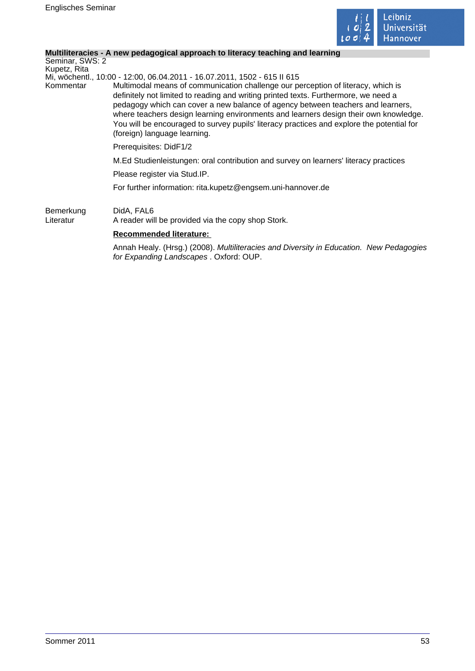

# **Multiliteracies - A new pedagogical approach to literacy teaching and learning**

| Seminar, SWS: 2<br>Kupetz, Rita |                                                                                                                                                                                                                                                                                                                                                                                                                                                                                 |
|---------------------------------|---------------------------------------------------------------------------------------------------------------------------------------------------------------------------------------------------------------------------------------------------------------------------------------------------------------------------------------------------------------------------------------------------------------------------------------------------------------------------------|
|                                 | Mi, wöchentl., 10:00 - 12:00, 06.04.2011 - 16.07.2011, 1502 - 615 II 615                                                                                                                                                                                                                                                                                                                                                                                                        |
| Kommentar                       | Multimodal means of communication challenge our perception of literacy, which is<br>definitely not limited to reading and writing printed texts. Furthermore, we need a<br>pedagogy which can cover a new balance of agency between teachers and learners,<br>where teachers design learning environments and learners design their own knowledge.<br>You will be encouraged to survey pupils' literacy practices and explore the potential for<br>(foreign) language learning. |
|                                 | Prerequisites: DidF1/2                                                                                                                                                                                                                                                                                                                                                                                                                                                          |
|                                 | M.Ed Studienleistungen: oral contribution and survey on learners' literacy practices                                                                                                                                                                                                                                                                                                                                                                                            |
|                                 | Please register via Stud.IP.                                                                                                                                                                                                                                                                                                                                                                                                                                                    |
|                                 | For further information: rita.kupetz@engsem.uni-hannover.de                                                                                                                                                                                                                                                                                                                                                                                                                     |
| Bemerkung<br>Literatur          | DidA, FAL6<br>A reader will be provided via the copy shop Stork.                                                                                                                                                                                                                                                                                                                                                                                                                |
|                                 | <b>Recommended literature:</b>                                                                                                                                                                                                                                                                                                                                                                                                                                                  |

Annah Healy. (Hrsg.) (2008). Multiliteracies and Diversity in Education. New Pedagogies for Expanding Landscapes . Oxford: OUP.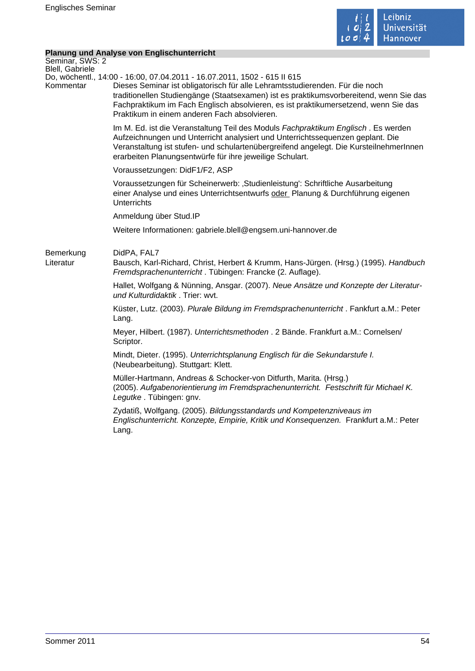

# **Planung und Analyse von Englischunterricht**

| Do, wöchentl., 14:00 - 16:00, 07.04.2011 - 16.07.2011, 1502 - 615 II 615<br>Dieses Seminar ist obligatorisch für alle Lehramtsstudierenden. Für die noch<br>traditionellen Studiengänge (Staatsexamen) ist es praktikumsvorbereitend, wenn Sie das<br>Fachpraktikum im Fach Englisch absolvieren, es ist praktikumersetzend, wenn Sie das<br>Praktikum in einem anderen Fach absolvieren. |
|-------------------------------------------------------------------------------------------------------------------------------------------------------------------------------------------------------------------------------------------------------------------------------------------------------------------------------------------------------------------------------------------|
| Im M. Ed. ist die Veranstaltung Teil des Moduls Fachpraktikum Englisch. Es werden<br>Aufzeichnungen und Unterricht analysiert und Unterrichtssequenzen geplant. Die<br>Veranstaltung ist stufen- und schulartenübergreifend angelegt. Die KursteilnehmerInnen<br>erarbeiten Planungsentwürfe für ihre jeweilige Schulart.                                                                 |
| Voraussetzungen: DidF1/F2, ASP                                                                                                                                                                                                                                                                                                                                                            |
| Voraussetzungen für Scheinerwerb: 'Studienleistung': Schriftliche Ausarbeitung<br>einer Analyse und eines Unterrichtsentwurfs oder Planung & Durchführung eigenen<br><b>Unterrichts</b>                                                                                                                                                                                                   |
| Anmeldung über Stud.IP                                                                                                                                                                                                                                                                                                                                                                    |
| Weitere Informationen: gabriele.blell@engsem.uni-hannover.de                                                                                                                                                                                                                                                                                                                              |
| DidPA, FAL7<br>Bausch, Karl-Richard, Christ, Herbert & Krumm, Hans-Jürgen. (Hrsg.) (1995). Handbuch<br>Fremdsprachenunterricht. Tübingen: Francke (2. Auflage).                                                                                                                                                                                                                           |
| Hallet, Wolfgang & Nünning, Ansgar. (2007). Neue Ansätze und Konzepte der Literatur-<br>und Kulturdidaktik. Trier: wvt.                                                                                                                                                                                                                                                                   |
| Küster, Lutz. (2003). Plurale Bildung im Fremdsprachenunterricht. Fankfurt a.M.: Peter<br>Lang.                                                                                                                                                                                                                                                                                           |
| Meyer, Hilbert. (1987). Unterrichtsmethoden . 2 Bände. Frankfurt a.M.: Cornelsen/<br>Scriptor.                                                                                                                                                                                                                                                                                            |
| Mindt, Dieter. (1995). Unterrichtsplanung Englisch für die Sekundarstufe I.<br>(Neubearbeitung). Stuttgart: Klett.                                                                                                                                                                                                                                                                        |
| Müller-Hartmann, Andreas & Schocker-von Ditfurth, Marita. (Hrsg.)<br>(2005). Aufgabenorientierung im Fremdsprachenunterricht. Festschrift für Michael K.<br>Legutke. Tübingen: gnv.                                                                                                                                                                                                       |
| Zydatiß, Wolfgang. (2005). Bildungsstandards und Kompetenzniveaus im<br>Englischunterricht. Konzepte, Empirie, Kritik und Konsequenzen. Frankfurt a.M.: Peter<br>Lang.                                                                                                                                                                                                                    |
|                                                                                                                                                                                                                                                                                                                                                                                           |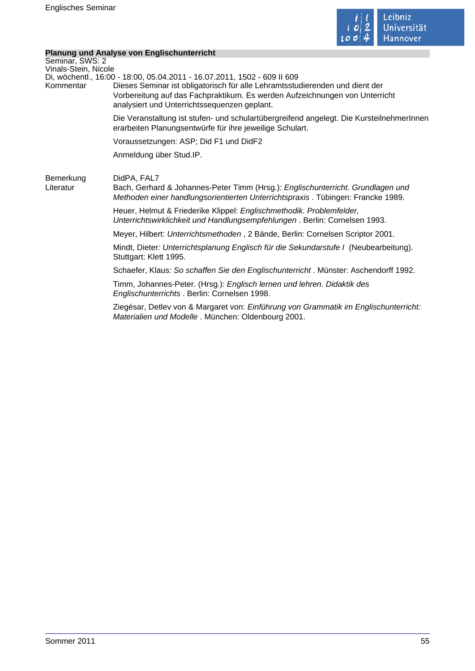

۰

# **Planung und Analyse von Englischunterricht**

|                                   | Planung und Analyse von Englischunterneht                                                                                                                                                                                                                                               |
|-----------------------------------|-----------------------------------------------------------------------------------------------------------------------------------------------------------------------------------------------------------------------------------------------------------------------------------------|
| Seminar, SWS: 2                   |                                                                                                                                                                                                                                                                                         |
| Vinals-Stein, Nicole<br>Kommentar | Di, wöchentl., 16:00 - 18:00, 05.04.2011 - 16.07.2011, 1502 - 609 II 609<br>Dieses Seminar ist obligatorisch für alle Lehramtsstudierenden und dient der<br>Vorbereitung auf das Fachpraktikum. Es werden Aufzeichnungen von Unterricht<br>analysiert und Unterrichtssequenzen geplant. |
|                                   | Die Veranstaltung ist stufen- und schulartübergreifend angelegt. Die KursteilnehmerInnen<br>erarbeiten Planungsentwürfe für ihre jeweilige Schulart.                                                                                                                                    |
|                                   | Voraussetzungen: ASP; Did F1 und DidF2                                                                                                                                                                                                                                                  |
|                                   | Anmeldung über Stud.IP.                                                                                                                                                                                                                                                                 |
| Bemerkung<br>Literatur            | DidPA, FAL7<br>Bach, Gerhard & Johannes-Peter Timm (Hrsg.): Englischunterricht. Grundlagen und<br>Methoden einer handlungsorientierten Unterrichtspraxis. Tübingen: Francke 1989.                                                                                                       |
|                                   | Heuer, Helmut & Friederike Klippel: Englischmethodik. Problemfelder,<br>Unterrichtswirklichkeit und Handlungsempfehlungen. Berlin: Cornelsen 1993.                                                                                                                                      |
|                                   | Meyer, Hilbert: Unterrichtsmethoden, 2 Bände, Berlin: Cornelsen Scriptor 2001.                                                                                                                                                                                                          |
|                                   | Mindt, Dieter: Unterrichtsplanung Englisch für die Sekundarstufe I (Neubearbeitung).<br>Stuttgart: Klett 1995.                                                                                                                                                                          |
|                                   | Schaefer, Klaus: So schaffen Sie den Englischunterricht. Münster: Aschendorff 1992.                                                                                                                                                                                                     |
|                                   | Timm, Johannes-Peter. (Hrsg.): Englisch lernen und lehren. Didaktik des<br>Englischunterrichts . Berlin: Cornelsen 1998.                                                                                                                                                                |
|                                   | Ziegésar, Detlev von & Margaret von: Einführung von Grammatik im Englischunterricht:<br>Materialien und Modelle . München: Oldenbourg 2001.                                                                                                                                             |
|                                   |                                                                                                                                                                                                                                                                                         |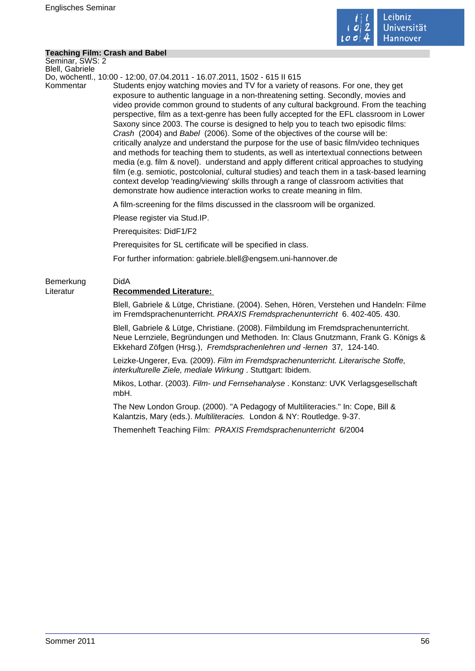

#### **Teaching Film: Crash and Babel**

Seminar, SWS: 2 Blell, Gabriele

Do, wöchentl., 10:00 - 12:00, 07.04.2011 - 16.07.2011, 1502 - 615 II 615

Kommentar Students enjoy watching movies and TV for a variety of reasons. For one, they get exposure to authentic language in a non-threatening setting. Secondly, movies and video provide common ground to students of any cultural background. From the teaching perspective, film as a text-genre has been fully accepted for the EFL classroom in Lower Saxony since 2003. The course is designed to help you to teach two episodic films: Crash (2004) and Babel (2006). Some of the objectives of the course will be: critically analyze and understand the purpose for the use of basic film/video techniques and methods for teaching them to students, as well as intertextual connections between media (e.g. film & novel). understand and apply different critical approaches to studying film (e.g. semiotic, postcolonial, cultural studies) and teach them in a task-based learning context develop 'reading/viewing' skills through a range of classroom activities that demonstrate how audience interaction works to create meaning in film.

A film-screening for the films discussed in the classroom will be organized.

Please register via Stud.IP.

Prerequisites: DidF1/F2

Prerequisites for SL certificate will be specified in class.

For further information: gabriele.blell@engsem.uni-hannover.de

# Bemerkung DidA Literatur **Recommended Literature:**

Blell, Gabriele & Lütge, Christiane. (2004). Sehen, Hören, Verstehen und Handeln: Filme im Fremdsprachenunterricht. PRAXIS Fremdsprachenunterricht 6. 402-405. 430.

Blell, Gabriele & Lütge, Christiane. (2008). Filmbildung im Fremdsprachenunterricht. Neue Lernziele, Begründungen und Methoden. In: Claus Gnutzmann, Frank G. Königs & Ekkehard Zöfgen (Hrsg.), Fremdsprachenlehren und -lernen 37, 124-140.

Leizke-Ungerer, Eva. (2009). Film im Fremdsprachenunterricht. Literarische Stoffe, interkulturelle Ziele, mediale Wirkung . Stuttgart: Ibidem.

Mikos, Lothar. (2003). Film- und Fernsehanalyse . Konstanz: UVK Verlagsgesellschaft mbH.

The New London Group. (2000). "A Pedagogy of Multiliteracies." In: Cope, Bill & Kalantzis, Mary (eds.). Multiliteracies. London & NY: Routledge. 9-37.

Themenheft Teaching Film:PRAXIS Fremdsprachenunterricht 6/2004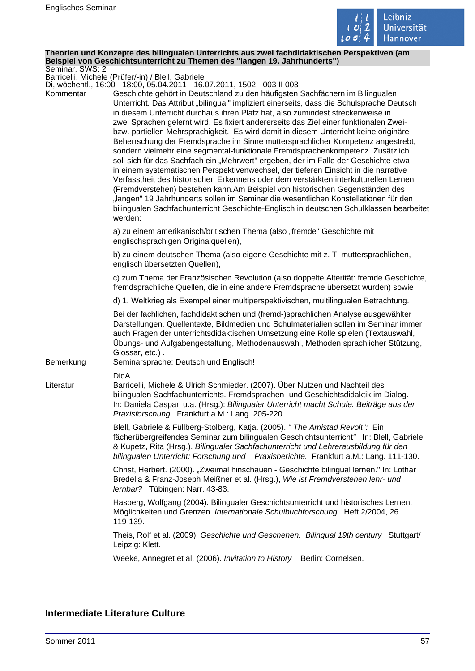

#### **Theorien und Konzepte des bilingualen Unterrichts aus zwei fachdidaktischen Perspektiven (am Beispiel von Geschichtsunterricht zu Themen des "langen 19. Jahrhunderts")** Seminar, SWS: 2

Barricelli, Michele (Prüfer/-in) / Blell, Gabriele

Di, wöchentl., 16:00 - 18:00, 05.04.2011 - 16.07.2011, 1502 - 003 II 003

| Kommentar | DI, WOGHEHIN., TO.OO - TO.OO, OJ.O4.ZOTT - TO.O7.ZOTT, TJOZ - OOJ II OOJ<br>Geschichte gehört in Deutschland zu den häufigsten Sachfächern im Bilingualen<br>Unterricht. Das Attribut "bilingual" impliziert einerseits, dass die Schulsprache Deutsch<br>in diesem Unterricht durchaus ihren Platz hat, also zumindest streckenweise in<br>zwei Sprachen gelernt wird. Es fixiert andererseits das Ziel einer funktionalen Zwei-<br>bzw. partiellen Mehrsprachigkeit. Es wird damit in diesem Unterricht keine originäre<br>Beherrschung der Fremdsprache im Sinne muttersprachlicher Kompetenz angestrebt,<br>sondern vielmehr eine segmental-funktionale Fremdsprachenkompetenz. Zusätzlich<br>soll sich für das Sachfach ein "Mehrwert" ergeben, der im Falle der Geschichte etwa<br>in einem systematischen Perspektivenwechsel, der tieferen Einsicht in die narrative<br>Verfasstheit des historischen Erkennens oder dem verstärkten interkulturellen Lernen<br>(Fremdverstehen) bestehen kann.Am Beispiel von historischen Gegenständen des<br>"langen" 19 Jahrhunderts sollen im Seminar die wesentlichen Konstellationen für den<br>bilingualen Sachfachunterricht Geschichte-Englisch in deutschen Schulklassen bearbeitet<br>werden: |
|-----------|---------------------------------------------------------------------------------------------------------------------------------------------------------------------------------------------------------------------------------------------------------------------------------------------------------------------------------------------------------------------------------------------------------------------------------------------------------------------------------------------------------------------------------------------------------------------------------------------------------------------------------------------------------------------------------------------------------------------------------------------------------------------------------------------------------------------------------------------------------------------------------------------------------------------------------------------------------------------------------------------------------------------------------------------------------------------------------------------------------------------------------------------------------------------------------------------------------------------------------------------------|
|           | a) zu einem amerikanisch/britischen Thema (also "fremde" Geschichte mit<br>englischsprachigen Originalquellen),                                                                                                                                                                                                                                                                                                                                                                                                                                                                                                                                                                                                                                                                                                                                                                                                                                                                                                                                                                                                                                                                                                                                   |
|           | b) zu einem deutschen Thema (also eigene Geschichte mit z. T. muttersprachlichen,<br>englisch übersetzten Quellen),                                                                                                                                                                                                                                                                                                                                                                                                                                                                                                                                                                                                                                                                                                                                                                                                                                                                                                                                                                                                                                                                                                                               |
|           | c) zum Thema der Französischen Revolution (also doppelte Alterität: fremde Geschichte,<br>fremdsprachliche Quellen, die in eine andere Fremdsprache übersetzt wurden) sowie                                                                                                                                                                                                                                                                                                                                                                                                                                                                                                                                                                                                                                                                                                                                                                                                                                                                                                                                                                                                                                                                       |
|           | d) 1. Weltkrieg als Exempel einer multiperspektivischen, multilingualen Betrachtung.                                                                                                                                                                                                                                                                                                                                                                                                                                                                                                                                                                                                                                                                                                                                                                                                                                                                                                                                                                                                                                                                                                                                                              |
| Bemerkung | Bei der fachlichen, fachdidaktischen und (fremd-)sprachlichen Analyse ausgewählter<br>Darstellungen, Quellentexte, Bildmedien und Schulmaterialien sollen im Seminar immer<br>auch Fragen der unterrichtsdidaktischen Umsetzung eine Rolle spielen (Textauswahl,<br>Übungs- und Aufgabengestaltung, Methodenauswahl, Methoden sprachlicher Stützung,<br>Glossar, etc.).<br>Seminarsprache: Deutsch und Englisch!                                                                                                                                                                                                                                                                                                                                                                                                                                                                                                                                                                                                                                                                                                                                                                                                                                  |
|           | <b>DidA</b>                                                                                                                                                                                                                                                                                                                                                                                                                                                                                                                                                                                                                                                                                                                                                                                                                                                                                                                                                                                                                                                                                                                                                                                                                                       |
| Literatur | Barricelli, Michele & Ulrich Schmieder. (2007). Über Nutzen und Nachteil des<br>bilingualen Sachfachunterrichts. Fremdsprachen- und Geschichtsdidaktik im Dialog.<br>In: Daniela Caspari u.a. (Hrsg.): Bilingualer Unterricht macht Schule. Beiträge aus der<br>Praxisforschung. Frankfurt a.M.: Lang. 205-220.                                                                                                                                                                                                                                                                                                                                                                                                                                                                                                                                                                                                                                                                                                                                                                                                                                                                                                                                   |
|           | Blell, Gabriele & Füllberg-Stolberg, Katja. (2005). " The Amistad Revolt": Ein<br>fächerübergreifendes Seminar zum bilingualen Geschichtsunterricht". In: Blell, Gabriele<br>& Kupetz, Rita (Hrsg.). Bilingualer Sachfachunterricht und Lehrerausbildung für den<br>bilingualen Unterricht: Forschung und Praxisberichte. Frankfurt a.M.: Lang. 111-130.                                                                                                                                                                                                                                                                                                                                                                                                                                                                                                                                                                                                                                                                                                                                                                                                                                                                                          |
|           | Christ, Herbert. (2000). "Zweimal hinschauen - Geschichte bilingual lernen." In: Lothar<br>Bredella & Franz-Joseph Meißner et al. (Hrsg.), Wie ist Fremdverstehen lehr- und<br>lernbar? Tübingen: Narr. 43-83.                                                                                                                                                                                                                                                                                                                                                                                                                                                                                                                                                                                                                                                                                                                                                                                                                                                                                                                                                                                                                                    |
|           | Hasberg, Wolfgang (2004). Bilingualer Geschichtsunterricht und historisches Lernen.<br>Möglichkeiten und Grenzen. Internationale Schulbuchforschung. Heft 2/2004, 26.<br>119-139.                                                                                                                                                                                                                                                                                                                                                                                                                                                                                                                                                                                                                                                                                                                                                                                                                                                                                                                                                                                                                                                                 |
|           | Theis, Rolf et al. (2009). Geschichte und Geschehen. Bilingual 19th century . Stuttgart/<br>Leipzig: Klett.                                                                                                                                                                                                                                                                                                                                                                                                                                                                                                                                                                                                                                                                                                                                                                                                                                                                                                                                                                                                                                                                                                                                       |
|           | Weeke, Annegret et al. (2006). Invitation to History. Berlin: Cornelsen.                                                                                                                                                                                                                                                                                                                                                                                                                                                                                                                                                                                                                                                                                                                                                                                                                                                                                                                                                                                                                                                                                                                                                                          |
|           |                                                                                                                                                                                                                                                                                                                                                                                                                                                                                                                                                                                                                                                                                                                                                                                                                                                                                                                                                                                                                                                                                                                                                                                                                                                   |

# **Intermediate Literature Culture**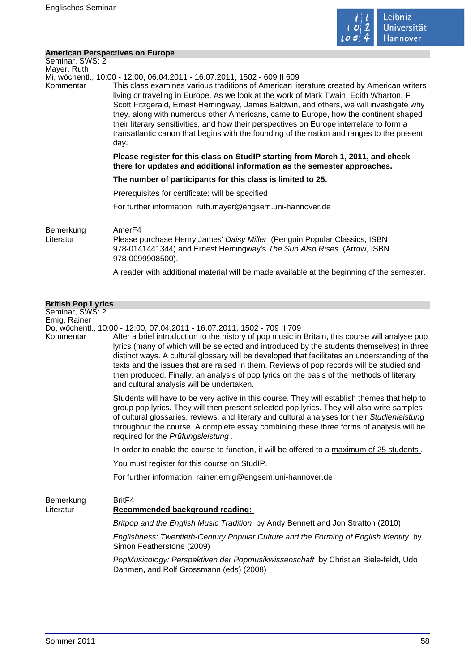

#### **American Perspectives on Europe**

| Seminar, SWS: 2<br>Mayer, Ruth               |                                                                                                                                                                                                                                                                                                                                                                                                                                                                                                                                                                                                                                                   |
|----------------------------------------------|---------------------------------------------------------------------------------------------------------------------------------------------------------------------------------------------------------------------------------------------------------------------------------------------------------------------------------------------------------------------------------------------------------------------------------------------------------------------------------------------------------------------------------------------------------------------------------------------------------------------------------------------------|
| Kommentar                                    | Mi, wöchentl., 10:00 - 12:00, 06.04.2011 - 16.07.2011, 1502 - 609 II 609<br>This class examines various traditions of American literature created by American writers<br>living or traveling in Europe. As we look at the work of Mark Twain, Edith Wharton, F.<br>Scott Fitzgerald, Ernest Hemingway, James Baldwin, and others, we will investigate why<br>they, along with numerous other Americans, came to Europe, how the continent shaped<br>their literary sensitivities, and how their perspectives on Europe interrelate to form a<br>transatlantic canon that begins with the founding of the nation and ranges to the present<br>day. |
|                                              | Please register for this class on StudIP starting from March 1, 2011, and check<br>there for updates and additional information as the semester approaches.                                                                                                                                                                                                                                                                                                                                                                                                                                                                                       |
|                                              | The number of participants for this class is limited to 25.                                                                                                                                                                                                                                                                                                                                                                                                                                                                                                                                                                                       |
|                                              | Prerequisites for certificate: will be specified                                                                                                                                                                                                                                                                                                                                                                                                                                                                                                                                                                                                  |
|                                              | For further information: ruth.mayer@engsem.uni-hannover.de                                                                                                                                                                                                                                                                                                                                                                                                                                                                                                                                                                                        |
| Bemerkung<br>Literatur                       | Amer <sub>F4</sub><br>Please purchase Henry James' Daisy Miller (Penguin Popular Classics, ISBN<br>978-0141441344) and Ernest Hemingway's The Sun Also Rises (Arrow, ISBN<br>978-0099908500).                                                                                                                                                                                                                                                                                                                                                                                                                                                     |
|                                              | A reader with additional material will be made available at the beginning of the semester.                                                                                                                                                                                                                                                                                                                                                                                                                                                                                                                                                        |
|                                              |                                                                                                                                                                                                                                                                                                                                                                                                                                                                                                                                                                                                                                                   |
| <b>British Pop Lyrics</b><br>Seminar, SWS: 2 |                                                                                                                                                                                                                                                                                                                                                                                                                                                                                                                                                                                                                                                   |
| Emig, Rainer                                 |                                                                                                                                                                                                                                                                                                                                                                                                                                                                                                                                                                                                                                                   |
| Kommentar                                    | Do, wöchentl., 10:00 - 12:00, 07.04.2011 - 16.07.2011, 1502 - 709 II 709<br>After a brief introduction to the history of pop music in Britain, this course will analyse pop<br>lyrics (many of which will be selected and introduced by the students themselves) in three<br>distinct ways. A cultural glossary will be developed that facilitates an understanding of the<br>to the end the issues that are reject in them. Powinus of near reserve will be studied and                                                                                                                                                                          |

texts and the issues that are raised in them. Reviews of pop records will be studied and then produced. Finally, an analysis of pop lyrics on the basis of the methods of literary and cultural analysis will be undertaken.

Students will have to be very active in this course. They will establish themes that help to group pop lyrics. They will then present selected pop lyrics. They will also write samples of cultural glossaries, reviews, and literary and cultural analyses for their Studienleistung throughout the course. A complete essay combining these three forms of analysis will be required for the Prüfungsleistung .

In order to enable the course to function, it will be offered to a maximum of 25 students.

You must register for this course on StudIP.

For further information: rainer.emig@engsem.uni-hannover.de

Bemerkung BritF4 Literatur **Recommended background reading:**  Britpop and the English Music Tradition by Andy Bennett and Jon Stratton (2010) Englishness: Twentieth-Century Popular Culture and the Forming of English Identity by Simon Featherstone (2009)

> PopMusicology: Perspektiven der Popmusikwissenschaft by Christian Biele-feldt, Udo Dahmen, and Rolf Grossmann (eds) (2008)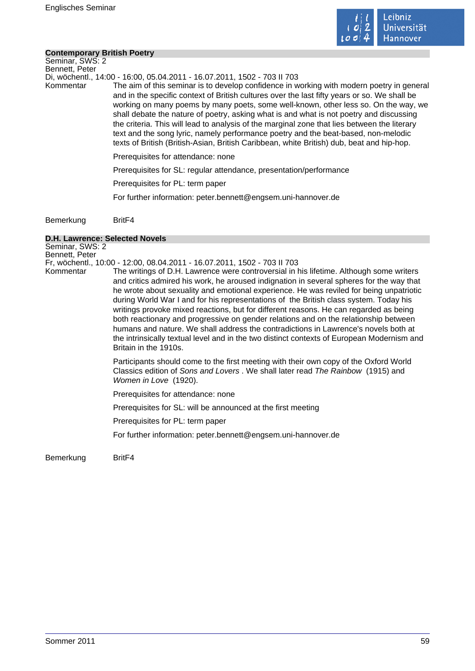

#### **Contemporary British Poetry**

Seminar, SWS: 2 Bennett, Peter

Di, wöchentl., 14:00 - 16:00, 05.04.2011 - 16.07.2011, 1502 - 703 II 703

Kommentar The aim of this seminar is to develop confidence in working with modern poetry in general and in the specific context of British cultures over the last fifty years or so. We shall be working on many poems by many poets, some well-known, other less so. On the way, we shall debate the nature of poetry, asking what is and what is not poetry and discussing the criteria. This will lead to analysis of the marginal zone that lies between the literary text and the song lyric, namely performance poetry and the beat-based, non-melodic texts of British (British-Asian, British Caribbean, white British) dub, beat and hip-hop.

Prerequisites for attendance: none

Prerequisites for SL: regular attendance, presentation/performance

Prerequisites for PL: term paper

For further information: peter.bennett@engsem.uni-hannover.de

Bemerkung BritF4

#### **D.H. Lawrence: Selected Novels**

Seminar, SWS: 2 Bennett, Peter Fr, wöchentl., 10:00 - 12:00, 08.04.2011 - 16.07.2011, 1502 - 703 II 703 Kommentar The writings of D.H. Lawrence were controversial in his lifetime. Although some writers and critics admired his work, he aroused indignation in several spheres for the way that he wrote about sexuality and emotional experience. He was reviled for being unpatriotic during World War I and for his representations of the British class system. Today his writings provoke mixed reactions, but for different reasons. He can regarded as being both reactionary and progressive on gender relations and on the relationship between humans and nature. We shall address the contradictions in Lawrence's novels both at the intrinsically textual level and in the two distinct contexts of European Modernism and Britain in the 1910s. Participants should come to the first meeting with their own copy of the Oxford World Classics edition of Sons and Lovers . We shall later read The Rainbow (1915) and Women in Love (1920). Prerequisites for attendance: none Prerequisites for SL: will be announced at the first meeting Prerequisites for PL: term paper For further information: peter.bennett@engsem.uni-hannover.de

Bemerkung BritF4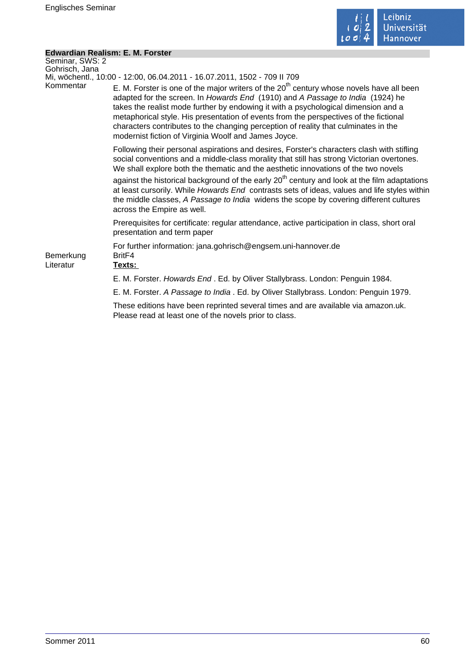

 $\mathcal{L}_{\mathcal{A}}$ 

# **Edwardian Realism: E. M. Forster**

| Seminar, SWS: 2        |                                                                                                                                                                                                                                                                                                                                                                                                                                                                                                            |
|------------------------|------------------------------------------------------------------------------------------------------------------------------------------------------------------------------------------------------------------------------------------------------------------------------------------------------------------------------------------------------------------------------------------------------------------------------------------------------------------------------------------------------------|
| Gohrisch, Jana         | Mi, wöchentl., 10:00 - 12:00, 06.04.2011 - 16.07.2011, 1502 - 709 II 709                                                                                                                                                                                                                                                                                                                                                                                                                                   |
| Kommentar              | E. M. Forster is one of the major writers of the $20th$ century whose novels have all been<br>adapted for the screen. In Howards End (1910) and A Passage to India (1924) he<br>takes the realist mode further by endowing it with a psychological dimension and a<br>metaphorical style. His presentation of events from the perspectives of the fictional<br>characters contributes to the changing perception of reality that culminates in the<br>modernist fiction of Virginia Woolf and James Joyce. |
|                        | Following their personal aspirations and desires, Forster's characters clash with stifling<br>social conventions and a middle-class morality that still has strong Victorian overtones.<br>We shall explore both the thematic and the aesthetic innovations of the two novels                                                                                                                                                                                                                              |
|                        | against the historical background of the early 20 <sup>th</sup> century and look at the film adaptations<br>at least cursorily. While Howards End contrasts sets of ideas, values and life styles within<br>the middle classes, A Passage to India widens the scope by covering different cultures<br>across the Empire as well.                                                                                                                                                                           |
|                        | Prerequisites for certificate: regular attendance, active participation in class, short oral<br>presentation and term paper                                                                                                                                                                                                                                                                                                                                                                                |
| Bemerkung<br>Literatur | For further information: jana.gohrisch@engsem.uni-hannover.de<br>Brit <sub>F4</sub><br>Texts:                                                                                                                                                                                                                                                                                                                                                                                                              |
|                        | E. M. Forster. Howards End. Ed. by Oliver Stallybrass. London: Penguin 1984.                                                                                                                                                                                                                                                                                                                                                                                                                               |
|                        | E. M. Forster. A Passage to India . Ed. by Oliver Stallybrass. London: Penguin 1979.                                                                                                                                                                                                                                                                                                                                                                                                                       |
|                        | These editions have been reprinted several times and are available via amazon.uk.<br>Please read at least one of the novels prior to class.                                                                                                                                                                                                                                                                                                                                                                |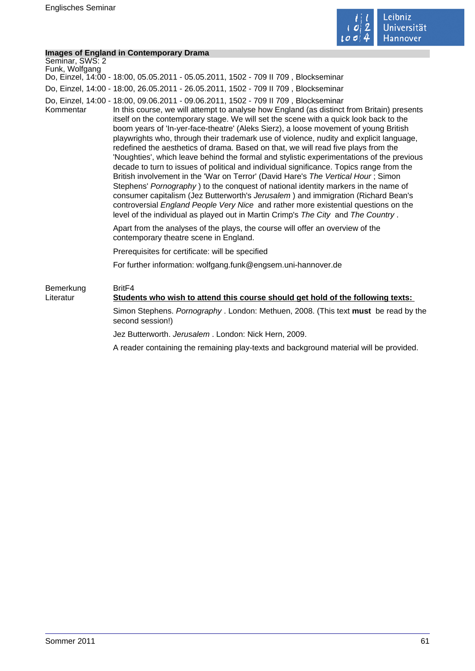

## **Images of England in Contemporary Drama**

| <b>Images of England in Contemporary Drama</b> |                                                                                                                                                                                                                                                                                                                                                                                                                                                                                                                                                                                                                                                                                                                                                                                                                                                                                                                                                                                                                                                                                                                                                                                          |
|------------------------------------------------|------------------------------------------------------------------------------------------------------------------------------------------------------------------------------------------------------------------------------------------------------------------------------------------------------------------------------------------------------------------------------------------------------------------------------------------------------------------------------------------------------------------------------------------------------------------------------------------------------------------------------------------------------------------------------------------------------------------------------------------------------------------------------------------------------------------------------------------------------------------------------------------------------------------------------------------------------------------------------------------------------------------------------------------------------------------------------------------------------------------------------------------------------------------------------------------|
| Seminar, SWS: 2                                |                                                                                                                                                                                                                                                                                                                                                                                                                                                                                                                                                                                                                                                                                                                                                                                                                                                                                                                                                                                                                                                                                                                                                                                          |
| Funk, Wolfgang                                 | Do, Einzel, 14:00 - 18:00, 05.05.2011 - 05.05.2011, 1502 - 709 II 709, Blockseminar                                                                                                                                                                                                                                                                                                                                                                                                                                                                                                                                                                                                                                                                                                                                                                                                                                                                                                                                                                                                                                                                                                      |
|                                                | Do, Einzel, 14:00 - 18:00, 26.05.2011 - 26.05.2011, 1502 - 709 II 709, Blockseminar                                                                                                                                                                                                                                                                                                                                                                                                                                                                                                                                                                                                                                                                                                                                                                                                                                                                                                                                                                                                                                                                                                      |
| Kommentar                                      | Do, Einzel, 14:00 - 18:00, 09.06.2011 - 09.06.2011, 1502 - 709 II 709, Blockseminar<br>In this course, we will attempt to analyse how England (as distinct from Britain) presents<br>itself on the contemporary stage. We will set the scene with a quick look back to the<br>boom years of 'In-yer-face-theatre' (Aleks Sierz), a loose movement of young British<br>playwrights who, through their trademark use of violence, nudity and explicit language,<br>redefined the aesthetics of drama. Based on that, we will read five plays from the<br>'Noughties', which leave behind the formal and stylistic experimentations of the previous<br>decade to turn to issues of political and individual significance. Topics range from the<br>British involvement in the 'War on Terror' (David Hare's The Vertical Hour; Simon<br>Stephens' Pornography) to the conquest of national identity markers in the name of<br>consumer capitalism (Jez Butterworth's Jerusalem) and immigration (Richard Bean's<br>controversial England People Very Nice and rather more existential questions on the<br>level of the individual as played out in Martin Crimp's The City and The Country. |
|                                                | Apart from the analyses of the plays, the course will offer an overview of the<br>contemporary theatre scene in England.                                                                                                                                                                                                                                                                                                                                                                                                                                                                                                                                                                                                                                                                                                                                                                                                                                                                                                                                                                                                                                                                 |
|                                                | Prerequisites for certificate: will be specified                                                                                                                                                                                                                                                                                                                                                                                                                                                                                                                                                                                                                                                                                                                                                                                                                                                                                                                                                                                                                                                                                                                                         |
|                                                | For further information: wolfgang.funk@engsem.uni-hannover.de                                                                                                                                                                                                                                                                                                                                                                                                                                                                                                                                                                                                                                                                                                                                                                                                                                                                                                                                                                                                                                                                                                                            |
| Bemerkung<br>Literatur                         | Brit <sub>F4</sub><br>Students who wish to attend this course should get hold of the following texts:                                                                                                                                                                                                                                                                                                                                                                                                                                                                                                                                                                                                                                                                                                                                                                                                                                                                                                                                                                                                                                                                                    |
|                                                | Simon Stephens. Pornography . London: Methuen, 2008. (This text must be read by the<br>second session!)                                                                                                                                                                                                                                                                                                                                                                                                                                                                                                                                                                                                                                                                                                                                                                                                                                                                                                                                                                                                                                                                                  |
|                                                | Jez Butterworth. Jerusalem. London: Nick Hern, 2009.                                                                                                                                                                                                                                                                                                                                                                                                                                                                                                                                                                                                                                                                                                                                                                                                                                                                                                                                                                                                                                                                                                                                     |
|                                                | A reader containing the remaining play-texts and background material will be provided.                                                                                                                                                                                                                                                                                                                                                                                                                                                                                                                                                                                                                                                                                                                                                                                                                                                                                                                                                                                                                                                                                                   |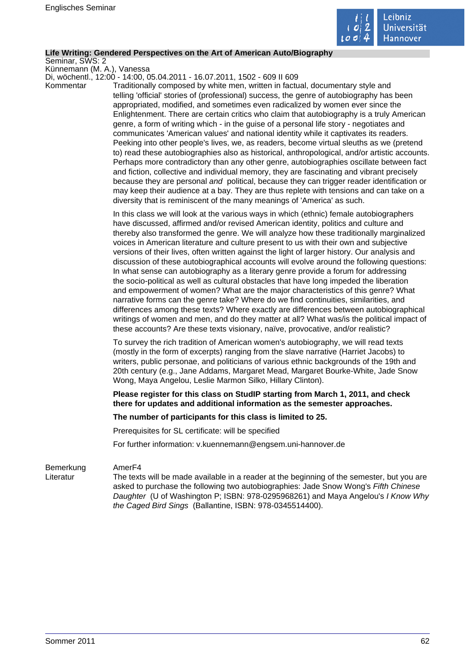

#### **Life Writing: Gendered Perspectives on the Art of American Auto/Biography**

Seminar, SWS: 2

Künnemann (M. A.), Vanessa Di, wöchentl., 12:00 - 14:00, 05.04.2011 - 16.07.2011, 1502 - 609 II 609

Kommentar Traditionally composed by white men, written in factual, documentary style and telling 'official' stories of (professional) success, the genre of autobiography has been appropriated, modified, and sometimes even radicalized by women ever since the Enlightenment. There are certain critics who claim that autobiography is a truly American genre, a form of writing which - in the guise of a personal life story - negotiates and communicates 'American values' and national identity while it captivates its readers. Peeking into other people's lives, we, as readers, become virtual sleuths as we (pretend to) read these autobiographies also as historical, anthropological, and/or artistic accounts. Perhaps more contradictory than any other genre, autobiographies oscillate between fact and fiction, collective and individual memory, they are fascinating and vibrant precisely because they are personal and political, because they can trigger reader identification or may keep their audience at a bay. They are thus replete with tensions and can take on a diversity that is reminiscent of the many meanings of 'America' as such.

> In this class we will look at the various ways in which (ethnic) female autobiographers have discussed, affirmed and/or revised American identity, politics and culture and thereby also transformed the genre. We will analyze how these traditionally marginalized voices in American literature and culture present to us with their own and subjective versions of their lives, often written against the light of larger history. Our analysis and discussion of these autobiographical accounts will evolve around the following questions: In what sense can autobiography as a literary genre provide a forum for addressing the socio-political as well as cultural obstacles that have long impeded the liberation and empowerment of women? What are the major characteristics of this genre? What narrative forms can the genre take? Where do we find continuities, similarities, and differences among these texts? Where exactly are differences between autobiographical writings of women and men, and do they matter at all? What was/is the political impact of these accounts? Are these texts visionary, naïve, provocative, and/or realistic?

To survey the rich tradition of American women's autobiography, we will read texts (mostly in the form of excerpts) ranging from the slave narrative (Harriet Jacobs) to writers, public personae, and politicians of various ethnic backgrounds of the 19th and 20th century (e.g., Jane Addams, Margaret Mead, Margaret Bourke-White, Jade Snow Wong, Maya Angelou, Leslie Marmon Silko, Hillary Clinton).

**Please register for this class on StudIP starting from March 1, 2011, and check there for updates and additional information as the semester approaches.** 

#### **The number of participants for this class is limited to 25.**

Prerequisites for SL certificate: will be specified

For further information: v.kuennemann@engsem.uni-hannover.de

#### Bemerkung AmerF4

Literatur The texts will be made available in a reader at the beginning of the semester, but you are asked to purchase the following two autobiographies: Jade Snow Wong's Fifth Chinese Daughter (U of Washington P; ISBN: 978-0295968261) and Maya Angelou's I Know Why the Caged Bird Sings (Ballantine, ISBN: 978-0345514400).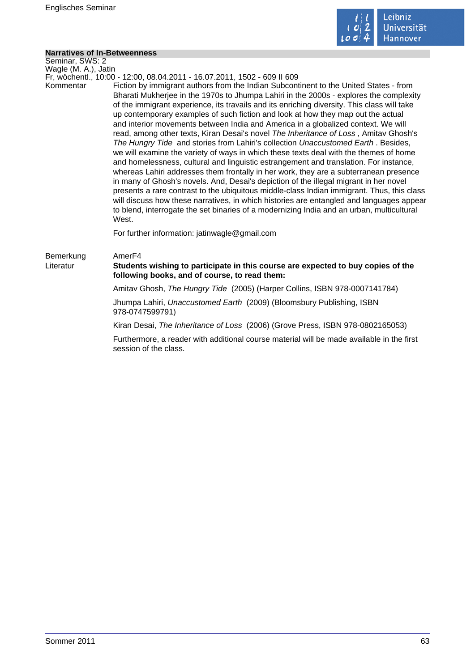

# **Narratives of In-Betweenness**

| <b>Narratives of In-Betweenness</b>                                                                           |                                                                                                                                                                                                                                                                                                                                                                                                                                                                                                                                                                                                                                                                                                                                                                                                                                                                                                                                                                                                                                                                                                                                                                                                                                                                                                          |
|---------------------------------------------------------------------------------------------------------------|----------------------------------------------------------------------------------------------------------------------------------------------------------------------------------------------------------------------------------------------------------------------------------------------------------------------------------------------------------------------------------------------------------------------------------------------------------------------------------------------------------------------------------------------------------------------------------------------------------------------------------------------------------------------------------------------------------------------------------------------------------------------------------------------------------------------------------------------------------------------------------------------------------------------------------------------------------------------------------------------------------------------------------------------------------------------------------------------------------------------------------------------------------------------------------------------------------------------------------------------------------------------------------------------------------|
| Seminar, SWS: 2                                                                                               |                                                                                                                                                                                                                                                                                                                                                                                                                                                                                                                                                                                                                                                                                                                                                                                                                                                                                                                                                                                                                                                                                                                                                                                                                                                                                                          |
|                                                                                                               |                                                                                                                                                                                                                                                                                                                                                                                                                                                                                                                                                                                                                                                                                                                                                                                                                                                                                                                                                                                                                                                                                                                                                                                                                                                                                                          |
| Wagle (M. A.), Jatin<br>Fr, wöchentl., 10:00 - 12:00, 08.04.2011 - 16.07.2011, 1502 - 609 II 609<br>Kommentar | Fiction by immigrant authors from the Indian Subcontinent to the United States - from<br>Bharati Mukherjee in the 1970s to Jhumpa Lahiri in the 2000s - explores the complexity<br>of the immigrant experience, its travails and its enriching diversity. This class will take<br>up contemporary examples of such fiction and look at how they map out the actual<br>and interior movements between India and America in a globalized context. We will<br>read, among other texts, Kiran Desai's novel The Inheritance of Loss, Amitav Ghosh's<br>The Hungry Tide and stories from Lahiri's collection Unaccustomed Earth. Besides,<br>we will examine the variety of ways in which these texts deal with the themes of home<br>and homelessness, cultural and linguistic estrangement and translation. For instance,<br>whereas Lahiri addresses them frontally in her work, they are a subterranean presence<br>in many of Ghosh's novels. And, Desai's depiction of the illegal migrant in her novel<br>presents a rare contrast to the ubiquitous middle-class Indian immigrant. Thus, this class<br>will discuss how these narratives, in which histories are entangled and languages appear<br>to blend, interrogate the set binaries of a modernizing India and an urban, multicultural<br>West. |
|                                                                                                               | For further information: jatinwagle@gmail.com                                                                                                                                                                                                                                                                                                                                                                                                                                                                                                                                                                                                                                                                                                                                                                                                                                                                                                                                                                                                                                                                                                                                                                                                                                                            |
| Bemerkung<br>Literatur                                                                                        | Amer <sub>F4</sub><br>Students wishing to participate in this course are expected to buy copies of the<br>following books, and of course, to read them:                                                                                                                                                                                                                                                                                                                                                                                                                                                                                                                                                                                                                                                                                                                                                                                                                                                                                                                                                                                                                                                                                                                                                  |
|                                                                                                               | Amitav Ghosh, The Hungry Tide (2005) (Harper Collins, ISBN 978-0007141784)                                                                                                                                                                                                                                                                                                                                                                                                                                                                                                                                                                                                                                                                                                                                                                                                                                                                                                                                                                                                                                                                                                                                                                                                                               |
|                                                                                                               | Jhumpa Lahiri, Unaccustomed Earth (2009) (Bloomsbury Publishing, ISBN<br>978-0747599791)                                                                                                                                                                                                                                                                                                                                                                                                                                                                                                                                                                                                                                                                                                                                                                                                                                                                                                                                                                                                                                                                                                                                                                                                                 |
|                                                                                                               | Kiran Desai, The Inheritance of Loss (2006) (Grove Press, ISBN 978-0802165053)                                                                                                                                                                                                                                                                                                                                                                                                                                                                                                                                                                                                                                                                                                                                                                                                                                                                                                                                                                                                                                                                                                                                                                                                                           |
|                                                                                                               | Furthermore, a reader with additional course material will be made available in the first<br>session of the class.                                                                                                                                                                                                                                                                                                                                                                                                                                                                                                                                                                                                                                                                                                                                                                                                                                                                                                                                                                                                                                                                                                                                                                                       |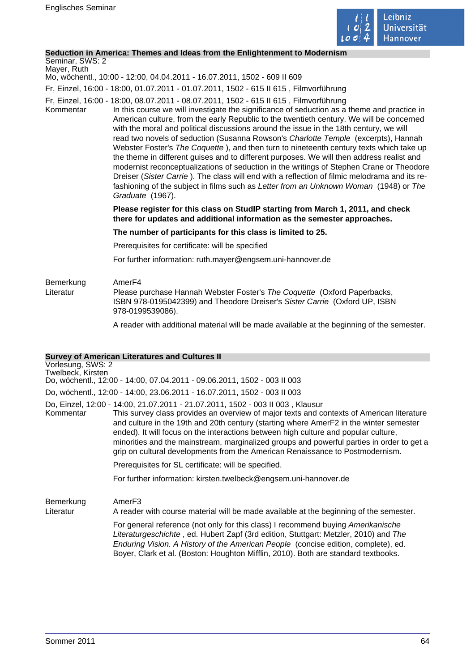

#### **Seduction in America: Themes and Ideas from the Enlightenment to Modernism**

# Seminar, SWS: 2

Mayer, Ruth Mo, wöchentl., 10:00 - 12:00, 04.04.2011 - 16.07.2011, 1502 - 609 II 609

Fr, Einzel, 16:00 - 18:00, 01.07.2011 - 01.07.2011, 1502 - 615 II 615 , Filmvorführung

- Fr, Einzel, 16:00 18:00, 08.07.2011 08.07.2011, 1502 615 II 615 , Filmvorführung
- Kommentar In this course we will investigate the significance of seduction as a theme and practice in American culture, from the early Republic to the twentieth century. We will be concerned with the moral and political discussions around the issue in the 18th century, we will read two novels of seduction (Susanna Rowson's Charlotte Temple (excerpts), Hannah Webster Foster's The Coquette ), and then turn to nineteenth century texts which take up the theme in different guises and to different purposes. We will then address realist and modernist reconceptualizations of seduction in the writings of Stephen Crane or Theodore Dreiser (Sister Carrie ). The class will end with a reflection of filmic melodrama and its refashioning of the subject in films such as Letter from an Unknown Woman (1948) or The Graduate (1967).

#### **Please register for this class on StudIP starting from March 1, 2011, and check there for updates and additional information as the semester approaches.**

#### **The number of participants for this class is limited to 25.**

Prerequisites for certificate: will be specified

For further information: ruth.mayer@engsem.uni-hannover.de

## Bemerkung AmerF4 Literatur Please purchase Hannah Webster Foster's The Coquette (Oxford Paperbacks, ISBN 978-0195042399) and Theodore Dreiser's Sister Carrie (Oxford UP, ISBN 978-0199539086).

A reader with additional material will be made available at the beginning of the semester.

### **Survey of American Literatures and Cultures II**

# Vorlesung, SWS: 2 Twelbeck, Kirsten Do, wöchentl., 12:00 - 14:00, 07.04.2011 - 09.06.2011, 1502 - 003 II 003 Do, wöchentl., 12:00 - 14:00, 23.06.2011 - 16.07.2011, 1502 - 003 II 003 Do, Einzel, 12:00 - 14:00, 21.07.2011 - 21.07.2011, 1502 - 003 II 003 , Klausur Kommentar This survey class provides an overview of major texts and contexts of American literature and culture in the 19th and 20th century (starting where AmerF2 in the winter semester ended). It will focus on the interactions between high culture and popular culture, minorities and the mainstream, marginalized groups and powerful parties in order to get a grip on cultural developments from the American Renaissance to Postmodernism. Prerequisites for SL certificate: will be specified.

For further information: kirsten.twelbeck@engsem.uni-hannover.de

Bemerkung AmerF3

Literatur A reader with course material will be made available at the beginning of the semester.

For general reference (not only for this class) I recommend buying Amerikanische Literaturgeschichte , ed. Hubert Zapf (3rd edition, Stuttgart: Metzler, 2010) and The Enduring Vision. A History of the American People (concise edition, complete), ed. Boyer, Clark et al. (Boston: Houghton Mifflin, 2010). Both are standard textbooks.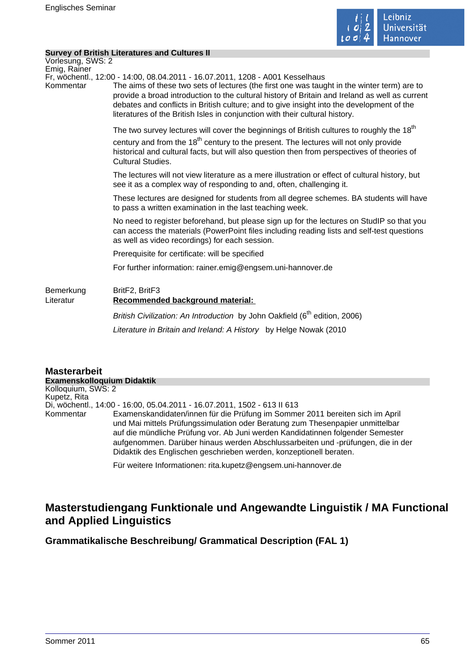

## **Survey of British Literatures and Cultures II**

| Vorlesung, SWS: 2         | <u>Julyey Of Diffisir Literatures and Cultures II</u>                                                                                                                                                                                                                                                                                                                                                                                                       |
|---------------------------|-------------------------------------------------------------------------------------------------------------------------------------------------------------------------------------------------------------------------------------------------------------------------------------------------------------------------------------------------------------------------------------------------------------------------------------------------------------|
| Emig, Rainer<br>Kommentar | Fr, wöchentl., 12:00 - 14:00, 08.04.2011 - 16.07.2011, 1208 - A001 Kesselhaus<br>The aims of these two sets of lectures (the first one was taught in the winter term) are to<br>provide a broad introduction to the cultural history of Britain and Ireland as well as current<br>debates and conflicts in British culture; and to give insight into the development of the<br>literatures of the British Isles in conjunction with their cultural history. |
|                           | The two survey lectures will cover the beginnings of British cultures to roughly the $18^{\text{th}}$<br>century and from the 18 <sup>th</sup> century to the present. The lectures will not only provide<br>historical and cultural facts, but will also question then from perspectives of theories of<br><b>Cultural Studies.</b>                                                                                                                        |
|                           | The lectures will not view literature as a mere illustration or effect of cultural history, but<br>see it as a complex way of responding to and, often, challenging it.                                                                                                                                                                                                                                                                                     |
|                           | These lectures are designed for students from all degree schemes. BA students will have<br>to pass a written examination in the last teaching week.                                                                                                                                                                                                                                                                                                         |
|                           | No need to register beforehand, but please sign up for the lectures on StudIP so that you<br>can access the materials (PowerPoint files including reading lists and self-test questions<br>as well as video recordings) for each session.                                                                                                                                                                                                                   |
|                           | Prerequisite for certificate: will be specified                                                                                                                                                                                                                                                                                                                                                                                                             |
|                           | For further information: rainer.emig@engsem.uni-hannover.de                                                                                                                                                                                                                                                                                                                                                                                                 |
| Bemerkung<br>Literatur    | BritF2, BritF3<br>Recommended background material:                                                                                                                                                                                                                                                                                                                                                                                                          |
|                           | British Civilization: An Introduction by John Oakfield (6 <sup>th</sup> edition, 2006)                                                                                                                                                                                                                                                                                                                                                                      |
|                           | Literature in Britain and Ireland: A History by Helge Nowak (2010                                                                                                                                                                                                                                                                                                                                                                                           |
|                           |                                                                                                                                                                                                                                                                                                                                                                                                                                                             |

### **Masterarbeit Examenskolloquium Didaktik** Kolloquium, SWS: 2 Kupetz, Rita Di, wöchentl., 14:00 - 16:00, 05.04.2011 - 16.07.2011, 1502 - 613 II 613 Kommentar Examenskandidaten/innen für die Prüfung im Sommer 2011 bereiten sich im April und Mai mittels Prüfungssimulation oder Beratung zum Thesenpapier unmittelbar auf die mündliche Prüfung vor. Ab Juni werden Kandidatinnen folgender Semester aufgenommen. Darüber hinaus werden Abschlussarbeiten und -prüfungen, die in der Didaktik des Englischen geschrieben werden, konzeptionell beraten.

Für weitere Informationen: rita.kupetz@engsem.uni-hannover.de

# **Masterstudiengang Funktionale und Angewandte Linguistik / MA Functional and Applied Linguistics**

**Grammatikalische Beschreibung/ Grammatical Description (FAL 1)**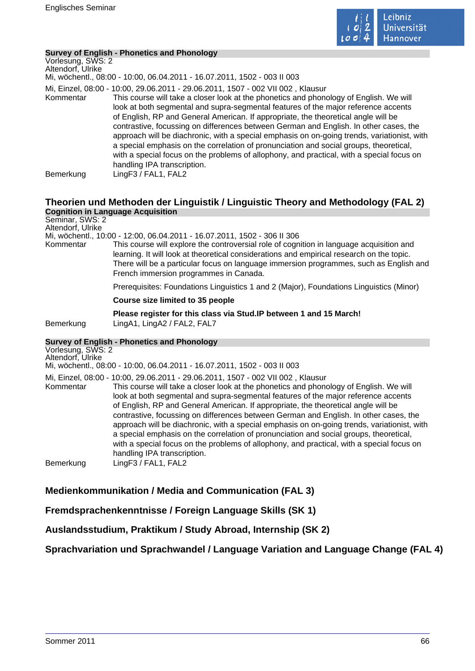

## **Survey of English - Phonetics and Phonology**

Vorlesung, SWS: 2 Altendorf, Ulrike Mi, wöchentl., 08:00 - 10:00, 06.04.2011 - 16.07.2011, 1502 - 003 II 003 Mi, Einzel, 08:00 - 10:00, 29.06.2011 - 29.06.2011, 1507 - 002 VII 002 , Klausur Kommentar This course will take a closer look at the phonetics and phonology of English. We will look at both segmental and supra-segmental features of the major reference accents of English, RP and General American. If appropriate, the theoretical angle will be contrastive, focussing on differences between German and English. In other cases, the approach will be diachronic, with a special emphasis on on-going trends, variationist, with a special emphasis on the correlation of pronunciation and social groups, theoretical, with a special focus on the problems of allophony, and practical, with a special focus on handling IPA transcription. Bemerkung LingF3 / FAL1, FAL2

# **Theorien und Methoden der Linguistik / Linguistic Theory and Methodology (FAL 2) Cognition in Language Acquisition**

Seminar, SWS: 2 Altendorf, Ulrike

Mi, wöchentl., 10:00 - 12:00, 06.04.2011 - 16.07.2011, 1502 - 306 II 306

Kommentar This course will explore the controversial role of cognition in language acquisition and learning. It will look at theoretical considerations and empirical research on the topic. There will be a particular focus on language immersion programmes, such as English and French immersion programmes in Canada.

Prerequisites: Foundations Linguistics 1 and 2 (Major), Foundations Linguistics (Minor)

#### **Course size limited to 35 people**

**Please register for this class via Stud.IP between 1 and 15 March!**  Bemerkung LingA1, LingA2 / FAL2, FAL7

### **Survey of English - Phonetics and Phonology**

Vorlesung, SWS: 2 Altendorf, Ulrike Mi, wöchentl., 08:00 - 10:00, 06.04.2011 - 16.07.2011, 1502 - 003 II 003 Mi, Einzel, 08:00 - 10:00, 29.06.2011 - 29.06.2011, 1507 - 002 VII 002 , Klausur Kommentar This course will take a closer look at the phonetics and phonology of English. We will look at both segmental and supra-segmental features of the major reference accents of English, RP and General American. If appropriate, the theoretical angle will be contrastive, focussing on differences between German and English. In other cases, the approach will be diachronic, with a special emphasis on on-going trends, variationist, with a special emphasis on the correlation of pronunciation and social groups, theoretical, with a special focus on the problems of allophony, and practical, with a special focus on handling IPA transcription. Bemerkung LingF3 / FAL1, FAL2

# **Medienkommunikation / Media and Communication (FAL 3)**

**Fremdsprachenkenntnisse / Foreign Language Skills (SK 1)**

**Auslandsstudium, Praktikum / Study Abroad, Internship (SK 2)**

# **Sprachvariation und Sprachwandel / Language Variation and Language Change (FAL 4)**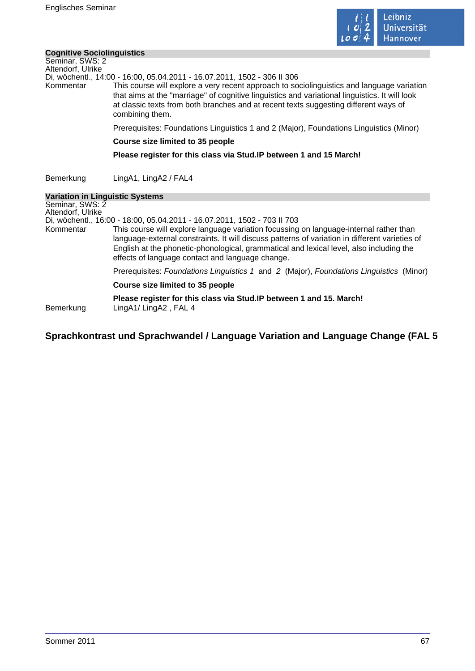

#### **Cognitive Sociolinguistics**

| <b>Cognitive Sociolinguistics</b>                                              |                                                                                                                                                                                                                                                                                                                                                                                                                     |
|--------------------------------------------------------------------------------|---------------------------------------------------------------------------------------------------------------------------------------------------------------------------------------------------------------------------------------------------------------------------------------------------------------------------------------------------------------------------------------------------------------------|
| Seminar, SWS: 2<br>Altendorf, Ulrike                                           | Di, wöchentl., 14:00 - 16:00, 05.04.2011 - 16.07.2011, 1502 - 306 II 306                                                                                                                                                                                                                                                                                                                                            |
| Kommentar                                                                      | This course will explore a very recent approach to sociolinguistics and language variation<br>that aims at the "marriage" of cognitive linguistics and variational linguistics. It will look<br>at classic texts from both branches and at recent texts suggesting different ways of<br>combining them.                                                                                                             |
|                                                                                | Prerequisites: Foundations Linguistics 1 and 2 (Major), Foundations Linguistics (Minor)                                                                                                                                                                                                                                                                                                                             |
|                                                                                | <b>Course size limited to 35 people</b>                                                                                                                                                                                                                                                                                                                                                                             |
|                                                                                | Please register for this class via Stud. IP between 1 and 15 March!                                                                                                                                                                                                                                                                                                                                                 |
|                                                                                |                                                                                                                                                                                                                                                                                                                                                                                                                     |
| Bemerkung                                                                      | LingA1, LingA2 / FAL4                                                                                                                                                                                                                                                                                                                                                                                               |
| <b>Variation in Linguistic Systems</b><br>Seminar, SWS: 2<br>Altendorf, Ulrike |                                                                                                                                                                                                                                                                                                                                                                                                                     |
| Kommentar                                                                      | Di, wöchentl., 16:00 - 18:00, 05.04.2011 - 16.07.2011, 1502 - 703 II 703<br>This course will explore language variation focussing on language-internal rather than<br>language-external constraints. It will discuss patterns of variation in different varieties of<br>English at the phonetic-phonological, grammatical and lexical level, also including the<br>effects of language contact and language change. |
|                                                                                | Prerequisites: Foundations Linguistics 1 and 2 (Major), Foundations Linguistics (Minor)                                                                                                                                                                                                                                                                                                                             |
|                                                                                | Course size limited to 35 people                                                                                                                                                                                                                                                                                                                                                                                    |
| Bemerkung                                                                      | Please register for this class via Stud. IP between 1 and 15. March!<br>LingA1/LingA2, FAL 4                                                                                                                                                                                                                                                                                                                        |

# **Sprachkontrast und Sprachwandel / Language Variation and Language Change (FAL 5**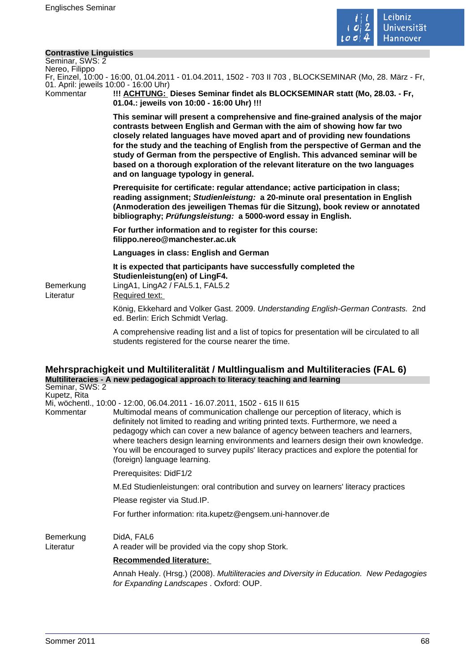

#### **Contrastive Linguistics**

Seminar, SWS: 2 Nereo, Filippo

Fr, Einzel, 10:00 - 16:00, 01.04.2011 - 01.04.2011, 1502 - 703 II 703 , BLOCKSEMINAR (Mo, 28. März - Fr, 01. April: jeweils 10:00 - 16:00 Uhr)

Kommentar **!!! ACHTUNG: Dieses Seminar findet als BLOCKSEMINAR statt (Mo, 28.03. - Fr, 01.04.: jeweils von 10:00 - 16:00 Uhr) !!!** 

> **This seminar will present a comprehensive and fine-grained analysis of the major contrasts between English and German with the aim of showing how far two closely related languages have moved apart and of providing new foundations for the study and the teaching of English from the perspective of German and the study of German from the perspective of English. This advanced seminar will be based on a thorough exploration of the relevant literature on the two languages and on language typology in general.**

> **Prerequisite for certificate: regular attendance; active participation in class; reading assignment; Studienleistung: a 20-minute oral presentation in English (Anmoderation des jeweiligen Themas für die Sitzung), book review or annotated bibliography; Prüfungsleistung: a 5000-word essay in English.**

**For further information and to register for this course: filippo.nereo@manchester.ac.uk** 

**Languages in class: English and German** 

**It is expected that participants have successfully completed the Studienleistung(en) of LingF4.**  Bemerkung LingA1, LingA2 / FAL5.1, FAL5.2

Literatur Required text:

König, Ekkehard and Volker Gast. 2009. Understanding English-German Contrasts. 2nd ed. Berlin: Erich Schmidt Verlag.

A comprehensive reading list and a list of topics for presentation will be circulated to all students registered for the course nearer the time.

#### **Mehrsprachigkeit und Multiliteralität / Multlingualism and Multiliteracies (FAL 6) Multiliteracies - A new pedagogical approach to literacy teaching and learning** Seminar, SWS: 2

Kupetz, Rita

Mi, wöchentl., 10:00 - 12:00, 06.04.2011 - 16.07.2011, 1502 - 615 II 615

Kommentar Multimodal means of communication challenge our perception of literacy, which is definitely not limited to reading and writing printed texts. Furthermore, we need a pedagogy which can cover a new balance of agency between teachers and learners, where teachers design learning environments and learners design their own knowledge. You will be encouraged to survey pupils' literacy practices and explore the potential for (foreign) language learning.

Prerequisites: DidF1/2

M.Ed Studienleistungen: oral contribution and survey on learners' literacy practices

Please register via Stud.IP.

For further information: rita.kupetz@engsem.uni-hannover.de

Bemerkung DidA, FAL6

Literatur A reader will be provided via the copy shop Stork.

### **Recommended literature:**

Annah Healy. (Hrsg.) (2008). Multiliteracies and Diversity in Education. New Pedagogies for Expanding Landscapes . Oxford: OUP.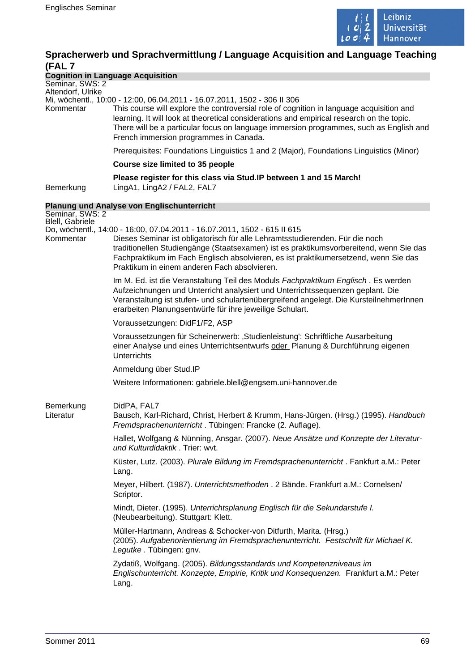

# **Spracherwerb und Sprachvermittlung / Language Acquisition and Language Teaching (FAL 7**

### **Cognition in Language Acquisition**

Seminar, SWS: 2 Altendorf, Ulrike

Mi, wöchentl., 10:00 - 12:00, 06.04.2011 - 16.07.2011, 1502 - 306 II 306

This course will explore the controversial role of cognition in language acquisition and learning. It will look at theoretical considerations and empirical research on the topic. There will be a particular focus on language immersion programmes, such as English and French immersion programmes in Canada.

Prerequisites: Foundations Linguistics 1 and 2 (Major), Foundations Linguistics (Minor)

#### **Course size limited to 35 people**

**Please register for this class via Stud.IP between 1 and 15 March!**  Bemerkung LingA1, LingA2 / FAL2, FAL7

### **Planung und Analyse von Englischunterricht**

Seminar, SWS: 2 Blell, Gabriele Do, wöchentl., 14:00 - 16:00, 07.04.2011 - 16.07.2011, 1502 - 615 II 615 Kommentar Dieses Seminar ist obligatorisch für alle Lehramtsstudierenden. Für die noch traditionellen Studiengänge (Staatsexamen) ist es praktikumsvorbereitend, wenn Sie das Fachpraktikum im Fach Englisch absolvieren, es ist praktikumersetzend, wenn Sie das Praktikum in einem anderen Fach absolvieren. Im M. Ed. ist die Veranstaltung Teil des Moduls Fachpraktikum Englisch. Es werden Aufzeichnungen und Unterricht analysiert und Unterrichtssequenzen geplant. Die Veranstaltung ist stufen- und schulartenübergreifend angelegt. Die KursteilnehmerInnen erarbeiten Planungsentwürfe für ihre jeweilige Schulart. Voraussetzungen: DidF1/F2, ASP Voraussetzungen für Scheinerwerb: 'Studienleistung': Schriftliche Ausarbeitung einer Analyse und eines Unterrichtsentwurfs oder Planung & Durchführung eigenen **Unterrichts** Anmeldung über Stud.IP Weitere Informationen: gabriele.blell@engsem.uni-hannover.de Bemerkung DidPA, FAL7 Literatur Bausch, Karl-Richard, Christ, Herbert & Krumm, Hans-Jürgen. (Hrsg.) (1995). Handbuch Fremdsprachenunterricht . Tübingen: Francke (2. Auflage). Hallet, Wolfgang & Nünning, Ansgar. (2007). Neue Ansätze und Konzepte der Literaturund Kulturdidaktik . Trier: wvt. Küster, Lutz. (2003). Plurale Bildung im Fremdsprachenunterricht . Fankfurt a.M.: Peter Lang. Meyer, Hilbert. (1987). Unterrichtsmethoden . 2 Bände. Frankfurt a.M.: Cornelsen/ Scriptor. Mindt, Dieter. (1995). Unterrichtsplanung Englisch für die Sekundarstufe I. (Neubearbeitung). Stuttgart: Klett. Müller-Hartmann, Andreas & Schocker-von Ditfurth, Marita. (Hrsg.) (2005). Aufgabenorientierung im Fremdsprachenunterricht. Festschrift für Michael K. Legutke . Tübingen: gnv. Zydatiß, Wolfgang. (2005). Bildungsstandards und Kompetenzniveaus im Englischunterricht. Konzepte, Empirie, Kritik und Konsequenzen. Frankfurt a.M.: Peter Lang.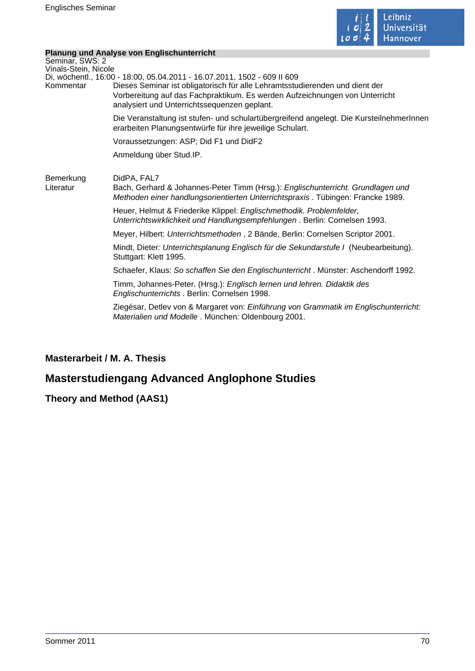

 $\sim$ 

## **Planung und Analyse von Englischunterricht**

|                                         | <u><b>19119119 9119 / 1191799 / 911 Englissimality 119</b></u>                                                                                                                                                                                                                          |
|-----------------------------------------|-----------------------------------------------------------------------------------------------------------------------------------------------------------------------------------------------------------------------------------------------------------------------------------------|
| Seminar, SWS: 2<br>Vinals-Stein, Nicole |                                                                                                                                                                                                                                                                                         |
| Kommentar                               | Di, wöchentl., 16:00 - 18:00, 05.04.2011 - 16.07.2011, 1502 - 609 II 609<br>Dieses Seminar ist obligatorisch für alle Lehramtsstudierenden und dient der<br>Vorbereitung auf das Fachpraktikum. Es werden Aufzeichnungen von Unterricht<br>analysiert und Unterrichtssequenzen geplant. |
|                                         | Die Veranstaltung ist stufen- und schulartübergreifend angelegt. Die KursteilnehmerInnen<br>erarbeiten Planungsentwürfe für ihre jeweilige Schulart.                                                                                                                                    |
|                                         | Voraussetzungen: ASP; Did F1 und DidF2                                                                                                                                                                                                                                                  |
|                                         | Anmeldung über Stud.IP.                                                                                                                                                                                                                                                                 |
| Bemerkung<br>Literatur                  | DidPA, FAL7<br>Bach, Gerhard & Johannes-Peter Timm (Hrsg.): Englischunterricht. Grundlagen und<br>Methoden einer handlungsorientierten Unterrichtspraxis. Tübingen: Francke 1989.                                                                                                       |
|                                         | Heuer, Helmut & Friederike Klippel: Englischmethodik. Problemfelder,<br>Unterrichtswirklichkeit und Handlungsempfehlungen . Berlin: Cornelsen 1993.                                                                                                                                     |
|                                         | Meyer, Hilbert: Unterrichtsmethoden, 2 Bände, Berlin: Cornelsen Scriptor 2001.                                                                                                                                                                                                          |
|                                         | Mindt, Dieter: Unterrichtsplanung Englisch für die Sekundarstufe I (Neubearbeitung).<br>Stuttgart: Klett 1995.                                                                                                                                                                          |
|                                         | Schaefer, Klaus: So schaffen Sie den Englischunterricht. Münster: Aschendorff 1992.                                                                                                                                                                                                     |
|                                         | Timm, Johannes-Peter. (Hrsg.): Englisch lernen und lehren. Didaktik des<br>Englischunterrichts . Berlin: Cornelsen 1998.                                                                                                                                                                |
|                                         | Ziegésar, Detlev von & Margaret von: Einführung von Grammatik im Englischunterricht:<br>Materialien und Modelle . München: Oldenbourg 2001.                                                                                                                                             |
|                                         |                                                                                                                                                                                                                                                                                         |

# **Masterarbeit / M. A. Thesis**

# **Masterstudiengang Advanced Anglophone Studies**

# **Theory and Method (AAS1)**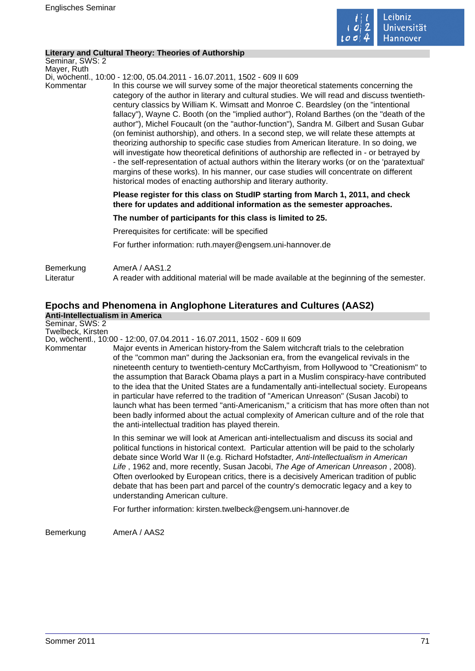

#### **Literary and Cultural Theory: Theories of Authorship**

Seminar, SWS: 2 Mayer, Ruth

Di, wöchentl., 10:00 - 12:00, 05.04.2011 - 16.07.2011, 1502 - 609 II 609

Kommentar In this course we will survey some of the major theoretical statements concerning the category of the author in literary and cultural studies. We will read and discuss twentiethcentury classics by William K. Wimsatt and Monroe C. Beardsley (on the "intentional fallacy"), Wayne C. Booth (on the "implied author"), Roland Barthes (on the "death of the author"), Michel Foucault (on the "author-function"), Sandra M. Gilbert and Susan Gubar (on feminist authorship), and others. In a second step, we will relate these attempts at theorizing authorship to specific case studies from American literature. In so doing, we will investigate how theoretical definitions of authorship are reflected in - or betrayed by - the self-representation of actual authors within the literary works (or on the 'paratextual' margins of these works). In his manner, our case studies will concentrate on different historical modes of enacting authorship and literary authority.

> **Please register for this class on StudIP starting from March 1, 2011, and check there for updates and additional information as the semester approaches.**

**The number of participants for this class is limited to 25.** 

Prerequisites for certificate: will be specified

For further information: ruth.mayer@engsem.uni-hannover.de

| Bemerkung | AmerA / AAS1.2                                                                             |
|-----------|--------------------------------------------------------------------------------------------|
| Literatur | A reader with additional material will be made available at the beginning of the semester. |

# **Epochs and Phenomena in Anglophone Literatures and Cultures (AAS2)**

**Anti-Intellectualism in America**

Seminar, SWS: 2 Twelbeck, Kirsten

Do, wöchentl., 10:00 - 12:00, 07.04.2011 - 16.07.2011, 1502 - 609 II 609

Kommentar Major events in American history-from the Salem witchcraft trials to the celebration of the "common man" during the Jacksonian era, from the evangelical revivals in the nineteenth century to twentieth-century McCarthyism, from Hollywood to "Creationism" to the assumption that Barack Obama plays a part in a Muslim conspiracy-have contributed to the idea that the United States are a fundamentally anti-intellectual society. Europeans in particular have referred to the tradition of "American Unreason" (Susan Jacobi) to launch what has been termed "anti-Americanism," a criticism that has more often than not been badly informed about the actual complexity of American culture and of the role that the anti-intellectual tradition has played therein.

> In this seminar we will look at American anti-intellectualism and discuss its social and political functions in historical context. Particular attention will be paid to the scholarly debate since World War II (e.g. Richard Hofstadter, Anti-Intellectualism in American Life , 1962 and, more recently, Susan Jacobi, The Age of American Unreason , 2008). Often overlooked by European critics, there is a decisively American tradition of public debate that has been part and parcel of the country's democratic legacy and a key to understanding American culture.

For further information: kirsten.twelbeck@engsem.uni-hannover.de

Bemerkung AmerA / AAS2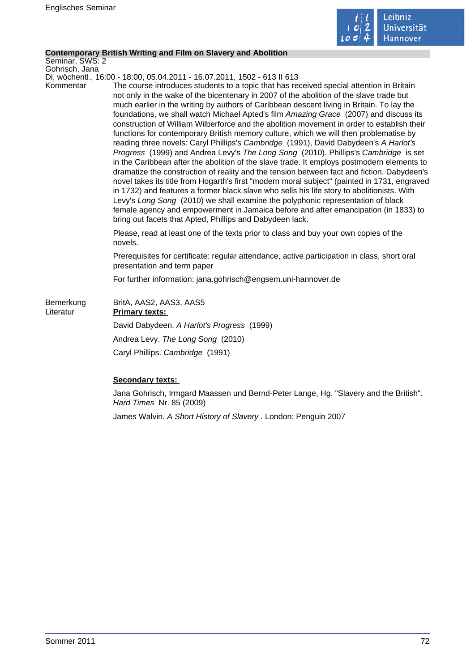

#### **Contemporary British Writing and Film on Slavery and Abolition**

Seminar, SWS: 2 Gohrisch, Jana

Di, wöchentl., 16:00 - 18:00, 05.04.2011 - 16.07.2011, 1502 - 613 II 613

Kommentar The course introduces students to a topic that has received special attention in Britain not only in the wake of the bicentenary in 2007 of the abolition of the slave trade but much earlier in the writing by authors of Caribbean descent living in Britain. To lay the foundations, we shall watch Michael Apted's film Amazing Grace (2007) and discuss its construction of William Wilberforce and the abolition movement in order to establish their functions for contemporary British memory culture, which we will then problematise by reading three novels: Caryl Phillips's Cambridge (1991), David Dabydeen's A Harlot's Progress (1999) and Andrea Levy's The Long Song (2010). Phillips's Cambridge is set in the Caribbean after the abolition of the slave trade. It employs postmodern elements to dramatize the construction of reality and the tension between fact and fiction. Dabydeen's novel takes its title from Hogarth's first "modern moral subject" (painted in 1731, engraved in 1732) and features a former black slave who sells his life story to abolitionists. With Levy's Long Song (2010) we shall examine the polyphonic representation of black female agency and empowerment in Jamaica before and after emancipation (in 1833) to bring out facets that Apted, Phillips and Dabydeen lack.

> Please, read at least one of the texts prior to class and buy your own copies of the novels.

Prerequisites for certificate: regular attendance, active participation in class, short oral presentation and term paper

For further information: jana.gohrisch@engsem.uni-hannover.de

| Bemerkung<br>Literatur | BritA, AAS2, AAS3, AAS5<br><b>Primary texts:</b> |
|------------------------|--------------------------------------------------|
|                        | David Dabydeen. A Harlot's Progress (1999)       |
|                        | Andrea Levy. The Long Song (2010)                |
|                        | Caryl Phillips. Cambridge (1991)                 |

### **Secondary texts:**

Jana Gohrisch, Irmgard Maassen und Bernd-Peter Lange, Hg. "Slavery and the British". Hard Times Nr. 85 (2009)

James Walvin. A Short History of Slavery . London: Penguin 2007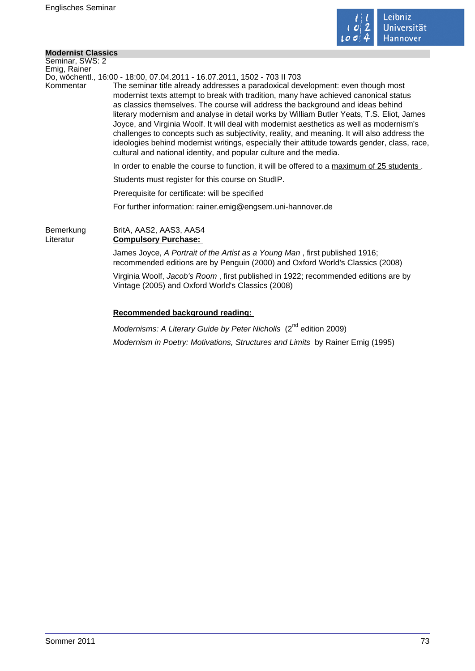

 $\mathcal{L}_{\mathcal{A}}$ 

## **Modernist Classics**

| Seminar, SWS: 2        |                                                                                                                                                                                                                                                                                                                                                                                                                                                                                                                                                                                                                                                                                                                          |
|------------------------|--------------------------------------------------------------------------------------------------------------------------------------------------------------------------------------------------------------------------------------------------------------------------------------------------------------------------------------------------------------------------------------------------------------------------------------------------------------------------------------------------------------------------------------------------------------------------------------------------------------------------------------------------------------------------------------------------------------------------|
| Emig, Rainer           | Do, wöchentl., 16:00 - 18:00, 07.04.2011 - 16.07.2011, 1502 - 703 II 703                                                                                                                                                                                                                                                                                                                                                                                                                                                                                                                                                                                                                                                 |
| Kommentar              | The seminar title already addresses a paradoxical development: even though most<br>modernist texts attempt to break with tradition, many have achieved canonical status<br>as classics themselves. The course will address the background and ideas behind<br>literary modernism and analyse in detail works by William Butler Yeats, T.S. Eliot, James<br>Joyce, and Virginia Woolf. It will deal with modernist aesthetics as well as modernism's<br>challenges to concepts such as subjectivity, reality, and meaning. It will also address the<br>ideologies behind modernist writings, especially their attitude towards gender, class, race,<br>cultural and national identity, and popular culture and the media. |
|                        | In order to enable the course to function, it will be offered to a maximum of 25 students.                                                                                                                                                                                                                                                                                                                                                                                                                                                                                                                                                                                                                               |
|                        | Students must register for this course on StudIP.                                                                                                                                                                                                                                                                                                                                                                                                                                                                                                                                                                                                                                                                        |
|                        | Prerequisite for certificate: will be specified                                                                                                                                                                                                                                                                                                                                                                                                                                                                                                                                                                                                                                                                          |
|                        | For further information: rainer.emig@engsem.uni-hannover.de                                                                                                                                                                                                                                                                                                                                                                                                                                                                                                                                                                                                                                                              |
| Bemerkung<br>Literatur | BritA, AAS2, AAS3, AAS4<br><b>Compulsory Purchase:</b>                                                                                                                                                                                                                                                                                                                                                                                                                                                                                                                                                                                                                                                                   |
|                        | James Joyce, A Portrait of the Artist as a Young Man, first published 1916;<br>recommended editions are by Penguin (2000) and Oxford World's Classics (2008)                                                                                                                                                                                                                                                                                                                                                                                                                                                                                                                                                             |
|                        | Virginia Woolf, Jacob's Room, first published in 1922; recommended editions are by<br>Vintage (2005) and Oxford World's Classics (2008)                                                                                                                                                                                                                                                                                                                                                                                                                                                                                                                                                                                  |
|                        | Recommended background reading:                                                                                                                                                                                                                                                                                                                                                                                                                                                                                                                                                                                                                                                                                          |
|                        | . nd                                                                                                                                                                                                                                                                                                                                                                                                                                                                                                                                                                                                                                                                                                                     |

Modernisms: A Literary Guide by Peter Nicholls (2<sup>nd</sup> edition 2009) Modernism in Poetry: Motivations, Structures and Limits by Rainer Emig (1995)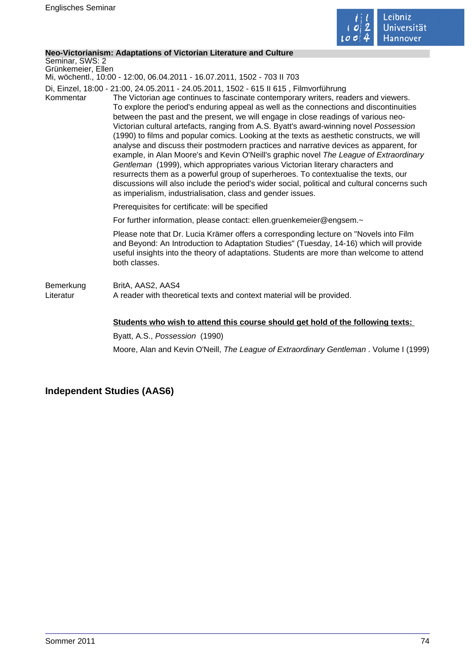

### **Neo-Victorianism: Adaptations of Victorian Literature and Culture**

Seminar, SWS: 2 Grünkemeier, Ellen

Mi, wöchentl., 10:00 - 12:00, 06.04.2011 - 16.07.2011, 1502 - 703 II 703

Di, Einzel, 18:00 - 21:00, 24.05.2011 - 24.05.2011, 1502 - 615 II 615 , Filmvorführung

Kommentar The Victorian age continues to fascinate contemporary writers, readers and viewers. To explore the period's enduring appeal as well as the connections and discontinuities between the past and the present, we will engage in close readings of various neo-Victorian cultural artefacts, ranging from A.S. Byatt's award-winning novel Possession (1990) to films and popular comics. Looking at the texts as aesthetic constructs, we will analyse and discuss their postmodern practices and narrative devices as apparent, for example, in Alan Moore's and Kevin O'Neill's graphic novel The League of Extraordinary Gentleman (1999), which appropriates various Victorian literary characters and resurrects them as a powerful group of superheroes. To contextualise the texts, our discussions will also include the period's wider social, political and cultural concerns such as imperialism, industrialisation, class and gender issues.

Prerequisites for certificate: will be specified

For further information, please contact: ellen.gruenkemeier@engsem.~

Please note that Dr. Lucia Krämer offers a corresponding lecture on "Novels into Film and Beyond: An Introduction to Adaptation Studies" (Tuesday, 14-16) which will provide useful insights into the theory of adaptations. Students are more than welcome to attend both classes.

Bemerkung BritA, AAS2, AAS4 Literatur **A** reader with theoretical texts and context material will be provided.

### **Students who wish to attend this course should get hold of the following texts:**

Byatt, A.S., Possession (1990) Moore, Alan and Kevin O'Neill, The League of Extraordinary Gentleman . Volume I (1999)

# **Independent Studies (AAS6)**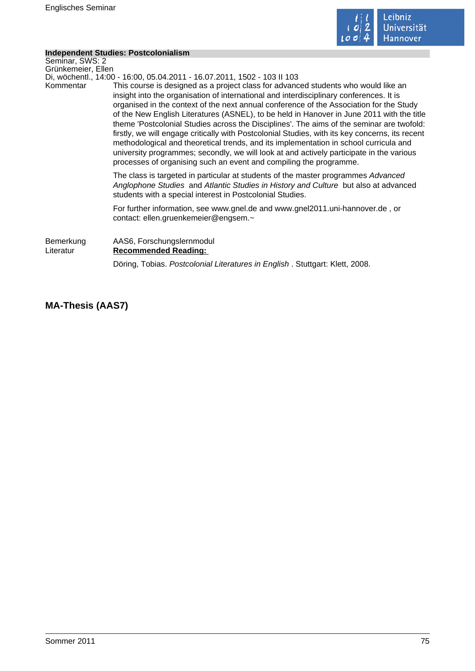

÷

## **Independent Studies: Postcolonialism**

|                        | independent Studies. Postcolonialism                                                                                                                                                                                                                                                                                                                                                                                                                                                                                                                                                                                                                                                                                                                                                                                             |
|------------------------|----------------------------------------------------------------------------------------------------------------------------------------------------------------------------------------------------------------------------------------------------------------------------------------------------------------------------------------------------------------------------------------------------------------------------------------------------------------------------------------------------------------------------------------------------------------------------------------------------------------------------------------------------------------------------------------------------------------------------------------------------------------------------------------------------------------------------------|
| Seminar, SWS: 2        |                                                                                                                                                                                                                                                                                                                                                                                                                                                                                                                                                                                                                                                                                                                                                                                                                                  |
| Grünkemeier, Ellen     |                                                                                                                                                                                                                                                                                                                                                                                                                                                                                                                                                                                                                                                                                                                                                                                                                                  |
|                        | Di, wöchentl., 14:00 - 16:00, 05.04.2011 - 16.07.2011, 1502 - 103 II 103                                                                                                                                                                                                                                                                                                                                                                                                                                                                                                                                                                                                                                                                                                                                                         |
| Kommentar              | This course is designed as a project class for advanced students who would like an<br>insight into the organisation of international and interdisciplinary conferences. It is<br>organised in the context of the next annual conference of the Association for the Study<br>of the New English Literatures (ASNEL), to be held in Hanover in June 2011 with the title<br>theme 'Postcolonial Studies across the Disciplines'. The aims of the seminar are twofold:<br>firstly, we will engage critically with Postcolonial Studies, with its key concerns, its recent<br>methodological and theoretical trends, and its implementation in school curricula and<br>university programmes; secondly, we will look at and actively participate in the various<br>processes of organising such an event and compiling the programme. |
|                        | The class is targeted in particular at students of the master programmes Advanced<br>Anglophone Studies and Atlantic Studies in History and Culture but also at advanced<br>students with a special interest in Postcolonial Studies.                                                                                                                                                                                                                                                                                                                                                                                                                                                                                                                                                                                            |
|                        | For further information, see www.gnel.de and www.gnel2011.uni-hannover.de, or<br>contact: ellen.gruenkemeier@engsem.~                                                                                                                                                                                                                                                                                                                                                                                                                                                                                                                                                                                                                                                                                                            |
| Bemerkung<br>Literatur | AAS6, Forschungslernmodul<br><b>Recommended Reading:</b>                                                                                                                                                                                                                                                                                                                                                                                                                                                                                                                                                                                                                                                                                                                                                                         |
|                        | Döring, Tobias. Postcolonial Literatures in English. Stuttgart: Klett, 2008.                                                                                                                                                                                                                                                                                                                                                                                                                                                                                                                                                                                                                                                                                                                                                     |

**MA-Thesis (AAS7)**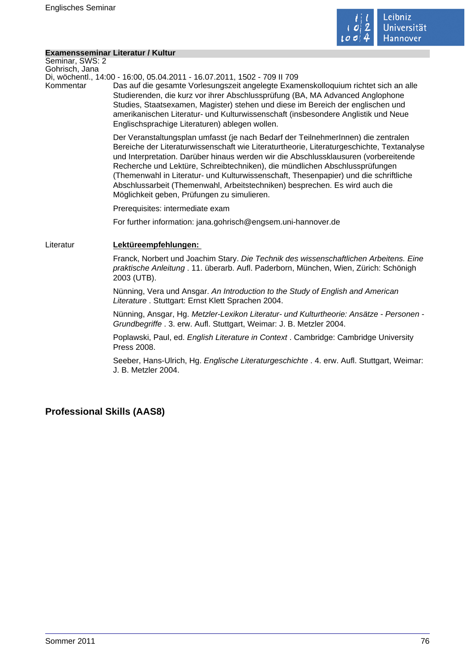

### **Examensseminar Literatur / Kultur**

Seminar, SWS: 2 Gohrisch, Jana

Di, wöchentl., 14:00 - 16:00, 05.04.2011 - 16.07.2011, 1502 - 709 II 709

Kommentar Das auf die gesamte Vorlesungszeit angelegte Examenskolloquium richtet sich an alle Studierenden, die kurz vor ihrer Abschlussprüfung (BA, MA Advanced Anglophone Studies, Staatsexamen, Magister) stehen und diese im Bereich der englischen und amerikanischen Literatur- und Kulturwissenschaft (insbesondere Anglistik und Neue Englischsprachige Literaturen) ablegen wollen.

> Der Veranstaltungsplan umfasst (je nach Bedarf der TeilnehmerInnen) die zentralen Bereiche der Literaturwissenschaft wie Literaturtheorie, Literaturgeschichte, Textanalyse und Interpretation. Darüber hinaus werden wir die Abschlussklausuren (vorbereitende Recherche und Lektüre, Schreibtechniken), die mündlichen Abschlussprüfungen (Themenwahl in Literatur- und Kulturwissenschaft, Thesenpapier) und die schriftliche Abschlussarbeit (Themenwahl, Arbeitstechniken) besprechen. Es wird auch die Möglichkeit geben, Prüfungen zu simulieren.

Prerequisites: intermediate exam

For further information: jana.gohrisch@engsem.uni-hannover.de

## Literatur **Lektüreempfehlungen:**

Franck, Norbert und Joachim Stary. Die Technik des wissenschaftlichen Arbeitens. Eine praktische Anleitung . 11. überarb. Aufl. Paderborn, München, Wien, Zürich: Schönigh 2003 (UTB).

Nünning, Vera und Ansgar. An Introduction to the Study of English and American Literature . Stuttgart: Ernst Klett Sprachen 2004.

Nünning, Ansgar, Hg. Metzler-Lexikon Literatur- und Kulturtheorie: Ansätze - Personen - Grundbegriffe . 3. erw. Aufl. Stuttgart, Weimar: J. B. Metzler 2004.

Poplawski, Paul, ed. English Literature in Context . Cambridge: Cambridge University Press 2008.

Seeber, Hans-Ulrich, Hg. Englische Literaturgeschichte . 4. erw. Aufl. Stuttgart, Weimar: J. B. Metzler 2004.

# **Professional Skills (AAS8)**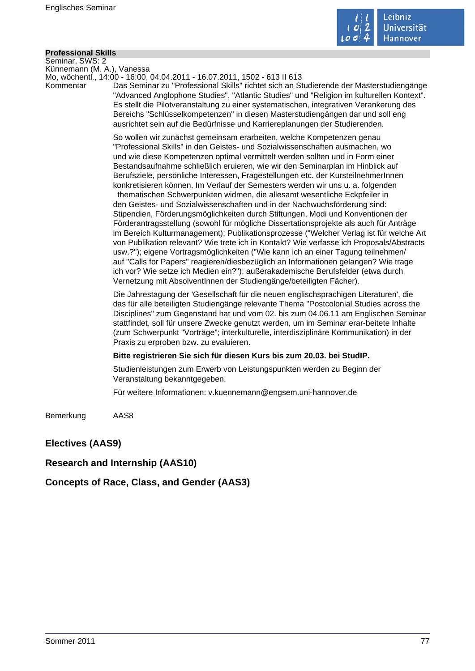

## **Professional Skills**

Seminar, SWS: 2 Künnemann (M. A.), Vanessa

Mo, wöchentl., 14:00 - 16:00, 04.04.2011 - 16.07.2011, 1502 - 613 II 613

Kommentar Das Seminar zu "Professional Skills" richtet sich an Studierende der Masterstudiengänge "Advanced Anglophone Studies", "Atlantic Studies" und "Religion im kulturellen Kontext". Es stellt die Pilotveranstaltung zu einer systematischen, integrativen Verankerung des Bereichs "Schlüsselkompetenzen" in diesen Masterstudiengängen dar und soll eng ausrichtet sein auf die Bedürfnisse und Karriereplanungen der Studierenden.

> So wollen wir zunächst gemeinsam erarbeiten, welche Kompetenzen genau "Professional Skills" in den Geistes- und Sozialwissenschaften ausmachen, wo und wie diese Kompetenzen optimal vermittelt werden sollten und in Form einer Bestandsaufnahme schließlich eruieren, wie wir den Seminarplan im Hinblick auf Berufsziele, persönliche Interessen, Fragestellungen etc. der KursteilnehmerInnen konkretisieren können. Im Verlauf der Semesters werden wir uns u. a. folgenden thematischen Schwerpunkten widmen, die allesamt wesentliche Eckpfeiler in den Geistes- und Sozialwissenschaften und in der Nachwuchsförderung sind: Stipendien, Förderungsmöglichkeiten durch Stiftungen, Modi und Konventionen der Förderantragsstellung (sowohl für mögliche Dissertationsprojekte als auch für Anträge im Bereich Kulturmanagement); Publikationsprozesse ("Welcher Verlag ist für welche Art von Publikation relevant? Wie trete ich in Kontakt? Wie verfasse ich Proposals/Abstracts usw.?"); eigene Vortragsmöglichkeiten ("Wie kann ich an einer Tagung teilnehmen/ auf "Calls for Papers" reagieren/diesbezüglich an Informationen gelangen? Wie trage ich vor? Wie setze ich Medien ein?"); außerakademische Berufsfelder (etwa durch

> Die Jahrestagung der 'Gesellschaft für die neuen englischsprachigen Literaturen', die das für alle beteiligten Studiengänge relevante Thema "Postcolonial Studies across the Disciplines" zum Gegenstand hat und vom 02. bis zum 04.06.11 am Englischen Seminar stattfindet, soll für unsere Zwecke genutzt werden, um im Seminar erar-beitete Inhalte (zum Schwerpunkt "Vorträge"; interkulturelle, interdisziplinäre Kommunikation) in der Praxis zu erproben bzw. zu evaluieren.

## **Bitte registrieren Sie sich für diesen Kurs bis zum 20.03. bei StudIP.**

Vernetzung mit AbsolventInnen der Studiengänge/beteiligten Fächer).

Studienleistungen zum Erwerb von Leistungspunkten werden zu Beginn der Veranstaltung bekanntgegeben.

Für weitere Informationen: v.kuennemann@engsem.uni-hannover.de

Bemerkung AAS8

## **Electives (AAS9)**

## **Research and Internship (AAS10)**

**Concepts of Race, Class, and Gender (AAS3)**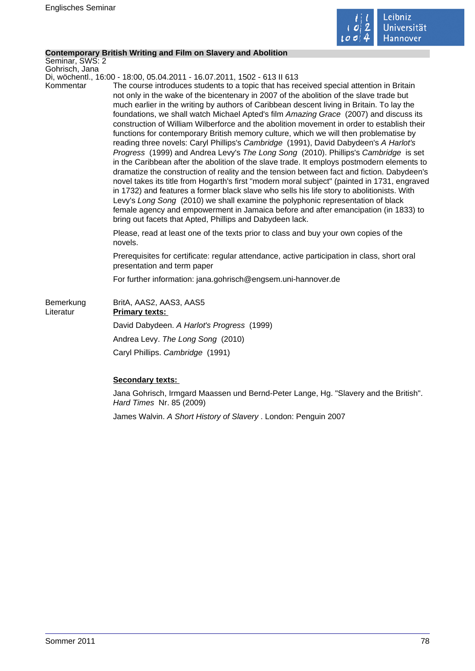

## **Contemporary British Writing and Film on Slavery and Abolition**

Seminar, SWS: 2 Gohrisch, Jana

Di, wöchentl., 16:00 - 18:00, 05.04.2011 - 16.07.2011, 1502 - 613 II 613

Kommentar The course introduces students to a topic that has received special attention in Britain not only in the wake of the bicentenary in 2007 of the abolition of the slave trade but much earlier in the writing by authors of Caribbean descent living in Britain. To lay the foundations, we shall watch Michael Apted's film Amazing Grace (2007) and discuss its construction of William Wilberforce and the abolition movement in order to establish their functions for contemporary British memory culture, which we will then problematise by reading three novels: Caryl Phillips's Cambridge (1991), David Dabydeen's A Harlot's Progress (1999) and Andrea Levy's The Long Song (2010). Phillips's Cambridge is set in the Caribbean after the abolition of the slave trade. It employs postmodern elements to dramatize the construction of reality and the tension between fact and fiction. Dabydeen's novel takes its title from Hogarth's first "modern moral subject" (painted in 1731, engraved in 1732) and features a former black slave who sells his life story to abolitionists. With Levy's Long Song (2010) we shall examine the polyphonic representation of black female agency and empowerment in Jamaica before and after emancipation (in 1833) to bring out facets that Apted, Phillips and Dabydeen lack.

> Please, read at least one of the texts prior to class and buy your own copies of the novels.

Prerequisites for certificate: regular attendance, active participation in class, short oral presentation and term paper

For further information: jana.gohrisch@engsem.uni-hannover.de

| Bemerkung<br>Literatur | BritA, AAS2, AAS3, AAS5<br><b>Primary texts:</b> |
|------------------------|--------------------------------------------------|
|                        | David Dabydeen. A Harlot's Progress (1999)       |
|                        | Andrea Levy. The Long Song (2010)                |
|                        | Caryl Phillips. Cambridge (1991)                 |

## **Secondary texts:**

Jana Gohrisch, Irmgard Maassen und Bernd-Peter Lange, Hg. "Slavery and the British". Hard Times Nr. 85 (2009)

James Walvin. A Short History of Slavery . London: Penguin 2007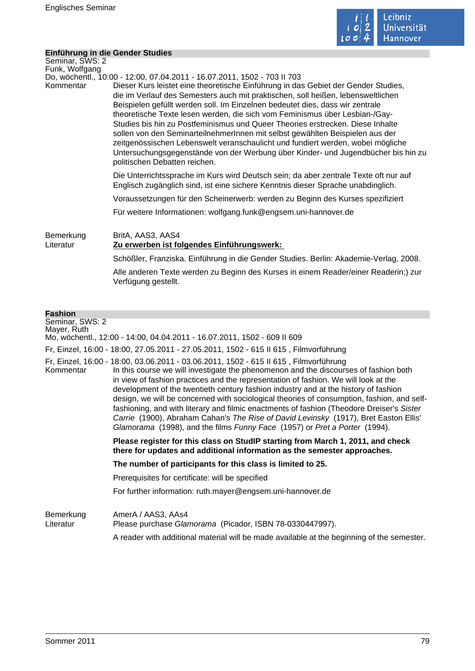

## **Einführung in die Gender Studies**

| Seminar, SWS: 2<br>Funk, Wolfgang                |                                                                                                                                                                                                                                                                                                                                                                                                                                                                                                                                                                                                                                                                                                                                                                                                |
|--------------------------------------------------|------------------------------------------------------------------------------------------------------------------------------------------------------------------------------------------------------------------------------------------------------------------------------------------------------------------------------------------------------------------------------------------------------------------------------------------------------------------------------------------------------------------------------------------------------------------------------------------------------------------------------------------------------------------------------------------------------------------------------------------------------------------------------------------------|
| Kommentar                                        | Do, wöchentl., 10:00 - 12:00, 07.04.2011 - 16.07.2011, 1502 - 703 II 703<br>Dieser Kurs leistet eine theoretische Einführung in das Gebiet der Gender Studies,<br>die im Verlauf des Semesters auch mit praktischen, soll heißen, lebensweltlichen<br>Beispielen gefüllt werden soll. Im Einzelnen bedeutet dies, dass wir zentrale<br>theoretische Texte lesen werden, die sich vom Feminismus über Lesbian-/Gay-<br>Studies bis hin zu Postfeminismus und Queer Theories erstrecken. Diese Inhalte<br>sollen von den SeminarteilnehmerInnen mit selbst gewählten Beispielen aus der<br>zeitgenössischen Lebenswelt veranschaulicht und fundiert werden, wobei mögliche<br>Untersuchungsgegenstände von der Werbung über Kinder- und Jugendbücher bis hin zu<br>politischen Debatten reichen. |
|                                                  | Die Unterrichtssprache im Kurs wird Deutsch sein; da aber zentrale Texte oft nur auf<br>Englisch zugänglich sind, ist eine sichere Kenntnis dieser Sprache unabdinglich.                                                                                                                                                                                                                                                                                                                                                                                                                                                                                                                                                                                                                       |
|                                                  | Voraussetzungen für den Scheinerwerb: werden zu Beginn des Kurses spezifiziert                                                                                                                                                                                                                                                                                                                                                                                                                                                                                                                                                                                                                                                                                                                 |
|                                                  | Für weitere Informationen: wolfgang.funk@engsem.uni-hannover.de                                                                                                                                                                                                                                                                                                                                                                                                                                                                                                                                                                                                                                                                                                                                |
| Bemerkung<br>Literatur                           | BritA, AAS3, AAS4<br>Zu erwerben ist folgendes Einführungswerk:                                                                                                                                                                                                                                                                                                                                                                                                                                                                                                                                                                                                                                                                                                                                |
|                                                  | Schößler, Franziska. Einführung in die Gender Studies. Berlin: Akademie-Verlag, 2008.                                                                                                                                                                                                                                                                                                                                                                                                                                                                                                                                                                                                                                                                                                          |
|                                                  | Alle anderen Texte werden zu Beginn des Kurses in einem Reader/einer Readerin;) zur<br>Verfügung gestellt.                                                                                                                                                                                                                                                                                                                                                                                                                                                                                                                                                                                                                                                                                     |
|                                                  |                                                                                                                                                                                                                                                                                                                                                                                                                                                                                                                                                                                                                                                                                                                                                                                                |
| <b>Fashion</b><br>Seminar, SWS: 2<br>Mayer, Ruth | Mo, wöchentl., 12:00 - 14:00, 04.04.2011 - 16.07.2011, 1502 - 609 II 609                                                                                                                                                                                                                                                                                                                                                                                                                                                                                                                                                                                                                                                                                                                       |

Fr, Einzel, 16:00 - 18:00, 27.05.2011 - 27.05.2011, 1502 - 615 II 615 , Filmvorführung

Fr, Einzel, 16:00 - 18:00, 03.06.2011 - 03.06.2011, 1502 - 615 II 615 , Filmvorführung

In this course we will investigate the phenomenon and the discourses of fashion both in view of fashion practices and the representation of fashion. We will look at the development of the twentieth century fashion industry and at the history of fashion design, we will be concerned with sociological theories of consumption, fashion, and selffashioning, and with literary and filmic enactments of fashion (Theodore Dreiser's Sister Carrie (1900), Abraham Cahan's The Rise of David Levinsky (1917), Bret Easton Ellis' Glamorama (1998), and the films Funny Face (1957) or Pret a Porter (1994).

> **Please register for this class on StudIP starting from March 1, 2011, and check there for updates and additional information as the semester approaches.**

**The number of participants for this class is limited to 25.** 

Prerequisites for certificate: will be specified

For further information: ruth.mayer@engsem.uni-hannover.de

Bemerkung AmerA / AAS3, AAs4 Literatur Please purchase Glamorama (Picador, ISBN 78-0330447997). A reader with additional material will be made available at the beginning of the semester.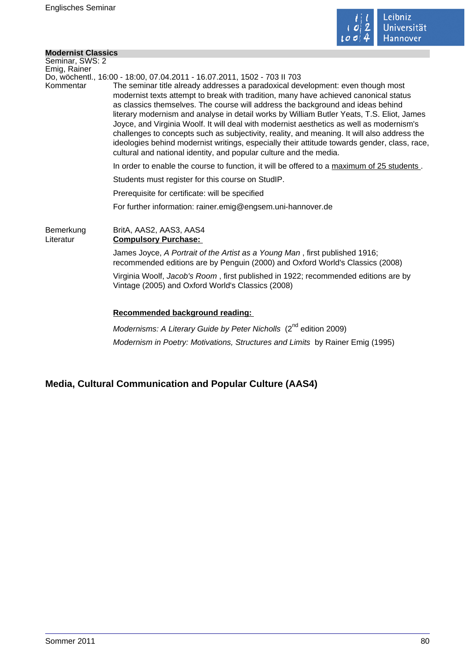

## **Modernist Classics**

| MUUTHIISL UIASSILS     |                                                                                                                                                                                                                                                                                                                                                                                                                                                                                                                                                                                                                                                                                                                          |
|------------------------|--------------------------------------------------------------------------------------------------------------------------------------------------------------------------------------------------------------------------------------------------------------------------------------------------------------------------------------------------------------------------------------------------------------------------------------------------------------------------------------------------------------------------------------------------------------------------------------------------------------------------------------------------------------------------------------------------------------------------|
| Seminar, SWS: 2        |                                                                                                                                                                                                                                                                                                                                                                                                                                                                                                                                                                                                                                                                                                                          |
| Emig, Rainer           | Do, wöchentl., 16:00 - 18:00, 07.04.2011 - 16.07.2011, 1502 - 703 II 703                                                                                                                                                                                                                                                                                                                                                                                                                                                                                                                                                                                                                                                 |
| Kommentar              | The seminar title already addresses a paradoxical development: even though most<br>modernist texts attempt to break with tradition, many have achieved canonical status<br>as classics themselves. The course will address the background and ideas behind<br>literary modernism and analyse in detail works by William Butler Yeats, T.S. Eliot, James<br>Joyce, and Virginia Woolf. It will deal with modernist aesthetics as well as modernism's<br>challenges to concepts such as subjectivity, reality, and meaning. It will also address the<br>ideologies behind modernist writings, especially their attitude towards gender, class, race,<br>cultural and national identity, and popular culture and the media. |
|                        | In order to enable the course to function, it will be offered to a maximum of 25 students.                                                                                                                                                                                                                                                                                                                                                                                                                                                                                                                                                                                                                               |
|                        | Students must register for this course on StudIP.                                                                                                                                                                                                                                                                                                                                                                                                                                                                                                                                                                                                                                                                        |
|                        | Prerequisite for certificate: will be specified                                                                                                                                                                                                                                                                                                                                                                                                                                                                                                                                                                                                                                                                          |
|                        | For further information: rainer.emig@engsem.uni-hannover.de                                                                                                                                                                                                                                                                                                                                                                                                                                                                                                                                                                                                                                                              |
| Bemerkung<br>Literatur | BritA, AAS2, AAS3, AAS4<br><b>Compulsory Purchase:</b>                                                                                                                                                                                                                                                                                                                                                                                                                                                                                                                                                                                                                                                                   |
|                        | James Joyce, A Portrait of the Artist as a Young Man, first published 1916;<br>recommended editions are by Penguin (2000) and Oxford World's Classics (2008)                                                                                                                                                                                                                                                                                                                                                                                                                                                                                                                                                             |
|                        | Virginia Woolf, Jacob's Room, first published in 1922; recommended editions are by<br>Vintage (2005) and Oxford World's Classics (2008)                                                                                                                                                                                                                                                                                                                                                                                                                                                                                                                                                                                  |
|                        | Recommended background reading:                                                                                                                                                                                                                                                                                                                                                                                                                                                                                                                                                                                                                                                                                          |
|                        | Modernisms: A Literary Guide by Peter Nicholls (2 <sup>nd</sup> edition 2009)                                                                                                                                                                                                                                                                                                                                                                                                                                                                                                                                                                                                                                            |
|                        | Modernism in Poetry: Motivations, Structures and Limits by Rainer Emig (1995)                                                                                                                                                                                                                                                                                                                                                                                                                                                                                                                                                                                                                                            |

# **Media, Cultural Communication and Popular Culture (AAS4)**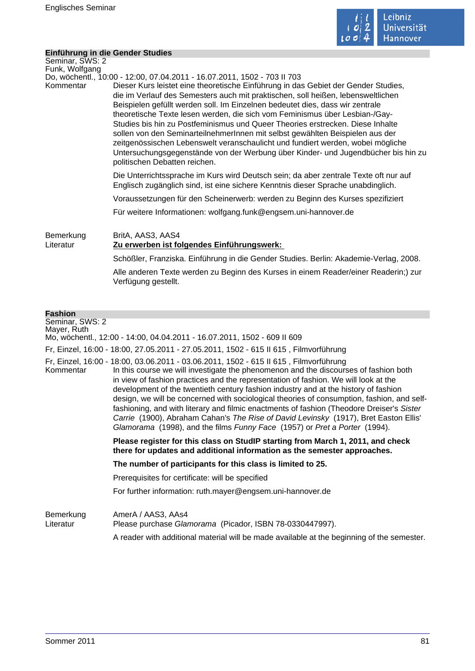

### **Einführung in die Gender Studies**

| Seminar, SWS: 2<br>Funk, Wolfgang                |                                                                                                                                                                                                                                                                                                                                                                                                                                                                                                                                                                                                                                                                                                                                                                                                |
|--------------------------------------------------|------------------------------------------------------------------------------------------------------------------------------------------------------------------------------------------------------------------------------------------------------------------------------------------------------------------------------------------------------------------------------------------------------------------------------------------------------------------------------------------------------------------------------------------------------------------------------------------------------------------------------------------------------------------------------------------------------------------------------------------------------------------------------------------------|
| Kommentar                                        | Do, wöchentl., 10:00 - 12:00, 07.04.2011 - 16.07.2011, 1502 - 703 II 703<br>Dieser Kurs leistet eine theoretische Einführung in das Gebiet der Gender Studies,<br>die im Verlauf des Semesters auch mit praktischen, soll heißen, lebensweltlichen<br>Beispielen gefüllt werden soll. Im Einzelnen bedeutet dies, dass wir zentrale<br>theoretische Texte lesen werden, die sich vom Feminismus über Lesbian-/Gay-<br>Studies bis hin zu Postfeminismus und Queer Theories erstrecken. Diese Inhalte<br>sollen von den SeminarteilnehmerInnen mit selbst gewählten Beispielen aus der<br>zeitgenössischen Lebenswelt veranschaulicht und fundiert werden, wobei mögliche<br>Untersuchungsgegenstände von der Werbung über Kinder- und Jugendbücher bis hin zu<br>politischen Debatten reichen. |
|                                                  | Die Unterrichtssprache im Kurs wird Deutsch sein; da aber zentrale Texte oft nur auf<br>Englisch zugänglich sind, ist eine sichere Kenntnis dieser Sprache unabdinglich.                                                                                                                                                                                                                                                                                                                                                                                                                                                                                                                                                                                                                       |
|                                                  | Voraussetzungen für den Scheinerwerb: werden zu Beginn des Kurses spezifiziert                                                                                                                                                                                                                                                                                                                                                                                                                                                                                                                                                                                                                                                                                                                 |
|                                                  | Für weitere Informationen: wolfgang.funk@engsem.uni-hannover.de                                                                                                                                                                                                                                                                                                                                                                                                                                                                                                                                                                                                                                                                                                                                |
| Bemerkung<br>Literatur                           | BritA, AAS3, AAS4<br>Zu erwerben ist folgendes Einführungswerk:                                                                                                                                                                                                                                                                                                                                                                                                                                                                                                                                                                                                                                                                                                                                |
|                                                  | Schößler, Franziska. Einführung in die Gender Studies. Berlin: Akademie-Verlag, 2008.                                                                                                                                                                                                                                                                                                                                                                                                                                                                                                                                                                                                                                                                                                          |
|                                                  | Alle anderen Texte werden zu Beginn des Kurses in einem Reader/einer Readerin;) zur<br>Verfügung gestellt.                                                                                                                                                                                                                                                                                                                                                                                                                                                                                                                                                                                                                                                                                     |
|                                                  |                                                                                                                                                                                                                                                                                                                                                                                                                                                                                                                                                                                                                                                                                                                                                                                                |
| <b>Fashion</b><br>Seminar, SWS: 2<br>Mayer, Ruth | Mo, wöchentl., 12:00 - 14:00, 04.04.2011 - 16.07.2011, 1502 - 609 II 609                                                                                                                                                                                                                                                                                                                                                                                                                                                                                                                                                                                                                                                                                                                       |

Fr, Einzel, 16:00 - 18:00, 27.05.2011 - 27.05.2011, 1502 - 615 II 615 , Filmvorführung

Fr, Einzel, 16:00 - 18:00, 03.06.2011 - 03.06.2011, 1502 - 615 II 615 , Filmvorführung

In this course we will investigate the phenomenon and the discourses of fashion both in view of fashion practices and the representation of fashion. We will look at the development of the twentieth century fashion industry and at the history of fashion design, we will be concerned with sociological theories of consumption, fashion, and selffashioning, and with literary and filmic enactments of fashion (Theodore Dreiser's Sister Carrie (1900), Abraham Cahan's The Rise of David Levinsky (1917), Bret Easton Ellis' Glamorama (1998), and the films Funny Face (1957) or Pret a Porter (1994).

> **Please register for this class on StudIP starting from March 1, 2011, and check there for updates and additional information as the semester approaches.**

**The number of participants for this class is limited to 25.** 

Prerequisites for certificate: will be specified

For further information: ruth.mayer@engsem.uni-hannover.de

Bemerkung AmerA / AAS3, AAs4 Literatur Please purchase Glamorama (Picador, ISBN 78-0330447997). A reader with additional material will be made available at the beginning of the semester.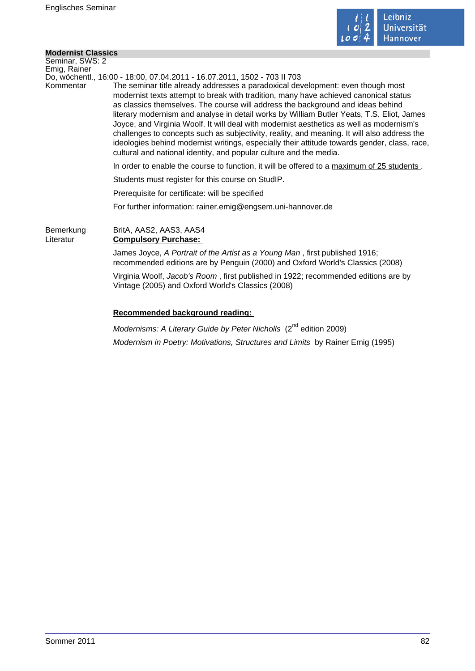

÷,

## **Modernist Classics**

| Do, wöchentl., 16:00 - 18:00, 07.04.2011 - 16.07.2011, 1502 - 703 II 703                                                                                                                                                                                                                                                                                                                                                                                                                                                                                                                                                                                                                                                 |
|--------------------------------------------------------------------------------------------------------------------------------------------------------------------------------------------------------------------------------------------------------------------------------------------------------------------------------------------------------------------------------------------------------------------------------------------------------------------------------------------------------------------------------------------------------------------------------------------------------------------------------------------------------------------------------------------------------------------------|
| The seminar title already addresses a paradoxical development: even though most<br>modernist texts attempt to break with tradition, many have achieved canonical status<br>as classics themselves. The course will address the background and ideas behind<br>literary modernism and analyse in detail works by William Butler Yeats, T.S. Eliot, James<br>Joyce, and Virginia Woolf. It will deal with modernist aesthetics as well as modernism's<br>challenges to concepts such as subjectivity, reality, and meaning. It will also address the<br>ideologies behind modernist writings, especially their attitude towards gender, class, race,<br>cultural and national identity, and popular culture and the media. |
| In order to enable the course to function, it will be offered to a maximum of 25 students.                                                                                                                                                                                                                                                                                                                                                                                                                                                                                                                                                                                                                               |
| Students must register for this course on StudIP.                                                                                                                                                                                                                                                                                                                                                                                                                                                                                                                                                                                                                                                                        |
| Prerequisite for certificate: will be specified                                                                                                                                                                                                                                                                                                                                                                                                                                                                                                                                                                                                                                                                          |
| For further information: rainer.emig@engsem.uni-hannover.de                                                                                                                                                                                                                                                                                                                                                                                                                                                                                                                                                                                                                                                              |
| BritA, AAS2, AAS3, AAS4<br><b>Compulsory Purchase:</b>                                                                                                                                                                                                                                                                                                                                                                                                                                                                                                                                                                                                                                                                   |
| James Joyce, A Portrait of the Artist as a Young Man, first published 1916;<br>recommended editions are by Penguin (2000) and Oxford World's Classics (2008)                                                                                                                                                                                                                                                                                                                                                                                                                                                                                                                                                             |
| Virginia Woolf, Jacob's Room, first published in 1922; recommended editions are by<br>Vintage (2005) and Oxford World's Classics (2008)                                                                                                                                                                                                                                                                                                                                                                                                                                                                                                                                                                                  |
| Recommended background reading:<br>nd                                                                                                                                                                                                                                                                                                                                                                                                                                                                                                                                                                                                                                                                                    |
|                                                                                                                                                                                                                                                                                                                                                                                                                                                                                                                                                                                                                                                                                                                          |

Modernisms: A Literary Guide by Peter Nicholls (2<sup>nd</sup> edition 2009) Modernism in Poetry: Motivations, Structures and Limits by Rainer Emig (1995)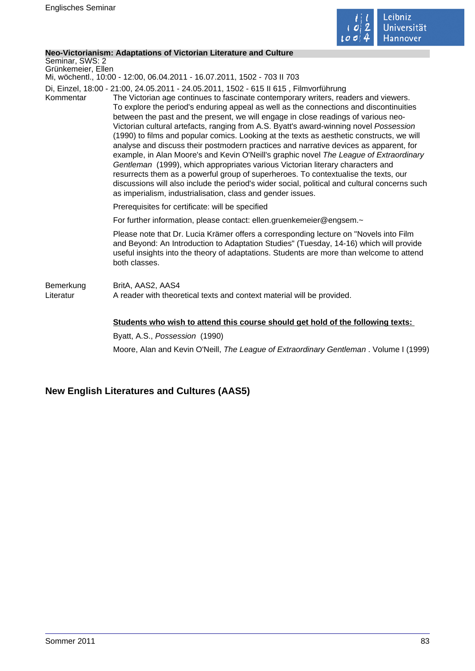

### **Neo-Victorianism: Adaptations of Victorian Literature and Culture**

Seminar, SWS: 2 Grünkemeier, Ellen

Mi, wöchentl., 10:00 - 12:00, 06.04.2011 - 16.07.2011, 1502 - 703 II 703

Di, Einzel, 18:00 - 21:00, 24.05.2011 - 24.05.2011, 1502 - 615 II 615 , Filmvorführung

Kommentar The Victorian age continues to fascinate contemporary writers, readers and viewers. To explore the period's enduring appeal as well as the connections and discontinuities between the past and the present, we will engage in close readings of various neo-Victorian cultural artefacts, ranging from A.S. Byatt's award-winning novel Possession (1990) to films and popular comics. Looking at the texts as aesthetic constructs, we will analyse and discuss their postmodern practices and narrative devices as apparent, for example, in Alan Moore's and Kevin O'Neill's graphic novel The League of Extraordinary Gentleman (1999), which appropriates various Victorian literary characters and resurrects them as a powerful group of superheroes. To contextualise the texts, our discussions will also include the period's wider social, political and cultural concerns such as imperialism, industrialisation, class and gender issues.

Prerequisites for certificate: will be specified

For further information, please contact: ellen.gruenkemeier@engsem.~

Please note that Dr. Lucia Krämer offers a corresponding lecture on "Novels into Film and Beyond: An Introduction to Adaptation Studies" (Tuesday, 14-16) which will provide useful insights into the theory of adaptations. Students are more than welcome to attend both classes.

## Bemerkung BritA, AAS2, AAS4 Literatur **A** reader with theoretical texts and context material will be provided.

## **Students who wish to attend this course should get hold of the following texts:**

Byatt, A.S., Possession (1990) Moore, Alan and Kevin O'Neill, The League of Extraordinary Gentleman . Volume I (1999)

# **New English Literatures and Cultures (AAS5)**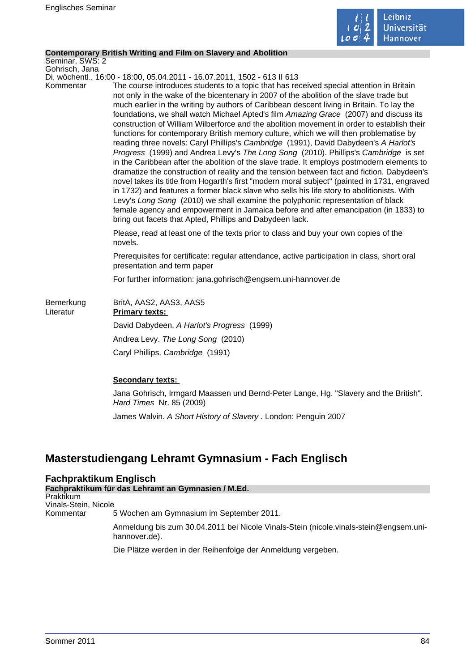

### **Contemporary British Writing and Film on Slavery and Abolition**

Seminar, SWS: 2 Gohrisch, Jana

Di, wöchentl., 16:00 - 18:00, 05.04.2011 - 16.07.2011, 1502 - 613 II 613

Kommentar The course introduces students to a topic that has received special attention in Britain not only in the wake of the bicentenary in 2007 of the abolition of the slave trade but much earlier in the writing by authors of Caribbean descent living in Britain. To lay the foundations, we shall watch Michael Apted's film Amazing Grace (2007) and discuss its construction of William Wilberforce and the abolition movement in order to establish their functions for contemporary British memory culture, which we will then problematise by reading three novels: Caryl Phillips's Cambridge (1991), David Dabydeen's A Harlot's Progress (1999) and Andrea Levy's The Long Song (2010). Phillips's Cambridge is set in the Caribbean after the abolition of the slave trade. It employs postmodern elements to dramatize the construction of reality and the tension between fact and fiction. Dabydeen's novel takes its title from Hogarth's first "modern moral subject" (painted in 1731, engraved in 1732) and features a former black slave who sells his life story to abolitionists. With Levy's Long Song (2010) we shall examine the polyphonic representation of black female agency and empowerment in Jamaica before and after emancipation (in 1833) to bring out facets that Apted, Phillips and Dabydeen lack.

> Please, read at least one of the texts prior to class and buy your own copies of the novels.

Prerequisites for certificate: regular attendance, active participation in class, short oral presentation and term paper

For further information: jana.gohrisch@engsem.uni-hannover.de

| Bemerkung<br>Literatur | BritA, AAS2, AAS3, AAS5<br><b>Primary texts:</b> |
|------------------------|--------------------------------------------------|
|                        | David Dabydeen. A Harlot's Progress (1999)       |
|                        | Andrea Levy. The Long Song (2010)                |
|                        | Caryl Phillips. Cambridge (1991)                 |

## **Secondary texts:**

Jana Gohrisch, Irmgard Maassen und Bernd-Peter Lange, Hg. "Slavery and the British". Hard Times Nr. 85 (2009)

James Walvin. A Short History of Slavery . London: Penguin 2007

# **Masterstudiengang Lehramt Gymnasium - Fach Englisch**

## **Fachpraktikum Englisch**

**Fachpraktikum für das Lehramt an Gymnasien / M.Ed.** Praktikum Vinals-Stein, Nicole Kommentar 5 Wochen am Gymnasium im September 2011. Anmeldung bis zum 30.04.2011 bei Nicole Vinals-Stein (nicole.vinals-stein@engsem.unihannover.de). Die Plätze werden in der Reihenfolge der Anmeldung vergeben.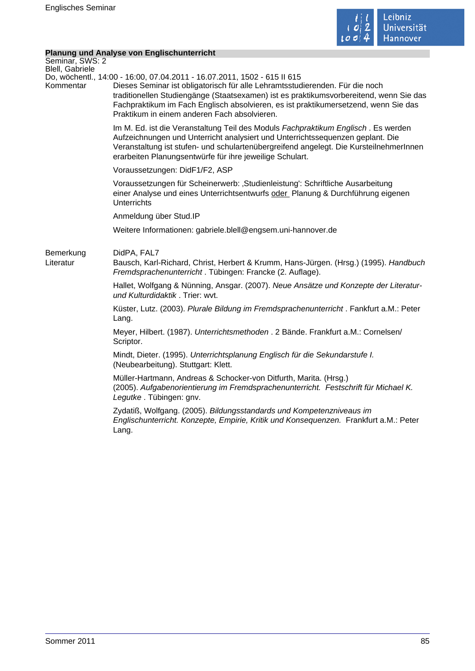

## **Planung und Analyse von Englischunterricht**

|                                    | <b>Planung und Analyse von Englischunterricht</b>                                                                                                                                                                                                                                                                                                                                         |
|------------------------------------|-------------------------------------------------------------------------------------------------------------------------------------------------------------------------------------------------------------------------------------------------------------------------------------------------------------------------------------------------------------------------------------------|
| Seminar, SWS: 2<br>Blell, Gabriele |                                                                                                                                                                                                                                                                                                                                                                                           |
| Kommentar                          | Do, wöchentl., 14:00 - 16:00, 07.04.2011 - 16.07.2011, 1502 - 615 II 615<br>Dieses Seminar ist obligatorisch für alle Lehramtsstudierenden. Für die noch<br>traditionellen Studiengänge (Staatsexamen) ist es praktikumsvorbereitend, wenn Sie das<br>Fachpraktikum im Fach Englisch absolvieren, es ist praktikumersetzend, wenn Sie das<br>Praktikum in einem anderen Fach absolvieren. |
|                                    | Im M. Ed. ist die Veranstaltung Teil des Moduls Fachpraktikum Englisch. Es werden<br>Aufzeichnungen und Unterricht analysiert und Unterrichtssequenzen geplant. Die<br>Veranstaltung ist stufen- und schulartenübergreifend angelegt. Die KursteilnehmerInnen<br>erarbeiten Planungsentwürfe für ihre jeweilige Schulart.                                                                 |
|                                    | Voraussetzungen: DidF1/F2, ASP                                                                                                                                                                                                                                                                                                                                                            |
|                                    | Voraussetzungen für Scheinerwerb: 'Studienleistung': Schriftliche Ausarbeitung<br>einer Analyse und eines Unterrichtsentwurfs oder Planung & Durchführung eigenen<br><b>Unterrichts</b>                                                                                                                                                                                                   |
|                                    | Anmeldung über Stud.IP                                                                                                                                                                                                                                                                                                                                                                    |
|                                    | Weitere Informationen: gabriele.blell@engsem.uni-hannover.de                                                                                                                                                                                                                                                                                                                              |
| Bemerkung<br>Literatur             | DidPA, FAL7<br>Bausch, Karl-Richard, Christ, Herbert & Krumm, Hans-Jürgen. (Hrsg.) (1995). Handbuch<br>Fremdsprachenunterricht. Tübingen: Francke (2. Auflage).                                                                                                                                                                                                                           |
|                                    | Hallet, Wolfgang & Nünning, Ansgar. (2007). Neue Ansätze und Konzepte der Literatur-<br>und Kulturdidaktik. Trier: wvt.                                                                                                                                                                                                                                                                   |
|                                    | Küster, Lutz. (2003). Plurale Bildung im Fremdsprachenunterricht. Fankfurt a.M.: Peter<br>Lang.                                                                                                                                                                                                                                                                                           |
|                                    | Meyer, Hilbert. (1987). Unterrichtsmethoden . 2 Bände. Frankfurt a.M.: Cornelsen/<br>Scriptor.                                                                                                                                                                                                                                                                                            |
|                                    | Mindt, Dieter. (1995). Unterrichtsplanung Englisch für die Sekundarstufe I.<br>(Neubearbeitung). Stuttgart: Klett.                                                                                                                                                                                                                                                                        |
|                                    | Müller-Hartmann, Andreas & Schocker-von Ditfurth, Marita. (Hrsg.)<br>(2005). Aufgabenorientierung im Fremdsprachenunterricht. Festschrift für Michael K.<br>Legutke. Tübingen: gnv.                                                                                                                                                                                                       |
|                                    | Zydatiß, Wolfgang. (2005). Bildungsstandards und Kompetenzniveaus im<br>Englischunterricht. Konzepte, Empirie, Kritik und Konsequenzen. Frankfurt a.M.: Peter<br>Lang.                                                                                                                                                                                                                    |
|                                    |                                                                                                                                                                                                                                                                                                                                                                                           |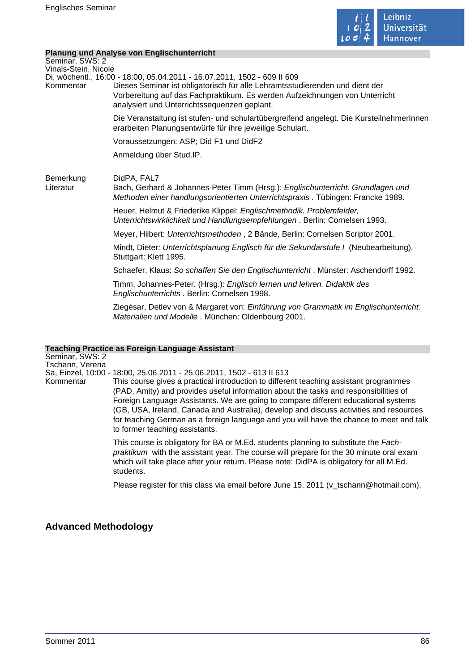

## **Planung und Analyse von Englischunterricht**

|                                         | Planung und Analyse von Englischunterneht                                                                                                                                                                                                                                               |
|-----------------------------------------|-----------------------------------------------------------------------------------------------------------------------------------------------------------------------------------------------------------------------------------------------------------------------------------------|
| Seminar, SWS: 2<br>Vinals-Stein, Nicole |                                                                                                                                                                                                                                                                                         |
| Kommentar                               | Di, wöchentl., 16:00 - 18:00, 05.04.2011 - 16.07.2011, 1502 - 609 II 609<br>Dieses Seminar ist obligatorisch für alle Lehramtsstudierenden und dient der<br>Vorbereitung auf das Fachpraktikum. Es werden Aufzeichnungen von Unterricht<br>analysiert und Unterrichtssequenzen geplant. |
|                                         | Die Veranstaltung ist stufen- und schulartübergreifend angelegt. Die KursteilnehmerInnen<br>erarbeiten Planungsentwürfe für ihre jeweilige Schulart.                                                                                                                                    |
|                                         | Voraussetzungen: ASP; Did F1 und DidF2                                                                                                                                                                                                                                                  |
|                                         | Anmeldung über Stud.IP.                                                                                                                                                                                                                                                                 |
| Bemerkung<br>Literatur                  | DidPA, FAL7<br>Bach, Gerhard & Johannes-Peter Timm (Hrsg.): Englischunterricht. Grundlagen und<br>Methoden einer handlungsorientierten Unterrichtspraxis. Tübingen: Francke 1989.                                                                                                       |
|                                         | Heuer, Helmut & Friederike Klippel: Englischmethodik. Problemfelder,<br>Unterrichtswirklichkeit und Handlungsempfehlungen. Berlin: Cornelsen 1993.                                                                                                                                      |
|                                         | Meyer, Hilbert: Unterrichtsmethoden, 2 Bände, Berlin: Cornelsen Scriptor 2001.                                                                                                                                                                                                          |
|                                         | Mindt, Dieter: Unterrichtsplanung Englisch für die Sekundarstufe I (Neubearbeitung).<br>Stuttgart: Klett 1995.                                                                                                                                                                          |
|                                         | Schaefer, Klaus: So schaffen Sie den Englischunterricht. Münster: Aschendorff 1992.                                                                                                                                                                                                     |
|                                         | Timm, Johannes-Peter. (Hrsg.): Englisch lernen und lehren. Didaktik des<br>Englischunterrichts. Berlin: Cornelsen 1998.                                                                                                                                                                 |
|                                         | Ziegésar, Detlev von & Margaret von: Einführung von Grammatik im Englischunterricht:<br>Materialien und Modelle. München: Oldenbourg 2001.                                                                                                                                              |
|                                         |                                                                                                                                                                                                                                                                                         |

# **Teaching Practice as Foreign Language Assistant**

| Seminar, SWS: 2<br>Tschann, Verena |                                                                                                                                                                                                                                                                                                                                                                                                                                                                                                                                                                     |
|------------------------------------|---------------------------------------------------------------------------------------------------------------------------------------------------------------------------------------------------------------------------------------------------------------------------------------------------------------------------------------------------------------------------------------------------------------------------------------------------------------------------------------------------------------------------------------------------------------------|
| Kommentar                          | Sa, Einzel, 10:00 - 18:00, 25.06.2011 - 25.06.2011, 1502 - 613 II 613<br>This course gives a practical introduction to different teaching assistant programmes<br>(PAD, Amity) and provides useful information about the tasks and responsibilities of<br>Foreign Language Assistants. We are going to compare different educational systems<br>(GB, USA, Ireland, Canada and Australia), develop and discuss activities and resources<br>for teaching German as a foreign language and you will have the chance to meet and talk<br>to former teaching assistants. |
|                                    | This course is obligatory for BA or M.Ed. students planning to substitute the Fach-<br>praktikum with the assistant year. The course will prepare for the 30 minute oral exam<br>which will take place after your return. Please note: DidPA is obligatory for all M.Ed.<br>students.                                                                                                                                                                                                                                                                               |

Please register for this class via email before June 15, 2011 (v\_tschann@hotmail.com).

# **Advanced Methodology**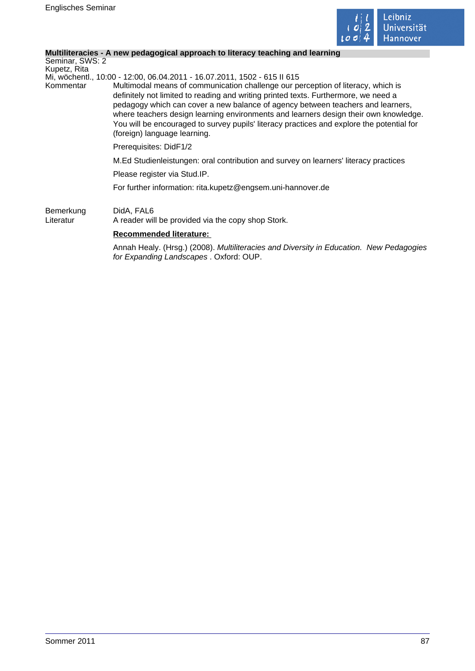

 $\mathbb{R}^3$ 

## **Multiliteracies - A new pedagogical approach to literacy teaching and learning**

| Seminar, SWS: 2<br>Kupetz, Rita |                                                                                                                                                                                                                                                                                                                                                                                                                                                                                 |
|---------------------------------|---------------------------------------------------------------------------------------------------------------------------------------------------------------------------------------------------------------------------------------------------------------------------------------------------------------------------------------------------------------------------------------------------------------------------------------------------------------------------------|
|                                 | Mi, wöchentl., 10:00 - 12:00, 06.04.2011 - 16.07.2011, 1502 - 615 II 615                                                                                                                                                                                                                                                                                                                                                                                                        |
| Kommentar                       | Multimodal means of communication challenge our perception of literacy, which is<br>definitely not limited to reading and writing printed texts. Furthermore, we need a<br>pedagogy which can cover a new balance of agency between teachers and learners,<br>where teachers design learning environments and learners design their own knowledge.<br>You will be encouraged to survey pupils' literacy practices and explore the potential for<br>(foreign) language learning. |
|                                 | Prerequisites: DidF1/2                                                                                                                                                                                                                                                                                                                                                                                                                                                          |
|                                 | M.Ed Studienleistungen: oral contribution and survey on learners' literacy practices                                                                                                                                                                                                                                                                                                                                                                                            |
|                                 | Please register via Stud.IP.                                                                                                                                                                                                                                                                                                                                                                                                                                                    |
|                                 | For further information: rita.kupetz@engsem.uni-hannover.de                                                                                                                                                                                                                                                                                                                                                                                                                     |
| Bemerkung<br>Literatur          | DidA, FAL6<br>A reader will be provided via the copy shop Stork.                                                                                                                                                                                                                                                                                                                                                                                                                |
|                                 | <b>Recommended literature:</b>                                                                                                                                                                                                                                                                                                                                                                                                                                                  |

Annah Healy. (Hrsg.) (2008). Multiliteracies and Diversity in Education. New Pedagogies for Expanding Landscapes . Oxford: OUP.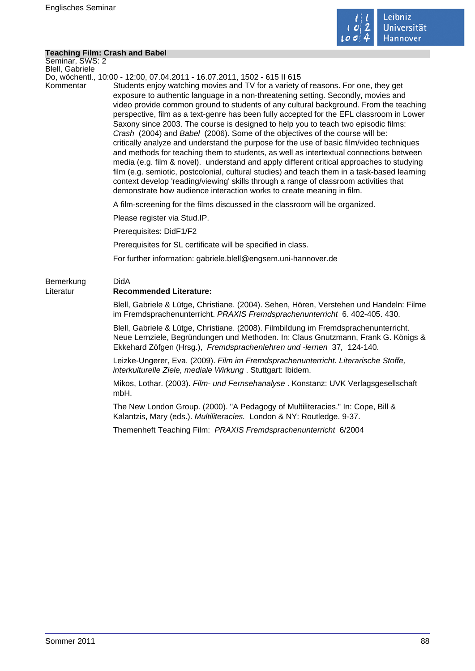

### **Teaching Film: Crash and Babel**

Seminar, SWS: 2 Blell, Gabriele

Do, wöchentl., 10:00 - 12:00, 07.04.2011 - 16.07.2011, 1502 - 615 II 615

Kommentar Students enjoy watching movies and TV for a variety of reasons. For one, they get exposure to authentic language in a non-threatening setting. Secondly, movies and video provide common ground to students of any cultural background. From the teaching perspective, film as a text-genre has been fully accepted for the EFL classroom in Lower Saxony since 2003. The course is designed to help you to teach two episodic films: Crash (2004) and Babel (2006). Some of the objectives of the course will be: critically analyze and understand the purpose for the use of basic film/video techniques and methods for teaching them to students, as well as intertextual connections between media (e.g. film & novel). understand and apply different critical approaches to studying film (e.g. semiotic, postcolonial, cultural studies) and teach them in a task-based learning context develop 'reading/viewing' skills through a range of classroom activities that demonstrate how audience interaction works to create meaning in film.

A film-screening for the films discussed in the classroom will be organized.

Please register via Stud.IP.

Prerequisites: DidF1/F2

Prerequisites for SL certificate will be specified in class.

For further information: gabriele.blell@engsem.uni-hannover.de

# Bemerkung DidA Literatur **Recommended Literature:**

Blell, Gabriele & Lütge, Christiane. (2004). Sehen, Hören, Verstehen und Handeln: Filme im Fremdsprachenunterricht. PRAXIS Fremdsprachenunterricht 6. 402-405. 430.

Blell, Gabriele & Lütge, Christiane. (2008). Filmbildung im Fremdsprachenunterricht. Neue Lernziele, Begründungen und Methoden. In: Claus Gnutzmann, Frank G. Königs & Ekkehard Zöfgen (Hrsg.), Fremdsprachenlehren und -lernen 37, 124-140.

Leizke-Ungerer, Eva. (2009). Film im Fremdsprachenunterricht. Literarische Stoffe, interkulturelle Ziele, mediale Wirkung . Stuttgart: Ibidem.

Mikos, Lothar. (2003). Film- und Fernsehanalyse . Konstanz: UVK Verlagsgesellschaft mbH.

The New London Group. (2000). "A Pedagogy of Multiliteracies." In: Cope, Bill & Kalantzis, Mary (eds.). Multiliteracies. London & NY: Routledge. 9-37.

Themenheft Teaching Film:PRAXIS Fremdsprachenunterricht 6/2004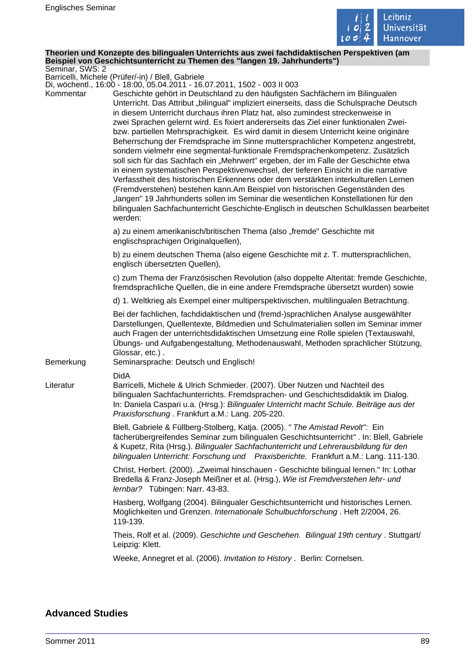

#### **Theorien und Konzepte des bilingualen Unterrichts aus zwei fachdidaktischen Perspektiven (am Beispiel von Geschichtsunterricht zu Themen des "langen 19. Jahrhunderts")** Seminar, SWS: 2

Barricelli, Michele (Prüfer/-in) / Blell, Gabriele

Di, wöchentl., 16:00 - 18:00, 05.04.2011 - 16.07.2011, 1502 - 003 II 003

| Kommentar | DI, WOCHEHII., TO.UU - TO.UU, U3.U4.ZUTT - TO.U7.ZUTT, T3UZ - UU3 II UU3<br>Geschichte gehört in Deutschland zu den häufigsten Sachfächern im Bilingualen<br>Unterricht. Das Attribut "bilingual" impliziert einerseits, dass die Schulsprache Deutsch<br>in diesem Unterricht durchaus ihren Platz hat, also zumindest streckenweise in<br>zwei Sprachen gelernt wird. Es fixiert andererseits das Ziel einer funktionalen Zwei-<br>bzw. partiellen Mehrsprachigkeit. Es wird damit in diesem Unterricht keine originäre<br>Beherrschung der Fremdsprache im Sinne muttersprachlicher Kompetenz angestrebt,<br>sondern vielmehr eine segmental-funktionale Fremdsprachenkompetenz. Zusätzlich<br>soll sich für das Sachfach ein "Mehrwert" ergeben, der im Falle der Geschichte etwa<br>in einem systematischen Perspektivenwechsel, der tieferen Einsicht in die narrative<br>Verfasstheit des historischen Erkennens oder dem verstärkten interkulturellen Lernen<br>(Fremdverstehen) bestehen kann.Am Beispiel von historischen Gegenständen des<br>"langen" 19 Jahrhunderts sollen im Seminar die wesentlichen Konstellationen für den<br>bilingualen Sachfachunterricht Geschichte-Englisch in deutschen Schulklassen bearbeitet |
|-----------|----------------------------------------------------------------------------------------------------------------------------------------------------------------------------------------------------------------------------------------------------------------------------------------------------------------------------------------------------------------------------------------------------------------------------------------------------------------------------------------------------------------------------------------------------------------------------------------------------------------------------------------------------------------------------------------------------------------------------------------------------------------------------------------------------------------------------------------------------------------------------------------------------------------------------------------------------------------------------------------------------------------------------------------------------------------------------------------------------------------------------------------------------------------------------------------------------------------------------------------|
|           | werden:<br>a) zu einem amerikanisch/britischen Thema (also "fremde" Geschichte mit                                                                                                                                                                                                                                                                                                                                                                                                                                                                                                                                                                                                                                                                                                                                                                                                                                                                                                                                                                                                                                                                                                                                                     |
|           | englischsprachigen Originalquellen),                                                                                                                                                                                                                                                                                                                                                                                                                                                                                                                                                                                                                                                                                                                                                                                                                                                                                                                                                                                                                                                                                                                                                                                                   |
|           | b) zu einem deutschen Thema (also eigene Geschichte mit z. T. muttersprachlichen,<br>englisch übersetzten Quellen),                                                                                                                                                                                                                                                                                                                                                                                                                                                                                                                                                                                                                                                                                                                                                                                                                                                                                                                                                                                                                                                                                                                    |
|           | c) zum Thema der Französischen Revolution (also doppelte Alterität: fremde Geschichte,<br>fremdsprachliche Quellen, die in eine andere Fremdsprache übersetzt wurden) sowie                                                                                                                                                                                                                                                                                                                                                                                                                                                                                                                                                                                                                                                                                                                                                                                                                                                                                                                                                                                                                                                            |
|           | d) 1. Weltkrieg als Exempel einer multiperspektivischen, multilingualen Betrachtung.                                                                                                                                                                                                                                                                                                                                                                                                                                                                                                                                                                                                                                                                                                                                                                                                                                                                                                                                                                                                                                                                                                                                                   |
| Bemerkung | Bei der fachlichen, fachdidaktischen und (fremd-)sprachlichen Analyse ausgewählter<br>Darstellungen, Quellentexte, Bildmedien und Schulmaterialien sollen im Seminar immer<br>auch Fragen der unterrichtsdidaktischen Umsetzung eine Rolle spielen (Textauswahl,<br>Übungs- und Aufgabengestaltung, Methodenauswahl, Methoden sprachlicher Stützung,<br>Glossar, etc.).<br>Seminarsprache: Deutsch und Englisch!                                                                                                                                                                                                                                                                                                                                                                                                                                                                                                                                                                                                                                                                                                                                                                                                                       |
|           | <b>DidA</b>                                                                                                                                                                                                                                                                                                                                                                                                                                                                                                                                                                                                                                                                                                                                                                                                                                                                                                                                                                                                                                                                                                                                                                                                                            |
| Literatur | Barricelli, Michele & Ulrich Schmieder. (2007). Über Nutzen und Nachteil des<br>bilingualen Sachfachunterrichts. Fremdsprachen- und Geschichtsdidaktik im Dialog.<br>In: Daniela Caspari u.a. (Hrsg.): Bilingualer Unterricht macht Schule. Beiträge aus der<br>Praxisforschung. Frankfurt a.M.: Lang. 205-220.                                                                                                                                                                                                                                                                                                                                                                                                                                                                                                                                                                                                                                                                                                                                                                                                                                                                                                                        |
|           | Blell, Gabriele & Füllberg-Stolberg, Katja. (2005). " The Amistad Revolt": Ein<br>fächerübergreifendes Seminar zum bilingualen Geschichtsunterricht". In: Blell, Gabriele<br>& Kupetz, Rita (Hrsg.). Bilingualer Sachfachunterricht und Lehrerausbildung für den<br>bilingualen Unterricht: Forschung und Praxisberichte. Frankfurt a.M.: Lang. 111-130.                                                                                                                                                                                                                                                                                                                                                                                                                                                                                                                                                                                                                                                                                                                                                                                                                                                                               |
|           | Christ, Herbert. (2000). "Zweimal hinschauen - Geschichte bilingual lernen." In: Lothar<br>Bredella & Franz-Joseph Meißner et al. (Hrsg.), Wie ist Fremdverstehen lehr- und<br>lernbar? Tübingen: Narr. 43-83.                                                                                                                                                                                                                                                                                                                                                                                                                                                                                                                                                                                                                                                                                                                                                                                                                                                                                                                                                                                                                         |
|           | Hasberg, Wolfgang (2004). Bilingualer Geschichtsunterricht und historisches Lernen.<br>Möglichkeiten und Grenzen. Internationale Schulbuchforschung. Heft 2/2004, 26.<br>119-139.                                                                                                                                                                                                                                                                                                                                                                                                                                                                                                                                                                                                                                                                                                                                                                                                                                                                                                                                                                                                                                                      |
|           | Theis, Rolf et al. (2009). Geschichte und Geschehen. Bilingual 19th century . Stuttgart/<br>Leipzig: Klett.                                                                                                                                                                                                                                                                                                                                                                                                                                                                                                                                                                                                                                                                                                                                                                                                                                                                                                                                                                                                                                                                                                                            |
|           | Weeke, Annegret et al. (2006). Invitation to History. Berlin: Cornelsen.                                                                                                                                                                                                                                                                                                                                                                                                                                                                                                                                                                                                                                                                                                                                                                                                                                                                                                                                                                                                                                                                                                                                                               |
|           |                                                                                                                                                                                                                                                                                                                                                                                                                                                                                                                                                                                                                                                                                                                                                                                                                                                                                                                                                                                                                                                                                                                                                                                                                                        |

## **Advanced Studies**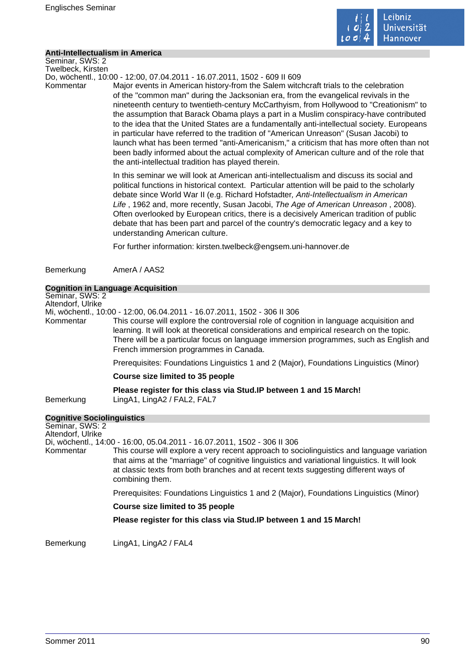

#### **Anti-Intellectualism in America**

Seminar, SWS: 2 Twelbeck, Kirsten

Do, wöchentl., 10:00 - 12:00, 07.04.2011 - 16.07.2011, 1502 - 609 II 609

Kommentar Major events in American history-from the Salem witchcraft trials to the celebration of the "common man" during the Jacksonian era, from the evangelical revivals in the nineteenth century to twentieth-century McCarthyism, from Hollywood to "Creationism" to the assumption that Barack Obama plays a part in a Muslim conspiracy-have contributed to the idea that the United States are a fundamentally anti-intellectual society. Europeans in particular have referred to the tradition of "American Unreason" (Susan Jacobi) to launch what has been termed "anti-Americanism," a criticism that has more often than not been badly informed about the actual complexity of American culture and of the role that the anti-intellectual tradition has played therein.

> In this seminar we will look at American anti-intellectualism and discuss its social and political functions in historical context. Particular attention will be paid to the scholarly debate since World War II (e.g. Richard Hofstadter, Anti-Intellectualism in American Life , 1962 and, more recently, Susan Jacobi, The Age of American Unreason , 2008). Often overlooked by European critics, there is a decisively American tradition of public debate that has been part and parcel of the country's democratic legacy and a key to understanding American culture.

For further information: kirsten.twelbeck@engsem.uni-hannover.de

Bemerkung AmerA / AAS2

### **Cognition in Language Acquisition**

Seminar, SWS: 2 Altendorf, Ulrike

Mi, wöchentl., 10:00 - 12:00, 06.04.2011 - 16.07.2011, 1502 - 306 II 306

This course will explore the controversial role of cognition in language acquisition and learning. It will look at theoretical considerations and empirical research on the topic. There will be a particular focus on language immersion programmes, such as English and French immersion programmes in Canada.

Prerequisites: Foundations Linguistics 1 and 2 (Major), Foundations Linguistics (Minor)

#### **Course size limited to 35 people**

**Please register for this class via Stud.IP between 1 and 15 March!** 

Bemerkung LingA1, LingA2 / FAL2, FAL7

## **Cognitive Sociolinguistics**

Seminar, SWS: 2 Altendorf, Ulrike Di, wöchentl., 14:00 - 16:00, 05.04.2011 - 16.07.2011, 1502 - 306 II 306 Kommentar This course will explore a very recent approach to sociolinguistics and language variation that aims at the "marriage" of cognitive linguistics and variational linguistics. It will look at classic texts from both branches and at recent texts suggesting different ways of combining them. Prerequisites: Foundations Linguistics 1 and 2 (Major), Foundations Linguistics (Minor) **Course size limited to 35 people Please register for this class via Stud.IP between 1 and 15 March!** 

Bemerkung LingA1, LingA2 / FAL4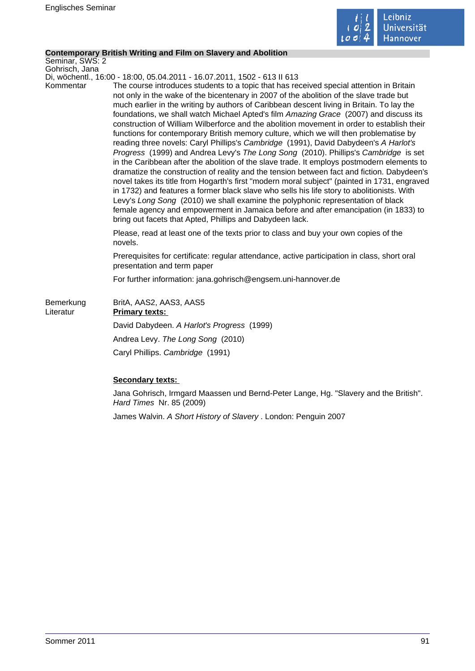

## **Contemporary British Writing and Film on Slavery and Abolition**

Seminar, SWS: 2 Gohrisch, Jana

Di, wöchentl., 16:00 - 18:00, 05.04.2011 - 16.07.2011, 1502 - 613 II 613

Kommentar The course introduces students to a topic that has received special attention in Britain not only in the wake of the bicentenary in 2007 of the abolition of the slave trade but much earlier in the writing by authors of Caribbean descent living in Britain. To lay the foundations, we shall watch Michael Apted's film Amazing Grace (2007) and discuss its construction of William Wilberforce and the abolition movement in order to establish their functions for contemporary British memory culture, which we will then problematise by reading three novels: Caryl Phillips's Cambridge (1991), David Dabydeen's A Harlot's Progress (1999) and Andrea Levy's The Long Song (2010). Phillips's Cambridge is set in the Caribbean after the abolition of the slave trade. It employs postmodern elements to dramatize the construction of reality and the tension between fact and fiction. Dabydeen's novel takes its title from Hogarth's first "modern moral subject" (painted in 1731, engraved in 1732) and features a former black slave who sells his life story to abolitionists. With Levy's Long Song (2010) we shall examine the polyphonic representation of black female agency and empowerment in Jamaica before and after emancipation (in 1833) to bring out facets that Apted, Phillips and Dabydeen lack.

> Please, read at least one of the texts prior to class and buy your own copies of the novels.

Prerequisites for certificate: regular attendance, active participation in class, short oral presentation and term paper

For further information: jana.gohrisch@engsem.uni-hannover.de

| Bemerkung<br>Literatur | BritA, AAS2, AAS3, AAS5<br><b>Primary texts:</b> |
|------------------------|--------------------------------------------------|
|                        | David Dabydeen. A Harlot's Progress (1999)       |
|                        | Andrea Levy. The Long Song (2010)                |
|                        | Caryl Phillips. Cambridge (1991)                 |

## **Secondary texts:**

Jana Gohrisch, Irmgard Maassen und Bernd-Peter Lange, Hg. "Slavery and the British". Hard Times Nr. 85 (2009)

James Walvin. A Short History of Slavery . London: Penguin 2007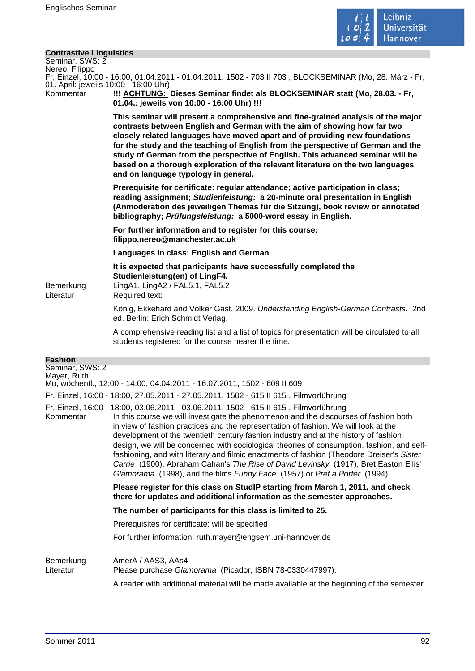

## **Contrastive Linguistics**

| <b>Contrastive Linguistics</b><br>Seminar, SWS: 2<br>Nereo, Filippo |                                                                                                                                                                                                                                                                                                                                                                                                                                                                                                                                                                                                                                                                                                                              |
|---------------------------------------------------------------------|------------------------------------------------------------------------------------------------------------------------------------------------------------------------------------------------------------------------------------------------------------------------------------------------------------------------------------------------------------------------------------------------------------------------------------------------------------------------------------------------------------------------------------------------------------------------------------------------------------------------------------------------------------------------------------------------------------------------------|
|                                                                     | Fr, Einzel, 10:00 - 16:00, 01.04.2011 - 01.04.2011, 1502 - 703 II 703, BLOCKSEMINAR (Mo, 28. März - Fr,                                                                                                                                                                                                                                                                                                                                                                                                                                                                                                                                                                                                                      |
| 01. April: jeweils 10:00 - 16:00 Uhr)<br>Kommentar                  | !!! ACHTUNG: Dieses Seminar findet als BLOCKSEMINAR statt (Mo, 28.03. - Fr,<br>01.04.: jeweils von 10:00 - 16:00 Uhr) !!!                                                                                                                                                                                                                                                                                                                                                                                                                                                                                                                                                                                                    |
|                                                                     | This seminar will present a comprehensive and fine-grained analysis of the major<br>contrasts between English and German with the aim of showing how far two<br>closely related languages have moved apart and of providing new foundations<br>for the study and the teaching of English from the perspective of German and the<br>study of German from the perspective of English. This advanced seminar will be<br>based on a thorough exploration of the relevant literature on the two languages<br>and on language typology in general.                                                                                                                                                                                 |
|                                                                     | Prerequisite for certificate: regular attendance; active participation in class;<br>reading assignment; Studienleistung: a 20-minute oral presentation in English<br>(Anmoderation des jeweiligen Themas für die Sitzung), book review or annotated<br>bibliography; Prüfungsleistung: a 5000-word essay in English.                                                                                                                                                                                                                                                                                                                                                                                                         |
|                                                                     | For further information and to register for this course:<br>filippo.nereo@manchester.ac.uk                                                                                                                                                                                                                                                                                                                                                                                                                                                                                                                                                                                                                                   |
|                                                                     | Languages in class: English and German                                                                                                                                                                                                                                                                                                                                                                                                                                                                                                                                                                                                                                                                                       |
| Bemerkung<br>Literatur                                              | It is expected that participants have successfully completed the<br>Studienleistung(en) of LingF4.<br>LingA1, LingA2 / FAL5.1, FAL5.2<br>Required text:                                                                                                                                                                                                                                                                                                                                                                                                                                                                                                                                                                      |
|                                                                     | König, Ekkehard and Volker Gast. 2009. Understanding English-German Contrasts. 2nd<br>ed. Berlin: Erich Schmidt Verlag.                                                                                                                                                                                                                                                                                                                                                                                                                                                                                                                                                                                                      |
|                                                                     | A comprehensive reading list and a list of topics for presentation will be circulated to all<br>students registered for the course nearer the time.                                                                                                                                                                                                                                                                                                                                                                                                                                                                                                                                                                          |
| <b>Fashion</b>                                                      |                                                                                                                                                                                                                                                                                                                                                                                                                                                                                                                                                                                                                                                                                                                              |
| Seminar, SWS: 2<br>Mayer, Ruth                                      | Mo, wöchentl., 12:00 - 14:00, 04.04.2011 - 16.07.2011, 1502 - 609 II 609                                                                                                                                                                                                                                                                                                                                                                                                                                                                                                                                                                                                                                                     |
|                                                                     | Fr, Einzel, 16:00 - 18:00, 27.05.2011 - 27.05.2011, 1502 - 615 II 615, Filmvorführung                                                                                                                                                                                                                                                                                                                                                                                                                                                                                                                                                                                                                                        |
| Kommentar                                                           | Fr, Einzel, 16:00 - 18:00, 03.06.2011 - 03.06.2011, 1502 - 615 II 615, Filmvorführung<br>In this course we will investigate the phenomenon and the discourses of fashion both<br>in view of fashion practices and the representation of fashion. We will look at the<br>development of the twentieth century fashion industry and at the history of fashion<br>design, we will be concerned with sociological theories of consumption, fashion, and self-<br>fashioning, and with literary and filmic enactments of fashion (Theodore Dreiser's Sister<br>Carrie (1900), Abraham Cahan's The Rise of David Levinsky (1917), Bret Easton Ellis'<br>Glamorama (1998), and the films Funny Face (1957) or Pret a Porter (1994). |
|                                                                     | Please register for this class on StudIP starting from March 1, 2011, and check<br>there for updates and additional information as the semester approaches.                                                                                                                                                                                                                                                                                                                                                                                                                                                                                                                                                                  |
|                                                                     | The number of participants for this class is limited to 25.                                                                                                                                                                                                                                                                                                                                                                                                                                                                                                                                                                                                                                                                  |
|                                                                     | Prerequisites for certificate: will be specified                                                                                                                                                                                                                                                                                                                                                                                                                                                                                                                                                                                                                                                                             |
|                                                                     | For further information: ruth.mayer@engsem.uni-hannover.de                                                                                                                                                                                                                                                                                                                                                                                                                                                                                                                                                                                                                                                                   |
| Bemerkung<br>Literatur                                              | AmerA / AAS3, AAs4<br>Please purchase Glamorama (Picador, ISBN 78-0330447997).<br>A reader with additional material will be made available at the beginning of the semester.                                                                                                                                                                                                                                                                                                                                                                                                                                                                                                                                                 |
|                                                                     |                                                                                                                                                                                                                                                                                                                                                                                                                                                                                                                                                                                                                                                                                                                              |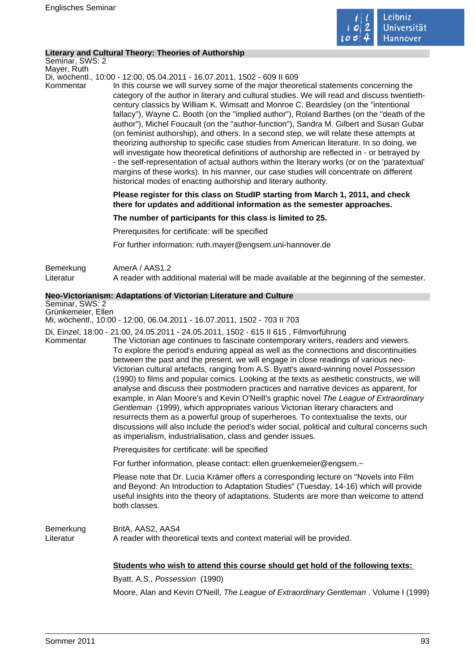

## **Literary and Cultural Theory: Theories of Authorship**

Seminar, SWS: 2 Mayer, Ruth

Di, wöchentl., 10:00 - 12:00, 05.04.2011 - 16.07.2011, 1502 - 609 II 609

Kommentar In this course we will survey some of the major theoretical statements concerning the category of the author in literary and cultural studies. We will read and discuss twentiethcentury classics by William K. Wimsatt and Monroe C. Beardsley (on the "intentional fallacy"), Wayne C. Booth (on the "implied author"), Roland Barthes (on the "death of the author"), Michel Foucault (on the "author-function"), Sandra M. Gilbert and Susan Gubar (on feminist authorship), and others. In a second step, we will relate these attempts at theorizing authorship to specific case studies from American literature. In so doing, we will investigate how theoretical definitions of authorship are reflected in - or betrayed by - the self-representation of actual authors within the literary works (or on the 'paratextual' margins of these works). In his manner, our case studies will concentrate on different historical modes of enacting authorship and literary authority.

> **Please register for this class on StudIP starting from March 1, 2011, and check there for updates and additional information as the semester approaches.**

**The number of participants for this class is limited to 25.** 

Prerequisites for certificate: will be specified

For further information: ruth.mayer@engsem.uni-hannover.de

Bemerkung AmerA / AAS1.2 Literatur A reader with additional material will be made available at the beginning of the semester.

## **Neo-Victorianism: Adaptations of Victorian Literature and Culture**

Seminar, SWS: 2 Grünkemeier, Ellen

Mi, wöchentl., 10:00 - 12:00, 06.04.2011 - 16.07.2011, 1502 - 703 II 703

Di, Einzel, 18:00 - 21:00, 24.05.2011 - 24.05.2011, 1502 - 615 II 615 , Filmvorführung

Kommentar The Victorian age continues to fascinate contemporary writers, readers and viewers. To explore the period's enduring appeal as well as the connections and discontinuities between the past and the present, we will engage in close readings of various neo-Victorian cultural artefacts, ranging from A.S. Byatt's award-winning novel Possession (1990) to films and popular comics. Looking at the texts as aesthetic constructs, we will analyse and discuss their postmodern practices and narrative devices as apparent, for example, in Alan Moore's and Kevin O'Neill's graphic novel The League of Extraordinary Gentleman (1999), which appropriates various Victorian literary characters and resurrects them as a powerful group of superheroes. To contextualise the texts, our discussions will also include the period's wider social, political and cultural concerns such as imperialism, industrialisation, class and gender issues.

Prerequisites for certificate: will be specified

For further information, please contact: ellen.gruenkemeier@engsem.~

Please note that Dr. Lucia Krämer offers a corresponding lecture on "Novels into Film and Beyond: An Introduction to Adaptation Studies" (Tuesday, 14-16) which will provide useful insights into the theory of adaptations. Students are more than welcome to attend both classes.

Bemerkung BritA, AAS2, AAS4 Literatur **A** reader with theoretical texts and context material will be provided.

#### **Students who wish to attend this course should get hold of the following texts:**

Byatt, A.S., Possession (1990)

Moore, Alan and Kevin O'Neill, The League of Extraordinary Gentleman . Volume I (1999)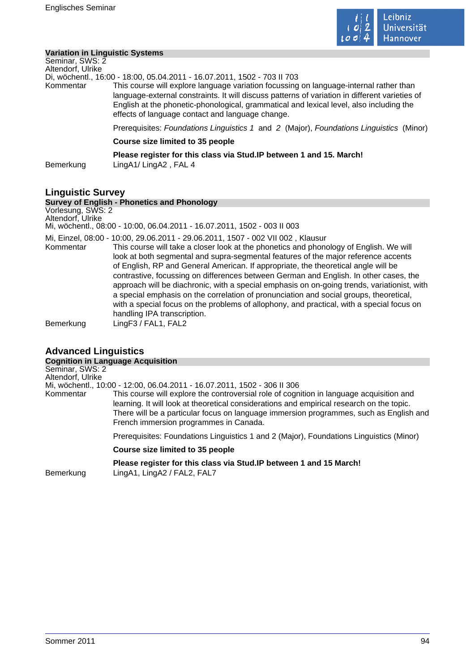

## **Variation in Linguistic Systems**

| Seminar, SWS: 2          |                                                                                                                                                                                                                                                                                                                                                                                                                     |
|--------------------------|---------------------------------------------------------------------------------------------------------------------------------------------------------------------------------------------------------------------------------------------------------------------------------------------------------------------------------------------------------------------------------------------------------------------|
| Altendorf, Ulrike        |                                                                                                                                                                                                                                                                                                                                                                                                                     |
| Kommentar                | Di, wöchentl., 16:00 - 18:00, 05.04.2011 - 16.07.2011, 1502 - 703 II 703<br>This course will explore language variation focussing on language-internal rather than<br>language-external constraints. It will discuss patterns of variation in different varieties of<br>English at the phonetic-phonological, grammatical and lexical level, also including the<br>effects of language contact and language change. |
|                          | Prerequisites: Foundations Linguistics 1 and 2 (Major), Foundations Linguistics (Minor)                                                                                                                                                                                                                                                                                                                             |
|                          | Course size limited to 35 people                                                                                                                                                                                                                                                                                                                                                                                    |
| Bemerkung                | Please register for this class via Stud. IP between 1 and 15. March!<br>LingA1/LingA2, FAL 4                                                                                                                                                                                                                                                                                                                        |
| <b>Linguistic Survey</b> | <b>Survey of English - Phonetics and Phonology</b>                                                                                                                                                                                                                                                                                                                                                                  |
| Vorlesung, SWS: 2        |                                                                                                                                                                                                                                                                                                                                                                                                                     |

Altendorf, Ulrike Mi, wöchentl., 08:00 - 10:00, 06.04.2011 - 16.07.2011, 1502 - 003 II 003 Mi, Einzel, 08:00 - 10:00, 29.06.2011 - 29.06.2011, 1507 - 002 VII 002 , Klausur Kommentar This course will take a closer look at the phonetics and phonology of English. We will look at both segmental and supra-segmental features of the major reference accents of English, RP and General American. If appropriate, the theoretical angle will be contrastive, focussing on differences between German and English. In other cases, the approach will be diachronic, with a special emphasis on on-going trends, variationist, with a special emphasis on the correlation of pronunciation and social groups, theoretical, with a special focus on the problems of allophony, and practical, with a special focus on handling IPA transcription. Bemerkung LingF3 / FAL1, FAL2

# **Advanced Linguistics**

| <b>Cognition in Language Acquisition</b> |                                                                                                                                                                                                                                                                                                                           |
|------------------------------------------|---------------------------------------------------------------------------------------------------------------------------------------------------------------------------------------------------------------------------------------------------------------------------------------------------------------------------|
| Seminar, SWS: 2                          |                                                                                                                                                                                                                                                                                                                           |
| Altendorf, Ulrike                        |                                                                                                                                                                                                                                                                                                                           |
|                                          | Mi, wöchentl., 10:00 - 12:00, 06.04.2011 - 16.07.2011, 1502 - 306 II 306                                                                                                                                                                                                                                                  |
| Kommentar                                | This course will explore the controversial role of cognition in language acquisition and<br>learning. It will look at theoretical considerations and empirical research on the topic.<br>There will be a particular focus on language immersion programmes, such as English and<br>French immersion programmes in Canada. |
|                                          | Prerequisites: Foundations Linguistics 1 and 2 (Major), Foundations Linguistics (Minor)                                                                                                                                                                                                                                   |
|                                          | Course size limited to 35 people                                                                                                                                                                                                                                                                                          |
| Bemerkung                                | Please register for this class via Stud. IP between 1 and 15 March!<br>LingA1, LingA2 / FAL2, FAL7                                                                                                                                                                                                                        |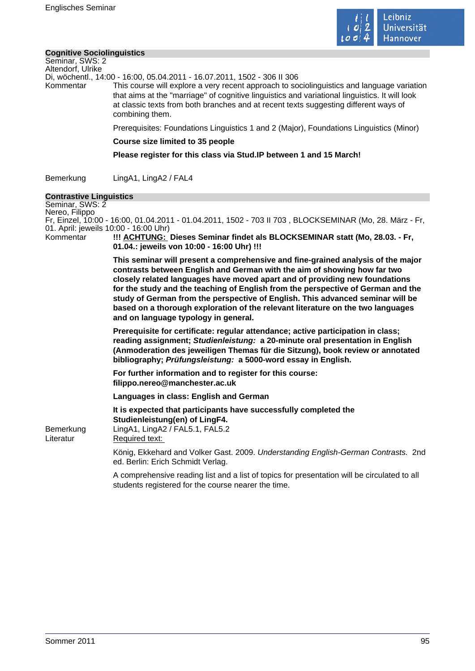

#### **Cognitive Sociolinguistics**

Seminar, SWS: 2 Altendorf, Ulrike

Di, wöchentl., 14:00 - 16:00, 05.04.2011 - 16.07.2011, 1502 - 306 II 306

Kommentar This course will explore a very recent approach to sociolinguistics and language variation that aims at the "marriage" of cognitive linguistics and variational linguistics. It will look at classic texts from both branches and at recent texts suggesting different ways of combining them.

Prerequisites: Foundations Linguistics 1 and 2 (Major), Foundations Linguistics (Minor)

#### **Course size limited to 35 people**

**Please register for this class via Stud.IP between 1 and 15 March!** 

Bemerkung LingA1, LingA2 / FAL4

#### **Contrastive Linguistics**

Seminar, SWS: 2 Nereo, Filippo Fr, Einzel, 10:00 - 16:00, 01.04.2011 - 01.04.2011, 1502 - 703 II 703 , BLOCKSEMINAR (Mo, 28. März - Fr, 01. April: jeweils 10:00 - 16:00 Uhr) Kommentar **!!! ACHTUNG: Dieses Seminar findet als BLOCKSEMINAR statt (Mo, 28.03. - Fr, 01.04.: jeweils von 10:00 - 16:00 Uhr) !!! This seminar will present a comprehensive and fine-grained analysis of the major contrasts between English and German with the aim of showing how far two closely related languages have moved apart and of providing new foundations for the study and the teaching of English from the perspective of German and the study of German from the perspective of English. This advanced seminar will be based on a thorough exploration of the relevant literature on the two languages and on language typology in general. Prerequisite for certificate: regular attendance; active participation in class; reading assignment; Studienleistung: a 20-minute oral presentation in English (Anmoderation des jeweiligen Themas für die Sitzung), book review or annotated bibliography; Prüfungsleistung: a 5000-word essay in English. For further information and to register for this course: filippo.nereo@manchester.ac.uk Languages in class: English and German It is expected that participants have successfully completed the Studienleistung(en) of LingF4.**  Bemerkung LingA1, LingA2 / FAL5.1, FAL5.2 Literatur Required text: König, Ekkehard and Volker Gast. 2009. Understanding English-German Contrasts. 2nd ed. Berlin: Erich Schmidt Verlag. A comprehensive reading list and a list of topics for presentation will be circulated to all students registered for the course nearer the time.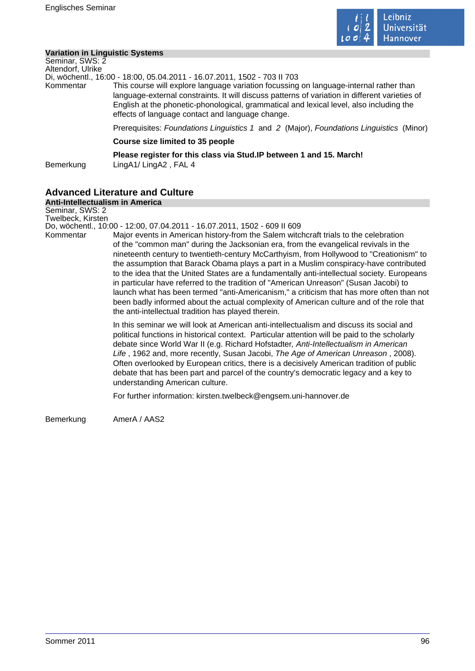

## **Variation in Linguistic Systems**

| Seminar, SWS: 2<br>Altendorf, Ulrike |                                                                                                                                                                                                                                                                                                                                         |
|--------------------------------------|-----------------------------------------------------------------------------------------------------------------------------------------------------------------------------------------------------------------------------------------------------------------------------------------------------------------------------------------|
|                                      | Di, wöchentl., 16:00 - 18:00, 05.04.2011 - 16.07.2011, 1502 - 703 II 703                                                                                                                                                                                                                                                                |
| Kommentar                            | This course will explore language variation focussing on language-internal rather than<br>language-external constraints. It will discuss patterns of variation in different varieties of<br>English at the phonetic-phonological, grammatical and lexical level, also including the<br>effects of language contact and language change. |
|                                      | Prerequisites: Foundations Linguistics 1 and 2 (Major), Foundations Linguistics (Minor)                                                                                                                                                                                                                                                 |
|                                      | Course size limited to 35 people                                                                                                                                                                                                                                                                                                        |
| Bemerkung                            | Please register for this class via Stud. IP between 1 and 15. March!<br>LingA1/LingA2, FAL 4                                                                                                                                                                                                                                            |

## **Advanced Literature and Culture**

**Anti-Intellectualism in America** Seminar, SWS: 2 Twelbeck, Kirsten Do, wöchentl., 10:00 - 12:00, 07.04.2011 - 16.07.2011, 1502 - 609 II 609 Kommentar Major events in American history-from the Salem witchcraft trials to the celebration of the "common man" during the Jacksonian era, from the evangelical revivals in the nineteenth century to twentieth-century McCarthyism, from Hollywood to "Creationism" to the assumption that Barack Obama plays a part in a Muslim conspiracy-have contributed to the idea that the United States are a fundamentally anti-intellectual society. Europeans in particular have referred to the tradition of "American Unreason" (Susan Jacobi) to launch what has been termed "anti-Americanism," a criticism that has more often than not been badly informed about the actual complexity of American culture and of the role that the anti-intellectual tradition has played therein. In this seminar we will look at American anti-intellectualism and discuss its social and political functions in historical context. Particular attention will be paid to the scholarly debate since World War II (e.g. Richard Hofstadter, Anti-Intellectualism in American Life, 1962 and, more recently, Susan Jacobi, The Age of American Unreason, 2008). Often overlooked by European critics, there is a decisively American tradition of public debate that has been part and parcel of the country's democratic legacy and a key to understanding American culture. For further information: kirsten.twelbeck@engsem.uni-hannover.de Bemerkung AmerA / AAS2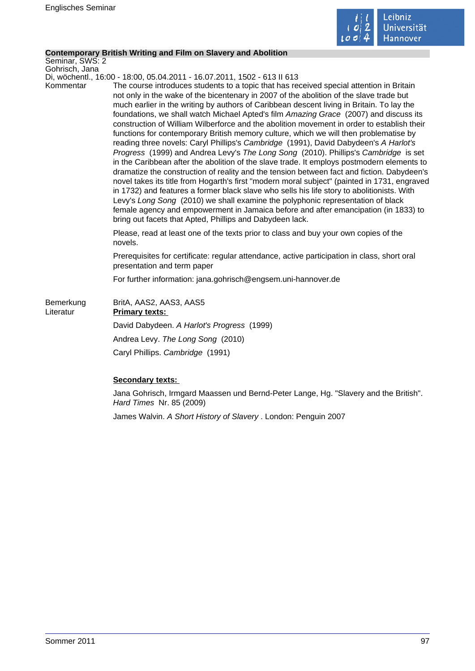

## **Contemporary British Writing and Film on Slavery and Abolition**

Seminar, SWS: 2 Gohrisch, Jana

Di, wöchentl., 16:00 - 18:00, 05.04.2011 - 16.07.2011, 1502 - 613 II 613

Kommentar The course introduces students to a topic that has received special attention in Britain not only in the wake of the bicentenary in 2007 of the abolition of the slave trade but much earlier in the writing by authors of Caribbean descent living in Britain. To lay the foundations, we shall watch Michael Apted's film Amazing Grace (2007) and discuss its construction of William Wilberforce and the abolition movement in order to establish their functions for contemporary British memory culture, which we will then problematise by reading three novels: Caryl Phillips's Cambridge (1991), David Dabydeen's A Harlot's Progress (1999) and Andrea Levy's The Long Song (2010). Phillips's Cambridge is set in the Caribbean after the abolition of the slave trade. It employs postmodern elements to dramatize the construction of reality and the tension between fact and fiction. Dabydeen's novel takes its title from Hogarth's first "modern moral subject" (painted in 1731, engraved in 1732) and features a former black slave who sells his life story to abolitionists. With Levy's Long Song (2010) we shall examine the polyphonic representation of black female agency and empowerment in Jamaica before and after emancipation (in 1833) to bring out facets that Apted, Phillips and Dabydeen lack.

> Please, read at least one of the texts prior to class and buy your own copies of the novels.

Prerequisites for certificate: regular attendance, active participation in class, short oral presentation and term paper

For further information: jana.gohrisch@engsem.uni-hannover.de

| Bemerkung<br>Literatur | BritA, AAS2, AAS3, AAS5<br><b>Primary texts:</b> |
|------------------------|--------------------------------------------------|
|                        | David Dabydeen. A Harlot's Progress (1999)       |
|                        | Andrea Levy. The Long Song (2010)                |
|                        | Caryl Phillips. Cambridge (1991)                 |

## **Secondary texts:**

Jana Gohrisch, Irmgard Maassen und Bernd-Peter Lange, Hg. "Slavery and the British". Hard Times Nr. 85 (2009)

James Walvin. A Short History of Slavery . London: Penguin 2007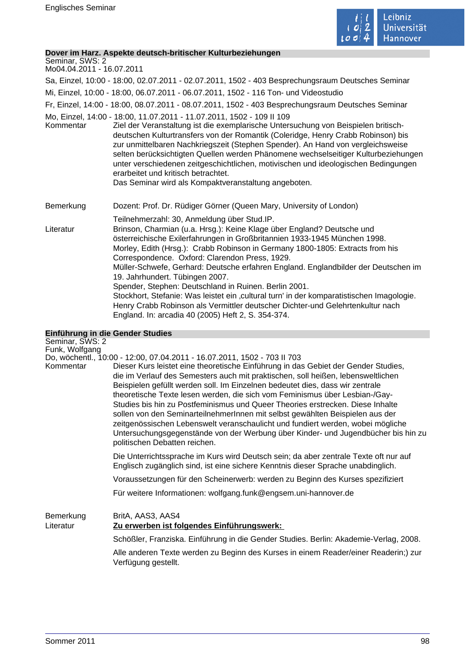

### **Dover im Harz. Aspekte deutsch-britischer Kulturbeziehungen**

Seminar, SWS: 2 Mo04.04.2011 - 16.07.2011

Sa, Einzel, 10:00 - 18:00, 02.07.2011 - 02.07.2011, 1502 - 403 Besprechungsraum Deutsches Seminar

Mi, Einzel, 10:00 - 18:00, 06.07.2011 - 06.07.2011, 1502 - 116 Ton- und Videostudio

Fr, Einzel, 14:00 - 18:00, 08.07.2011 - 08.07.2011, 1502 - 403 Besprechungsraum Deutsches Seminar

Mo, Einzel, 14:00 - 18:00, 11.07.2011 - 11.07.2011, 1502 - 109 II 109

Kommentar Ziel der Veranstaltung ist die exemplarische Untersuchung von Beispielen britischdeutschen Kulturtransfers von der Romantik (Coleridge, Henry Crabb Robinson) bis zur unmittelbaren Nachkriegszeit (Stephen Spender). An Hand von vergleichsweise selten berücksichtigten Quellen werden Phänomene wechselseitiger Kulturbeziehungen unter verschiedenen zeitgeschichtlichen, motivischen und ideologischen Bedingungen erarbeitet und kritisch betrachtet. Das Seminar wird als Kompaktveranstaltung angeboten.

Bemerkung Dozent: Prof. Dr. Rüdiger Görner (Queen Mary, University of London)

Teilnehmerzahl: 30, Anmeldung über Stud.IP. Literatur Brinson, Charmian (u.a. Hrsg.): Keine Klage über England? Deutsche und österreichische Exilerfahrungen in Großbritannien 1933-1945 München 1998. Morley, Edith (Hrsg.): Crabb Robinson in Germany 1800-1805: Extracts from his Correspondence. Oxford: Clarendon Press, 1929. Müller-Schwefe, Gerhard: Deutsche erfahren England. Englandbilder der Deutschen im 19. Jahrhundert. Tübingen 2007. Spender, Stephen: Deutschland in Ruinen. Berlin 2001. Stockhort, Stefanie: Was leistet ein 'cultural turn' in der komparatistischen Imagologie. Henry Crabb Robinson als Vermittler deutscher Dichter-und Gelehrtenkultur nach England. In: arcadia 40 (2005) Heft 2, S. 354-374.

# **Einführung in die Gender Studies**

| Seminar, SWS: 2        |                                                                                                                                                                                                                                                                                                                                                                                                                                                                                                                                                                                                                                                                                                                    |
|------------------------|--------------------------------------------------------------------------------------------------------------------------------------------------------------------------------------------------------------------------------------------------------------------------------------------------------------------------------------------------------------------------------------------------------------------------------------------------------------------------------------------------------------------------------------------------------------------------------------------------------------------------------------------------------------------------------------------------------------------|
| Funk, Wolfgang         | Do, wöchentl., 10:00 - 12:00, 07.04.2011 - 16.07.2011, 1502 - 703 II 703                                                                                                                                                                                                                                                                                                                                                                                                                                                                                                                                                                                                                                           |
| Kommentar              | Dieser Kurs leistet eine theoretische Einführung in das Gebiet der Gender Studies,<br>die im Verlauf des Semesters auch mit praktischen, soll heißen, lebensweltlichen<br>Beispielen gefüllt werden soll. Im Einzelnen bedeutet dies, dass wir zentrale<br>theoretische Texte lesen werden, die sich vom Feminismus über Lesbian-/Gay-<br>Studies bis hin zu Postfeminismus und Queer Theories erstrecken. Diese Inhalte<br>sollen von den SeminarteilnehmerInnen mit selbst gewählten Beispielen aus der<br>zeitgenössischen Lebenswelt veranschaulicht und fundiert werden, wobei mögliche<br>Untersuchungsgegenstände von der Werbung über Kinder- und Jugendbücher bis hin zu<br>politischen Debatten reichen. |
|                        | Die Unterrichtssprache im Kurs wird Deutsch sein; da aber zentrale Texte oft nur auf<br>Englisch zugänglich sind, ist eine sichere Kenntnis dieser Sprache unabdinglich.                                                                                                                                                                                                                                                                                                                                                                                                                                                                                                                                           |
|                        | Voraussetzungen für den Scheinerwerb: werden zu Beginn des Kurses spezifiziert                                                                                                                                                                                                                                                                                                                                                                                                                                                                                                                                                                                                                                     |
|                        | Für weitere Informationen: wolfgang.funk@engsem.uni-hannover.de                                                                                                                                                                                                                                                                                                                                                                                                                                                                                                                                                                                                                                                    |
| Bemerkung<br>Literatur | BritA, AAS3, AAS4<br>Zu erwerben ist folgendes Einführungswerk:                                                                                                                                                                                                                                                                                                                                                                                                                                                                                                                                                                                                                                                    |
|                        | Schößler, Franziska. Einführung in die Gender Studies. Berlin: Akademie-Verlag, 2008.                                                                                                                                                                                                                                                                                                                                                                                                                                                                                                                                                                                                                              |
|                        | Alle anderen Texte werden zu Beginn des Kurses in einem Reader/einer Readerin;) zur<br>Verfügung gestellt.                                                                                                                                                                                                                                                                                                                                                                                                                                                                                                                                                                                                         |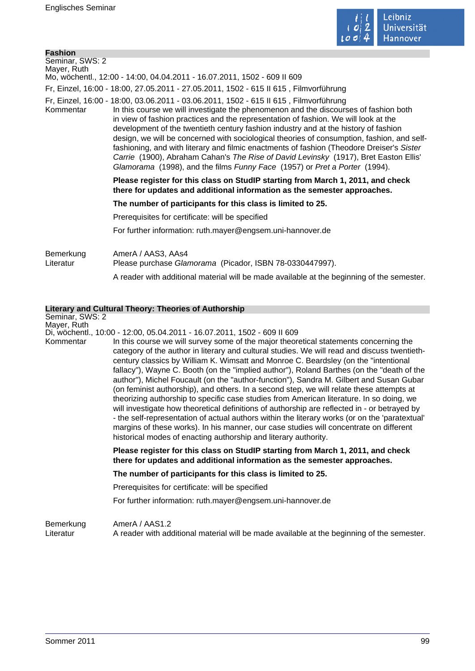

| Seminar, SWS: 2                                                                                                                                                                                                                                                                                                                                                                                                                                                                                                                                                                                                                                                                                                                           |  |  |
|-------------------------------------------------------------------------------------------------------------------------------------------------------------------------------------------------------------------------------------------------------------------------------------------------------------------------------------------------------------------------------------------------------------------------------------------------------------------------------------------------------------------------------------------------------------------------------------------------------------------------------------------------------------------------------------------------------------------------------------------|--|--|
| Mayer, Ruth<br>Mo, wöchentl., 12:00 - 14:00, 04.04.2011 - 16.07.2011, 1502 - 609 II 609                                                                                                                                                                                                                                                                                                                                                                                                                                                                                                                                                                                                                                                   |  |  |
|                                                                                                                                                                                                                                                                                                                                                                                                                                                                                                                                                                                                                                                                                                                                           |  |  |
| Fr, Einzel, 16:00 - 18:00, 27.05.2011 - 27.05.2011, 1502 - 615 II 615, Filmvorführung                                                                                                                                                                                                                                                                                                                                                                                                                                                                                                                                                                                                                                                     |  |  |
| Fr, Einzel, 16:00 - 18:00, 03.06.2011 - 03.06.2011, 1502 - 615 II 615, Filmvorführung<br>In this course we will investigate the phenomenon and the discourses of fashion both<br>Kommentar<br>in view of fashion practices and the representation of fashion. We will look at the<br>development of the twentieth century fashion industry and at the history of fashion<br>design, we will be concerned with sociological theories of consumption, fashion, and self-<br>fashioning, and with literary and filmic enactments of fashion (Theodore Dreiser's Sister<br>Carrie (1900), Abraham Cahan's The Rise of David Levinsky (1917), Bret Easton Ellis'<br>Glamorama (1998), and the films Funny Face (1957) or Pret a Porter (1994). |  |  |
| Please register for this class on StudIP starting from March 1, 2011, and check<br>there for updates and additional information as the semester approaches.                                                                                                                                                                                                                                                                                                                                                                                                                                                                                                                                                                               |  |  |
| The number of participants for this class is limited to 25.                                                                                                                                                                                                                                                                                                                                                                                                                                                                                                                                                                                                                                                                               |  |  |
| Prerequisites for certificate: will be specified                                                                                                                                                                                                                                                                                                                                                                                                                                                                                                                                                                                                                                                                                          |  |  |
| For further information: ruth.mayer@engsem.uni-hannover.de                                                                                                                                                                                                                                                                                                                                                                                                                                                                                                                                                                                                                                                                                |  |  |
| Bemerkung<br>AmerA / AAS3, AAs4<br>Literatur<br>Please purchase Glamorama (Picador, ISBN 78-0330447997).<br>A reader with additional material will be made available at the beginning of the semester.                                                                                                                                                                                                                                                                                                                                                                                                                                                                                                                                    |  |  |

|                          | Literary and Cultural Theory: Theories of Authorship                                                                                                                                                                                                                                                                                                                                                                                                                                                                                                                                                                                                                                                                                                                                                                                                                                                                                                                                                                                 |
|--------------------------|--------------------------------------------------------------------------------------------------------------------------------------------------------------------------------------------------------------------------------------------------------------------------------------------------------------------------------------------------------------------------------------------------------------------------------------------------------------------------------------------------------------------------------------------------------------------------------------------------------------------------------------------------------------------------------------------------------------------------------------------------------------------------------------------------------------------------------------------------------------------------------------------------------------------------------------------------------------------------------------------------------------------------------------|
| Seminar, SWS: 2          |                                                                                                                                                                                                                                                                                                                                                                                                                                                                                                                                                                                                                                                                                                                                                                                                                                                                                                                                                                                                                                      |
| Mayer, Ruth<br>Kommentar | Di, wöchentl., 10:00 - 12:00, 05.04.2011 - 16.07.2011, 1502 - 609 II 609<br>In this course we will survey some of the major theoretical statements concerning the<br>category of the author in literary and cultural studies. We will read and discuss twentieth-<br>century classics by William K. Wimsatt and Monroe C. Beardsley (on the "intentional<br>fallacy"), Wayne C. Booth (on the "implied author"), Roland Barthes (on the "death of the<br>author"), Michel Foucault (on the "author-function"), Sandra M. Gilbert and Susan Gubar<br>(on feminist authorship), and others. In a second step, we will relate these attempts at<br>theorizing authorship to specific case studies from American literature. In so doing, we<br>will investigate how theoretical definitions of authorship are reflected in - or betrayed by<br>- the self-representation of actual authors within the literary works (or on the 'paratextual'<br>margins of these works). In his manner, our case studies will concentrate on different |
|                          | historical modes of enacting authorship and literary authority.<br>Please register for this class on StudIP starting from March 1, 2011, and check<br>there for updates and additional information as the semester approaches.                                                                                                                                                                                                                                                                                                                                                                                                                                                                                                                                                                                                                                                                                                                                                                                                       |
|                          | The number of participants for this class is limited to 25.                                                                                                                                                                                                                                                                                                                                                                                                                                                                                                                                                                                                                                                                                                                                                                                                                                                                                                                                                                          |
|                          | Prerequisites for certificate: will be specified                                                                                                                                                                                                                                                                                                                                                                                                                                                                                                                                                                                                                                                                                                                                                                                                                                                                                                                                                                                     |
|                          | For further information: ruth.mayer@engsem.uni-hannover.de                                                                                                                                                                                                                                                                                                                                                                                                                                                                                                                                                                                                                                                                                                                                                                                                                                                                                                                                                                           |
| Bemerkung<br>Literatur   | AmerA / AAS1.2<br>A reader with additional material will be made available at the beginning of the semester.                                                                                                                                                                                                                                                                                                                                                                                                                                                                                                                                                                                                                                                                                                                                                                                                                                                                                                                         |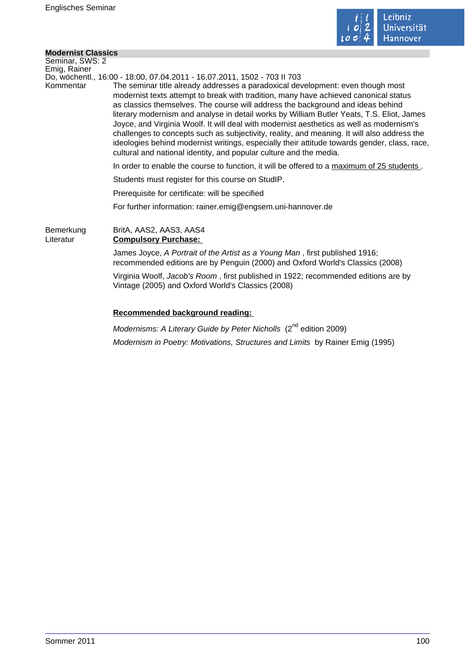

 $\mathcal{L}_{\mathcal{A}}$ 

## **Modernist Classics**

| Seminar, SWS: 2        |                                                                                                                                                                                                                                                                                                                                                                                                                                                                                                                                                                                                                                                                                                                          |
|------------------------|--------------------------------------------------------------------------------------------------------------------------------------------------------------------------------------------------------------------------------------------------------------------------------------------------------------------------------------------------------------------------------------------------------------------------------------------------------------------------------------------------------------------------------------------------------------------------------------------------------------------------------------------------------------------------------------------------------------------------|
| Emig, Rainer           | Do, wöchentl., 16:00 - 18:00, 07.04.2011 - 16.07.2011, 1502 - 703 II 703                                                                                                                                                                                                                                                                                                                                                                                                                                                                                                                                                                                                                                                 |
| Kommentar              | The seminar title already addresses a paradoxical development: even though most<br>modernist texts attempt to break with tradition, many have achieved canonical status<br>as classics themselves. The course will address the background and ideas behind<br>literary modernism and analyse in detail works by William Butler Yeats, T.S. Eliot, James<br>Joyce, and Virginia Woolf. It will deal with modernist aesthetics as well as modernism's<br>challenges to concepts such as subjectivity, reality, and meaning. It will also address the<br>ideologies behind modernist writings, especially their attitude towards gender, class, race,<br>cultural and national identity, and popular culture and the media. |
|                        | In order to enable the course to function, it will be offered to a maximum of 25 students.                                                                                                                                                                                                                                                                                                                                                                                                                                                                                                                                                                                                                               |
|                        | Students must register for this course on StudIP.                                                                                                                                                                                                                                                                                                                                                                                                                                                                                                                                                                                                                                                                        |
|                        | Prerequisite for certificate: will be specified                                                                                                                                                                                                                                                                                                                                                                                                                                                                                                                                                                                                                                                                          |
|                        | For further information: rainer.emig@engsem.uni-hannover.de                                                                                                                                                                                                                                                                                                                                                                                                                                                                                                                                                                                                                                                              |
| Bemerkung<br>Literatur | BritA, AAS2, AAS3, AAS4<br><b>Compulsory Purchase:</b>                                                                                                                                                                                                                                                                                                                                                                                                                                                                                                                                                                                                                                                                   |
|                        | James Joyce, A Portrait of the Artist as a Young Man, first published 1916;<br>recommended editions are by Penguin (2000) and Oxford World's Classics (2008)                                                                                                                                                                                                                                                                                                                                                                                                                                                                                                                                                             |
|                        | Virginia Woolf, Jacob's Room, first published in 1922; recommended editions are by<br>Vintage (2005) and Oxford World's Classics (2008)                                                                                                                                                                                                                                                                                                                                                                                                                                                                                                                                                                                  |
|                        | Recommended background reading:                                                                                                                                                                                                                                                                                                                                                                                                                                                                                                                                                                                                                                                                                          |
|                        | . nd                                                                                                                                                                                                                                                                                                                                                                                                                                                                                                                                                                                                                                                                                                                     |

Modernisms: A Literary Guide by Peter Nicholls (2<sup>nd</sup> edition 2009) Modernism in Poetry: Motivations, Structures and Limits by Rainer Emig (1995)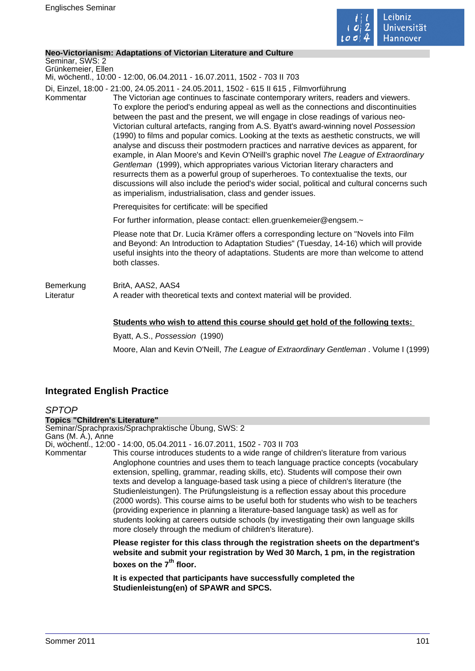

#### **Neo-Victorianism: Adaptations of Victorian Literature and Culture**

Seminar, SWS: 2 Grünkemeier, Ellen

Mi, wöchentl., 10:00 - 12:00, 06.04.2011 - 16.07.2011, 1502 - 703 II 703

Di, Einzel, 18:00 - 21:00, 24.05.2011 - 24.05.2011, 1502 - 615 II 615 , Filmvorführung

Kommentar The Victorian age continues to fascinate contemporary writers, readers and viewers. To explore the period's enduring appeal as well as the connections and discontinuities between the past and the present, we will engage in close readings of various neo-Victorian cultural artefacts, ranging from A.S. Byatt's award-winning novel Possession (1990) to films and popular comics. Looking at the texts as aesthetic constructs, we will analyse and discuss their postmodern practices and narrative devices as apparent, for example, in Alan Moore's and Kevin O'Neill's graphic novel The League of Extraordinary Gentleman (1999), which appropriates various Victorian literary characters and resurrects them as a powerful group of superheroes. To contextualise the texts, our discussions will also include the period's wider social, political and cultural concerns such as imperialism, industrialisation, class and gender issues.

Prerequisites for certificate: will be specified

For further information, please contact: ellen.gruenkemeier@engsem.~

Please note that Dr. Lucia Krämer offers a corresponding lecture on "Novels into Film and Beyond: An Introduction to Adaptation Studies" (Tuesday, 14-16) which will provide useful insights into the theory of adaptations. Students are more than welcome to attend both classes.

Bemerkung BritA, AAS2, AAS4 Literatur **A** reader with theoretical texts and context material will be provided.

### **Students who wish to attend this course should get hold of the following texts:**

Byatt, A.S., Possession (1990) Moore, Alan and Kevin O'Neill, The League of Extraordinary Gentleman . Volume I (1999)

# **Integrated English Practice**

**SPTOP Topics "Children's Literature"** Seminar/Sprachpraxis/Sprachpraktische Übung, SWS: 2 Gans (M. A.), Anne Di, wöchentl., 12:00 - 14:00, 05.04.2011 - 16.07.2011, 1502 - 703 II 703 Kommentar This course introduces students to a wide range of children's literature from various Anglophone countries and uses them to teach language practice concepts (vocabulary extension, spelling, grammar, reading skills, etc). Students will compose their own texts and develop a language-based task using a piece of children's literature (the Studienleistungen). The Prüfungsleistung is a reflection essay about this procedure (2000 words). This course aims to be useful both for students who wish to be teachers (providing experience in planning a literature-based language task) as well as for students looking at careers outside schools (by investigating their own language skills more closely through the medium of children's literature).

**Please register for this class through the registration sheets on the department's website and submit your registration by Wed 30 March, 1 pm, in the registration boxes on the 7th floor.** 

**It is expected that participants have successfully completed the Studienleistung(en) of SPAWR and SPCS.**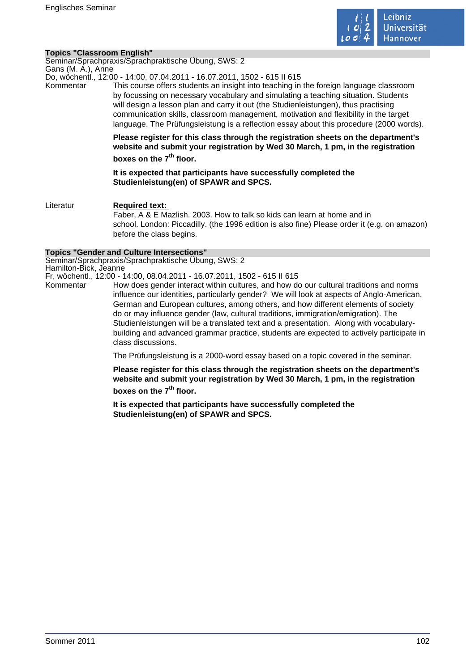

#### **Topics "Classroom English"**

Seminar/Sprachpraxis/Sprachpraktische Übung, SWS: 2 Gans (M. A.), Anne

Do, wöchentl., 12:00 - 14:00, 07.04.2011 - 16.07.2011, 1502 - 615 II 615

Kommentar This course offers students an insight into teaching in the foreign language classroom by focussing on necessary vocabulary and simulating a teaching situation. Students will design a lesson plan and carry it out (the Studienleistungen), thus practising communication skills, classroom management, motivation and flexibility in the target language. The Prüfungsleistung is a reflection essay about this procedure (2000 words).

> **Please register for this class through the registration sheets on the department's website and submit your registration by Wed 30 March, 1 pm, in the registration boxes on the 7th floor.**

**It is expected that participants have successfully completed the Studienleistung(en) of SPAWR and SPCS.** 

Literatur **Required text:**  Faber, A & E Mazlish. 2003. How to talk so kids can learn at home and in school. London: Piccadilly. (the 1996 edition is also fine) Please order it (e.g. on amazon) before the class begins.

#### **Topics "Gender and Culture Intersections"**

Seminar/Sprachpraxis/Sprachpraktische Übung, SWS: 2 Hamilton-Bick, Jeanne

Fr, wöchentl., 12:00 - 14:00, 08.04.2011 - 16.07.2011, 1502 - 615 II 615

Kommentar How does gender interact within cultures, and how do our cultural traditions and norms influence our identities, particularly gender? We will look at aspects of Anglo-American, German and European cultures, among others, and how different elements of society do or may influence gender (law, cultural traditions, immigration/emigration). The Studienleistungen will be a translated text and a presentation. Along with vocabularybuilding and advanced grammar practice, students are expected to actively participate in class discussions.

The Prüfungsleistung is a 2000-word essay based on a topic covered in the seminar.

**Please register for this class through the registration sheets on the department's website and submit your registration by Wed 30 March, 1 pm, in the registration boxes on the 7th floor.** 

**It is expected that participants have successfully completed the Studienleistung(en) of SPAWR and SPCS.**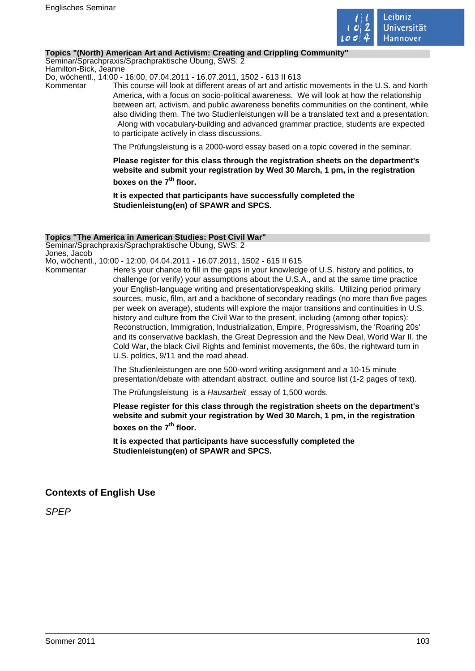

### **Topics "(North) American Art and Activism: Creating and Crippling Community"**

Seminar/Sprachpraxis/Sprachpraktische Übung, SWS: 2 Hamilton-Bick, Jeanne

Do, wöchentl., 14:00 - 16:00, 07.04.2011 - 16.07.2011, 1502 - 613 II 613

Kommentar This course will look at different areas of art and artistic movements in the U.S. and North America, with a focus on socio-political awareness. We will look at how the relationship between art, activism, and public awareness benefits communities on the continent, while also dividing them. The two Studienleistungen will be a translated text and a presentation. Along with vocabulary-building and advanced grammar practice, students are expected to participate actively in class discussions.

The Prüfungsleistung is a 2000-word essay based on a topic covered in the seminar.

**Please register for this class through the registration sheets on the department's website and submit your registration by Wed 30 March, 1 pm, in the registration boxes on the 7th floor.** 

**It is expected that participants have successfully completed the Studienleistung(en) of SPAWR and SPCS.** 

#### **Topics "The America in American Studies: Post Civil War"**

Seminar/Sprachpraxis/Sprachpraktische Übung, SWS: 2 Jones, Jacob

Mo, wöchentl., 10:00 - 12:00, 04.04.2011 - 16.07.2011, 1502 - 615 II 615

Kommentar Here's your chance to fill in the gaps in your knowledge of U.S. history and politics, to challenge (or verify) your assumptions about the U.S.A., and at the same time practice your English-language writing and presentation/speaking skills. Utilizing period primary sources, music, film, art and a backbone of secondary readings (no more than five pages per week on average), students will explore the major transitions and continuities in U.S. history and culture from the Civil War to the present, including (among other topics): Reconstruction, Immigration, Industrialization, Empire, Progressivism, the 'Roaring 20s' and its conservative backlash, the Great Depression and the New Deal, World War II, the Cold War, the black Civil Rights and feminist movements, the 60s, the rightward turn in U.S. politics, 9/11 and the road ahead.

> The Studienleistungen are one 500-word writing assignment and a 10-15 minute presentation/debate with attendant abstract, outline and source list (1-2 pages of text).

The Prüfungsleistung is a Hausarbeit essay of 1,500 words.

**Please register for this class through the registration sheets on the department's website and submit your registration by Wed 30 March, 1 pm, in the registration boxes on the 7th floor.** 

**It is expected that participants have successfully completed the Studienleistung(en) of SPAWR and SPCS.** 

# **Contexts of English Use**

SPEP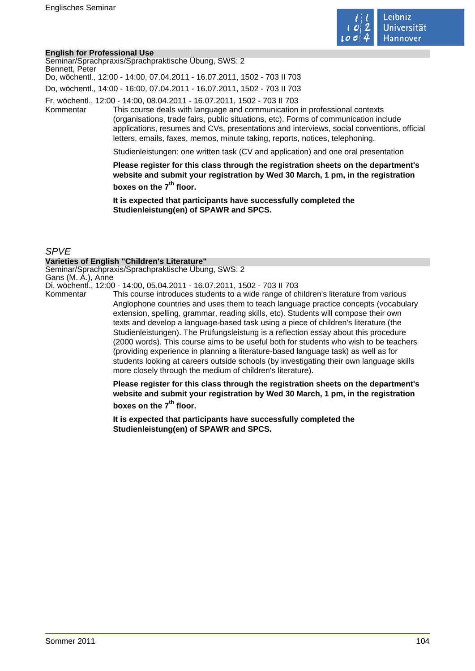

#### **English for Professional Use**

| Bennett, Peter | Seminar/Sprachpraxis/Sprachpraktische Übung, SWS: 2<br>Do, wöchentl., 12:00 - 14:00, 07.04.2011 - 16.07.2011, 1502 - 703 II 703                                                                                                                                                                                                                                                                                             |
|----------------|-----------------------------------------------------------------------------------------------------------------------------------------------------------------------------------------------------------------------------------------------------------------------------------------------------------------------------------------------------------------------------------------------------------------------------|
|                | Do, wöchentl., 14:00 - 16:00, 07.04.2011 - 16.07.2011, 1502 - 703 II 703                                                                                                                                                                                                                                                                                                                                                    |
| Kommentar      | Fr, wöchentl., 12:00 - 14:00, 08.04.2011 - 16.07.2011, 1502 - 703 II 703<br>This course deals with language and communication in professional contexts<br>(organisations, trade fairs, public situations, etc). Forms of communication include<br>applications, resumes and CVs, presentations and interviews, social conventions, official<br>letters, emails, faxes, memos, minute taking, reports, notices, telephoning. |
|                | Studienleistungen: one written task (CV and application) and one oral presentation                                                                                                                                                                                                                                                                                                                                          |
|                | Please register for this class through the registration sheets on the department's<br>website and submit your registration by Wed 30 March, 1 pm, in the registration                                                                                                                                                                                                                                                       |

**boxes on the 7th floor.** 

**It is expected that participants have successfully completed the Studienleistung(en) of SPAWR and SPCS.** 

## SPVE

#### **Varieties of English "Children's Literature"**

Seminar/Sprachpraxis/Sprachpraktische Übung, SWS: 2 Gans (M. A.), Anne

Di, wöchentl., 12:00 - 14:00, 05.04.2011 - 16.07.2011, 1502 - 703 II 703

This course introduces students to a wide range of children's literature from various Anglophone countries and uses them to teach language practice concepts (vocabulary extension, spelling, grammar, reading skills, etc). Students will compose their own texts and develop a language-based task using a piece of children's literature (the Studienleistungen). The Prüfungsleistung is a reflection essay about this procedure (2000 words). This course aims to be useful both for students who wish to be teachers (providing experience in planning a literature-based language task) as well as for students looking at careers outside schools (by investigating their own language skills more closely through the medium of children's literature).

**Please register for this class through the registration sheets on the department's website and submit your registration by Wed 30 March, 1 pm, in the registration boxes on the 7th floor.** 

**It is expected that participants have successfully completed the Studienleistung(en) of SPAWR and SPCS.**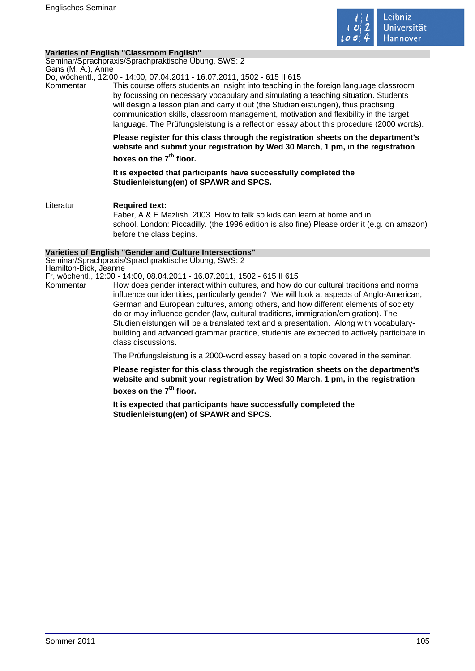

## **Varieties of English "Classroom English"**

Seminar/Sprachpraxis/Sprachpraktische Übung, SWS: 2 Gans (M. A.), Anne

Do, wöchentl., 12:00 - 14:00, 07.04.2011 - 16.07.2011, 1502 - 615 II 615

Kommentar This course offers students an insight into teaching in the foreign language classroom by focussing on necessary vocabulary and simulating a teaching situation. Students will design a lesson plan and carry it out (the Studienleistungen), thus practising communication skills, classroom management, motivation and flexibility in the target language. The Prüfungsleistung is a reflection essay about this procedure (2000 words).

> **Please register for this class through the registration sheets on the department's website and submit your registration by Wed 30 March, 1 pm, in the registration boxes on the 7th floor.**

**It is expected that participants have successfully completed the Studienleistung(en) of SPAWR and SPCS.** 

Literatur **Required text:**  Faber, A & E Mazlish. 2003. How to talk so kids can learn at home and in school. London: Piccadilly. (the 1996 edition is also fine) Please order it (e.g. on amazon) before the class begins.

### **Varieties of English "Gender and Culture Intersections"**

Seminar/Sprachpraxis/Sprachpraktische Übung, SWS: 2 Hamilton-Bick, Jeanne

Fr, wöchentl., 12:00 - 14:00, 08.04.2011 - 16.07.2011, 1502 - 615 II 615

Kommentar How does gender interact within cultures, and how do our cultural traditions and norms

influence our identities, particularly gender? We will look at aspects of Anglo-American, German and European cultures, among others, and how different elements of society do or may influence gender (law, cultural traditions, immigration/emigration). The Studienleistungen will be a translated text and a presentation. Along with vocabularybuilding and advanced grammar practice, students are expected to actively participate in class discussions.

The Prüfungsleistung is a 2000-word essay based on a topic covered in the seminar.

**Please register for this class through the registration sheets on the department's website and submit your registration by Wed 30 March, 1 pm, in the registration boxes on the 7th floor.** 

**It is expected that participants have successfully completed the Studienleistung(en) of SPAWR and SPCS.**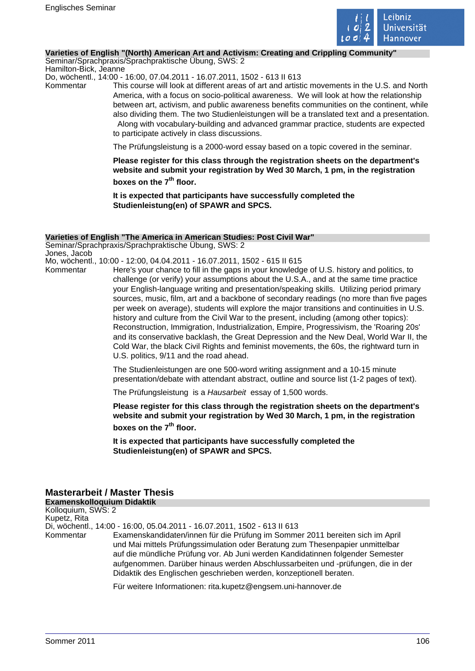

#### **Varieties of English "(North) American Art and Activism: Creating and Crippling Community"**

Seminar/Sprachpraxis/Sprachpraktische Übung, SWS: 2 Hamilton-Bick, Jeanne

Do, wöchentl., 14:00 - 16:00, 07.04.2011 - 16.07.2011, 1502 - 613 II 613

Kommentar This course will look at different areas of art and artistic movements in the U.S. and North America, with a focus on socio-political awareness. We will look at how the relationship between art, activism, and public awareness benefits communities on the continent, while also dividing them. The two Studienleistungen will be a translated text and a presentation. Along with vocabulary-building and advanced grammar practice, students are expected to participate actively in class discussions.

The Prüfungsleistung is a 2000-word essay based on a topic covered in the seminar.

**Please register for this class through the registration sheets on the department's website and submit your registration by Wed 30 March, 1 pm, in the registration boxes on the 7th floor.** 

**It is expected that participants have successfully completed the Studienleistung(en) of SPAWR and SPCS.** 

#### **Varieties of English "The America in American Studies: Post Civil War"**

Seminar/Sprachpraxis/Sprachpraktische Übung, SWS: 2 Jones, Jacob

Mo, wöchentl., 10:00 - 12:00, 04.04.2011 - 16.07.2011, 1502 - 615 II 615

Kommentar Here's your chance to fill in the gaps in your knowledge of U.S. history and politics, to challenge (or verify) your assumptions about the U.S.A., and at the same time practice your English-language writing and presentation/speaking skills. Utilizing period primary sources, music, film, art and a backbone of secondary readings (no more than five pages per week on average), students will explore the major transitions and continuities in U.S. history and culture from the Civil War to the present, including (among other topics): Reconstruction, Immigration, Industrialization, Empire, Progressivism, the 'Roaring 20s' and its conservative backlash, the Great Depression and the New Deal, World War II, the Cold War, the black Civil Rights and feminist movements, the 60s, the rightward turn in U.S. politics, 9/11 and the road ahead.

> The Studienleistungen are one 500-word writing assignment and a 10-15 minute presentation/debate with attendant abstract, outline and source list (1-2 pages of text).

The Prüfungsleistung is a Hausarbeit essay of 1,500 words.

**Please register for this class through the registration sheets on the department's website and submit your registration by Wed 30 March, 1 pm, in the registration boxes on the 7th floor.** 

**It is expected that participants have successfully completed the Studienleistung(en) of SPAWR and SPCS.** 

# **Masterarbeit / Master Thesis**

**Examenskolloquium Didaktik** Kolloquium, SWS: 2 Kupetz, Rita Di, wöchentl., 14:00 - 16:00, 05.04.2011 - 16.07.2011, 1502 - 613 II 613 Kommentar Examenskandidaten/innen für die Prüfung im Sommer 2011 bereiten sich im April und Mai mittels Prüfungssimulation oder Beratung zum Thesenpapier unmittelbar auf die mündliche Prüfung vor. Ab Juni werden Kandidatinnen folgender Semester aufgenommen. Darüber hinaus werden Abschlussarbeiten und -prüfungen, die in der Didaktik des Englischen geschrieben werden, konzeptionell beraten.

Für weitere Informationen: rita.kupetz@engsem.uni-hannover.de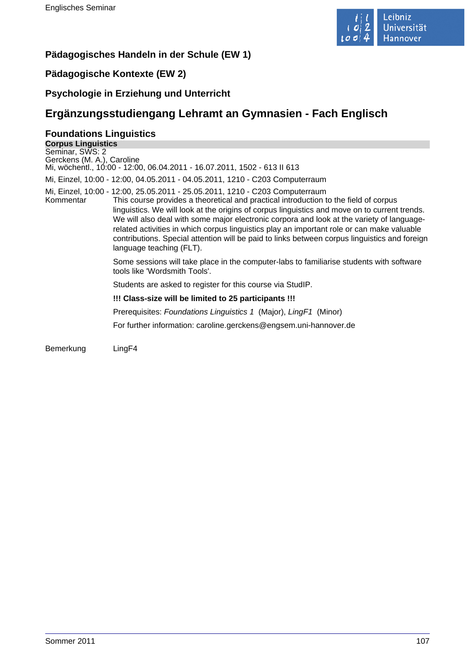

# **Pädagogisches Handeln in der Schule (EW 1)**

# **Pädagogische Kontexte (EW 2)**

# **Psychologie in Erziehung und Unterricht**

# **Ergänzungsstudiengang Lehramt an Gymnasien - Fach Englisch**

# **Foundations Linguistics**

| Seminar, SWS: 2                                                                                                                                                                                                                                                                                                                                                                                                                                                                                                                                                                                            |  |
|------------------------------------------------------------------------------------------------------------------------------------------------------------------------------------------------------------------------------------------------------------------------------------------------------------------------------------------------------------------------------------------------------------------------------------------------------------------------------------------------------------------------------------------------------------------------------------------------------------|--|
| Gerckens (M. A.), Caroline                                                                                                                                                                                                                                                                                                                                                                                                                                                                                                                                                                                 |  |
| Mi, wöchentl., 10:00 - 12:00, 06.04.2011 - 16.07.2011, 1502 - 613 II 613                                                                                                                                                                                                                                                                                                                                                                                                                                                                                                                                   |  |
| Mi, Einzel, 10:00 - 12:00, 04.05.2011 - 04.05.2011, 1210 - C203 Computerraum                                                                                                                                                                                                                                                                                                                                                                                                                                                                                                                               |  |
| Mi, Einzel, 10:00 - 12:00, 25.05.2011 - 25.05.2011, 1210 - C203 Computerraum<br>This course provides a theoretical and practical introduction to the field of corpus<br>Kommentar<br>linguistics. We will look at the origins of corpus linguistics and move on to current trends.<br>We will also deal with some major electronic corpora and look at the variety of language-<br>related activities in which corpus linguistics play an important role or can make valuable<br>contributions. Special attention will be paid to links between corpus linguistics and foreign<br>language teaching (FLT). |  |
| Some sessions will take place in the computer-labs to familiarise students with software<br>tools like 'Wordsmith Tools'.                                                                                                                                                                                                                                                                                                                                                                                                                                                                                  |  |
| Students are asked to register for this course via StudIP.                                                                                                                                                                                                                                                                                                                                                                                                                                                                                                                                                 |  |
| !!! Class-size will be limited to 25 participants !!!                                                                                                                                                                                                                                                                                                                                                                                                                                                                                                                                                      |  |
| Prerequisites: Foundations Linguistics 1 (Major), LingF1 (Minor)                                                                                                                                                                                                                                                                                                                                                                                                                                                                                                                                           |  |
| For further information: caroline.gerckens@engsem.uni-hannover.de                                                                                                                                                                                                                                                                                                                                                                                                                                                                                                                                          |  |

Bemerkung LingF4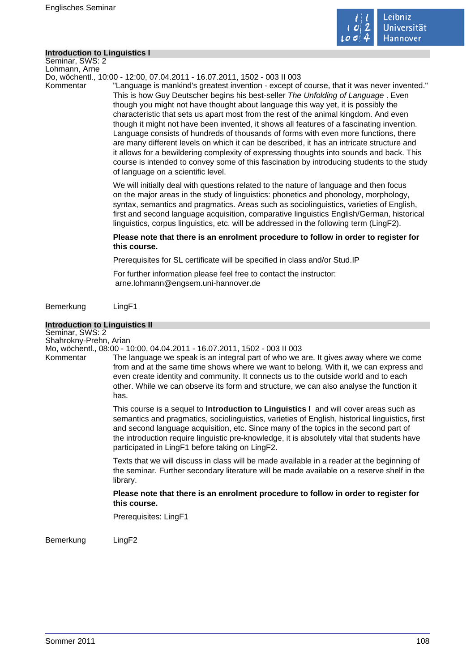

#### **Introduction to Linguistics I**

Seminar, SWS: 2 Lohmann, Arne

Do, wöchentl., 10:00 - 12:00, 07.04.2011 - 16.07.2011, 1502 - 003 II 003

Kommentar "Language is mankind's greatest invention - except of course, that it was never invented." This is how Guy Deutscher begins his best-seller The Unfolding of Language . Even though you might not have thought about language this way yet, it is possibly the characteristic that sets us apart most from the rest of the animal kingdom. And even though it might not have been invented, it shows all features of a fascinating invention. Language consists of hundreds of thousands of forms with even more functions, there are many different levels on which it can be described, it has an intricate structure and it allows for a bewildering complexity of expressing thoughts into sounds and back. This course is intended to convey some of this fascination by introducing students to the study of language on a scientific level.

> We will initially deal with questions related to the nature of language and then focus on the major areas in the study of linguistics: phonetics and phonology, morphology, syntax, semantics and pragmatics. Areas such as sociolinguistics, varieties of English, first and second language acquisition, comparative linguistics English/German, historical linguistics, corpus linguistics, etc. will be addressed in the following term (LingF2).

## **Please note that there is an enrolment procedure to follow in order to register for this course.**

Prerequisites for SL certificate will be specified in class and/or Stud.IP

For further information please feel free to contact the instructor:

arne.lohmann@engsem.uni-hannover.de

Bemerkung LingF1

## **Introduction to Linguistics II**

Seminar, SWS: 2 Shahrokny-Prehn, Arian

Mo, wöchentl., 08:00 - 10:00, 04.04.2011 - 16.07.2011, 1502 - 003 II 003

Kommentar The language we speak is an integral part of who we are. It gives away where we come from and at the same time shows where we want to belong. With it, we can express and even create identity and community. It connects us to the outside world and to each other. While we can observe its form and structure, we can also analyse the function it has.

> This course is a sequel to **Introduction to Linguistics I** and will cover areas such as semantics and pragmatics, sociolinguistics, varieties of English, historical linguistics, first and second language acquisition, etc. Since many of the topics in the second part of the introduction require linguistic pre-knowledge, it is absolutely vital that students have participated in LingF1 before taking on LingF2.

> Texts that we will discuss in class will be made available in a reader at the beginning of the seminar. Further secondary literature will be made available on a reserve shelf in the library.

**Please note that there is an enrolment procedure to follow in order to register for this course.** 

Prerequisites: LingF1

Bemerkung LingF2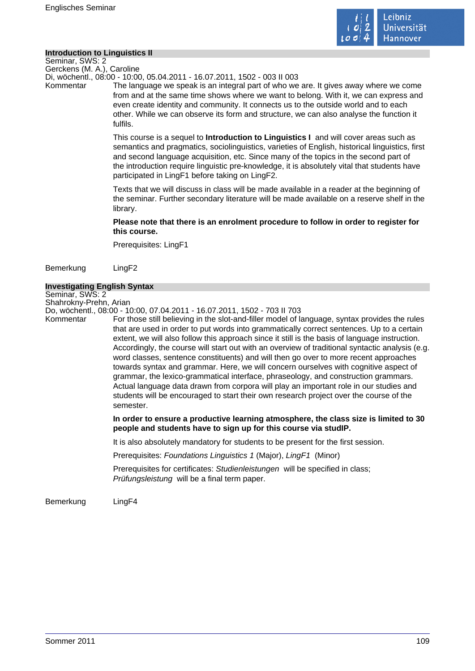

#### **Introduction to Linguistics II**

Seminar, SWS: 2 Gerckens (M. A.), Caroline

Di, wöchentl., 08:00 - 10:00, 05.04.2011 - 16.07.2011, 1502 - 003 II 003

Kommentar The language we speak is an integral part of who we are. It gives away where we come from and at the same time shows where we want to belong. With it, we can express and even create identity and community. It connects us to the outside world and to each other. While we can observe its form and structure, we can also analyse the function it fulfils.

> This course is a sequel to **Introduction to Linguistics I** and will cover areas such as semantics and pragmatics, sociolinguistics, varieties of English, historical linguistics, first and second language acquisition, etc. Since many of the topics in the second part of the introduction require linguistic pre-knowledge, it is absolutely vital that students have participated in LingF1 before taking on LingF2.

> Texts that we will discuss in class will be made available in a reader at the beginning of the seminar. Further secondary literature will be made available on a reserve shelf in the library.

### **Please note that there is an enrolment procedure to follow in order to register for this course.**

Prerequisites: LingF1

Bemerkung LingF2

### **Investigating English Syntax**

Seminar, SWS: 2 Shahrokny-Prehn, Arian

Do, wöchentl., 08:00 - 10:00, 07.04.2011 - 16.07.2011, 1502 - 703 II 703

Kommentar For those still believing in the slot-and-filler model of language, syntax provides the rules that are used in order to put words into grammatically correct sentences. Up to a certain extent, we will also follow this approach since it still is the basis of language instruction. Accordingly, the course will start out with an overview of traditional syntactic analysis (e.g. word classes, sentence constituents) and will then go over to more recent approaches towards syntax and grammar. Here, we will concern ourselves with cognitive aspect of grammar, the lexico-grammatical interface, phraseology, and construction grammars. Actual language data drawn from corpora will play an important role in our studies and students will be encouraged to start their own research project over the course of the semester.

> **In order to ensure a productive learning atmosphere, the class size is limited to 30 people and students have to sign up for this course via studIP.**

It is also absolutely mandatory for students to be present for the first session.

Prerequisites: Foundations Linguistics 1 (Major), LingF1 (Minor)

Prerequisites for certificates: Studienleistungen will be specified in class; Prüfungsleistung will be a final term paper.

Bemerkung LingF4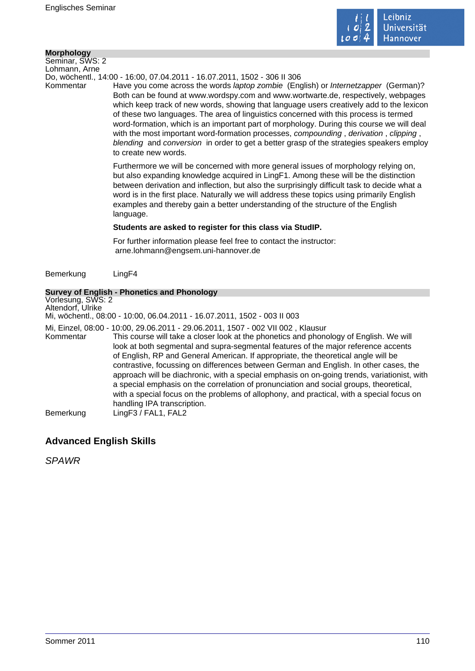

#### **Morphology**

Seminar, SWS: 2 Lohmann, Arne

Do, wöchentl., 14:00 - 16:00, 07.04.2011 - 16.07.2011, 1502 - 306 II 306

Kommentar Have you come across the words laptop zombie (English) or Internetzapper (German)? Both can be found at www.wordspy.com and www.wortwarte.de, respectively, webpages which keep track of new words, showing that language users creatively add to the lexicon of these two languages. The area of linguistics concerned with this process is termed word-formation, which is an important part of morphology. During this course we will deal with the most important word-formation processes, compounding, derivation, clipping, blending and conversion in order to get a better grasp of the strategies speakers employ to create new words.

> Furthermore we will be concerned with more general issues of morphology relying on, but also expanding knowledge acquired in LingF1. Among these will be the distinction between derivation and inflection, but also the surprisingly difficult task to decide what a word is in the first place. Naturally we will address these topics using primarily English examples and thereby gain a better understanding of the structure of the English language.

### **Students are asked to register for this class via StudIP.**

For further information please feel free to contact the instructor: arne.lohmann@engsem.uni-hannover.de

Bemerkung LingF4

### **Survey of English - Phonetics and Phonology**

Vorlesung, SWS: 2 Altendorf, Ulrike Mi, wöchentl., 08:00 - 10:00, 06.04.2011 - 16.07.2011, 1502 - 003 II 003 Mi, Einzel, 08:00 - 10:00, 29.06.2011 - 29.06.2011, 1507 - 002 VII 002 , Klausur

This course will take a closer look at the phonetics and phonology of English. We will look at both segmental and supra-segmental features of the major reference accents of English, RP and General American. If appropriate, the theoretical angle will be contrastive, focussing on differences between German and English. In other cases, the approach will be diachronic, with a special emphasis on on-going trends, variationist, with a special emphasis on the correlation of pronunciation and social groups, theoretical, with a special focus on the problems of allophony, and practical, with a special focus on handling IPA transcription. Bemerkung LingF3 / FAL1, FAL2

# **Advanced English Skills**

SPAWR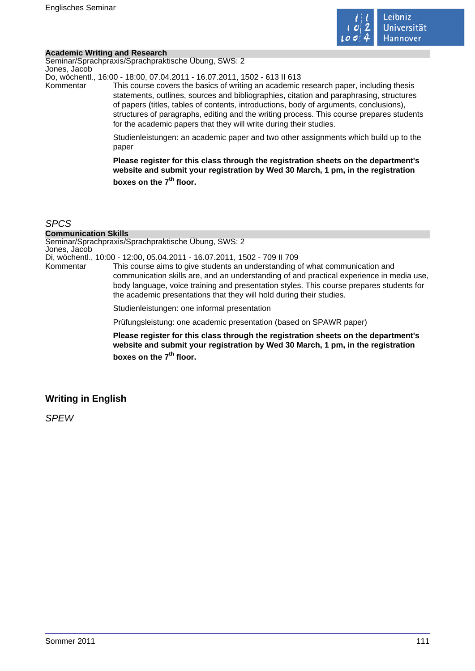

#### **Academic Writing and Research**

Seminar/Sprachpraxis/Sprachpraktische Übung, SWS: 2 Jones, Jacob

Do, wöchentl., 16:00 - 18:00, 07.04.2011 - 16.07.2011, 1502 - 613 II 613

Kommentar This course covers the basics of writing an academic research paper, including thesis statements, outlines, sources and bibliographies, citation and paraphrasing, structures of papers (titles, tables of contents, introductions, body of arguments, conclusions), structures of paragraphs, editing and the writing process. This course prepares students for the academic papers that they will write during their studies.

> Studienleistungen: an academic paper and two other assignments which build up to the paper

> **Please register for this class through the registration sheets on the department's website and submit your registration by Wed 30 March, 1 pm, in the registration boxes on the 7th floor.**

### **SPC<sub>S</sub>**

#### **Communication Skills**

Seminar/Sprachpraxis/Sprachpraktische Übung, SWS: 2 Jones, Jacob

Di, wöchentl., 10:00 - 12:00, 05.04.2011 - 16.07.2011, 1502 - 709 II 709

This course aims to give students an understanding of what communication and communication skills are, and an understanding of and practical experience in media use, body language, voice training and presentation styles. This course prepares students for the academic presentations that they will hold during their studies.

Studienleistungen: one informal presentation

Prüfungsleistung: one academic presentation (based on SPAWR paper)

**Please register for this class through the registration sheets on the department's website and submit your registration by Wed 30 March, 1 pm, in the registration boxes on the 7th floor.** 

# **Writing in English**

**SPFW**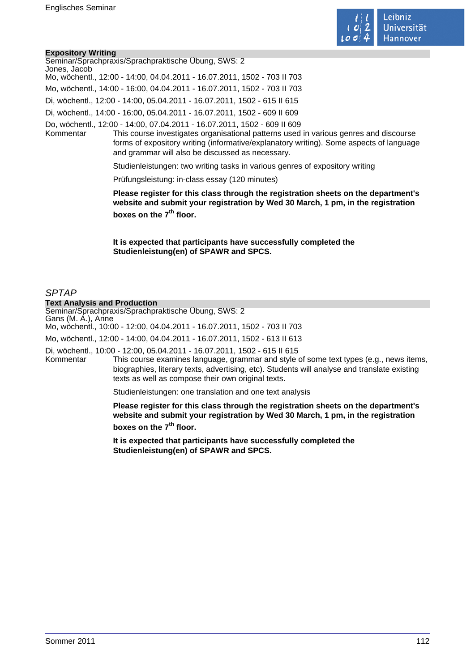

#### **Expository Writing**

| Seminar/Sprachpraxis/Sprachpraktische Übung, SWS: 2                                                |
|----------------------------------------------------------------------------------------------------|
| Jones, Jacob                                                                                       |
| Mo, wöchentl., 12:00 - 14:00, 04.04.2011 - 16.07.2011, 1502 - 703 II 703                           |
| Mo, wöchentl., 14:00 - 16:00, 04.04.2011 - 16.07.2011, 1502 - 703 II 703                           |
| Di, wöchentl., 12:00 - 14:00, 05.04.2011 - 16.07.2011, 1502 - 615 II 615                           |
| Di, wöchentl., 14:00 - 16:00, 05.04.2011 - 16.07.2011, 1502 - 609 II 609                           |
| Do, wöchentl., 12:00 - 14:00, 07.04.2011 - 16.07.2011, 1502 - 609 II 609                           |
| This course investigates organisational patterns used in various genres and discourse<br>Kommentar |
| forms of expository writing (informative/explanatory writing). Some aspects of language            |
| and grammar will also be discussed as necessary.                                                   |

Studienleistungen: two writing tasks in various genres of expository writing

Prüfungsleistung: in-class essay (120 minutes)

**Please register for this class through the registration sheets on the department's website and submit your registration by Wed 30 March, 1 pm, in the registration boxes on the 7th floor.** 

**It is expected that participants have successfully completed the Studienleistung(en) of SPAWR and SPCS.** 

### SPTAP

#### **Text Analysis and Production**

Seminar/Sprachpraxis/Sprachpraktische Übung, SWS: 2 Gans (M. A.), Anne Mo, wöchentl., 10:00 - 12:00, 04.04.2011 - 16.07.2011, 1502 - 703 II 703 Mo, wöchentl., 12:00 - 14:00, 04.04.2011 - 16.07.2011, 1502 - 613 II 613

Di, wöchentl., 10:00 - 12:00, 05.04.2011 - 16.07.2011, 1502 - 615 II 615

Kommentar This course examines language, grammar and style of some text types (e.g., news items, biographies, literary texts, advertising, etc). Students will analyse and translate existing texts as well as compose their own original texts.

Studienleistungen: one translation and one text analysis

**Please register for this class through the registration sheets on the department's website and submit your registration by Wed 30 March, 1 pm, in the registration boxes on the 7th floor.** 

**It is expected that participants have successfully completed the Studienleistung(en) of SPAWR and SPCS.**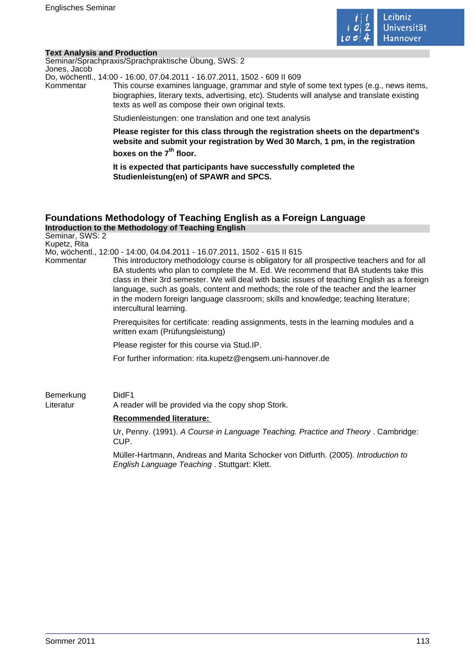

#### **Text Analysis and Production**

Seminar/Sprachpraxis/Sprachpraktische Übung, SWS: 2 Jones, Jacob

Do, wöchentl., 14:00 - 16:00, 07.04.2011 - 16.07.2011, 1502 - 609 II 609

Kommentar This course examines language, grammar and style of some text types (e.g., news items, biographies, literary texts, advertising, etc). Students will analyse and translate existing texts as well as compose their own original texts.

Studienleistungen: one translation and one text analysis

**Please register for this class through the registration sheets on the department's website and submit your registration by Wed 30 March, 1 pm, in the registration boxes on the 7th floor.** 

**It is expected that participants have successfully completed the Studienleistung(en) of SPAWR and SPCS.** 

### **Foundations Methodology of Teaching English as a Foreign Language Introduction to the Methodology of Teaching English**

Seminar, SWS: 2 Kupetz, Rita Mo, wöchentl., 12:00 - 14:00, 04.04.2011 - 16.07.2011, 1502 - 615 II 615 Kommentar This introductory methodology course is obligatory for all prospective teachers and for all BA students who plan to complete the M. Ed. We recommend that BA students take this class in their 3rd semester. We will deal with basic issues of teaching English as a foreign language, such as goals, content and methods; the role of the teacher and the learner in the modern foreign language classroom; skills and knowledge; teaching literature; intercultural learning.

> Prerequisites for certificate: reading assignments, tests in the learning modules and a written exam (Prüfungsleistung)

Please register for this course via Stud.IP.

For further information: rita.kupetz@engsem.uni-hannover.de

Bemerkung DidF1 Literatur A reader will be provided via the copy shop Stork.

### **Recommended literature:**

Ur, Penny. (1991). A Course in Language Teaching. Practice and Theory . Cambridge: CUP.

Müller-Hartmann, Andreas and Marita Schocker von Ditfurth. (2005). Introduction to English Language Teaching . Stuttgart: Klett.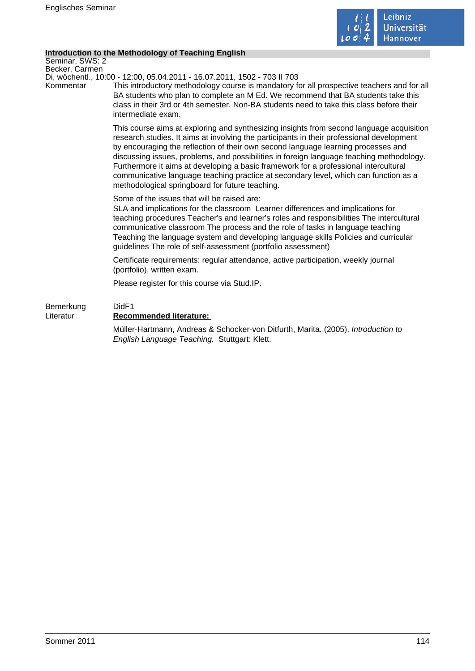

### **Introduction to the Methodology of Teaching English**

Seminar, SWS: 2 Becker, Carmen

Di, wöchentl., 10:00 - 12:00, 05.04.2011 - 16.07.2011, 1502 - 703 II 703

Kommentar This introductory methodology course is mandatory for all prospective teachers and for all BA students who plan to complete an M Ed. We recommend that BA students take this class in their 3rd or 4th semester. Non-BA students need to take this class before their intermediate exam.

> This course aims at exploring and synthesizing insights from second language acquisition research studies. It aims at involving the participants in their professional development by encouraging the reflection of their own second language learning processes and discussing issues, problems, and possibilities in foreign language teaching methodology. Furthermore it aims at developing a basic framework for a professional intercultural communicative language teaching practice at secondary level, which can function as a methodological springboard for future teaching.

Some of the issues that will be raised are:

SLA and implications for the classroom Learner differences and implications for teaching procedures Teacher's and learner's roles and responsibilities The intercultural communicative classroom The process and the role of tasks in language teaching Teaching the language system and developing language skills Policies and curricular guidelines The role of self-assessment (portfolio assessment)

Certificate requirements: regular attendance, active participation, weekly journal (portfolio), written exam.

Please register for this course via Stud.IP.

# Bemerkung DidF1 Literatur **Recommended literature:**  Müller-Hartmann, Andreas & Schocker-von Ditfurth, Marita. (2005). Introduction to English Language Teaching. Stuttgart: Klett.

Sommer 2011 114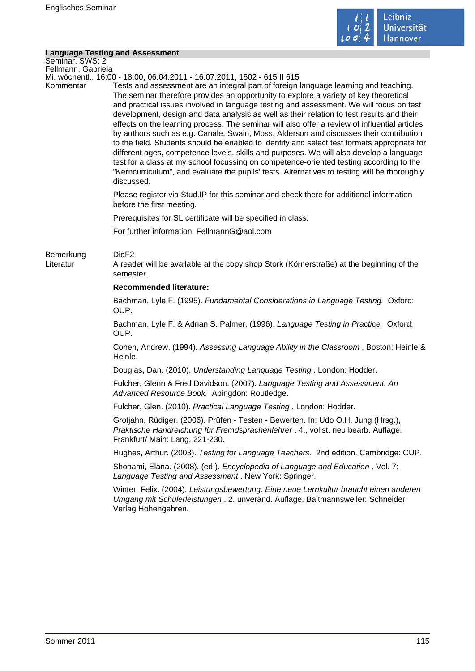

# **Language Testing and Assessment**

|                                       | <b>Language Testing and Assessment</b>                                                                                                                                                                                                                                                                                                                                                                                                                                                                                                                                                                                                                                                                                                                                                                                                                                                                                                                               |
|---------------------------------------|----------------------------------------------------------------------------------------------------------------------------------------------------------------------------------------------------------------------------------------------------------------------------------------------------------------------------------------------------------------------------------------------------------------------------------------------------------------------------------------------------------------------------------------------------------------------------------------------------------------------------------------------------------------------------------------------------------------------------------------------------------------------------------------------------------------------------------------------------------------------------------------------------------------------------------------------------------------------|
| Seminar, SWS: 2<br>Fellmann, Gabriela |                                                                                                                                                                                                                                                                                                                                                                                                                                                                                                                                                                                                                                                                                                                                                                                                                                                                                                                                                                      |
|                                       | Mi, wöchentl., 16:00 - 18:00, 06.04.2011 - 16.07.2011, 1502 - 615 II 615                                                                                                                                                                                                                                                                                                                                                                                                                                                                                                                                                                                                                                                                                                                                                                                                                                                                                             |
| Kommentar                             | Tests and assessment are an integral part of foreign language learning and teaching.<br>The seminar therefore provides an opportunity to explore a variety of key theoretical<br>and practical issues involved in language testing and assessment. We will focus on test<br>development, design and data analysis as well as their relation to test results and their<br>effects on the learning process. The seminar will also offer a review of influential articles<br>by authors such as e.g. Canale, Swain, Moss, Alderson and discusses their contribution<br>to the field. Students should be enabled to identify and select test formats appropriate for<br>different ages, competence levels, skills and purposes. We will also develop a language<br>test for a class at my school focussing on competence-oriented testing according to the<br>"Kerncurriculum", and evaluate the pupils' tests. Alternatives to testing will be thoroughly<br>discussed. |
|                                       | Please register via Stud. IP for this seminar and check there for additional information<br>before the first meeting.                                                                                                                                                                                                                                                                                                                                                                                                                                                                                                                                                                                                                                                                                                                                                                                                                                                |
|                                       | Prerequisites for SL certificate will be specified in class.                                                                                                                                                                                                                                                                                                                                                                                                                                                                                                                                                                                                                                                                                                                                                                                                                                                                                                         |
|                                       | For further information: FellmannG@aol.com                                                                                                                                                                                                                                                                                                                                                                                                                                                                                                                                                                                                                                                                                                                                                                                                                                                                                                                           |
| Bemerkung<br>Literatur                | DidF <sub>2</sub><br>A reader will be available at the copy shop Stork (Körnerstraße) at the beginning of the<br>semester.                                                                                                                                                                                                                                                                                                                                                                                                                                                                                                                                                                                                                                                                                                                                                                                                                                           |
|                                       | <b>Recommended literature:</b>                                                                                                                                                                                                                                                                                                                                                                                                                                                                                                                                                                                                                                                                                                                                                                                                                                                                                                                                       |
|                                       | Bachman, Lyle F. (1995). Fundamental Considerations in Language Testing. Oxford:<br>OUP.                                                                                                                                                                                                                                                                                                                                                                                                                                                                                                                                                                                                                                                                                                                                                                                                                                                                             |
|                                       | Bachman, Lyle F. & Adrian S. Palmer. (1996). Language Testing in Practice. Oxford:<br>OUP.                                                                                                                                                                                                                                                                                                                                                                                                                                                                                                                                                                                                                                                                                                                                                                                                                                                                           |
|                                       | Cohen, Andrew. (1994). Assessing Language Ability in the Classroom. Boston: Heinle &<br>Heinle.                                                                                                                                                                                                                                                                                                                                                                                                                                                                                                                                                                                                                                                                                                                                                                                                                                                                      |
|                                       | Douglas, Dan. (2010). Understanding Language Testing. London: Hodder.                                                                                                                                                                                                                                                                                                                                                                                                                                                                                                                                                                                                                                                                                                                                                                                                                                                                                                |
|                                       | Fulcher, Glenn & Fred Davidson. (2007). Language Testing and Assessment. An<br>Advanced Resource Book. Abingdon: Routledge.                                                                                                                                                                                                                                                                                                                                                                                                                                                                                                                                                                                                                                                                                                                                                                                                                                          |
|                                       | Fulcher, Glen. (2010). Practical Language Testing. London: Hodder.                                                                                                                                                                                                                                                                                                                                                                                                                                                                                                                                                                                                                                                                                                                                                                                                                                                                                                   |
|                                       | Grotjahn, Rüdiger. (2006). Prüfen - Testen - Bewerten. In: Udo O.H. Jung (Hrsg.),<br>Praktische Handreichung für Fremdsprachenlehrer . 4., vollst. neu bearb. Auflage.<br>Frankfurt/ Main: Lang. 221-230.                                                                                                                                                                                                                                                                                                                                                                                                                                                                                                                                                                                                                                                                                                                                                            |
|                                       | Hughes, Arthur. (2003). Testing for Language Teachers. 2nd edition. Cambridge: CUP.                                                                                                                                                                                                                                                                                                                                                                                                                                                                                                                                                                                                                                                                                                                                                                                                                                                                                  |
|                                       | Shohami, Elana. (2008). (ed.). Encyclopedia of Language and Education. Vol. 7:<br>Language Testing and Assessment. New York: Springer.                                                                                                                                                                                                                                                                                                                                                                                                                                                                                                                                                                                                                                                                                                                                                                                                                               |
|                                       | Winter, Felix. (2004). Leistungsbewertung: Eine neue Lernkultur braucht einen anderen<br>Umgang mit Schülerleistungen . 2. unveränd. Auflage. Baltmannsweiler: Schneider<br>Verlag Hohengehren.                                                                                                                                                                                                                                                                                                                                                                                                                                                                                                                                                                                                                                                                                                                                                                      |
|                                       |                                                                                                                                                                                                                                                                                                                                                                                                                                                                                                                                                                                                                                                                                                                                                                                                                                                                                                                                                                      |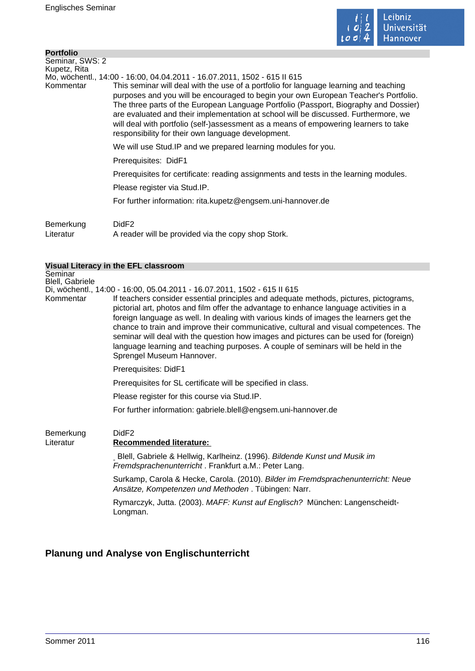

| <b>Portfolio</b> |                                                                                                                                                                                                                                                                                                                                                                                                                                                                                                           |
|------------------|-----------------------------------------------------------------------------------------------------------------------------------------------------------------------------------------------------------------------------------------------------------------------------------------------------------------------------------------------------------------------------------------------------------------------------------------------------------------------------------------------------------|
| Seminar, SWS: 2  |                                                                                                                                                                                                                                                                                                                                                                                                                                                                                                           |
| Kupetz, Rita     |                                                                                                                                                                                                                                                                                                                                                                                                                                                                                                           |
|                  | Mo, wöchentl., 14:00 - 16:00, 04.04.2011 - 16.07.2011, 1502 - 615 II 615                                                                                                                                                                                                                                                                                                                                                                                                                                  |
| Kommentar        | This seminar will deal with the use of a portfolio for language learning and teaching<br>purposes and you will be encouraged to begin your own European Teacher's Portfolio.<br>The three parts of the European Language Portfolio (Passport, Biography and Dossier)<br>are evaluated and their implementation at school will be discussed. Furthermore, we<br>will deal with portfolio (self-)assessment as a means of empowering learners to take<br>responsibility for their own language development. |
|                  | We will use Stud. IP and we prepared learning modules for you.                                                                                                                                                                                                                                                                                                                                                                                                                                            |
|                  | Prerequisites: DidF1                                                                                                                                                                                                                                                                                                                                                                                                                                                                                      |
|                  | Prerequisites for certificate: reading assignments and tests in the learning modules.                                                                                                                                                                                                                                                                                                                                                                                                                     |
|                  | Please register via Stud.IP.                                                                                                                                                                                                                                                                                                                                                                                                                                                                              |
|                  | For further information: rita.kupetz@engsem.uni-hannover.de                                                                                                                                                                                                                                                                                                                                                                                                                                               |
| Bemerkung        | DidF <sub>2</sub>                                                                                                                                                                                                                                                                                                                                                                                                                                                                                         |

Literatur A reader will be provided via the copy shop Stork.

#### **Visual Literacy in the EFL classroom**

**Seminar** Blell, Gabriele

Di, wöchentl., 14:00 - 16:00, 05.04.2011 - 16.07.2011, 1502 - 615 II 615 If teachers consider essential principles and adequate methods, pictures, pictograms, pictorial art, photos and film offer the advantage to enhance language activities in a foreign language as well. In dealing with various kinds of images the learners get the chance to train and improve their communicative, cultural and visual competences. The seminar will deal with the question how images and pictures can be used for (foreign) language learning and teaching purposes. A couple of seminars will be held in the Sprengel Museum Hannover.

Prerequisites: DidF1

Prerequisites for SL certificate will be specified in class.

Please register for this course via Stud.IP.

For further information: gabriele.blell@engsem.uni-hannover.de

# Bemerkung DidF2

### Literatur **Recommended literature:**

Blell, Gabriele & Hellwig, Karlheinz. (1996). Bildende Kunst und Musik im Fremdsprachenunterricht . Frankfurt a.M.: Peter Lang.

Surkamp, Carola & Hecke, Carola. (2010). Bilder im Fremdsprachenunterricht: Neue Ansätze, Kompetenzen und Methoden . Tübingen: Narr.

Rymarczyk, Jutta. (2003). MAFF: Kunst auf Englisch? München: Langenscheidt-Longman.

# **Planung und Analyse von Englischunterricht**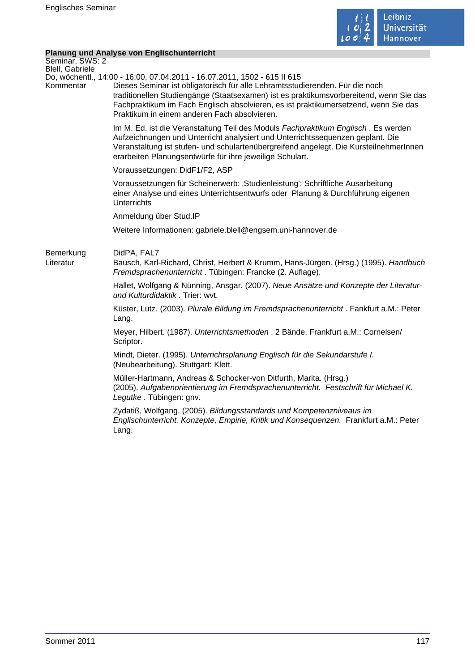

# **Planung und Analyse von Englischunterricht**

|                                    | <b>Planung und Analyse von Englischunterricht</b>                                                                                                                                                                                                                                                                                                                                         |
|------------------------------------|-------------------------------------------------------------------------------------------------------------------------------------------------------------------------------------------------------------------------------------------------------------------------------------------------------------------------------------------------------------------------------------------|
| Seminar, SWS: 2<br>Blell, Gabriele |                                                                                                                                                                                                                                                                                                                                                                                           |
| Kommentar                          | Do, wöchentl., 14:00 - 16:00, 07.04.2011 - 16.07.2011, 1502 - 615 II 615<br>Dieses Seminar ist obligatorisch für alle Lehramtsstudierenden. Für die noch<br>traditionellen Studiengänge (Staatsexamen) ist es praktikumsvorbereitend, wenn Sie das<br>Fachpraktikum im Fach Englisch absolvieren, es ist praktikumersetzend, wenn Sie das<br>Praktikum in einem anderen Fach absolvieren. |
|                                    | Im M. Ed. ist die Veranstaltung Teil des Moduls Fachpraktikum Englisch. Es werden<br>Aufzeichnungen und Unterricht analysiert und Unterrichtssequenzen geplant. Die<br>Veranstaltung ist stufen- und schulartenübergreifend angelegt. Die KursteilnehmerInnen<br>erarbeiten Planungsentwürfe für ihre jeweilige Schulart.                                                                 |
|                                    | Voraussetzungen: DidF1/F2, ASP                                                                                                                                                                                                                                                                                                                                                            |
|                                    | Voraussetzungen für Scheinerwerb: 'Studienleistung': Schriftliche Ausarbeitung<br>einer Analyse und eines Unterrichtsentwurfs oder Planung & Durchführung eigenen<br><b>Unterrichts</b>                                                                                                                                                                                                   |
|                                    | Anmeldung über Stud.IP                                                                                                                                                                                                                                                                                                                                                                    |
|                                    | Weitere Informationen: gabriele.blell@engsem.uni-hannover.de                                                                                                                                                                                                                                                                                                                              |
| Bemerkung<br>Literatur             | DidPA, FAL7<br>Bausch, Karl-Richard, Christ, Herbert & Krumm, Hans-Jürgen. (Hrsg.) (1995). Handbuch<br>Fremdsprachenunterricht. Tübingen: Francke (2. Auflage).                                                                                                                                                                                                                           |
|                                    | Hallet, Wolfgang & Nünning, Ansgar. (2007). Neue Ansätze und Konzepte der Literatur-<br>und Kulturdidaktik. Trier: wvt.                                                                                                                                                                                                                                                                   |
|                                    | Küster, Lutz. (2003). Plurale Bildung im Fremdsprachenunterricht. Fankfurt a.M.: Peter<br>Lang.                                                                                                                                                                                                                                                                                           |
|                                    | Meyer, Hilbert. (1987). Unterrichtsmethoden . 2 Bände. Frankfurt a.M.: Cornelsen/<br>Scriptor.                                                                                                                                                                                                                                                                                            |
|                                    | Mindt, Dieter. (1995). Unterrichtsplanung Englisch für die Sekundarstufe I.<br>(Neubearbeitung). Stuttgart: Klett.                                                                                                                                                                                                                                                                        |
|                                    | Müller-Hartmann, Andreas & Schocker-von Ditfurth, Marita. (Hrsg.)<br>(2005). Aufgabenorientierung im Fremdsprachenunterricht. Festschrift für Michael K.<br>Legutke. Tübingen: gnv.                                                                                                                                                                                                       |
|                                    | Zydatiß, Wolfgang. (2005). Bildungsstandards und Kompetenzniveaus im<br>Englischunterricht. Konzepte, Empirie, Kritik und Konsequenzen. Frankfurt a.M.: Peter<br>Lang.                                                                                                                                                                                                                    |
|                                    |                                                                                                                                                                                                                                                                                                                                                                                           |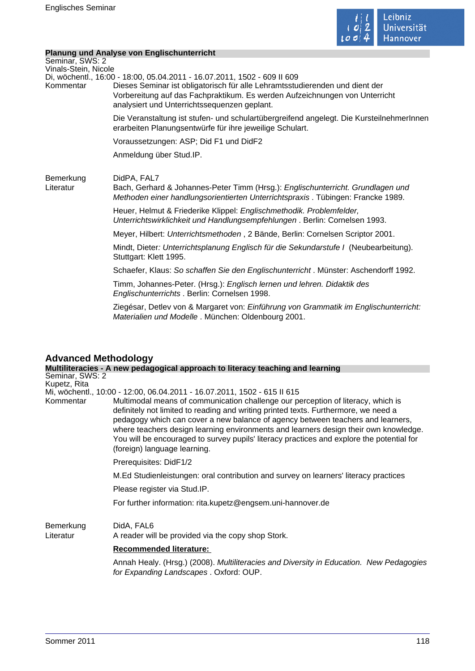

### **Planung und Analyse von Englischunterricht**

|                                   | Planung und Analyse von Englischunterricht                                                                                                                                                                                                                                              |
|-----------------------------------|-----------------------------------------------------------------------------------------------------------------------------------------------------------------------------------------------------------------------------------------------------------------------------------------|
| Seminar, SWS: 2                   |                                                                                                                                                                                                                                                                                         |
| Vinals-Stein, Nicole<br>Kommentar | Di, wöchentl., 16:00 - 18:00, 05.04.2011 - 16.07.2011, 1502 - 609 II 609<br>Dieses Seminar ist obligatorisch für alle Lehramtsstudierenden und dient der<br>Vorbereitung auf das Fachpraktikum. Es werden Aufzeichnungen von Unterricht<br>analysiert und Unterrichtssequenzen geplant. |
|                                   | Die Veranstaltung ist stufen- und schulartübergreifend angelegt. Die KursteilnehmerInnen<br>erarbeiten Planungsentwürfe für ihre jeweilige Schulart.                                                                                                                                    |
|                                   | Voraussetzungen: ASP; Did F1 und DidF2                                                                                                                                                                                                                                                  |
|                                   | Anmeldung über Stud.IP.                                                                                                                                                                                                                                                                 |
| Bemerkung<br>Literatur            | DidPA, FAL7<br>Bach, Gerhard & Johannes-Peter Timm (Hrsg.): Englischunterricht. Grundlagen und<br>Methoden einer handlungsorientierten Unterrichtspraxis. Tübingen: Francke 1989.                                                                                                       |
|                                   | Heuer, Helmut & Friederike Klippel: Englischmethodik. Problemfelder,<br>Unterrichtswirklichkeit und Handlungsempfehlungen. Berlin: Cornelsen 1993.                                                                                                                                      |
|                                   | Meyer, Hilbert: Unterrichtsmethoden, 2 Bände, Berlin: Cornelsen Scriptor 2001.                                                                                                                                                                                                          |
|                                   | Mindt, Dieter: Unterrichtsplanung Englisch für die Sekundarstufe I (Neubearbeitung).<br>Stuttgart: Klett 1995.                                                                                                                                                                          |
|                                   | Schaefer, Klaus: So schaffen Sie den Englischunterricht. Münster: Aschendorff 1992.                                                                                                                                                                                                     |
|                                   | Timm, Johannes-Peter. (Hrsg.): Englisch lernen und lehren. Didaktik des<br>Englischunterrichts. Berlin: Cornelsen 1998.                                                                                                                                                                 |
|                                   | Ziegésar, Detlev von & Margaret von: Einführung von Grammatik im Englischunterricht:<br>Materialien und Modelle. München: Oldenbourg 2001.                                                                                                                                              |
|                                   |                                                                                                                                                                                                                                                                                         |
|                                   |                                                                                                                                                                                                                                                                                         |

# **Advanced Methodology**

|                           | Multiliteracies - A new pedagogical approach to literacy teaching and learning                                                                                                                                                                                                                                                                                                                                                                                                                                                                              |
|---------------------------|-------------------------------------------------------------------------------------------------------------------------------------------------------------------------------------------------------------------------------------------------------------------------------------------------------------------------------------------------------------------------------------------------------------------------------------------------------------------------------------------------------------------------------------------------------------|
| Seminar, SWS: 2           |                                                                                                                                                                                                                                                                                                                                                                                                                                                                                                                                                             |
| Kupetz, Rita<br>Kommentar | Mi, wöchentl., 10:00 - 12:00, 06.04.2011 - 16.07.2011, 1502 - 615 II 615<br>Multimodal means of communication challenge our perception of literacy, which is<br>definitely not limited to reading and writing printed texts. Furthermore, we need a<br>pedagogy which can cover a new balance of agency between teachers and learners,<br>where teachers design learning environments and learners design their own knowledge.<br>You will be encouraged to survey pupils' literacy practices and explore the potential for<br>(foreign) language learning. |
|                           | Prerequisites: DidF1/2                                                                                                                                                                                                                                                                                                                                                                                                                                                                                                                                      |
|                           | M.Ed Studienleistungen: oral contribution and survey on learners' literacy practices                                                                                                                                                                                                                                                                                                                                                                                                                                                                        |
|                           | Please register via Stud.IP.                                                                                                                                                                                                                                                                                                                                                                                                                                                                                                                                |
|                           | For further information: rita.kupetz@engsem.uni-hannover.de                                                                                                                                                                                                                                                                                                                                                                                                                                                                                                 |
| Bemerkung<br>Literatur    | DidA, FAL6<br>A reader will be provided via the copy shop Stork.                                                                                                                                                                                                                                                                                                                                                                                                                                                                                            |
|                           | <b>Recommended literature:</b>                                                                                                                                                                                                                                                                                                                                                                                                                                                                                                                              |
|                           | Annah Healy. (Hrsg.) (2008). Multiliteracies and Diversity in Education. New Pedagogies<br>for Expanding Landscapes . Oxford: OUP.                                                                                                                                                                                                                                                                                                                                                                                                                          |
|                           |                                                                                                                                                                                                                                                                                                                                                                                                                                                                                                                                                             |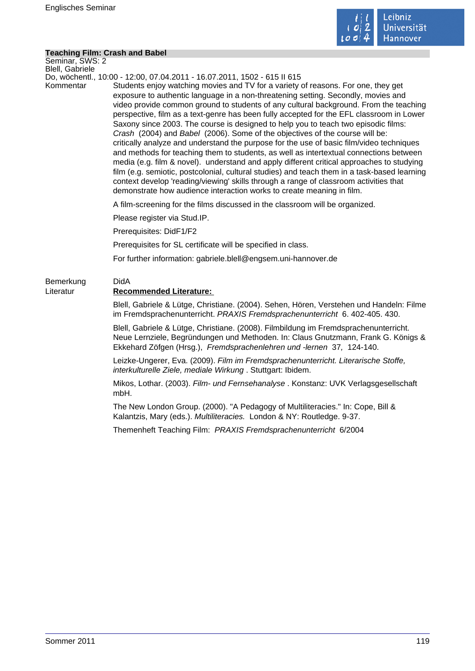

#### **Teaching Film: Crash and Babel**

Seminar, SWS: 2 Blell, Gabriele

Do, wöchentl., 10:00 - 12:00, 07.04.2011 - 16.07.2011, 1502 - 615 II 615

Kommentar Students enjoy watching movies and TV for a variety of reasons. For one, they get exposure to authentic language in a non-threatening setting. Secondly, movies and video provide common ground to students of any cultural background. From the teaching perspective, film as a text-genre has been fully accepted for the EFL classroom in Lower Saxony since 2003. The course is designed to help you to teach two episodic films: Crash (2004) and Babel (2006). Some of the objectives of the course will be: critically analyze and understand the purpose for the use of basic film/video techniques and methods for teaching them to students, as well as intertextual connections between media (e.g. film & novel). understand and apply different critical approaches to studying film (e.g. semiotic, postcolonial, cultural studies) and teach them in a task-based learning context develop 'reading/viewing' skills through a range of classroom activities that demonstrate how audience interaction works to create meaning in film.

A film-screening for the films discussed in the classroom will be organized.

Please register via Stud.IP.

Prerequisites: DidF1/F2

Prerequisites for SL certificate will be specified in class.

For further information: gabriele.blell@engsem.uni-hannover.de

# Bemerkung DidA Literatur **Recommended Literature:**

Blell, Gabriele & Lütge, Christiane. (2004). Sehen, Hören, Verstehen und Handeln: Filme im Fremdsprachenunterricht. PRAXIS Fremdsprachenunterricht 6. 402-405. 430.

Blell, Gabriele & Lütge, Christiane. (2008). Filmbildung im Fremdsprachenunterricht. Neue Lernziele, Begründungen und Methoden. In: Claus Gnutzmann, Frank G. Königs & Ekkehard Zöfgen (Hrsg.), Fremdsprachenlehren und -lernen 37, 124-140.

Leizke-Ungerer, Eva. (2009). Film im Fremdsprachenunterricht. Literarische Stoffe, interkulturelle Ziele, mediale Wirkung . Stuttgart: Ibidem.

Mikos, Lothar. (2003). Film- und Fernsehanalyse . Konstanz: UVK Verlagsgesellschaft mbH.

The New London Group. (2000). "A Pedagogy of Multiliteracies." In: Cope, Bill & Kalantzis, Mary (eds.). Multiliteracies. London & NY: Routledge. 9-37.

Themenheft Teaching Film:PRAXIS Fremdsprachenunterricht 6/2004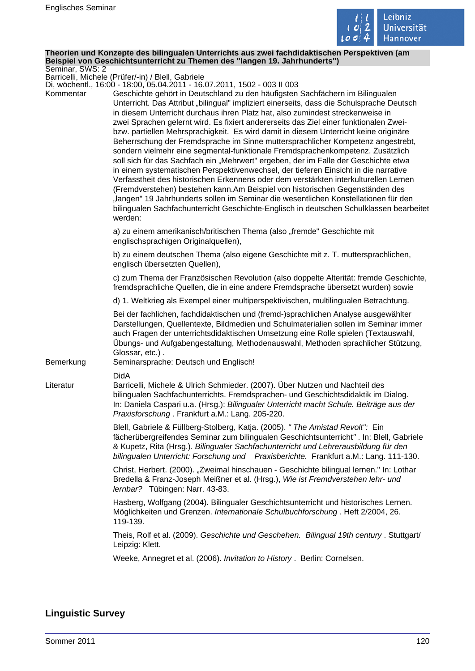

#### **Theorien und Konzepte des bilingualen Unterrichts aus zwei fachdidaktischen Perspektiven (am Beispiel von Geschichtsunterricht zu Themen des "langen 19. Jahrhunderts")** Seminar, SWS: 2

Barricelli, Michele (Prüfer/-in) / Blell, Gabriele

Di, wöchentl., 16:00 - 18:00, 05.04.2011 - 16.07.2011, 1502 - 003 II 003

| Kommentar | 200 II 600 - 200 I 600 I 600 I 700 I 700 I 700 I 700 I 700 I 700 I 700 I 700 I 1<br>Geschichte gehört in Deutschland zu den häufigsten Sachfächern im Bilingualen<br>Unterricht. Das Attribut "bilingual" impliziert einerseits, dass die Schulsprache Deutsch<br>in diesem Unterricht durchaus ihren Platz hat, also zumindest streckenweise in<br>zwei Sprachen gelernt wird. Es fixiert andererseits das Ziel einer funktionalen Zwei-<br>bzw. partiellen Mehrsprachigkeit. Es wird damit in diesem Unterricht keine originäre<br>Beherrschung der Fremdsprache im Sinne muttersprachlicher Kompetenz angestrebt,<br>sondern vielmehr eine segmental-funktionale Fremdsprachenkompetenz. Zusätzlich<br>soll sich für das Sachfach ein "Mehrwert" ergeben, der im Falle der Geschichte etwa<br>in einem systematischen Perspektivenwechsel, der tieferen Einsicht in die narrative<br>Verfasstheit des historischen Erkennens oder dem verstärkten interkulturellen Lernen<br>(Fremdverstehen) bestehen kann.Am Beispiel von historischen Gegenständen des<br>"langen" 19 Jahrhunderts sollen im Seminar die wesentlichen Konstellationen für den<br>bilingualen Sachfachunterricht Geschichte-Englisch in deutschen Schulklassen bearbeitet<br>werden: |
|-----------|-----------------------------------------------------------------------------------------------------------------------------------------------------------------------------------------------------------------------------------------------------------------------------------------------------------------------------------------------------------------------------------------------------------------------------------------------------------------------------------------------------------------------------------------------------------------------------------------------------------------------------------------------------------------------------------------------------------------------------------------------------------------------------------------------------------------------------------------------------------------------------------------------------------------------------------------------------------------------------------------------------------------------------------------------------------------------------------------------------------------------------------------------------------------------------------------------------------------------------------------------------------|
|           | a) zu einem amerikanisch/britischen Thema (also "fremde" Geschichte mit<br>englischsprachigen Originalquellen),                                                                                                                                                                                                                                                                                                                                                                                                                                                                                                                                                                                                                                                                                                                                                                                                                                                                                                                                                                                                                                                                                                                                           |
|           | b) zu einem deutschen Thema (also eigene Geschichte mit z. T. muttersprachlichen,<br>englisch übersetzten Quellen),                                                                                                                                                                                                                                                                                                                                                                                                                                                                                                                                                                                                                                                                                                                                                                                                                                                                                                                                                                                                                                                                                                                                       |
|           | c) zum Thema der Französischen Revolution (also doppelte Alterität: fremde Geschichte,<br>fremdsprachliche Quellen, die in eine andere Fremdsprache übersetzt wurden) sowie                                                                                                                                                                                                                                                                                                                                                                                                                                                                                                                                                                                                                                                                                                                                                                                                                                                                                                                                                                                                                                                                               |
|           | d) 1. Weltkrieg als Exempel einer multiperspektivischen, multilingualen Betrachtung.                                                                                                                                                                                                                                                                                                                                                                                                                                                                                                                                                                                                                                                                                                                                                                                                                                                                                                                                                                                                                                                                                                                                                                      |
| Bemerkung | Bei der fachlichen, fachdidaktischen und (fremd-)sprachlichen Analyse ausgewählter<br>Darstellungen, Quellentexte, Bildmedien und Schulmaterialien sollen im Seminar immer<br>auch Fragen der unterrichtsdidaktischen Umsetzung eine Rolle spielen (Textauswahl,<br>Übungs- und Aufgabengestaltung, Methodenauswahl, Methoden sprachlicher Stützung,<br>Glossar, etc.).<br>Seminarsprache: Deutsch und Englisch!                                                                                                                                                                                                                                                                                                                                                                                                                                                                                                                                                                                                                                                                                                                                                                                                                                          |
| Literatur | <b>DidA</b><br>Barricelli, Michele & Ulrich Schmieder. (2007). Über Nutzen und Nachteil des<br>bilingualen Sachfachunterrichts. Fremdsprachen- und Geschichtsdidaktik im Dialog.<br>In: Daniela Caspari u.a. (Hrsg.): Bilingualer Unterricht macht Schule. Beiträge aus der<br>Praxisforschung. Frankfurt a.M.: Lang. 205-220.                                                                                                                                                                                                                                                                                                                                                                                                                                                                                                                                                                                                                                                                                                                                                                                                                                                                                                                            |
|           | Blell, Gabriele & Füllberg-Stolberg, Katja. (2005). " The Amistad Revolt": Ein<br>fächerübergreifendes Seminar zum bilingualen Geschichtsunterricht". In: Blell, Gabriele<br>& Kupetz, Rita (Hrsg.). Bilingualer Sachfachunterricht und Lehrerausbildung für den<br>bilingualen Unterricht: Forschung und Praxisberichte. Frankfurt a.M.: Lang. 111-130.                                                                                                                                                                                                                                                                                                                                                                                                                                                                                                                                                                                                                                                                                                                                                                                                                                                                                                  |
|           | Christ, Herbert. (2000). "Zweimal hinschauen - Geschichte bilingual lernen." In: Lothar<br>Bredella & Franz-Joseph Meißner et al. (Hrsg.), Wie ist Fremdverstehen lehr- und<br>lernbar? Tübingen: Narr. 43-83.                                                                                                                                                                                                                                                                                                                                                                                                                                                                                                                                                                                                                                                                                                                                                                                                                                                                                                                                                                                                                                            |
|           | Hasberg, Wolfgang (2004). Bilingualer Geschichtsunterricht und historisches Lernen.<br>Möglichkeiten und Grenzen. Internationale Schulbuchforschung. Heft 2/2004, 26.<br>119-139.                                                                                                                                                                                                                                                                                                                                                                                                                                                                                                                                                                                                                                                                                                                                                                                                                                                                                                                                                                                                                                                                         |
|           | Theis, Rolf et al. (2009). Geschichte und Geschehen. Bilingual 19th century . Stuttgart/<br>Leipzig: Klett.                                                                                                                                                                                                                                                                                                                                                                                                                                                                                                                                                                                                                                                                                                                                                                                                                                                                                                                                                                                                                                                                                                                                               |
|           | Weeke, Annegret et al. (2006). Invitation to History. Berlin: Cornelsen.                                                                                                                                                                                                                                                                                                                                                                                                                                                                                                                                                                                                                                                                                                                                                                                                                                                                                                                                                                                                                                                                                                                                                                                  |

### **Linguistic Survey**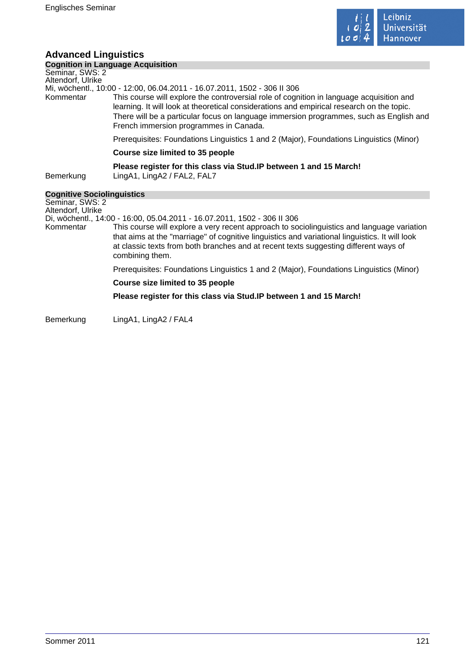

# **Advanced Linguistics**

| <b>Cognition in Language Acquisition</b> |  |
|------------------------------------------|--|

#### Seminar, SWS: 2 Altendorf, Ulrike

Mi, wöchentl., 10:00 - 12:00, 06.04.2011 - 16.07.2011, 1502 - 306 II 306

This course will explore the controversial role of cognition in language acquisition and learning. It will look at theoretical considerations and empirical research on the topic. There will be a particular focus on language immersion programmes, such as English and French immersion programmes in Canada.

Prerequisites: Foundations Linguistics 1 and 2 (Major), Foundations Linguistics (Minor)

#### **Course size limited to 35 people**

**Please register for this class via Stud.IP between 1 and 15 March!** 

Bemerkung LingA1, LingA2 / FAL2, FAL7

### **Cognitive Sociolinguistics**

Seminar, SWS: 2 Altendorf, Ulrike

Di, wöchentl., 14:00 - 16:00, 05.04.2011 - 16.07.2011, 1502 - 306 II 306

Kommentar This course will explore a very recent approach to sociolinguistics and language variation that aims at the "marriage" of cognitive linguistics and variational linguistics. It will look at classic texts from both branches and at recent texts suggesting different ways of combining them.

Prerequisites: Foundations Linguistics 1 and 2 (Major), Foundations Linguistics (Minor)

#### **Course size limited to 35 people**

**Please register for this class via Stud.IP between 1 and 15 March!** 

Bemerkung LingA1, LingA2 / FAL4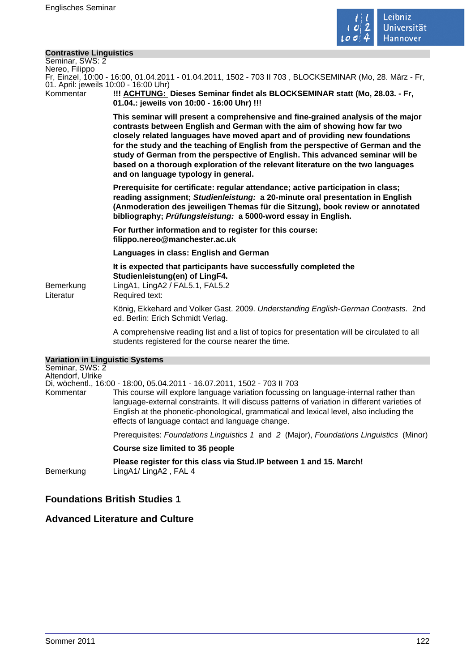

#### **Contrastive Linguistics**

| Seminar, SWS: 2           |  |
|---------------------------|--|
| Nereo, Filippo            |  |
| Fr Finzel 10:00 - 16:00 0 |  |

01.04.2011 - 01.04.2011, 1502 - 703 II 703 , BLOCKSEMINAR (Mo, 28. März - Fr, 01. April: jeweils 10:00 - 16:00 Uhr)

Kommentar **!!! ACHTUNG: Dieses Seminar findet als BLOCKSEMINAR statt (Mo, 28.03. - Fr, 01.04.: jeweils von 10:00 - 16:00 Uhr) !!!** 

> **This seminar will present a comprehensive and fine-grained analysis of the major contrasts between English and German with the aim of showing how far two closely related languages have moved apart and of providing new foundations for the study and the teaching of English from the perspective of German and the study of German from the perspective of English. This advanced seminar will be based on a thorough exploration of the relevant literature on the two languages and on language typology in general.**

> **Prerequisite for certificate: regular attendance; active participation in class; reading assignment; Studienleistung: a 20-minute oral presentation in English (Anmoderation des jeweiligen Themas für die Sitzung), book review or annotated bibliography; Prüfungsleistung: a 5000-word essay in English.**

**For further information and to register for this course: filippo.nereo@manchester.ac.uk** 

**Languages in class: English and German** 

**It is expected that participants have successfully completed the Studienleistung(en) of LingF4.**  Bemerkung LingA1, LingA2 / FAL5.1, FAL5.2

Literatur Required text:

König, Ekkehard and Volker Gast. 2009. Understanding English-German Contrasts. 2nd ed. Berlin: Erich Schmidt Verlag.

A comprehensive reading list and a list of topics for presentation will be circulated to all students registered for the course nearer the time.

| <b>Variation in Linguistic Systems</b> |                                                                                                                                                                                                                                                                                                                                         |
|----------------------------------------|-----------------------------------------------------------------------------------------------------------------------------------------------------------------------------------------------------------------------------------------------------------------------------------------------------------------------------------------|
| Seminar, SWS: 2<br>Altendorf, Ulrike   |                                                                                                                                                                                                                                                                                                                                         |
|                                        | Di, wöchentl., 16:00 - 18:00, 05.04.2011 - 16.07.2011, 1502 - 703 II 703                                                                                                                                                                                                                                                                |
| Kommentar                              | This course will explore language variation focussing on language-internal rather than<br>language-external constraints. It will discuss patterns of variation in different varieties of<br>English at the phonetic-phonological, grammatical and lexical level, also including the<br>effects of language contact and language change. |
|                                        | Prerequisites: Foundations Linguistics 1 and 2 (Major), Foundations Linguistics (Minor)                                                                                                                                                                                                                                                 |
|                                        | Course size limited to 35 people                                                                                                                                                                                                                                                                                                        |
| Bemerkung                              | Please register for this class via Stud. IP between 1 and 15. March!<br>LingA1/LingA2, FAL 4                                                                                                                                                                                                                                            |

# **Foundations British Studies 1**

# **Advanced Literature and Culture**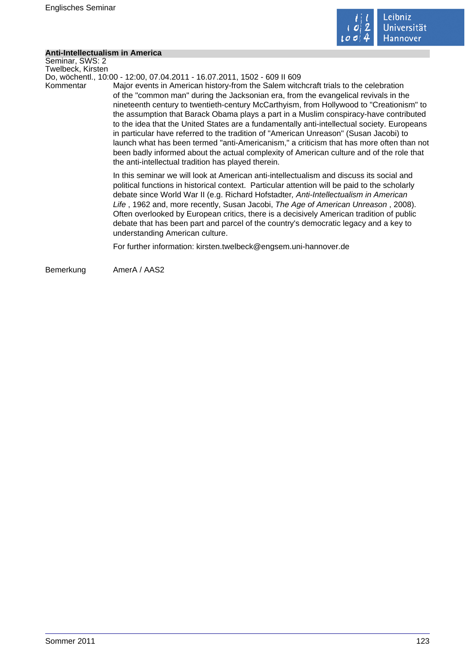

#### **Anti-Intellectualism in America**

Seminar, SWS: 2 Twelbeck, Kirsten

Do, wöchentl., 10:00 - 12:00, 07.04.2011 - 16.07.2011, 1502 - 609 II 609

Kommentar Major events in American history-from the Salem witchcraft trials to the celebration of the "common man" during the Jacksonian era, from the evangelical revivals in the nineteenth century to twentieth-century McCarthyism, from Hollywood to "Creationism" to the assumption that Barack Obama plays a part in a Muslim conspiracy-have contributed to the idea that the United States are a fundamentally anti-intellectual society. Europeans in particular have referred to the tradition of "American Unreason" (Susan Jacobi) to launch what has been termed "anti-Americanism," a criticism that has more often than not been badly informed about the actual complexity of American culture and of the role that the anti-intellectual tradition has played therein.

> In this seminar we will look at American anti-intellectualism and discuss its social and political functions in historical context. Particular attention will be paid to the scholarly debate since World War II (e.g. Richard Hofstadter, Anti-Intellectualism in American Life , 1962 and, more recently, Susan Jacobi, The Age of American Unreason , 2008). Often overlooked by European critics, there is a decisively American tradition of public debate that has been part and parcel of the country's democratic legacy and a key to understanding American culture.

For further information: kirsten.twelbeck@engsem.uni-hannover.de

Bemerkung AmerA / AAS2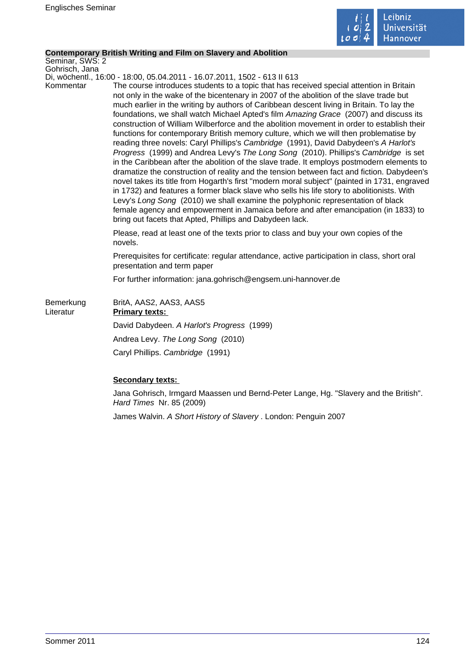

### **Contemporary British Writing and Film on Slavery and Abolition**

Seminar, SWS: 2 Gohrisch, Jana

Di, wöchentl., 16:00 - 18:00, 05.04.2011 - 16.07.2011, 1502 - 613 II 613

Kommentar The course introduces students to a topic that has received special attention in Britain not only in the wake of the bicentenary in 2007 of the abolition of the slave trade but much earlier in the writing by authors of Caribbean descent living in Britain. To lay the foundations, we shall watch Michael Apted's film Amazing Grace (2007) and discuss its construction of William Wilberforce and the abolition movement in order to establish their functions for contemporary British memory culture, which we will then problematise by reading three novels: Caryl Phillips's Cambridge (1991), David Dabydeen's A Harlot's Progress (1999) and Andrea Levy's The Long Song (2010). Phillips's Cambridge is set in the Caribbean after the abolition of the slave trade. It employs postmodern elements to dramatize the construction of reality and the tension between fact and fiction. Dabydeen's novel takes its title from Hogarth's first "modern moral subject" (painted in 1731, engraved in 1732) and features a former black slave who sells his life story to abolitionists. With Levy's Long Song (2010) we shall examine the polyphonic representation of black female agency and empowerment in Jamaica before and after emancipation (in 1833) to bring out facets that Apted, Phillips and Dabydeen lack.

> Please, read at least one of the texts prior to class and buy your own copies of the novels.

Prerequisites for certificate: regular attendance, active participation in class, short oral presentation and term paper

For further information: jana.gohrisch@engsem.uni-hannover.de

| Bemerkung<br>Literatur | BritA, AAS2, AAS3, AAS5<br><b>Primary texts:</b> |
|------------------------|--------------------------------------------------|
|                        | David Dabydeen. A Harlot's Progress (1999)       |
|                        | Andrea Levy. The Long Song (2010)                |
|                        | Caryl Phillips. Cambridge (1991)                 |

### **Secondary texts:**

Jana Gohrisch, Irmgard Maassen und Bernd-Peter Lange, Hg. "Slavery and the British". Hard Times Nr. 85 (2009)

James Walvin. A Short History of Slavery . London: Penguin 2007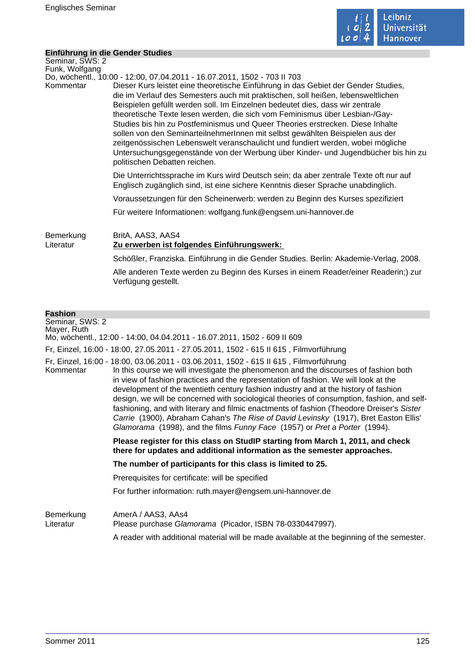

#### **Einführung in die Gender Studies**

| Seminar, SWS: 2<br>Funk, Wolfgang |                                                                                                                                                                                                                                                                                                                                                                                                                                                                                                                                                                                                                                                                                                                                                                                                |
|-----------------------------------|------------------------------------------------------------------------------------------------------------------------------------------------------------------------------------------------------------------------------------------------------------------------------------------------------------------------------------------------------------------------------------------------------------------------------------------------------------------------------------------------------------------------------------------------------------------------------------------------------------------------------------------------------------------------------------------------------------------------------------------------------------------------------------------------|
| Kommentar                         | Do, wöchentl., 10:00 - 12:00, 07.04.2011 - 16.07.2011, 1502 - 703 II 703<br>Dieser Kurs leistet eine theoretische Einführung in das Gebiet der Gender Studies,<br>die im Verlauf des Semesters auch mit praktischen, soll heißen, lebensweltlichen<br>Beispielen gefüllt werden soll. Im Einzelnen bedeutet dies, dass wir zentrale<br>theoretische Texte lesen werden, die sich vom Feminismus über Lesbian-/Gay-<br>Studies bis hin zu Postfeminismus und Queer Theories erstrecken. Diese Inhalte<br>sollen von den SeminarteilnehmerInnen mit selbst gewählten Beispielen aus der<br>zeitgenössischen Lebenswelt veranschaulicht und fundiert werden, wobei mögliche<br>Untersuchungsgegenstände von der Werbung über Kinder- und Jugendbücher bis hin zu<br>politischen Debatten reichen. |
|                                   | Die Unterrichtssprache im Kurs wird Deutsch sein; da aber zentrale Texte oft nur auf<br>Englisch zugänglich sind, ist eine sichere Kenntnis dieser Sprache unabdinglich.                                                                                                                                                                                                                                                                                                                                                                                                                                                                                                                                                                                                                       |
|                                   | Voraussetzungen für den Scheinerwerb: werden zu Beginn des Kurses spezifiziert                                                                                                                                                                                                                                                                                                                                                                                                                                                                                                                                                                                                                                                                                                                 |
|                                   | Für weitere Informationen: wolfgang.funk@engsem.uni-hannover.de                                                                                                                                                                                                                                                                                                                                                                                                                                                                                                                                                                                                                                                                                                                                |
| Bemerkung<br>Literatur            | BritA, AAS3, AAS4<br>Zu erwerben ist folgendes Einführungswerk:                                                                                                                                                                                                                                                                                                                                                                                                                                                                                                                                                                                                                                                                                                                                |
|                                   | Schößler, Franziska. Einführung in die Gender Studies. Berlin: Akademie-Verlag, 2008.                                                                                                                                                                                                                                                                                                                                                                                                                                                                                                                                                                                                                                                                                                          |
|                                   | Alle anderen Texte werden zu Beginn des Kurses in einem Reader/einer Readerin;) zur<br>Verfügung gestellt.                                                                                                                                                                                                                                                                                                                                                                                                                                                                                                                                                                                                                                                                                     |
| <b>Fashion</b>                    |                                                                                                                                                                                                                                                                                                                                                                                                                                                                                                                                                                                                                                                                                                                                                                                                |
| Seminar, SWS: 2<br>Mayer, Ruth    | Mo, wöchentl., 12:00 - 14:00, 04.04.2011 - 16.07.2011, 1502 - 609 II 609                                                                                                                                                                                                                                                                                                                                                                                                                                                                                                                                                                                                                                                                                                                       |

Fr, Einzel, 16:00 - 18:00, 27.05.2011 - 27.05.2011, 1502 - 615 II 615 , Filmvorführung

Fr, Einzel, 16:00 - 18:00, 03.06.2011 - 03.06.2011, 1502 - 615 II 615 , Filmvorführung

In this course we will investigate the phenomenon and the discourses of fashion both in view of fashion practices and the representation of fashion. We will look at the development of the twentieth century fashion industry and at the history of fashion design, we will be concerned with sociological theories of consumption, fashion, and selffashioning, and with literary and filmic enactments of fashion (Theodore Dreiser's Sister Carrie (1900), Abraham Cahan's The Rise of David Levinsky (1917), Bret Easton Ellis' Glamorama (1998), and the films Funny Face (1957) or Pret a Porter (1994).

> **Please register for this class on StudIP starting from March 1, 2011, and check there for updates and additional information as the semester approaches.**

**The number of participants for this class is limited to 25.** 

Prerequisites for certificate: will be specified

For further information: ruth.mayer@engsem.uni-hannover.de

Bemerkung AmerA / AAS3, AAs4 Literatur Please purchase Glamorama (Picador, ISBN 78-0330447997). A reader with additional material will be made available at the beginning of the semester.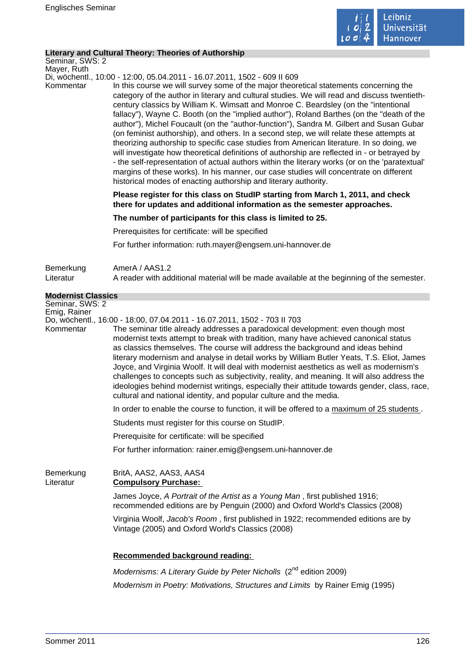

#### **Literary and Cultural Theory: Theories of Authorship**

Seminar, SWS: 2 Mayer, Ruth

Di, wöchentl., 10:00 - 12:00, 05.04.2011 - 16.07.2011, 1502 - 609 II 609

Kommentar In this course we will survey some of the major theoretical statements concerning the category of the author in literary and cultural studies. We will read and discuss twentiethcentury classics by William K. Wimsatt and Monroe C. Beardsley (on the "intentional fallacy"), Wayne C. Booth (on the "implied author"), Roland Barthes (on the "death of the author"), Michel Foucault (on the "author-function"), Sandra M. Gilbert and Susan Gubar (on feminist authorship), and others. In a second step, we will relate these attempts at theorizing authorship to specific case studies from American literature. In so doing, we will investigate how theoretical definitions of authorship are reflected in - or betrayed by - the self-representation of actual authors within the literary works (or on the 'paratextual' margins of these works). In his manner, our case studies will concentrate on different historical modes of enacting authorship and literary authority.

> **Please register for this class on StudIP starting from March 1, 2011, and check there for updates and additional information as the semester approaches.**

**The number of participants for this class is limited to 25.** 

Prerequisites for certificate: will be specified

For further information: ruth.mayer@engsem.uni-hannover.de

| Bemerkung | AmerA / AAS1.2                                                                             |
|-----------|--------------------------------------------------------------------------------------------|
| Literatur | A reader with additional material will be made available at the beginning of the semester. |

| <b>Modernist Classics</b> |                                                                                                                                                                                                                                                                                                                                                                                                                                                                                                                                                                                                                                                                                                                               |
|---------------------------|-------------------------------------------------------------------------------------------------------------------------------------------------------------------------------------------------------------------------------------------------------------------------------------------------------------------------------------------------------------------------------------------------------------------------------------------------------------------------------------------------------------------------------------------------------------------------------------------------------------------------------------------------------------------------------------------------------------------------------|
| Seminar, SWS: 2           |                                                                                                                                                                                                                                                                                                                                                                                                                                                                                                                                                                                                                                                                                                                               |
| Emig, Rainer<br>Kommentar | Do, wöchentl., 16:00 - 18:00, 07.04.2011 - 16.07.2011, 1502 - 703 II 703<br>The seminar title already addresses a paradoxical development: even though most<br>modernist texts attempt to break with tradition, many have achieved canonical status<br>as classics themselves. The course will address the background and ideas behind<br>literary modernism and analyse in detail works by William Butler Yeats, T.S. Eliot, James<br>Joyce, and Virginia Woolf. It will deal with modernist aesthetics as well as modernism's<br>challenges to concepts such as subjectivity, reality, and meaning. It will also address the<br>ideologies behind modernist writings, especially their attitude towards gender, class, race |
|                           | cultural and national identity, and popular culture and the media.<br>In order to enable the course to function, it will be offered to a maximum of 25 students.                                                                                                                                                                                                                                                                                                                                                                                                                                                                                                                                                              |
|                           | Students must register for this course on StudIP.                                                                                                                                                                                                                                                                                                                                                                                                                                                                                                                                                                                                                                                                             |
|                           | Prerequisite for certificate: will be specified                                                                                                                                                                                                                                                                                                                                                                                                                                                                                                                                                                                                                                                                               |
|                           | For further information: rainer.emig@engsem.uni-hannover.de                                                                                                                                                                                                                                                                                                                                                                                                                                                                                                                                                                                                                                                                   |
| Bemerkung                 | BritA, AAS2, AAS3, AAS4                                                                                                                                                                                                                                                                                                                                                                                                                                                                                                                                                                                                                                                                                                       |

Literatur **Compulsory Purchase:**  James Joyce, A Portrait of the Artist as a Young Man , first published 1916; recommended editions are by Penguin (2000) and Oxford World's Classics (2008)

> Virginia Woolf, Jacob's Room , first published in 1922; recommended editions are by Vintage (2005) and Oxford World's Classics (2008)

### **Recommended background reading:**

Modernisms: A Literary Guide by Peter Nicholls  $(2^{nd}$  edition 2009) Modernism in Poetry: Motivations, Structures and Limits by Rainer Emig (1995)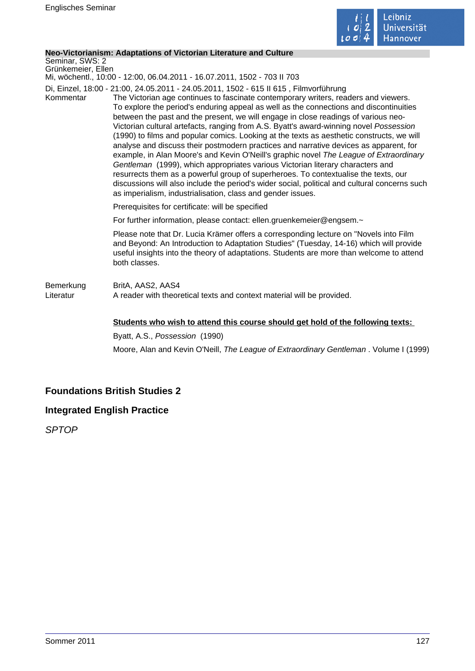

#### **Neo-Victorianism: Adaptations of Victorian Literature and Culture**

Seminar, SWS: 2 Grünkemeier, Ellen

Mi, wöchentl., 10:00 - 12:00, 06.04.2011 - 16.07.2011, 1502 - 703 II 703

Di, Einzel, 18:00 - 21:00, 24.05.2011 - 24.05.2011, 1502 - 615 II 615 , Filmvorführung

Kommentar The Victorian age continues to fascinate contemporary writers, readers and viewers. To explore the period's enduring appeal as well as the connections and discontinuities between the past and the present, we will engage in close readings of various neo-Victorian cultural artefacts, ranging from A.S. Byatt's award-winning novel Possession (1990) to films and popular comics. Looking at the texts as aesthetic constructs, we will analyse and discuss their postmodern practices and narrative devices as apparent, for example, in Alan Moore's and Kevin O'Neill's graphic novel The League of Extraordinary Gentleman (1999), which appropriates various Victorian literary characters and resurrects them as a powerful group of superheroes. To contextualise the texts, our discussions will also include the period's wider social, political and cultural concerns such as imperialism, industrialisation, class and gender issues.

Prerequisites for certificate: will be specified

For further information, please contact: ellen.gruenkemeier@engsem.~

Please note that Dr. Lucia Krämer offers a corresponding lecture on "Novels into Film and Beyond: An Introduction to Adaptation Studies" (Tuesday, 14-16) which will provide useful insights into the theory of adaptations. Students are more than welcome to attend both classes.

Bemerkung BritA, AAS2, AAS4 Literatur **A** reader with theoretical texts and context material will be provided.

#### **Students who wish to attend this course should get hold of the following texts:**

Byatt, A.S., Possession (1990) Moore, Alan and Kevin O'Neill, The League of Extraordinary Gentleman . Volume I (1999)

# **Foundations British Studies 2**

# **Integrated English Practice**

SPTOP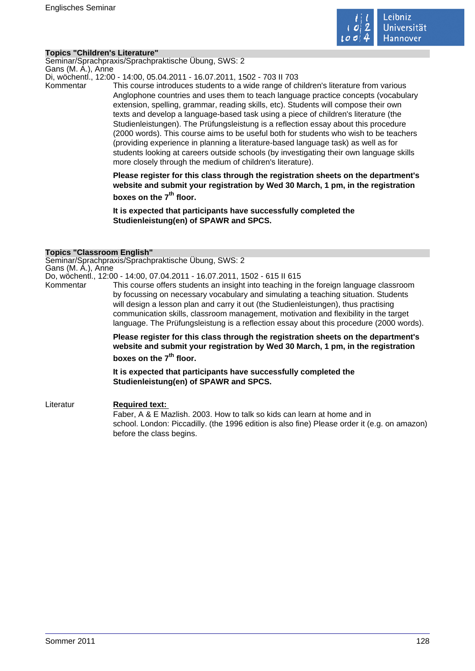

#### **Topics "Children's Literature"**

Seminar/Sprachpraxis/Sprachpraktische Übung, SWS: 2 Gans (M. A.), Anne

Di, wöchentl., 12:00 - 14:00, 05.04.2011 - 16.07.2011, 1502 - 703 II 703

Kommentar This course introduces students to a wide range of children's literature from various Anglophone countries and uses them to teach language practice concepts (vocabulary extension, spelling, grammar, reading skills, etc). Students will compose their own texts and develop a language-based task using a piece of children's literature (the Studienleistungen). The Prüfungsleistung is a reflection essay about this procedure (2000 words). This course aims to be useful both for students who wish to be teachers (providing experience in planning a literature-based language task) as well as for students looking at careers outside schools (by investigating their own language skills more closely through the medium of children's literature).

> **Please register for this class through the registration sheets on the department's website and submit your registration by Wed 30 March, 1 pm, in the registration boxes on the 7th floor.**

**It is expected that participants have successfully completed the Studienleistung(en) of SPAWR and SPCS.** 

#### **Topics "Classroom English"**

Seminar/Sprachpraxis/Sprachpraktische Übung, SWS: 2 Gans (M. A.), Anne

Do, wöchentl., 12:00 - 14:00, 07.04.2011 - 16.07.2011, 1502 - 615 II 615

Kommentar This course offers students an insight into teaching in the foreign language classroom by focussing on necessary vocabulary and simulating a teaching situation. Students will design a lesson plan and carry it out (the Studienleistungen), thus practising communication skills, classroom management, motivation and flexibility in the target language. The Prüfungsleistung is a reflection essay about this procedure (2000 words).

> **Please register for this class through the registration sheets on the department's website and submit your registration by Wed 30 March, 1 pm, in the registration**

# **boxes on the 7th floor.**

**It is expected that participants have successfully completed the Studienleistung(en) of SPAWR and SPCS.** 

Literatur **Required text:**  Faber, A & E Mazlish. 2003. How to talk so kids can learn at home and in school. London: Piccadilly. (the 1996 edition is also fine) Please order it (e.g. on amazon) before the class begins.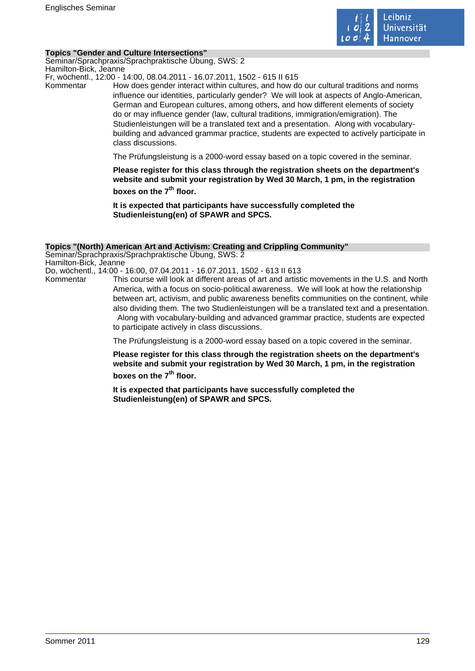

#### **Topics "Gender and Culture Intersections"**

Seminar/Sprachpraxis/Sprachpraktische Übung, SWS: 2 Hamilton-Bick, Jeanne

Fr, wöchentl., 12:00 - 14:00, 08.04.2011 - 16.07.2011, 1502 - 615 II 615

Kommentar How does gender interact within cultures, and how do our cultural traditions and norms influence our identities, particularly gender? We will look at aspects of Anglo-American, German and European cultures, among others, and how different elements of society do or may influence gender (law, cultural traditions, immigration/emigration). The Studienleistungen will be a translated text and a presentation. Along with vocabularybuilding and advanced grammar practice, students are expected to actively participate in class discussions.

The Prüfungsleistung is a 2000-word essay based on a topic covered in the seminar.

**Please register for this class through the registration sheets on the department's website and submit your registration by Wed 30 March, 1 pm, in the registration boxes on the 7th floor.** 

**It is expected that participants have successfully completed the Studienleistung(en) of SPAWR and SPCS.** 

#### **Topics "(North) American Art and Activism: Creating and Crippling Community"**

Seminar/Sprachpraxis/Sprachpraktische Übung, SWS: 2 Hamilton-Bick, Jeanne Do, wöchentl., 14:00 - 16:00, 07.04.2011 - 16.07.2011, 1502 - 613 II 613

Kommentar This course will look at different areas of art and artistic movements in the U.S. and North America, with a focus on socio-political awareness. We will look at how the relationship between art, activism, and public awareness benefits communities on the continent, while also dividing them. The two Studienleistungen will be a translated text and a presentation. Along with vocabulary-building and advanced grammar practice, students are expected to participate actively in class discussions.

The Prüfungsleistung is a 2000-word essay based on a topic covered in the seminar.

**Please register for this class through the registration sheets on the department's website and submit your registration by Wed 30 March, 1 pm, in the registration boxes on the 7th floor.** 

**It is expected that participants have successfully completed the Studienleistung(en) of SPAWR and SPCS.**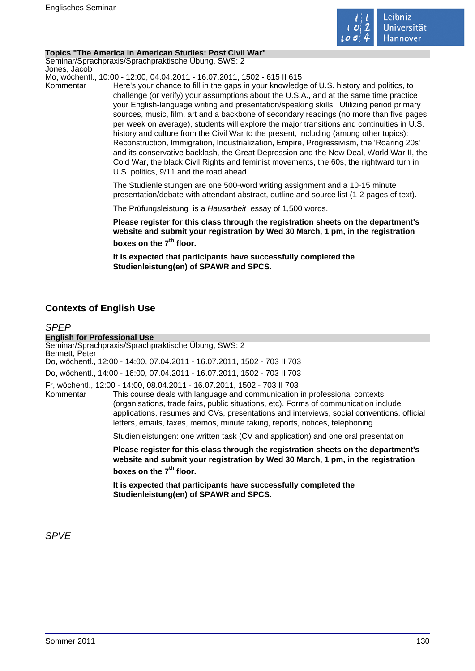

#### **Topics "The America in American Studies: Post Civil War"**

Seminar/Sprachpraxis/Sprachpraktische Übung, SWS: 2 Jones, Jacob

Mo, wöchentl., 10:00 - 12:00, 04.04.2011 - 16.07.2011, 1502 - 615 II 615

Kommentar Here's your chance to fill in the gaps in your knowledge of U.S. history and politics, to challenge (or verify) your assumptions about the U.S.A., and at the same time practice your English-language writing and presentation/speaking skills. Utilizing period primary sources, music, film, art and a backbone of secondary readings (no more than five pages per week on average), students will explore the major transitions and continuities in U.S. history and culture from the Civil War to the present, including (among other topics): Reconstruction, Immigration, Industrialization, Empire, Progressivism, the 'Roaring 20s' and its conservative backlash, the Great Depression and the New Deal, World War II, the Cold War, the black Civil Rights and feminist movements, the 60s, the rightward turn in U.S. politics, 9/11 and the road ahead.

> The Studienleistungen are one 500-word writing assignment and a 10-15 minute presentation/debate with attendant abstract, outline and source list (1-2 pages of text).

The Prüfungsleistung is a Hausarbeit essay of 1,500 words.

**Please register for this class through the registration sheets on the department's website and submit your registration by Wed 30 March, 1 pm, in the registration boxes on the 7th floor.** 

**It is expected that participants have successfully completed the Studienleistung(en) of SPAWR and SPCS.** 

# **Contexts of English Use**

## SPEP **English for Professional Use** Seminar/Sprachpraxis/Sprachpraktische Übung, SWS: 2 Bennett, Peter Do, wöchentl., 12:00 - 14:00, 07.04.2011 - 16.07.2011, 1502 - 703 II 703 Do, wöchentl., 14:00 - 16:00, 07.04.2011 - 16.07.2011, 1502 - 703 II 703 Fr, wöchentl., 12:00 - 14:00, 08.04.2011 - 16.07.2011, 1502 - 703 II 703 This course deals with language and communication in professional contexts (organisations, trade fairs, public situations, etc). Forms of communication include applications, resumes and CVs, presentations and interviews, social conventions, official letters, emails, faxes, memos, minute taking, reports, notices, telephoning. Studienleistungen: one written task (CV and application) and one oral presentation **Please register for this class through the registration sheets on the department's website and submit your registration by Wed 30 March, 1 pm, in the registration boxes on the 7th floor. It is expected that participants have successfully completed the Studienleistung(en) of SPAWR and SPCS.**

SPVE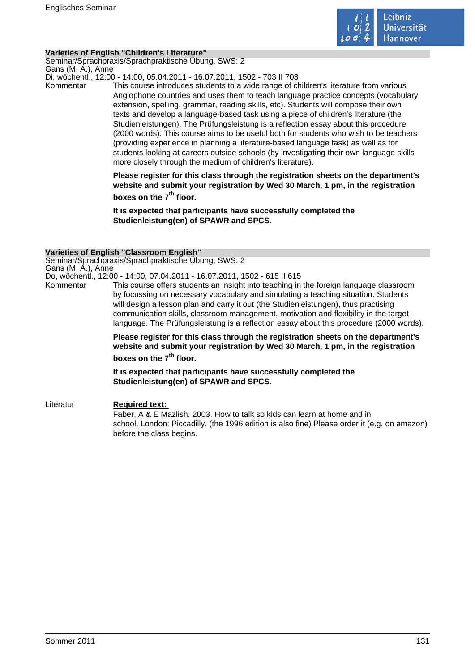

#### **Varieties of English "Children's Literature"**

Seminar/Sprachpraxis/Sprachpraktische Übung, SWS: 2 Gans (M. A.), Anne

Di, wöchentl., 12:00 - 14:00, 05.04.2011 - 16.07.2011, 1502 - 703 II 703

Kommentar This course introduces students to a wide range of children's literature from various Anglophone countries and uses them to teach language practice concepts (vocabulary extension, spelling, grammar, reading skills, etc). Students will compose their own texts and develop a language-based task using a piece of children's literature (the Studienleistungen). The Prüfungsleistung is a reflection essay about this procedure (2000 words). This course aims to be useful both for students who wish to be teachers (providing experience in planning a literature-based language task) as well as for students looking at careers outside schools (by investigating their own language skills more closely through the medium of children's literature).

> **Please register for this class through the registration sheets on the department's website and submit your registration by Wed 30 March, 1 pm, in the registration boxes on the 7th floor.**

**It is expected that participants have successfully completed the Studienleistung(en) of SPAWR and SPCS.** 

#### **Varieties of English "Classroom English"**

Seminar/Sprachpraxis/Sprachpraktische Übung, SWS: 2 Gans (M. A.), Anne

Do, wöchentl., 12:00 - 14:00, 07.04.2011 - 16.07.2011, 1502 - 615 II 615

Kommentar This course offers students an insight into teaching in the foreign language classroom by focussing on necessary vocabulary and simulating a teaching situation. Students will design a lesson plan and carry it out (the Studienleistungen), thus practising communication skills, classroom management, motivation and flexibility in the target language. The Prüfungsleistung is a reflection essay about this procedure (2000 words).

> **Please register for this class through the registration sheets on the department's website and submit your registration by Wed 30 March, 1 pm, in the registration**

# **boxes on the 7th floor.**

**It is expected that participants have successfully completed the Studienleistung(en) of SPAWR and SPCS.** 

Literatur **Required text:**  Faber, A & E Mazlish. 2003. How to talk so kids can learn at home and in school. London: Piccadilly. (the 1996 edition is also fine) Please order it (e.g. on amazon) before the class begins.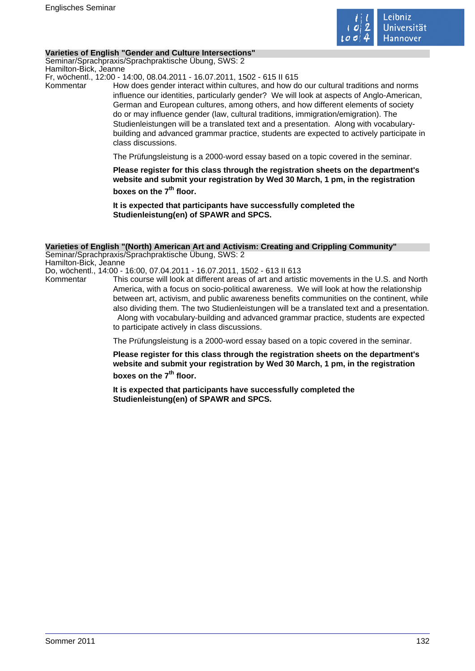

#### **Varieties of English "Gender and Culture Intersections"**

Seminar/Sprachpraxis/Sprachpraktische Übung, SWS: 2 Hamilton-Bick, Jeanne

Fr, wöchentl., 12:00 - 14:00, 08.04.2011 - 16.07.2011, 1502 - 615 II 615

Kommentar How does gender interact within cultures, and how do our cultural traditions and norms influence our identities, particularly gender? We will look at aspects of Anglo-American, German and European cultures, among others, and how different elements of society do or may influence gender (law, cultural traditions, immigration/emigration). The Studienleistungen will be a translated text and a presentation. Along with vocabularybuilding and advanced grammar practice, students are expected to actively participate in class discussions.

The Prüfungsleistung is a 2000-word essay based on a topic covered in the seminar.

**Please register for this class through the registration sheets on the department's website and submit your registration by Wed 30 March, 1 pm, in the registration boxes on the 7th floor.** 

**It is expected that participants have successfully completed the Studienleistung(en) of SPAWR and SPCS.** 

#### **Varieties of English "(North) American Art and Activism: Creating and Crippling Community"**

Seminar/Sprachpraxis/Sprachpraktische Übung, SWS: 2 Hamilton-Bick, Jeanne Do, wöchentl., 14:00 - 16:00, 07.04.2011 - 16.07.2011, 1502 - 613 II 613

Kommentar This course will look at different areas of art and artistic movements in the U.S. and North America, with a focus on socio-political awareness. We will look at how the relationship between art, activism, and public awareness benefits communities on the continent, while also dividing them. The two Studienleistungen will be a translated text and a presentation. Along with vocabulary-building and advanced grammar practice, students are expected to participate actively in class discussions.

The Prüfungsleistung is a 2000-word essay based on a topic covered in the seminar.

**Please register for this class through the registration sheets on the department's website and submit your registration by Wed 30 March, 1 pm, in the registration boxes on the 7th floor.** 

**It is expected that participants have successfully completed the Studienleistung(en) of SPAWR and SPCS.**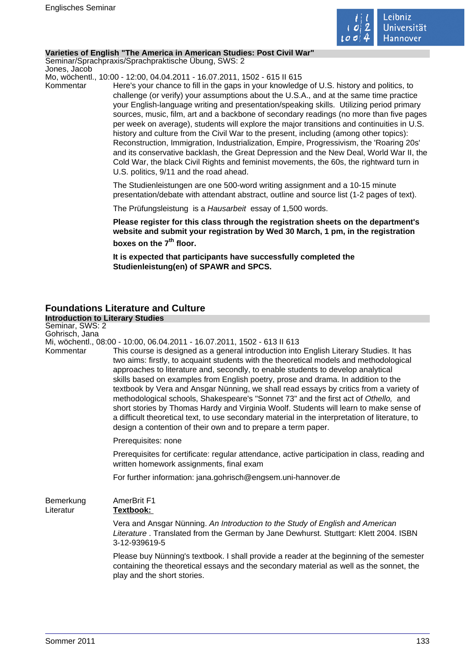

#### **Varieties of English "The America in American Studies: Post Civil War"**

Seminar/Sprachpraxis/Sprachpraktische Übung, SWS: 2 Jones, Jacob

Mo, wöchentl., 10:00 - 12:00, 04.04.2011 - 16.07.2011, 1502 - 615 II 615

Kommentar Here's your chance to fill in the gaps in your knowledge of U.S. history and politics, to challenge (or verify) your assumptions about the U.S.A., and at the same time practice your English-language writing and presentation/speaking skills. Utilizing period primary sources, music, film, art and a backbone of secondary readings (no more than five pages per week on average), students will explore the major transitions and continuities in U.S. history and culture from the Civil War to the present, including (among other topics): Reconstruction, Immigration, Industrialization, Empire, Progressivism, the 'Roaring 20s' and its conservative backlash, the Great Depression and the New Deal, World War II, the Cold War, the black Civil Rights and feminist movements, the 60s, the rightward turn in U.S. politics, 9/11 and the road ahead.

> The Studienleistungen are one 500-word writing assignment and a 10-15 minute presentation/debate with attendant abstract, outline and source list (1-2 pages of text).

The Prüfungsleistung is a Hausarbeit essay of 1,500 words.

**Please register for this class through the registration sheets on the department's website and submit your registration by Wed 30 March, 1 pm, in the registration boxes on the 7th floor.** 

**It is expected that participants have successfully completed the Studienleistung(en) of SPAWR and SPCS.** 

# **Foundations Literature and Culture**

| <b>Introduction to Literary Studies</b> |                                                                                                                                                                                                                                                                                                                                                                                                                                                                                                                                                                                                                                                                                                                                                                                                                                                                                       |
|-----------------------------------------|---------------------------------------------------------------------------------------------------------------------------------------------------------------------------------------------------------------------------------------------------------------------------------------------------------------------------------------------------------------------------------------------------------------------------------------------------------------------------------------------------------------------------------------------------------------------------------------------------------------------------------------------------------------------------------------------------------------------------------------------------------------------------------------------------------------------------------------------------------------------------------------|
| Seminar, SWS: 2                         |                                                                                                                                                                                                                                                                                                                                                                                                                                                                                                                                                                                                                                                                                                                                                                                                                                                                                       |
| Gohrisch, Jana<br>Kommentar             | Mi, wöchentl., 08:00 - 10:00, 06.04.2011 - 16.07.2011, 1502 - 613 II 613<br>This course is designed as a general introduction into English Literary Studies. It has<br>two aims: firstly, to acquaint students with the theoretical models and methodological<br>approaches to literature and, secondly, to enable students to develop analytical<br>skills based on examples from English poetry, prose and drama. In addition to the<br>textbook by Vera and Ansgar Nünning, we shall read essays by critics from a variety of<br>methodological schools, Shakespeare's "Sonnet 73" and the first act of Othello, and<br>short stories by Thomas Hardy and Virginia Woolf. Students will learn to make sense of<br>a difficult theoretical text, to use secondary material in the interpretation of literature, to<br>design a contention of their own and to prepare a term paper. |
|                                         | Prerequisites: none                                                                                                                                                                                                                                                                                                                                                                                                                                                                                                                                                                                                                                                                                                                                                                                                                                                                   |
|                                         | Prerequisites for certificate: regular attendance, active participation in class, reading and<br>written homework assignments, final exam                                                                                                                                                                                                                                                                                                                                                                                                                                                                                                                                                                                                                                                                                                                                             |
|                                         | For further information: jana.gohrisch@engsem.uni-hannover.de                                                                                                                                                                                                                                                                                                                                                                                                                                                                                                                                                                                                                                                                                                                                                                                                                         |
| Bemerkung<br>Literatur                  | AmerBrit F1<br>Textbook:                                                                                                                                                                                                                                                                                                                                                                                                                                                                                                                                                                                                                                                                                                                                                                                                                                                              |
|                                         | Vera and Ansgar Nünning. An Introduction to the Study of English and American<br>Literature. Translated from the German by Jane Dewhurst. Stuttgart: Klett 2004. ISBN<br>3-12-939619-5                                                                                                                                                                                                                                                                                                                                                                                                                                                                                                                                                                                                                                                                                                |
|                                         | Please buy Nünning's textbook. I shall provide a reader at the beginning of the semester<br>containing the theoretical essays and the secondary material as well as the sonnet, the<br>play and the short stories.                                                                                                                                                                                                                                                                                                                                                                                                                                                                                                                                                                                                                                                                    |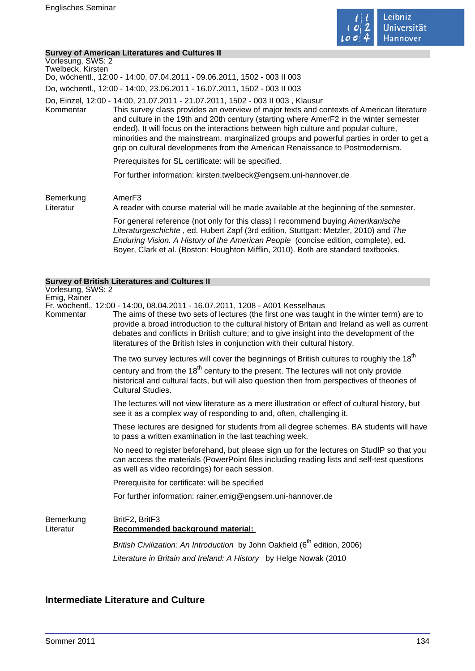

#### **Survey of American Literatures and Cultures II**

| Vorlesung, SWS: 2<br>Twelbeck, Kirsten | 000 TV TO ANION DUN ENGLARI CO UNU OUNUI CO I<br>Do, wöchentl., 12:00 - 14:00, 07.04.2011 - 09.06.2011, 1502 - 003 II 003                                                                                                                                                                                                                                                                                                                                                                                                                  |
|----------------------------------------|--------------------------------------------------------------------------------------------------------------------------------------------------------------------------------------------------------------------------------------------------------------------------------------------------------------------------------------------------------------------------------------------------------------------------------------------------------------------------------------------------------------------------------------------|
|                                        | Do, wöchentl., 12:00 - 14:00, 23.06.2011 - 16.07.2011, 1502 - 003 II 003                                                                                                                                                                                                                                                                                                                                                                                                                                                                   |
| Kommentar                              | Do, Einzel, 12:00 - 14:00, 21.07.2011 - 21.07.2011, 1502 - 003 II 003, Klausur<br>This survey class provides an overview of major texts and contexts of American literature<br>and culture in the 19th and 20th century (starting where AmerF2 in the winter semester<br>ended). It will focus on the interactions between high culture and popular culture,<br>minorities and the mainstream, marginalized groups and powerful parties in order to get a<br>grip on cultural developments from the American Renaissance to Postmodernism. |
|                                        | Prerequisites for SL certificate: will be specified.                                                                                                                                                                                                                                                                                                                                                                                                                                                                                       |
|                                        | For further information: kirsten.twelbeck@engsem.uni-hannover.de                                                                                                                                                                                                                                                                                                                                                                                                                                                                           |
| Bemerkung<br>Literatur                 | Amer <sub>F3</sub><br>A reader with course material will be made available at the beginning of the semester.                                                                                                                                                                                                                                                                                                                                                                                                                               |
|                                        | For general reference (not only for this class) I recommend buying Amerikanische<br>Literaturgeschichte, ed. Hubert Zapf (3rd edition, Stuttgart: Metzler, 2010) and The<br>Enduring Vision. A History of the American People (concise edition, complete), ed.<br>Boyer, Clark et al. (Boston: Houghton Mifflin, 2010). Both are standard textbooks.                                                                                                                                                                                       |
|                                        | <b>Survey of British Literatures and Cultures II</b>                                                                                                                                                                                                                                                                                                                                                                                                                                                                                       |
| Vorlesung, SWS: 2<br>Emig, Rainer      | Fr, wöchentl., 12:00 - 14:00, 08.04.2011 - 16.07.2011, 1208 - A001 Kesselhaus                                                                                                                                                                                                                                                                                                                                                                                                                                                              |

Kommentar The aims of these two sets of lectures (the first one was taught in the winter term) are to provide a broad introduction to the cultural history of Britain and Ireland as well as current debates and conflicts in British culture; and to give insight into the development of the literatures of the British Isles in conjunction with their cultural history.

The two survey lectures will cover the beginnings of British cultures to roughly the  $18<sup>th</sup>$ 

century and from the  $18<sup>th</sup>$  century to the present. The lectures will not only provide historical and cultural facts, but will also question then from perspectives of theories of Cultural Studies.

The lectures will not view literature as a mere illustration or effect of cultural history, but see it as a complex way of responding to and, often, challenging it.

These lectures are designed for students from all degree schemes. BA students will have to pass a written examination in the last teaching week.

No need to register beforehand, but please sign up for the lectures on StudIP so that you can access the materials (PowerPoint files including reading lists and self-test questions as well as video recordings) for each session.

Prerequisite for certificate: will be specified

For further information: rainer.emig@engsem.uni-hannover.de

Bemerkung BritF2, BritF3

# Literatur **Recommended background material:**

British Civilization: An Introduction by John Oakfield  $(6<sup>th</sup>$  edition, 2006) Literature in Britain and Ireland: A History by Helge Nowak (2010

# **Intermediate Literature and Culture**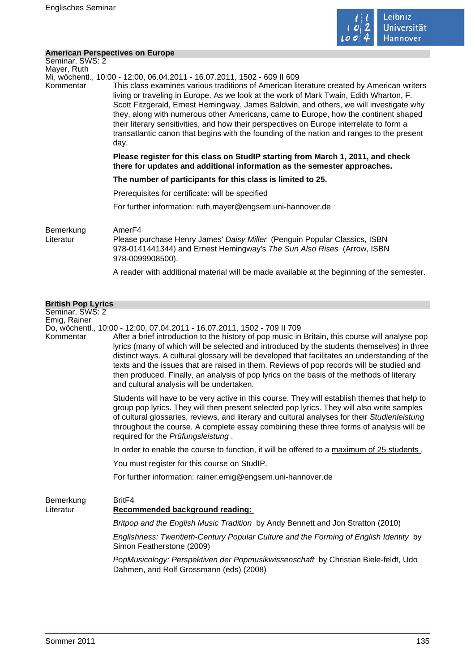

### **American Perspectives on Europe**

| Seminar, SWS: 2<br>Mayer, Ruth  |                                                                                                                                                                                                                                                                                                                                                                                                                                                                                                                                                                                                                                                   |
|---------------------------------|---------------------------------------------------------------------------------------------------------------------------------------------------------------------------------------------------------------------------------------------------------------------------------------------------------------------------------------------------------------------------------------------------------------------------------------------------------------------------------------------------------------------------------------------------------------------------------------------------------------------------------------------------|
| Kommentar                       | Mi, wöchentl., 10:00 - 12:00, 06.04.2011 - 16.07.2011, 1502 - 609 II 609<br>This class examines various traditions of American literature created by American writers<br>living or traveling in Europe. As we look at the work of Mark Twain, Edith Wharton, F.<br>Scott Fitzgerald, Ernest Hemingway, James Baldwin, and others, we will investigate why<br>they, along with numerous other Americans, came to Europe, how the continent shaped<br>their literary sensitivities, and how their perspectives on Europe interrelate to form a<br>transatlantic canon that begins with the founding of the nation and ranges to the present<br>day. |
|                                 | Please register for this class on StudIP starting from March 1, 2011, and check<br>there for updates and additional information as the semester approaches.                                                                                                                                                                                                                                                                                                                                                                                                                                                                                       |
|                                 | The number of participants for this class is limited to 25.                                                                                                                                                                                                                                                                                                                                                                                                                                                                                                                                                                                       |
|                                 | Prerequisites for certificate: will be specified                                                                                                                                                                                                                                                                                                                                                                                                                                                                                                                                                                                                  |
|                                 | For further information: ruth.mayer@engsem.uni-hannover.de                                                                                                                                                                                                                                                                                                                                                                                                                                                                                                                                                                                        |
| Bemerkung<br>Literatur          | Amer <sub>F4</sub><br>Please purchase Henry James' Daisy Miller (Penguin Popular Classics, ISBN<br>978-0141441344) and Ernest Hemingway's The Sun Also Rises (Arrow, ISBN<br>978-0099908500).                                                                                                                                                                                                                                                                                                                                                                                                                                                     |
|                                 | A reader with additional material will be made available at the beginning of the semester.                                                                                                                                                                                                                                                                                                                                                                                                                                                                                                                                                        |
| <b>British Pop Lyrics</b>       |                                                                                                                                                                                                                                                                                                                                                                                                                                                                                                                                                                                                                                                   |
| Seminar, SWS: 2<br>Emig, Rainer | Do, wöchentl., 10:00 - 12:00, 07.04.2011 - 16.07.2011, 1502 - 709 II 709                                                                                                                                                                                                                                                                                                                                                                                                                                                                                                                                                                          |
| Kommentar                       | After a brief introduction to the history of pop music in Britain, this course will analyse pop<br>lyrics (many of which will be selected and introduced by the students themselves) in three<br>distinct ways. A cultural glossary will be developed that facilitates an understanding of the<br>texts and the issues that are raised in them. Reviews of pop records will be studied and<br>then produced. Finally, an analysis of pop lyrics on the basis of the methods of literary                                                                                                                                                           |

Students will have to be very active in this course. They will establish themes that help to group pop lyrics. They will then present selected pop lyrics. They will also write samples of cultural glossaries, reviews, and literary and cultural analyses for their Studienleistung throughout the course. A complete essay combining these three forms of analysis will be required for the Prüfungsleistung .

In order to enable the course to function, it will be offered to a maximum of 25 students.

You must register for this course on StudIP.

and cultural analysis will be undertaken.

For further information: rainer.emig@engsem.uni-hannover.de

Bemerkung BritF4 Literatur **Recommended background reading:**  Britpop and the English Music Tradition by Andy Bennett and Jon Stratton (2010) Englishness: Twentieth-Century Popular Culture and the Forming of English Identity by Simon Featherstone (2009)

> PopMusicology: Perspektiven der Popmusikwissenschaft by Christian Biele-feldt, Udo Dahmen, and Rolf Grossmann (eds) (2008)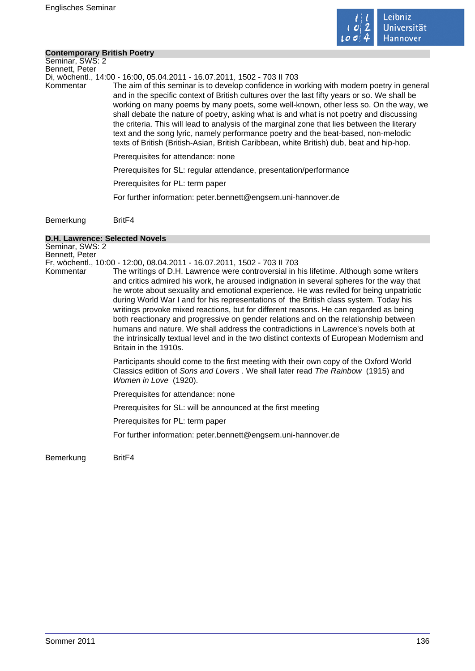

#### **Contemporary British Poetry**

Seminar, SWS: 2 Bennett, Peter

Di, wöchentl., 14:00 - 16:00, 05.04.2011 - 16.07.2011, 1502 - 703 II 703

Kommentar The aim of this seminar is to develop confidence in working with modern poetry in general and in the specific context of British cultures over the last fifty years or so. We shall be working on many poems by many poets, some well-known, other less so. On the way, we shall debate the nature of poetry, asking what is and what is not poetry and discussing the criteria. This will lead to analysis of the marginal zone that lies between the literary text and the song lyric, namely performance poetry and the beat-based, non-melodic texts of British (British-Asian, British Caribbean, white British) dub, beat and hip-hop.

Prerequisites for attendance: none

Prerequisites for SL: regular attendance, presentation/performance

Prerequisites for PL: term paper

For further information: peter.bennett@engsem.uni-hannover.de

Bemerkung BritF4

#### **D.H. Lawrence: Selected Novels**

Seminar, SWS: 2 Bennett, Peter Fr, wöchentl., 10:00 - 12:00, 08.04.2011 - 16.07.2011, 1502 - 703 II 703 Kommentar The writings of D.H. Lawrence were controversial in his lifetime. Although some writers and critics admired his work, he aroused indignation in several spheres for the way that he wrote about sexuality and emotional experience. He was reviled for being unpatriotic during World War I and for his representations of the British class system. Today his writings provoke mixed reactions, but for different reasons. He can regarded as being both reactionary and progressive on gender relations and on the relationship between humans and nature. We shall address the contradictions in Lawrence's novels both at the intrinsically textual level and in the two distinct contexts of European Modernism and Britain in the 1910s. Participants should come to the first meeting with their own copy of the Oxford World Classics edition of Sons and Lovers . We shall later read The Rainbow (1915) and Women in Love (1920). Prerequisites for attendance: none Prerequisites for SL: will be announced at the first meeting Prerequisites for PL: term paper For further information: peter.bennett@engsem.uni-hannover.de

Bemerkung BritF4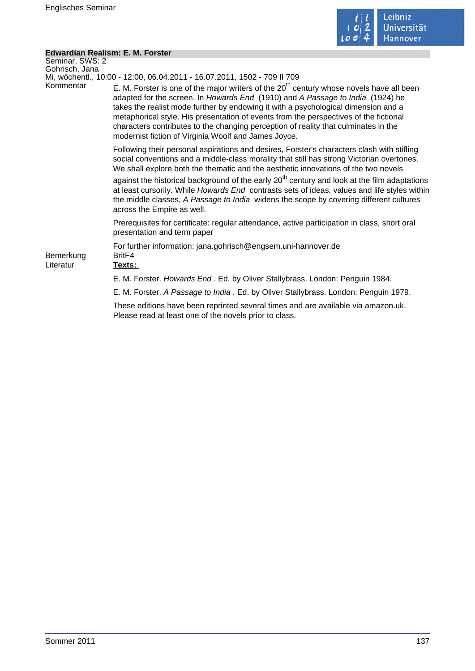

÷,

# **Edwardian Realism: E. M. Forster**

| Seminar, SWS: 2<br>Gohrisch, Jana |                                                                                                                                                                                                                                                                                                                                                                                                                                                                                                            |
|-----------------------------------|------------------------------------------------------------------------------------------------------------------------------------------------------------------------------------------------------------------------------------------------------------------------------------------------------------------------------------------------------------------------------------------------------------------------------------------------------------------------------------------------------------|
|                                   | Mi, wöchentl., 10:00 - 12:00, 06.04.2011 - 16.07.2011, 1502 - 709 II 709                                                                                                                                                                                                                                                                                                                                                                                                                                   |
| Kommentar                         | E. M. Forster is one of the major writers of the $20th$ century whose novels have all been<br>adapted for the screen. In Howards End (1910) and A Passage to India (1924) he<br>takes the realist mode further by endowing it with a psychological dimension and a<br>metaphorical style. His presentation of events from the perspectives of the fictional<br>characters contributes to the changing perception of reality that culminates in the<br>modernist fiction of Virginia Woolf and James Joyce. |
|                                   | Following their personal aspirations and desires, Forster's characters clash with stifling<br>social conventions and a middle-class morality that still has strong Victorian overtones.<br>We shall explore both the thematic and the aesthetic innovations of the two novels                                                                                                                                                                                                                              |
|                                   | against the historical background of the early 20 <sup>th</sup> century and look at the film adaptations<br>at least cursorily. While Howards End contrasts sets of ideas, values and life styles within<br>the middle classes, A Passage to India widens the scope by covering different cultures<br>across the Empire as well.                                                                                                                                                                           |
|                                   | Prerequisites for certificate: regular attendance, active participation in class, short oral<br>presentation and term paper                                                                                                                                                                                                                                                                                                                                                                                |
| Bemerkung<br>Literatur            | For further information: jana.gohrisch@engsem.uni-hannover.de<br>Brit <sub>F4</sub><br>Texts:                                                                                                                                                                                                                                                                                                                                                                                                              |
|                                   | E. M. Forster. Howards End. Ed. by Oliver Stallybrass. London: Penguin 1984.                                                                                                                                                                                                                                                                                                                                                                                                                               |
|                                   | E. M. Forster. A Passage to India . Ed. by Oliver Stallybrass. London: Penguin 1979.                                                                                                                                                                                                                                                                                                                                                                                                                       |
|                                   | These editions have been reprinted several times and are available via amazon.uk.<br>Please read at least one of the novels prior to class.                                                                                                                                                                                                                                                                                                                                                                |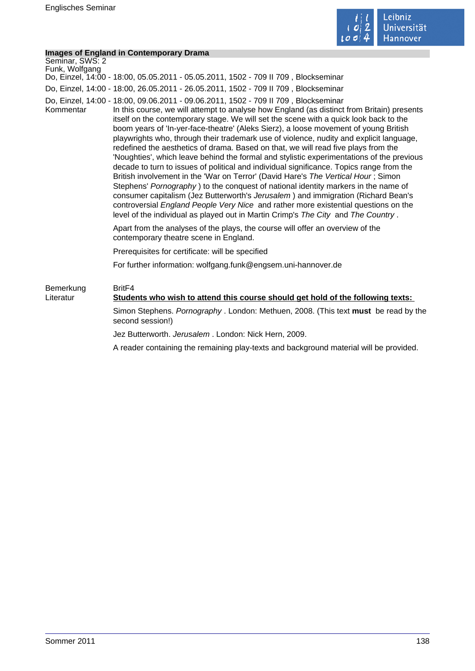

### **Images of England in Contemporary Drama**

|                                   | <b>Images of England in Contemporary Drama</b>                                                                                                                                                                                                                                                                                                                                                                                                                                                                                                                                                                                                                                                                                                                                                                                                                                                                                                                                                                                                                                                                                                                                           |
|-----------------------------------|------------------------------------------------------------------------------------------------------------------------------------------------------------------------------------------------------------------------------------------------------------------------------------------------------------------------------------------------------------------------------------------------------------------------------------------------------------------------------------------------------------------------------------------------------------------------------------------------------------------------------------------------------------------------------------------------------------------------------------------------------------------------------------------------------------------------------------------------------------------------------------------------------------------------------------------------------------------------------------------------------------------------------------------------------------------------------------------------------------------------------------------------------------------------------------------|
| Seminar, SWS: 2<br>Funk, Wolfgang |                                                                                                                                                                                                                                                                                                                                                                                                                                                                                                                                                                                                                                                                                                                                                                                                                                                                                                                                                                                                                                                                                                                                                                                          |
|                                   | Do, Einzel, 14:00 - 18:00, 05.05.2011 - 05.05.2011, 1502 - 709 II 709, Blockseminar                                                                                                                                                                                                                                                                                                                                                                                                                                                                                                                                                                                                                                                                                                                                                                                                                                                                                                                                                                                                                                                                                                      |
|                                   | Do, Einzel, 14:00 - 18:00, 26.05.2011 - 26.05.2011, 1502 - 709 II 709, Blockseminar                                                                                                                                                                                                                                                                                                                                                                                                                                                                                                                                                                                                                                                                                                                                                                                                                                                                                                                                                                                                                                                                                                      |
| Kommentar                         | Do, Einzel, 14:00 - 18:00, 09.06.2011 - 09.06.2011, 1502 - 709 II 709, Blockseminar<br>In this course, we will attempt to analyse how England (as distinct from Britain) presents<br>itself on the contemporary stage. We will set the scene with a quick look back to the<br>boom years of 'In-yer-face-theatre' (Aleks Sierz), a loose movement of young British<br>playwrights who, through their trademark use of violence, nudity and explicit language,<br>redefined the aesthetics of drama. Based on that, we will read five plays from the<br>'Noughties', which leave behind the formal and stylistic experimentations of the previous<br>decade to turn to issues of political and individual significance. Topics range from the<br>British involvement in the 'War on Terror' (David Hare's The Vertical Hour; Simon<br>Stephens' Pornography) to the conquest of national identity markers in the name of<br>consumer capitalism (Jez Butterworth's Jerusalem) and immigration (Richard Bean's<br>controversial England People Very Nice and rather more existential questions on the<br>level of the individual as played out in Martin Crimp's The City and The Country. |
|                                   | Apart from the analyses of the plays, the course will offer an overview of the<br>contemporary theatre scene in England.                                                                                                                                                                                                                                                                                                                                                                                                                                                                                                                                                                                                                                                                                                                                                                                                                                                                                                                                                                                                                                                                 |
|                                   | Prerequisites for certificate: will be specified                                                                                                                                                                                                                                                                                                                                                                                                                                                                                                                                                                                                                                                                                                                                                                                                                                                                                                                                                                                                                                                                                                                                         |
|                                   | For further information: wolfgang.funk@engsem.uni-hannover.de                                                                                                                                                                                                                                                                                                                                                                                                                                                                                                                                                                                                                                                                                                                                                                                                                                                                                                                                                                                                                                                                                                                            |
| Bemerkung<br>Literatur            | Brit <sub>F4</sub><br>Students who wish to attend this course should get hold of the following texts:                                                                                                                                                                                                                                                                                                                                                                                                                                                                                                                                                                                                                                                                                                                                                                                                                                                                                                                                                                                                                                                                                    |
|                                   | Simon Stephens. Pornography . London: Methuen, 2008. (This text must be read by the<br>second session!)                                                                                                                                                                                                                                                                                                                                                                                                                                                                                                                                                                                                                                                                                                                                                                                                                                                                                                                                                                                                                                                                                  |
|                                   | Jez Butterworth. Jerusalem. London: Nick Hern, 2009.                                                                                                                                                                                                                                                                                                                                                                                                                                                                                                                                                                                                                                                                                                                                                                                                                                                                                                                                                                                                                                                                                                                                     |
|                                   | A reader containing the remaining play-texts and background material will be provided.                                                                                                                                                                                                                                                                                                                                                                                                                                                                                                                                                                                                                                                                                                                                                                                                                                                                                                                                                                                                                                                                                                   |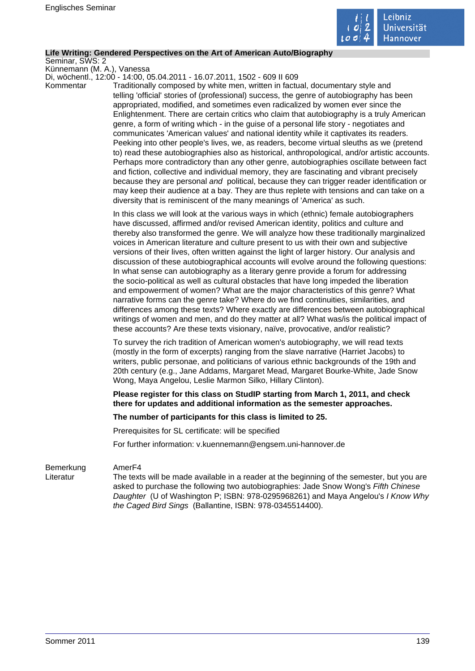

#### **Life Writing: Gendered Perspectives on the Art of American Auto/Biography**

Seminar, SWS: 2

Künnemann (M. A.), Vanessa Di, wöchentl., 12:00 - 14:00, 05.04.2011 - 16.07.2011, 1502 - 609 II 609

Kommentar Traditionally composed by white men, written in factual, documentary style and telling 'official' stories of (professional) success, the genre of autobiography has been appropriated, modified, and sometimes even radicalized by women ever since the Enlightenment. There are certain critics who claim that autobiography is a truly American genre, a form of writing which - in the guise of a personal life story - negotiates and communicates 'American values' and national identity while it captivates its readers. Peeking into other people's lives, we, as readers, become virtual sleuths as we (pretend to) read these autobiographies also as historical, anthropological, and/or artistic accounts. Perhaps more contradictory than any other genre, autobiographies oscillate between fact and fiction, collective and individual memory, they are fascinating and vibrant precisely because they are personal and political, because they can trigger reader identification or may keep their audience at a bay. They are thus replete with tensions and can take on a diversity that is reminiscent of the many meanings of 'America' as such.

> In this class we will look at the various ways in which (ethnic) female autobiographers have discussed, affirmed and/or revised American identity, politics and culture and thereby also transformed the genre. We will analyze how these traditionally marginalized voices in American literature and culture present to us with their own and subjective versions of their lives, often written against the light of larger history. Our analysis and discussion of these autobiographical accounts will evolve around the following questions: In what sense can autobiography as a literary genre provide a forum for addressing the socio-political as well as cultural obstacles that have long impeded the liberation and empowerment of women? What are the major characteristics of this genre? What narrative forms can the genre take? Where do we find continuities, similarities, and differences among these texts? Where exactly are differences between autobiographical writings of women and men, and do they matter at all? What was/is the political impact of these accounts? Are these texts visionary, naïve, provocative, and/or realistic?

To survey the rich tradition of American women's autobiography, we will read texts (mostly in the form of excerpts) ranging from the slave narrative (Harriet Jacobs) to writers, public personae, and politicians of various ethnic backgrounds of the 19th and 20th century (e.g., Jane Addams, Margaret Mead, Margaret Bourke-White, Jade Snow Wong, Maya Angelou, Leslie Marmon Silko, Hillary Clinton).

**Please register for this class on StudIP starting from March 1, 2011, and check there for updates and additional information as the semester approaches.** 

#### **The number of participants for this class is limited to 25.**

Prerequisites for SL certificate: will be specified

For further information: v.kuennemann@engsem.uni-hannover.de

#### Bemerkung AmerF4

Literatur The texts will be made available in a reader at the beginning of the semester, but you are asked to purchase the following two autobiographies: Jade Snow Wong's Fifth Chinese Daughter (U of Washington P; ISBN: 978-0295968261) and Maya Angelou's I Know Why the Caged Bird Sings (Ballantine, ISBN: 978-0345514400).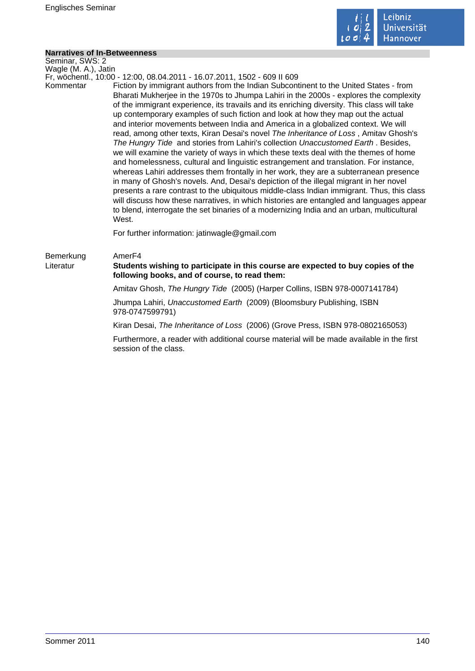

## **Narratives of In-Betweenness**

| <b>Narratives of In-Betweenness</b> |                                                                                                                                                                                                                                                                                                                                                                                                                                                                                                                                                                                                                                                                                                                                                                                                                                                                                                                                                                                                                                                                                                                                                                                                                                                                                                                                                                                      |
|-------------------------------------|--------------------------------------------------------------------------------------------------------------------------------------------------------------------------------------------------------------------------------------------------------------------------------------------------------------------------------------------------------------------------------------------------------------------------------------------------------------------------------------------------------------------------------------------------------------------------------------------------------------------------------------------------------------------------------------------------------------------------------------------------------------------------------------------------------------------------------------------------------------------------------------------------------------------------------------------------------------------------------------------------------------------------------------------------------------------------------------------------------------------------------------------------------------------------------------------------------------------------------------------------------------------------------------------------------------------------------------------------------------------------------------|
| Seminar, SWS: 2                     |                                                                                                                                                                                                                                                                                                                                                                                                                                                                                                                                                                                                                                                                                                                                                                                                                                                                                                                                                                                                                                                                                                                                                                                                                                                                                                                                                                                      |
| Wagle (M. A.), Jatin                |                                                                                                                                                                                                                                                                                                                                                                                                                                                                                                                                                                                                                                                                                                                                                                                                                                                                                                                                                                                                                                                                                                                                                                                                                                                                                                                                                                                      |
| Kommentar                           | Fr, wöchentl., 10:00 - 12:00, 08.04.2011 - 16.07.2011, 1502 - 609 II 609<br>Fiction by immigrant authors from the Indian Subcontinent to the United States - from<br>Bharati Mukherjee in the 1970s to Jhumpa Lahiri in the 2000s - explores the complexity<br>of the immigrant experience, its travails and its enriching diversity. This class will take<br>up contemporary examples of such fiction and look at how they map out the actual<br>and interior movements between India and America in a globalized context. We will<br>read, among other texts, Kiran Desai's novel The Inheritance of Loss, Amitav Ghosh's<br>The Hungry Tide and stories from Lahiri's collection Unaccustomed Earth. Besides,<br>we will examine the variety of ways in which these texts deal with the themes of home<br>and homelessness, cultural and linguistic estrangement and translation. For instance,<br>whereas Lahiri addresses them frontally in her work, they are a subterranean presence<br>in many of Ghosh's novels. And, Desai's depiction of the illegal migrant in her novel<br>presents a rare contrast to the ubiquitous middle-class Indian immigrant. Thus, this class<br>will discuss how these narratives, in which histories are entangled and languages appear<br>to blend, interrogate the set binaries of a modernizing India and an urban, multicultural<br>West. |
|                                     | For further information: jatinwagle@gmail.com                                                                                                                                                                                                                                                                                                                                                                                                                                                                                                                                                                                                                                                                                                                                                                                                                                                                                                                                                                                                                                                                                                                                                                                                                                                                                                                                        |
| Bemerkung<br>Literatur              | Amer <sub>F4</sub><br>Students wishing to participate in this course are expected to buy copies of the<br>following books, and of course, to read them:                                                                                                                                                                                                                                                                                                                                                                                                                                                                                                                                                                                                                                                                                                                                                                                                                                                                                                                                                                                                                                                                                                                                                                                                                              |
|                                     | Amitav Ghosh, The Hungry Tide (2005) (Harper Collins, ISBN 978-0007141784)                                                                                                                                                                                                                                                                                                                                                                                                                                                                                                                                                                                                                                                                                                                                                                                                                                                                                                                                                                                                                                                                                                                                                                                                                                                                                                           |
|                                     | Jhumpa Lahiri, Unaccustomed Earth (2009) (Bloomsbury Publishing, ISBN<br>978-0747599791)                                                                                                                                                                                                                                                                                                                                                                                                                                                                                                                                                                                                                                                                                                                                                                                                                                                                                                                                                                                                                                                                                                                                                                                                                                                                                             |
|                                     | Kiran Desai, The Inheritance of Loss (2006) (Grove Press, ISBN 978-0802165053)                                                                                                                                                                                                                                                                                                                                                                                                                                                                                                                                                                                                                                                                                                                                                                                                                                                                                                                                                                                                                                                                                                                                                                                                                                                                                                       |
|                                     | Furthermore, a reader with additional course material will be made available in the first<br>session of the class.                                                                                                                                                                                                                                                                                                                                                                                                                                                                                                                                                                                                                                                                                                                                                                                                                                                                                                                                                                                                                                                                                                                                                                                                                                                                   |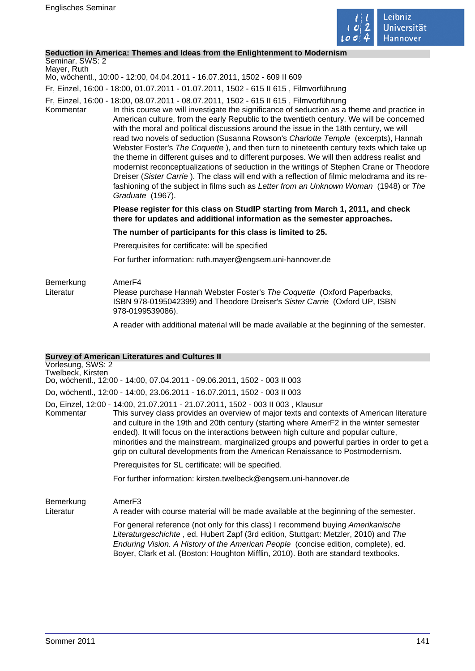

### **Seduction in America: Themes and Ideas from the Enlightenment to Modernism**

# Seminar, SWS: 2

Mayer, Ruth Mo, wöchentl., 10:00 - 12:00, 04.04.2011 - 16.07.2011, 1502 - 609 II 609

Fr, Einzel, 16:00 - 18:00, 01.07.2011 - 01.07.2011, 1502 - 615 II 615 , Filmvorführung

- Fr, Einzel, 16:00 18:00, 08.07.2011 08.07.2011, 1502 615 II 615 , Filmvorführung
- Kommentar In this course we will investigate the significance of seduction as a theme and practice in American culture, from the early Republic to the twentieth century. We will be concerned with the moral and political discussions around the issue in the 18th century, we will read two novels of seduction (Susanna Rowson's Charlotte Temple (excerpts), Hannah Webster Foster's The Coquette ), and then turn to nineteenth century texts which take up the theme in different guises and to different purposes. We will then address realist and modernist reconceptualizations of seduction in the writings of Stephen Crane or Theodore Dreiser (Sister Carrie ). The class will end with a reflection of filmic melodrama and its refashioning of the subject in films such as Letter from an Unknown Woman (1948) or The Graduate (1967).

### **Please register for this class on StudIP starting from March 1, 2011, and check there for updates and additional information as the semester approaches.**

#### **The number of participants for this class is limited to 25.**

Prerequisites for certificate: will be specified

For further information: ruth.mayer@engsem.uni-hannover.de

### Bemerkung AmerF4<br>Literatur Please r Please purchase Hannah Webster Foster's The Coquette (Oxford Paperbacks, ISBN 978-0195042399) and Theodore Dreiser's Sister Carrie (Oxford UP, ISBN 978-0199539086).

A reader with additional material will be made available at the beginning of the semester.

### **Survey of American Literatures and Cultures II**

|                                        | <u>oar vey or American Encratares and Oditares in</u>                                                                                                                                                                                                                                                                                                                                                                                                                                                                                       |
|----------------------------------------|---------------------------------------------------------------------------------------------------------------------------------------------------------------------------------------------------------------------------------------------------------------------------------------------------------------------------------------------------------------------------------------------------------------------------------------------------------------------------------------------------------------------------------------------|
| Vorlesung, SWS: 2<br>Twelbeck, Kirsten | Do, wöchentl., 12:00 - 14:00, 07.04.2011 - 09.06.2011, 1502 - 003 II 003                                                                                                                                                                                                                                                                                                                                                                                                                                                                    |
|                                        | Do, wöchentl., 12:00 - 14:00, 23.06.2011 - 16.07.2011, 1502 - 003 II 003                                                                                                                                                                                                                                                                                                                                                                                                                                                                    |
| Kommentar                              | Do, Einzel, 12:00 - 14:00, 21.07.2011 - 21.07.2011, 1502 - 003 II 003 , Klausur<br>This survey class provides an overview of major texts and contexts of American literature<br>and culture in the 19th and 20th century (starting where AmerF2 in the winter semester<br>ended). It will focus on the interactions between high culture and popular culture,<br>minorities and the mainstream, marginalized groups and powerful parties in order to get a<br>grip on cultural developments from the American Renaissance to Postmodernism. |
|                                        | Prerequisites for SL certificate: will be specified.                                                                                                                                                                                                                                                                                                                                                                                                                                                                                        |
|                                        |                                                                                                                                                                                                                                                                                                                                                                                                                                                                                                                                             |

For further information: kirsten.twelbeck@engsem.uni-hannover.de

Bemerkung AmerF3

Literatur A reader with course material will be made available at the beginning of the semester.

For general reference (not only for this class) I recommend buying Amerikanische Literaturgeschichte , ed. Hubert Zapf (3rd edition, Stuttgart: Metzler, 2010) and The Enduring Vision. A History of the American People (concise edition, complete), ed. Boyer, Clark et al. (Boston: Houghton Mifflin, 2010). Both are standard textbooks.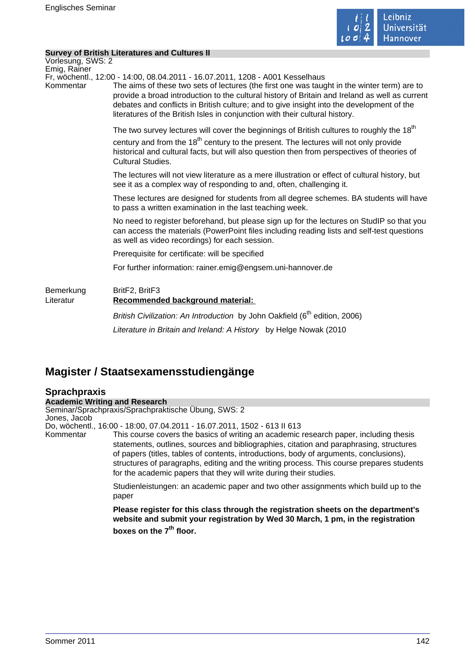

### **Survey of British Literatures and Cultures II**

|                           | Survey or British Literatures and Cultures ii                                                                                                                                                                                                                                                                                                                                                                                                               |
|---------------------------|-------------------------------------------------------------------------------------------------------------------------------------------------------------------------------------------------------------------------------------------------------------------------------------------------------------------------------------------------------------------------------------------------------------------------------------------------------------|
| Vorlesung, SWS: 2         |                                                                                                                                                                                                                                                                                                                                                                                                                                                             |
| Emig, Rainer<br>Kommentar | Fr, wöchentl., 12:00 - 14:00, 08.04.2011 - 16.07.2011, 1208 - A001 Kesselhaus<br>The aims of these two sets of lectures (the first one was taught in the winter term) are to<br>provide a broad introduction to the cultural history of Britain and Ireland as well as current<br>debates and conflicts in British culture; and to give insight into the development of the<br>literatures of the British Isles in conjunction with their cultural history. |
|                           | The two survey lectures will cover the beginnings of British cultures to roughly the 18 <sup>th</sup>                                                                                                                                                                                                                                                                                                                                                       |
|                           | century and from the 18 <sup>th</sup> century to the present. The lectures will not only provide<br>historical and cultural facts, but will also question then from perspectives of theories of<br><b>Cultural Studies.</b>                                                                                                                                                                                                                                 |
|                           | The lectures will not view literature as a mere illustration or effect of cultural history, but<br>see it as a complex way of responding to and, often, challenging it.                                                                                                                                                                                                                                                                                     |
|                           | These lectures are designed for students from all degree schemes. BA students will have<br>to pass a written examination in the last teaching week.                                                                                                                                                                                                                                                                                                         |
|                           | No need to register beforehand, but please sign up for the lectures on StudIP so that you<br>can access the materials (PowerPoint files including reading lists and self-test questions<br>as well as video recordings) for each session.                                                                                                                                                                                                                   |
|                           | Prerequisite for certificate: will be specified                                                                                                                                                                                                                                                                                                                                                                                                             |
|                           | For further information: rainer.emig@engsem.uni-hannover.de                                                                                                                                                                                                                                                                                                                                                                                                 |
| Bemerkung<br>Literatur    | BritF2, BritF3<br>Recommended background material:                                                                                                                                                                                                                                                                                                                                                                                                          |
|                           | British Civilization: An Introduction by John Oakfield (6 <sup>th</sup> edition, 2006)                                                                                                                                                                                                                                                                                                                                                                      |
|                           | Literature in Britain and Ireland: A History by Helge Nowak (2010                                                                                                                                                                                                                                                                                                                                                                                           |
|                           |                                                                                                                                                                                                                                                                                                                                                                                                                                                             |

# **Magister / Staatsexamensstudiengänge**

# **Sprachpraxis**

# **Academic Writing and Research**

Seminar/Sprachpraxis/Sprachpraktische Übung, SWS: 2 Jones, Jacob

Do, wöchentl., 16:00 - 18:00, 07.04.2011 - 16.07.2011, 1502 - 613 II 613

Kommentar This course covers the basics of writing an academic research paper, including thesis statements, outlines, sources and bibliographies, citation and paraphrasing, structures of papers (titles, tables of contents, introductions, body of arguments, conclusions), structures of paragraphs, editing and the writing process. This course prepares students for the academic papers that they will write during their studies.

> Studienleistungen: an academic paper and two other assignments which build up to the paper

> **Please register for this class through the registration sheets on the department's website and submit your registration by Wed 30 March, 1 pm, in the registration boxes on the 7th floor.**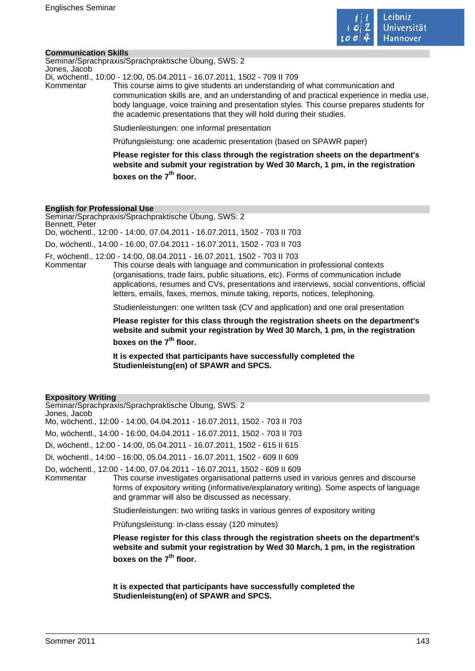

#### **Communication Skills**

Seminar/Sprachpraxis/Sprachpraktische Übung, SWS: 2 Jones, Jacob

Di, wöchentl., 10:00 - 12:00, 05.04.2011 - 16.07.2011, 1502 - 709 II 709

Kommentar This course aims to give students an understanding of what communication and communication skills are, and an understanding of and practical experience in media use, body language, voice training and presentation styles. This course prepares students for the academic presentations that they will hold during their studies.

Studienleistungen: one informal presentation

Prüfungsleistung: one academic presentation (based on SPAWR paper)

**Please register for this class through the registration sheets on the department's website and submit your registration by Wed 30 March, 1 pm, in the registration boxes on the 7th floor.** 

#### **English for Professional Use**

Seminar/Sprachpraxis/Sprachpraktische Übung, SWS: 2 Bennett, Peter Do, wöchentl., 12:00 - 14:00, 07.04.2011 - 16.07.2011, 1502 - 703 II 703 Do, wöchentl., 14:00 - 16:00, 07.04.2011 - 16.07.2011, 1502 - 703 II 703

Fr, wöchentl., 12:00 - 14:00, 08.04.2011 - 16.07.2011, 1502 - 703 II 703 This course deals with language and communication in professional contexts (organisations, trade fairs, public situations, etc). Forms of communication include applications, resumes and CVs, presentations and interviews, social conventions, official letters, emails, faxes, memos, minute taking, reports, notices, telephoning.

Studienleistungen: one written task (CV and application) and one oral presentation

**Please register for this class through the registration sheets on the department's website and submit your registration by Wed 30 March, 1 pm, in the registration boxes on the 7th floor.** 

**It is expected that participants have successfully completed the Studienleistung(en) of SPAWR and SPCS.** 

### **Expository Writing**

Seminar/Sprachpraxis/Sprachpraktische Übung, SWS: 2 Jones, Jacob Mo, wöchentl., 12:00 - 14:00, 04.04.2011 - 16.07.2011, 1502 - 703 II 703 Mo, wöchentl., 14:00 - 16:00, 04.04.2011 - 16.07.2011, 1502 - 703 II 703 Di, wöchentl., 12:00 - 14:00, 05.04.2011 - 16.07.2011, 1502 - 615 II 615 Di, wöchentl., 14:00 - 16:00, 05.04.2011 - 16.07.2011, 1502 - 609 II 609 Do, wöchentl., 12:00 - 14:00, 07.04.2011 - 16.07.2011, 1502 - 609 II 609 Kommentar This course investigates organisational patterns used in various genres and discourse forms of expository writing (informative/explanatory writing). Some aspects of language and grammar will also be discussed as necessary. Studienleistungen: two writing tasks in various genres of expository writing Prüfungsleistung: in-class essay (120 minutes) **Please register for this class through the registration sheets on the department's website and submit your registration by Wed 30 March, 1 pm, in the registration**

**boxes on the 7th floor.** 

**It is expected that participants have successfully completed the Studienleistung(en) of SPAWR and SPCS.**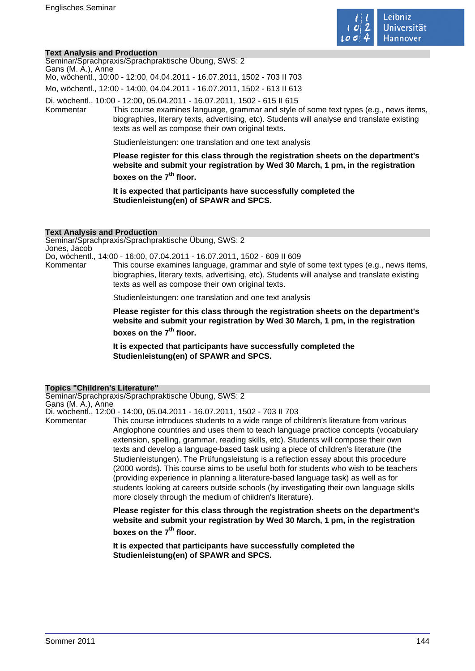

#### **Text Analysis and Production**

Seminar/Sprachpraxis/Sprachpraktische Übung, SWS: 2 Gans (M. A.), Anne Mo, wöchentl., 10:00 - 12:00, 04.04.2011 - 16.07.2011, 1502 - 703 II 703 Mo, wöchentl., 12:00 - 14:00, 04.04.2011 - 16.07.2011, 1502 - 613 II 613 Di, wöchentl., 10:00 - 12:00, 05.04.2011 - 16.07.2011, 1502 - 615 II 615

Kommentar This course examines language, grammar and style of some text types (e.g., news items, biographies, literary texts, advertising, etc). Students will analyse and translate existing texts as well as compose their own original texts.

Studienleistungen: one translation and one text analysis

**Please register for this class through the registration sheets on the department's website and submit your registration by Wed 30 March, 1 pm, in the registration boxes on the 7th floor.** 

**It is expected that participants have successfully completed the Studienleistung(en) of SPAWR and SPCS.** 

#### **Text Analysis and Production**

Seminar/Sprachpraxis/Sprachpraktische Übung, SWS: 2 Jones, Jacob

Do, wöchentl., 14:00 - 16:00, 07.04.2011 - 16.07.2011, 1502 - 609 II 609

This course examines language, grammar and style of some text types (e.g., news items, biographies, literary texts, advertising, etc). Students will analyse and translate existing texts as well as compose their own original texts.

Studienleistungen: one translation and one text analysis

**Please register for this class through the registration sheets on the department's website and submit your registration by Wed 30 March, 1 pm, in the registration boxes on the 7th floor.** 

**It is expected that participants have successfully completed the Studienleistung(en) of SPAWR and SPCS.** 

### **Topics "Children's Literature"**

Seminar/Sprachpraxis/Sprachpraktische Übung, SWS: 2 Gans (M. A.), Anne

Di, wöchentl., 12:00 - 14:00, 05.04.2011 - 16.07.2011, 1502 - 703 II 703

Kommentar This course introduces students to a wide range of children's literature from various Anglophone countries and uses them to teach language practice concepts (vocabulary extension, spelling, grammar, reading skills, etc). Students will compose their own texts and develop a language-based task using a piece of children's literature (the Studienleistungen). The Prüfungsleistung is a reflection essay about this procedure (2000 words). This course aims to be useful both for students who wish to be teachers (providing experience in planning a literature-based language task) as well as for students looking at careers outside schools (by investigating their own language skills more closely through the medium of children's literature).

> **Please register for this class through the registration sheets on the department's website and submit your registration by Wed 30 March, 1 pm, in the registration**

**boxes on the 7th floor.** 

**It is expected that participants have successfully completed the Studienleistung(en) of SPAWR and SPCS.**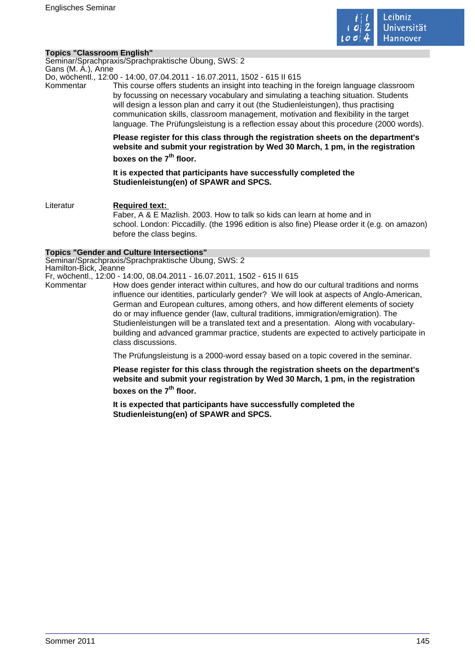

### **Topics "Classroom English"**

Seminar/Sprachpraxis/Sprachpraktische Übung, SWS: 2 Gans (M. A.), Anne

Do, wöchentl., 12:00 - 14:00, 07.04.2011 - 16.07.2011, 1502 - 615 II 615

Kommentar This course offers students an insight into teaching in the foreign language classroom by focussing on necessary vocabulary and simulating a teaching situation. Students will design a lesson plan and carry it out (the Studienleistungen), thus practising communication skills, classroom management, motivation and flexibility in the target language. The Prüfungsleistung is a reflection essay about this procedure (2000 words).

> **Please register for this class through the registration sheets on the department's website and submit your registration by Wed 30 March, 1 pm, in the registration boxes on the 7th floor.**

**It is expected that participants have successfully completed the Studienleistung(en) of SPAWR and SPCS.** 

Literatur **Required text:**  Faber, A & E Mazlish. 2003. How to talk so kids can learn at home and in school. London: Piccadilly. (the 1996 edition is also fine) Please order it (e.g. on amazon) before the class begins.

#### **Topics "Gender and Culture Intersections"**

Seminar/Sprachpraxis/Sprachpraktische Übung, SWS: 2 Hamilton-Bick, Jeanne

Fr, wöchentl., 12:00 - 14:00, 08.04.2011 - 16.07.2011, 1502 - 615 II 615

Kommentar How does gender interact within cultures, and how do our cultural traditions and norms influence our identities, particularly gender? We will look at aspects of Anglo-American, German and European cultures, among others, and how different elements of society do or may influence gender (law, cultural traditions, immigration/emigration). The Studienleistungen will be a translated text and a presentation. Along with vocabularybuilding and advanced grammar practice, students are expected to actively participate in class discussions.

The Prüfungsleistung is a 2000-word essay based on a topic covered in the seminar.

**Please register for this class through the registration sheets on the department's website and submit your registration by Wed 30 March, 1 pm, in the registration boxes on the 7th floor.** 

**It is expected that participants have successfully completed the Studienleistung(en) of SPAWR and SPCS.**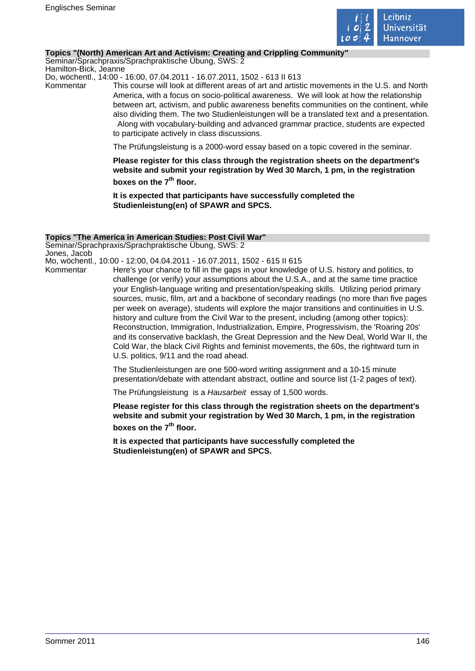

#### **Topics "(North) American Art and Activism: Creating and Crippling Community"**

Seminar/Sprachpraxis/Sprachpraktische Übung, SWS: 2 Hamilton-Bick, Jeanne

Do, wöchentl., 14:00 - 16:00, 07.04.2011 - 16.07.2011, 1502 - 613 II 613

Kommentar This course will look at different areas of art and artistic movements in the U.S. and North America, with a focus on socio-political awareness. We will look at how the relationship between art, activism, and public awareness benefits communities on the continent, while also dividing them. The two Studienleistungen will be a translated text and a presentation. Along with vocabulary-building and advanced grammar practice, students are expected to participate actively in class discussions.

The Prüfungsleistung is a 2000-word essay based on a topic covered in the seminar.

**Please register for this class through the registration sheets on the department's website and submit your registration by Wed 30 March, 1 pm, in the registration boxes on the 7th floor.** 

**It is expected that participants have successfully completed the Studienleistung(en) of SPAWR and SPCS.** 

#### **Topics "The America in American Studies: Post Civil War"**

Seminar/Sprachpraxis/Sprachpraktische Übung, SWS: 2 Jones, Jacob

Mo, wöchentl., 10:00 - 12:00, 04.04.2011 - 16.07.2011, 1502 - 615 II 615

Kommentar Here's your chance to fill in the gaps in your knowledge of U.S. history and politics, to challenge (or verify) your assumptions about the U.S.A., and at the same time practice your English-language writing and presentation/speaking skills. Utilizing period primary sources, music, film, art and a backbone of secondary readings (no more than five pages per week on average), students will explore the major transitions and continuities in U.S. history and culture from the Civil War to the present, including (among other topics): Reconstruction, Immigration, Industrialization, Empire, Progressivism, the 'Roaring 20s' and its conservative backlash, the Great Depression and the New Deal, World War II, the Cold War, the black Civil Rights and feminist movements, the 60s, the rightward turn in U.S. politics, 9/11 and the road ahead.

> The Studienleistungen are one 500-word writing assignment and a 10-15 minute presentation/debate with attendant abstract, outline and source list (1-2 pages of text).

The Prüfungsleistung is a Hausarbeit essay of 1,500 words.

**Please register for this class through the registration sheets on the department's website and submit your registration by Wed 30 March, 1 pm, in the registration boxes on the 7th floor.** 

**It is expected that participants have successfully completed the Studienleistung(en) of SPAWR and SPCS.**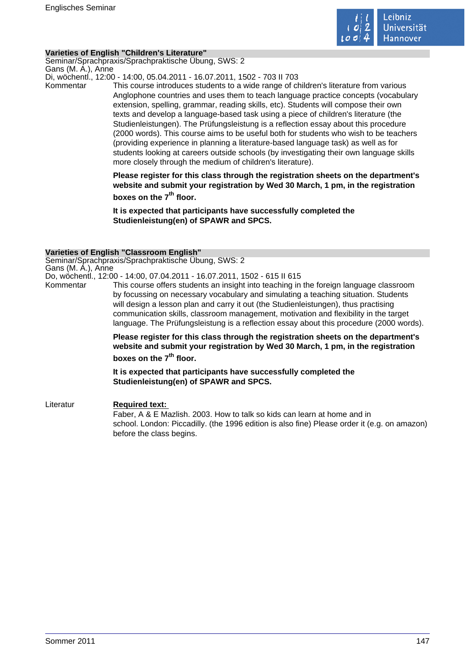

### **Varieties of English "Children's Literature"**

Seminar/Sprachpraxis/Sprachpraktische Übung, SWS: 2 Gans (M. A.), Anne

Di, wöchentl., 12:00 - 14:00, 05.04.2011 - 16.07.2011, 1502 - 703 II 703

Kommentar This course introduces students to a wide range of children's literature from various Anglophone countries and uses them to teach language practice concepts (vocabulary extension, spelling, grammar, reading skills, etc). Students will compose their own texts and develop a language-based task using a piece of children's literature (the Studienleistungen). The Prüfungsleistung is a reflection essay about this procedure (2000 words). This course aims to be useful both for students who wish to be teachers (providing experience in planning a literature-based language task) as well as for students looking at careers outside schools (by investigating their own language skills more closely through the medium of children's literature).

> **Please register for this class through the registration sheets on the department's website and submit your registration by Wed 30 March, 1 pm, in the registration boxes on the 7th floor.**

**It is expected that participants have successfully completed the Studienleistung(en) of SPAWR and SPCS.** 

### **Varieties of English "Classroom English"**

Seminar/Sprachpraxis/Sprachpraktische Übung, SWS: 2 Gans (M. A.), Anne

Do, wöchentl., 12:00 - 14:00, 07.04.2011 - 16.07.2011, 1502 - 615 II 615

Kommentar This course offers students an insight into teaching in the foreign language classroom by focussing on necessary vocabulary and simulating a teaching situation. Students will design a lesson plan and carry it out (the Studienleistungen), thus practising communication skills, classroom management, motivation and flexibility in the target language. The Prüfungsleistung is a reflection essay about this procedure (2000 words).

> **Please register for this class through the registration sheets on the department's website and submit your registration by Wed 30 March, 1 pm, in the registration**

**boxes on the 7th floor.** 

**It is expected that participants have successfully completed the Studienleistung(en) of SPAWR and SPCS.** 

Literatur **Required text:**  Faber, A & E Mazlish. 2003. How to talk so kids can learn at home and in school. London: Piccadilly. (the 1996 edition is also fine) Please order it (e.g. on amazon) before the class begins.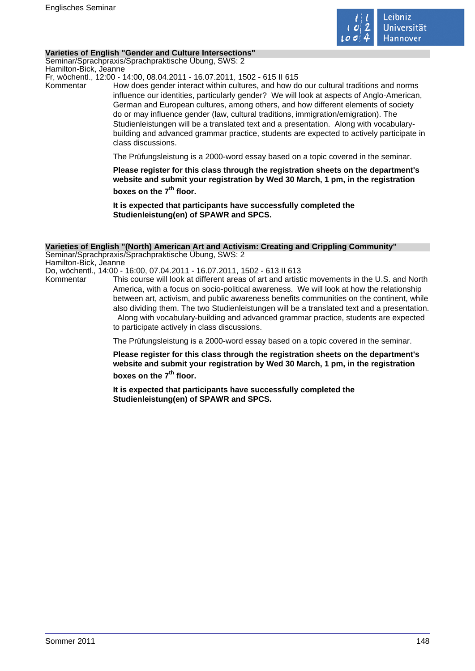

#### **Varieties of English "Gender and Culture Intersections"**

Seminar/Sprachpraxis/Sprachpraktische Übung, SWS: 2 Hamilton-Bick, Jeanne

Fr, wöchentl., 12:00 - 14:00, 08.04.2011 - 16.07.2011, 1502 - 615 II 615

Kommentar How does gender interact within cultures, and how do our cultural traditions and norms influence our identities, particularly gender? We will look at aspects of Anglo-American, German and European cultures, among others, and how different elements of society do or may influence gender (law, cultural traditions, immigration/emigration). The Studienleistungen will be a translated text and a presentation. Along with vocabularybuilding and advanced grammar practice, students are expected to actively participate in class discussions.

The Prüfungsleistung is a 2000-word essay based on a topic covered in the seminar.

**Please register for this class through the registration sheets on the department's website and submit your registration by Wed 30 March, 1 pm, in the registration boxes on the 7th floor.** 

**It is expected that participants have successfully completed the Studienleistung(en) of SPAWR and SPCS.** 

#### **Varieties of English "(North) American Art and Activism: Creating and Crippling Community"**

Seminar/Sprachpraxis/Sprachpraktische Übung, SWS: 2 Hamilton-Bick, Jeanne Do, wöchentl., 14:00 - 16:00, 07.04.2011 - 16.07.2011, 1502 - 613 II 613

Kommentar This course will look at different areas of art and artistic movements in the U.S. and North America, with a focus on socio-political awareness. We will look at how the relationship between art, activism, and public awareness benefits communities on the continent, while also dividing them. The two Studienleistungen will be a translated text and a presentation. Along with vocabulary-building and advanced grammar practice, students are expected to participate actively in class discussions.

The Prüfungsleistung is a 2000-word essay based on a topic covered in the seminar.

**Please register for this class through the registration sheets on the department's website and submit your registration by Wed 30 March, 1 pm, in the registration boxes on the 7th floor.** 

**It is expected that participants have successfully completed the Studienleistung(en) of SPAWR and SPCS.**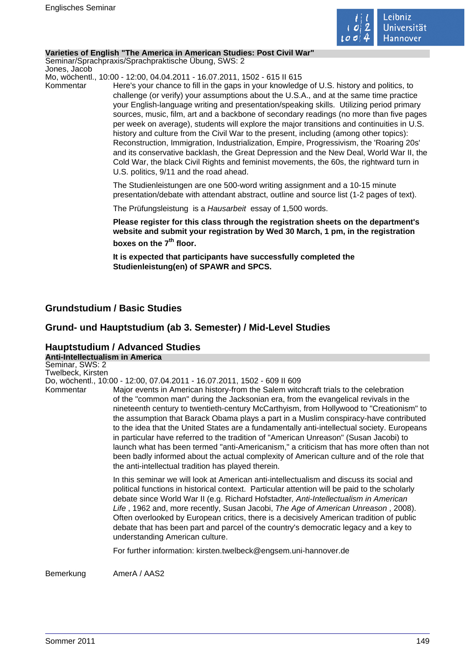

#### **Varieties of English "The America in American Studies: Post Civil War"**

Seminar/Sprachpraxis/Sprachpraktische Übung, SWS: 2 Jones, Jacob

Mo, wöchentl., 10:00 - 12:00, 04.04.2011 - 16.07.2011, 1502 - 615 II 615

Kommentar Here's your chance to fill in the gaps in your knowledge of U.S. history and politics, to challenge (or verify) your assumptions about the U.S.A., and at the same time practice your English-language writing and presentation/speaking skills. Utilizing period primary sources, music, film, art and a backbone of secondary readings (no more than five pages per week on average), students will explore the major transitions and continuities in U.S. history and culture from the Civil War to the present, including (among other topics): Reconstruction, Immigration, Industrialization, Empire, Progressivism, the 'Roaring 20s' and its conservative backlash, the Great Depression and the New Deal, World War II, the Cold War, the black Civil Rights and feminist movements, the 60s, the rightward turn in U.S. politics, 9/11 and the road ahead.

> The Studienleistungen are one 500-word writing assignment and a 10-15 minute presentation/debate with attendant abstract, outline and source list (1-2 pages of text).

The Prüfungsleistung is a Hausarbeit essay of 1,500 words.

**Please register for this class through the registration sheets on the department's website and submit your registration by Wed 30 March, 1 pm, in the registration boxes on the 7th floor.** 

**It is expected that participants have successfully completed the Studienleistung(en) of SPAWR and SPCS.** 

# **Grundstudium / Basic Studies**

# **Grund- und Hauptstudium (ab 3. Semester) / Mid-Level Studies**

### **Hauptstudium / Advanced Studies Anti-Intellectualism in America**

Seminar, SWS: 2 Twelbeck, Kirsten Do, wöchentl., 10:00 - 12:00, 07.04.2011 - 16.07.2011, 1502 - 609 II 609 Kommentar Major events in American history-from the Salem witchcraft trials to the celebration of the "common man" during the Jacksonian era, from the evangelical revivals in the nineteenth century to twentieth-century McCarthyism, from Hollywood to "Creationism" to the assumption that Barack Obama plays a part in a Muslim conspiracy-have contributed to the idea that the United States are a fundamentally anti-intellectual society. Europeans in particular have referred to the tradition of "American Unreason" (Susan Jacobi) to launch what has been termed "anti-Americanism," a criticism that has more often than not been badly informed about the actual complexity of American culture and of the role that the anti-intellectual tradition has played therein. In this seminar we will look at American anti-intellectualism and discuss its social and political functions in historical context. Particular attention will be paid to the scholarly debate since World War II (e.g. Richard Hofstadter, Anti-Intellectualism in American Life , 1962 and, more recently, Susan Jacobi, The Age of American Unreason , 2008). Often overlooked by European critics, there is a decisively American tradition of public debate that has been part and parcel of the country's democratic legacy and a key to understanding American culture. For further information: kirsten.twelbeck@engsem.uni-hannover.de Bemerkung AmerA / AAS2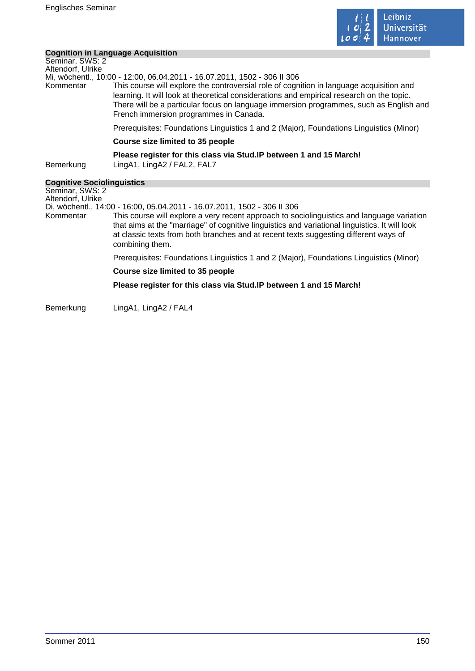

÷

# **Cognition in Language Acquisition**

|                                      | Cognition in Language Acquisition                                                                                                                                                                                                                                                                                                                                                                     |
|--------------------------------------|-------------------------------------------------------------------------------------------------------------------------------------------------------------------------------------------------------------------------------------------------------------------------------------------------------------------------------------------------------------------------------------------------------|
| Seminar, SWS: 2<br>Altendorf, Ulrike |                                                                                                                                                                                                                                                                                                                                                                                                       |
| Kommentar                            | Mi, wöchentl., 10:00 - 12:00, 06.04.2011 - 16.07.2011, 1502 - 306 II 306<br>This course will explore the controversial role of cognition in language acquisition and<br>learning. It will look at theoretical considerations and empirical research on the topic.<br>There will be a particular focus on language immersion programmes, such as English and<br>French immersion programmes in Canada. |
|                                      | Prerequisites: Foundations Linguistics 1 and 2 (Major), Foundations Linguistics (Minor)                                                                                                                                                                                                                                                                                                               |
|                                      | Course size limited to 35 people                                                                                                                                                                                                                                                                                                                                                                      |
| Bemerkung                            | Please register for this class via Stud. IP between 1 and 15 March!<br>LingA1, LingA2 / FAL2, FAL7                                                                                                                                                                                                                                                                                                    |
| <b>Cognitive Sociolinguistics</b>    |                                                                                                                                                                                                                                                                                                                                                                                                       |
| Seminar, SWS: 2<br>Altendorf, Ulrike |                                                                                                                                                                                                                                                                                                                                                                                                       |
| Kommentar                            | Di, wöchentl., 14:00 - 16:00, 05.04.2011 - 16.07.2011, 1502 - 306 II 306<br>This course will explore a very recent approach to sociolinguistics and language variation<br>that aims at the "marriage" of cognitive linguistics and variational linguistics. It will look<br>at classic texts from both branches and at recent texts suggesting different ways of<br>combining them.                   |
|                                      | Prerequisites: Foundations Linguistics 1 and 2 (Major), Foundations Linguistics (Minor)                                                                                                                                                                                                                                                                                                               |
|                                      | Course size limited to 35 people                                                                                                                                                                                                                                                                                                                                                                      |
|                                      | Please register for this class via Stud. IP between 1 and 15 March!                                                                                                                                                                                                                                                                                                                                   |
| Bemerkung                            | LingA1, LingA2 / FAL4                                                                                                                                                                                                                                                                                                                                                                                 |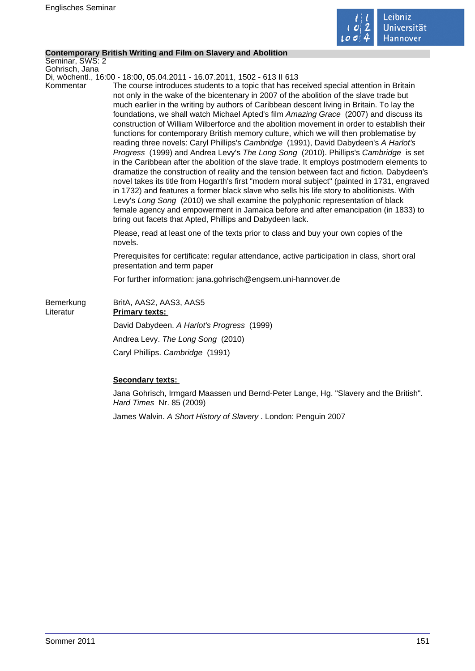

### **Contemporary British Writing and Film on Slavery and Abolition**

Seminar, SWS: 2 Gohrisch, Jana

Di, wöchentl., 16:00 - 18:00, 05.04.2011 - 16.07.2011, 1502 - 613 II 613

Kommentar The course introduces students to a topic that has received special attention in Britain not only in the wake of the bicentenary in 2007 of the abolition of the slave trade but much earlier in the writing by authors of Caribbean descent living in Britain. To lay the foundations, we shall watch Michael Apted's film Amazing Grace (2007) and discuss its construction of William Wilberforce and the abolition movement in order to establish their functions for contemporary British memory culture, which we will then problematise by reading three novels: Caryl Phillips's Cambridge (1991), David Dabydeen's A Harlot's Progress (1999) and Andrea Levy's The Long Song (2010). Phillips's Cambridge is set in the Caribbean after the abolition of the slave trade. It employs postmodern elements to dramatize the construction of reality and the tension between fact and fiction. Dabydeen's novel takes its title from Hogarth's first "modern moral subject" (painted in 1731, engraved in 1732) and features a former black slave who sells his life story to abolitionists. With Levy's Long Song (2010) we shall examine the polyphonic representation of black female agency and empowerment in Jamaica before and after emancipation (in 1833) to bring out facets that Apted, Phillips and Dabydeen lack.

> Please, read at least one of the texts prior to class and buy your own copies of the novels.

Prerequisites for certificate: regular attendance, active participation in class, short oral presentation and term paper

For further information: jana.gohrisch@engsem.uni-hannover.de

| Bemerkung<br>Literatur | BritA, AAS2, AAS3, AAS5<br><b>Primary texts:</b> |
|------------------------|--------------------------------------------------|
|                        | David Dabydeen. A Harlot's Progress (1999)       |
|                        | Andrea Levy. The Long Song (2010)                |
|                        | Caryl Phillips. Cambridge (1991)                 |

## **Secondary texts:**

Jana Gohrisch, Irmgard Maassen und Bernd-Peter Lange, Hg. "Slavery and the British". Hard Times Nr. 85 (2009)

James Walvin. A Short History of Slavery . London: Penguin 2007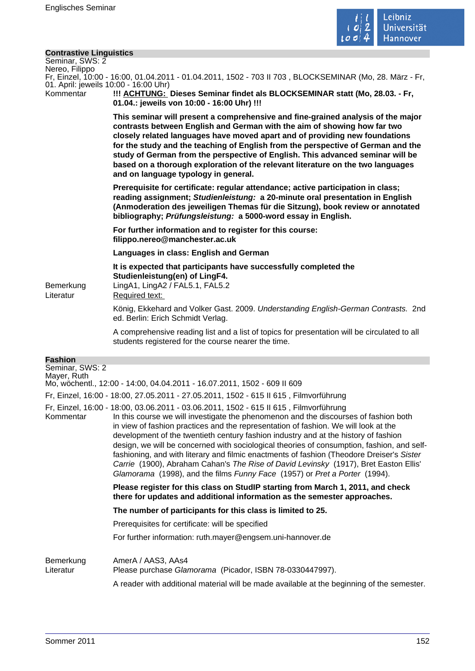

# **Contrastive Linguistics**

| <b>Contrastive Linguistics</b><br>Seminar, SWS: 2<br>Nereo, Filippo                                                                              |                                                                                                                                                                                                                                                                                                                                                                                                                                                                                                                                                                                                                                                                                                                              |  |
|--------------------------------------------------------------------------------------------------------------------------------------------------|------------------------------------------------------------------------------------------------------------------------------------------------------------------------------------------------------------------------------------------------------------------------------------------------------------------------------------------------------------------------------------------------------------------------------------------------------------------------------------------------------------------------------------------------------------------------------------------------------------------------------------------------------------------------------------------------------------------------------|--|
| Fr, Einzel, 10:00 - 16:00, 01.04.2011 - 01.04.2011, 1502 - 703 II 703, BLOCKSEMINAR (Mo, 28. März - Fr,<br>01. April: jeweils 10:00 - 16:00 Uhr) |                                                                                                                                                                                                                                                                                                                                                                                                                                                                                                                                                                                                                                                                                                                              |  |
| Kommentar                                                                                                                                        | !!! ACHTUNG: Dieses Seminar findet als BLOCKSEMINAR statt (Mo, 28.03. - Fr,<br>01.04.: jeweils von 10:00 - 16:00 Uhr) !!!                                                                                                                                                                                                                                                                                                                                                                                                                                                                                                                                                                                                    |  |
|                                                                                                                                                  | This seminar will present a comprehensive and fine-grained analysis of the major<br>contrasts between English and German with the aim of showing how far two<br>closely related languages have moved apart and of providing new foundations<br>for the study and the teaching of English from the perspective of German and the<br>study of German from the perspective of English. This advanced seminar will be<br>based on a thorough exploration of the relevant literature on the two languages<br>and on language typology in general.                                                                                                                                                                                 |  |
|                                                                                                                                                  | Prerequisite for certificate: regular attendance; active participation in class;<br>reading assignment; Studienleistung: a 20-minute oral presentation in English<br>(Anmoderation des jeweiligen Themas für die Sitzung), book review or annotated<br>bibliography; Prüfungsleistung: a 5000-word essay in English.                                                                                                                                                                                                                                                                                                                                                                                                         |  |
|                                                                                                                                                  | For further information and to register for this course:<br>filippo.nereo@manchester.ac.uk                                                                                                                                                                                                                                                                                                                                                                                                                                                                                                                                                                                                                                   |  |
|                                                                                                                                                  | Languages in class: English and German                                                                                                                                                                                                                                                                                                                                                                                                                                                                                                                                                                                                                                                                                       |  |
| Bemerkung<br>Literatur                                                                                                                           | It is expected that participants have successfully completed the<br>Studienleistung(en) of LingF4.<br>LingA1, LingA2 / FAL5.1, FAL5.2<br>Required text:                                                                                                                                                                                                                                                                                                                                                                                                                                                                                                                                                                      |  |
|                                                                                                                                                  | König, Ekkehard and Volker Gast. 2009. Understanding English-German Contrasts. 2nd<br>ed. Berlin: Erich Schmidt Verlag.                                                                                                                                                                                                                                                                                                                                                                                                                                                                                                                                                                                                      |  |
|                                                                                                                                                  | A comprehensive reading list and a list of topics for presentation will be circulated to all<br>students registered for the course nearer the time.                                                                                                                                                                                                                                                                                                                                                                                                                                                                                                                                                                          |  |
| <b>Fashion</b>                                                                                                                                   |                                                                                                                                                                                                                                                                                                                                                                                                                                                                                                                                                                                                                                                                                                                              |  |
| Seminar, SWS: 2<br>Mayer, Ruth                                                                                                                   | Mo, wöchentl., 12:00 - 14:00, 04.04.2011 - 16.07.2011, 1502 - 609 II 609                                                                                                                                                                                                                                                                                                                                                                                                                                                                                                                                                                                                                                                     |  |
|                                                                                                                                                  | Fr, Einzel, 16:00 - 18:00, 27.05.2011 - 27.05.2011, 1502 - 615 II 615, Filmvorführung                                                                                                                                                                                                                                                                                                                                                                                                                                                                                                                                                                                                                                        |  |
| Kommentar                                                                                                                                        | Fr, Einzel, 16:00 - 18:00, 03.06.2011 - 03.06.2011, 1502 - 615 II 615, Filmvorführung<br>In this course we will investigate the phenomenon and the discourses of fashion both<br>in view of fashion practices and the representation of fashion. We will look at the<br>development of the twentieth century fashion industry and at the history of fashion<br>design, we will be concerned with sociological theories of consumption, fashion, and self-<br>fashioning, and with literary and filmic enactments of fashion (Theodore Dreiser's Sister<br>Carrie (1900), Abraham Cahan's The Rise of David Levinsky (1917), Bret Easton Ellis'<br>Glamorama (1998), and the films Funny Face (1957) or Pret a Porter (1994). |  |
|                                                                                                                                                  | Please register for this class on StudIP starting from March 1, 2011, and check<br>there for updates and additional information as the semester approaches.                                                                                                                                                                                                                                                                                                                                                                                                                                                                                                                                                                  |  |
|                                                                                                                                                  | The number of participants for this class is limited to 25.                                                                                                                                                                                                                                                                                                                                                                                                                                                                                                                                                                                                                                                                  |  |
|                                                                                                                                                  | Prerequisites for certificate: will be specified                                                                                                                                                                                                                                                                                                                                                                                                                                                                                                                                                                                                                                                                             |  |
|                                                                                                                                                  | For further information: ruth.mayer@engsem.uni-hannover.de                                                                                                                                                                                                                                                                                                                                                                                                                                                                                                                                                                                                                                                                   |  |
| Bemerkung<br>Literatur                                                                                                                           | AmerA / AAS3, AAs4<br>Please purchase Glamorama (Picador, ISBN 78-0330447997).<br>A reader with additional material will be made available at the beginning of the semester.                                                                                                                                                                                                                                                                                                                                                                                                                                                                                                                                                 |  |
|                                                                                                                                                  |                                                                                                                                                                                                                                                                                                                                                                                                                                                                                                                                                                                                                                                                                                                              |  |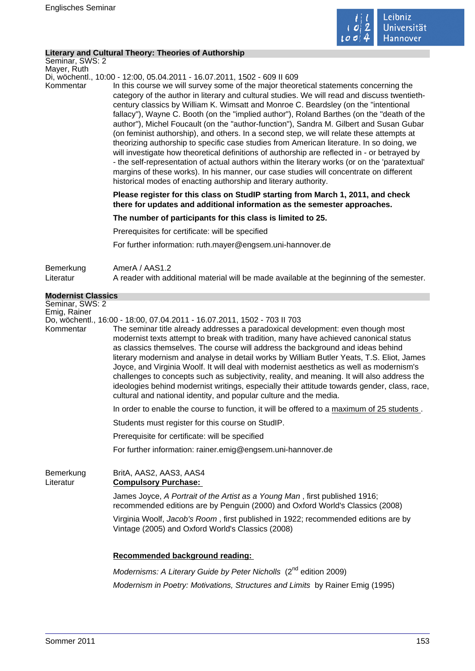

### **Literary and Cultural Theory: Theories of Authorship**

Seminar, SWS: 2 Mayer, Ruth

Di, wöchentl., 10:00 - 12:00, 05.04.2011 - 16.07.2011, 1502 - 609 II 609

Kommentar In this course we will survey some of the major theoretical statements concerning the category of the author in literary and cultural studies. We will read and discuss twentiethcentury classics by William K. Wimsatt and Monroe C. Beardsley (on the "intentional fallacy"), Wayne C. Booth (on the "implied author"), Roland Barthes (on the "death of the author"), Michel Foucault (on the "author-function"), Sandra M. Gilbert and Susan Gubar (on feminist authorship), and others. In a second step, we will relate these attempts at theorizing authorship to specific case studies from American literature. In so doing, we will investigate how theoretical definitions of authorship are reflected in - or betrayed by - the self-representation of actual authors within the literary works (or on the 'paratextual' margins of these works). In his manner, our case studies will concentrate on different historical modes of enacting authorship and literary authority.

> **Please register for this class on StudIP starting from March 1, 2011, and check there for updates and additional information as the semester approaches.**

**The number of participants for this class is limited to 25.** 

Prerequisites for certificate: will be specified

For further information: ruth.mayer@engsem.uni-hannover.de

| Bemerkung | AmerA / AAS1.2                                                                             |
|-----------|--------------------------------------------------------------------------------------------|
| Literatur | A reader with additional material will be made available at the beginning of the semester. |

| Delliervully                    | ALIGIA / AAU LL                                                                                                                                                                                                                                                                                                                                                                                                                                                                                                                                                                                                                                                                                                                                                                                      |
|---------------------------------|------------------------------------------------------------------------------------------------------------------------------------------------------------------------------------------------------------------------------------------------------------------------------------------------------------------------------------------------------------------------------------------------------------------------------------------------------------------------------------------------------------------------------------------------------------------------------------------------------------------------------------------------------------------------------------------------------------------------------------------------------------------------------------------------------|
| Literatur                       | A reader with additional material will be made available at the beginning of the semester.                                                                                                                                                                                                                                                                                                                                                                                                                                                                                                                                                                                                                                                                                                           |
| <b>Modernist Classics</b>       |                                                                                                                                                                                                                                                                                                                                                                                                                                                                                                                                                                                                                                                                                                                                                                                                      |
| Seminar, SWS: 2<br>Emig, Rainer |                                                                                                                                                                                                                                                                                                                                                                                                                                                                                                                                                                                                                                                                                                                                                                                                      |
| Kommentar                       | Do, wöchentl., 16:00 - 18:00, 07.04.2011 - 16.07.2011, 1502 - 703 II 703<br>The seminar title already addresses a paradoxical development: even though most<br>modernist texts attempt to break with tradition, many have achieved canonical status<br>as classics themselves. The course will address the background and ideas behind<br>literary modernism and analyse in detail works by William Butler Yeats, T.S. Eliot, James<br>Joyce, and Virginia Woolf. It will deal with modernist aesthetics as well as modernism's<br>challenges to concepts such as subjectivity, reality, and meaning. It will also address the<br>ideologies behind modernist writings, especially their attitude towards gender, class, race,<br>cultural and national identity, and popular culture and the media. |
|                                 | In order to enable the course to function, it will be offered to a maximum of 25 students.                                                                                                                                                                                                                                                                                                                                                                                                                                                                                                                                                                                                                                                                                                           |
|                                 | Students must register for this course on StudIP.                                                                                                                                                                                                                                                                                                                                                                                                                                                                                                                                                                                                                                                                                                                                                    |
|                                 | Prerequisite for certificate: will be specified                                                                                                                                                                                                                                                                                                                                                                                                                                                                                                                                                                                                                                                                                                                                                      |
|                                 | For further information: rainer.emig@engsem.uni-hannover.de                                                                                                                                                                                                                                                                                                                                                                                                                                                                                                                                                                                                                                                                                                                                          |
| Bemerkung<br>Literatur          | BritA, AAS2, AAS3, AAS4<br><b>Compulsory Purchase:</b>                                                                                                                                                                                                                                                                                                                                                                                                                                                                                                                                                                                                                                                                                                                                               |
|                                 | James Joyce, A Portrait of the Artist as a Young Man, first published 1916;<br>recommended editions are by Penguin (2000) and Oxford World's Classics (2008)                                                                                                                                                                                                                                                                                                                                                                                                                                                                                                                                                                                                                                         |
|                                 | Virginia Woolf, Jacob's Room, first published in 1922; recommended editions are by<br>Vintage (2005) and Oxford World's Classics (2008)                                                                                                                                                                                                                                                                                                                                                                                                                                                                                                                                                                                                                                                              |
|                                 | Recommended background reading:                                                                                                                                                                                                                                                                                                                                                                                                                                                                                                                                                                                                                                                                                                                                                                      |
|                                 |                                                                                                                                                                                                                                                                                                                                                                                                                                                                                                                                                                                                                                                                                                                                                                                                      |

Modernisms: A Literary Guide by Peter Nicholls  $(2^{10}$  edition 2009) Modernism in Poetry: Motivations, Structures and Limits by Rainer Emig (1995)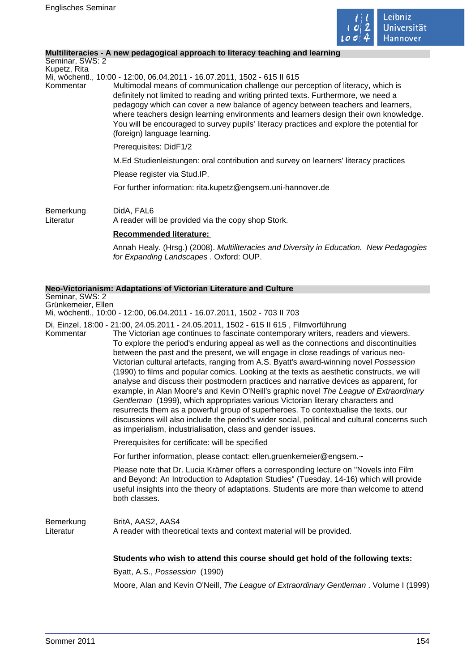

## **Multiliteracies - A new pedagogical approach to literacy teaching and learning**

Seminar, SWS: 2 Kupetz, Rita Mi, wöchentl., 10:00 - 12:00, 06.04.2011 - 16.07.2011, 1502 - 615 II 615 Kommentar Multimodal means of communication challenge our perception of literacy, which is definitely not limited to reading and writing printed texts. Furthermore, we need a pedagogy which can cover a new balance of agency between teachers and learners, where teachers design learning environments and learners design their own knowledge. You will be encouraged to survey pupils' literacy practices and explore the potential for (foreign) language learning. Prerequisites: DidF1/2 M.Ed Studienleistungen: oral contribution and survey on learners' literacy practices Please register via Stud.IP. For further information: rita.kupetz@engsem.uni-hannover.de Bemerkung DidA, FAL6 Literatur A reader will be provided via the copy shop Stork. **Recommended literature:**  Annah Healy. (Hrsg.) (2008). Multiliteracies and Diversity in Education. New Pedagogies for Expanding Landscapes . Oxford: OUP.

### **Neo-Victorianism: Adaptations of Victorian Literature and Culture**

Seminar, SWS: 2 Grünkemeier, Ellen Mi, wöchentl., 10:00 - 12:00, 06.04.2011 - 16.07.2011, 1502 - 703 II 703 Di, Einzel, 18:00 - 21:00, 24.05.2011 - 24.05.2011, 1502 - 615 II 615 , Filmvorführung Kommentar The Victorian age continues to fascinate contemporary writers, readers and viewers. To explore the period's enduring appeal as well as the connections and discontinuities between the past and the present, we will engage in close readings of various neo-Victorian cultural artefacts, ranging from A.S. Byatt's award-winning novel Possession (1990) to films and popular comics. Looking at the texts as aesthetic constructs, we will analyse and discuss their postmodern practices and narrative devices as apparent, for example, in Alan Moore's and Kevin O'Neill's graphic novel The League of Extraordinary Gentleman (1999), which appropriates various Victorian literary characters and resurrects them as a powerful group of superheroes. To contextualise the texts, our discussions will also include the period's wider social, political and cultural concerns such as imperialism, industrialisation, class and gender issues. Prerequisites for certificate: will be specified For further information, please contact: ellen.gruenkemeier@engsem.~ Please note that Dr. Lucia Krämer offers a corresponding lecture on "Novels into Film and Beyond: An Introduction to Adaptation Studies" (Tuesday, 14-16) which will provide useful insights into the theory of adaptations. Students are more than welcome to attend both classes. Bemerkung BritA, AAS2, AAS4 Literatur A reader with theoretical texts and context material will be provided. **Students who wish to attend this course should get hold of the following texts:**  Byatt, A.S., Possession (1990) Moore, Alan and Kevin O'Neill, The League of Extraordinary Gentleman . Volume I (1999)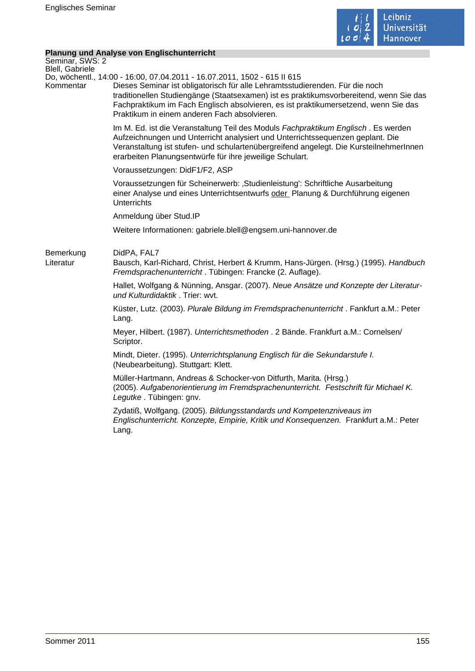

## **Planung und Analyse von Englischunterricht**

|                                    | <b>Planung und Analyse von Englischunterricht</b>                                                                                                                                                                                                                                                                                                                                         |
|------------------------------------|-------------------------------------------------------------------------------------------------------------------------------------------------------------------------------------------------------------------------------------------------------------------------------------------------------------------------------------------------------------------------------------------|
| Seminar, SWS: 2<br>Blell, Gabriele |                                                                                                                                                                                                                                                                                                                                                                                           |
| Kommentar                          | Do, wöchentl., 14:00 - 16:00, 07.04.2011 - 16.07.2011, 1502 - 615 II 615<br>Dieses Seminar ist obligatorisch für alle Lehramtsstudierenden. Für die noch<br>traditionellen Studiengänge (Staatsexamen) ist es praktikumsvorbereitend, wenn Sie das<br>Fachpraktikum im Fach Englisch absolvieren, es ist praktikumersetzend, wenn Sie das<br>Praktikum in einem anderen Fach absolvieren. |
|                                    | Im M. Ed. ist die Veranstaltung Teil des Moduls Fachpraktikum Englisch. Es werden<br>Aufzeichnungen und Unterricht analysiert und Unterrichtssequenzen geplant. Die<br>Veranstaltung ist stufen- und schulartenübergreifend angelegt. Die KursteilnehmerInnen<br>erarbeiten Planungsentwürfe für ihre jeweilige Schulart.                                                                 |
|                                    | Voraussetzungen: DidF1/F2, ASP                                                                                                                                                                                                                                                                                                                                                            |
|                                    | Voraussetzungen für Scheinerwerb: 'Studienleistung': Schriftliche Ausarbeitung<br>einer Analyse und eines Unterrichtsentwurfs oder Planung & Durchführung eigenen<br><b>Unterrichts</b>                                                                                                                                                                                                   |
|                                    | Anmeldung über Stud.IP                                                                                                                                                                                                                                                                                                                                                                    |
|                                    | Weitere Informationen: gabriele.blell@engsem.uni-hannover.de                                                                                                                                                                                                                                                                                                                              |
| Bemerkung<br>Literatur             | DidPA, FAL7<br>Bausch, Karl-Richard, Christ, Herbert & Krumm, Hans-Jürgen. (Hrsg.) (1995). Handbuch<br>Fremdsprachenunterricht. Tübingen: Francke (2. Auflage).                                                                                                                                                                                                                           |
|                                    | Hallet, Wolfgang & Nünning, Ansgar. (2007). Neue Ansätze und Konzepte der Literatur-<br>und Kulturdidaktik. Trier: wvt.                                                                                                                                                                                                                                                                   |
|                                    | Küster, Lutz. (2003). Plurale Bildung im Fremdsprachenunterricht. Fankfurt a.M.: Peter<br>Lang.                                                                                                                                                                                                                                                                                           |
|                                    | Meyer, Hilbert. (1987). Unterrichtsmethoden . 2 Bände. Frankfurt a.M.: Cornelsen/<br>Scriptor.                                                                                                                                                                                                                                                                                            |
|                                    | Mindt, Dieter. (1995). Unterrichtsplanung Englisch für die Sekundarstufe I.<br>(Neubearbeitung). Stuttgart: Klett.                                                                                                                                                                                                                                                                        |
|                                    | Müller-Hartmann, Andreas & Schocker-von Ditfurth, Marita. (Hrsg.)<br>(2005). Aufgabenorientierung im Fremdsprachenunterricht. Festschrift für Michael K.<br>Legutke. Tübingen: gnv.                                                                                                                                                                                                       |
|                                    | Zydatiß, Wolfgang. (2005). Bildungsstandards und Kompetenzniveaus im<br>Englischunterricht. Konzepte, Empirie, Kritik und Konsequenzen. Frankfurt a.M.: Peter<br>Lang.                                                                                                                                                                                                                    |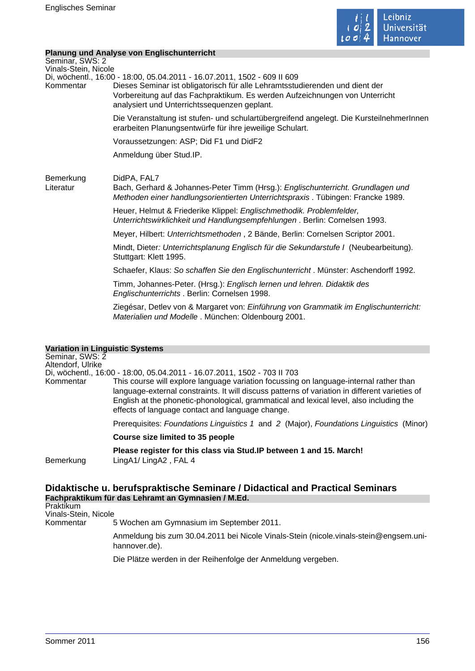

## **Planung und Analyse von Englischunterricht**

|                                        | Planung und Analyse von Englischunten icht                                                                                                                                                                                                                                              |
|----------------------------------------|-----------------------------------------------------------------------------------------------------------------------------------------------------------------------------------------------------------------------------------------------------------------------------------------|
| Seminar, SWS: 2                        |                                                                                                                                                                                                                                                                                         |
| Vinals-Stein, Nicole<br>Kommentar      | Di, wöchentl., 16:00 - 18:00, 05.04.2011 - 16.07.2011, 1502 - 609 II 609<br>Dieses Seminar ist obligatorisch für alle Lehramtsstudierenden und dient der<br>Vorbereitung auf das Fachpraktikum. Es werden Aufzeichnungen von Unterricht<br>analysiert und Unterrichtssequenzen geplant. |
|                                        | Die Veranstaltung ist stufen- und schulartübergreifend angelegt. Die KursteilnehmerInnen<br>erarbeiten Planungsentwürfe für ihre jeweilige Schulart.                                                                                                                                    |
|                                        | Voraussetzungen: ASP; Did F1 und DidF2                                                                                                                                                                                                                                                  |
|                                        | Anmeldung über Stud.IP.                                                                                                                                                                                                                                                                 |
| Bemerkung<br>Literatur                 | DidPA, FAL7<br>Bach, Gerhard & Johannes-Peter Timm (Hrsg.): Englischunterricht. Grundlagen und<br>Methoden einer handlungsorientierten Unterrichtspraxis. Tübingen: Francke 1989.                                                                                                       |
|                                        | Heuer, Helmut & Friederike Klippel: Englischmethodik. Problemfelder,<br>Unterrichtswirklichkeit und Handlungsempfehlungen. Berlin: Cornelsen 1993.                                                                                                                                      |
|                                        | Meyer, Hilbert: Unterrichtsmethoden, 2 Bände, Berlin: Cornelsen Scriptor 2001.                                                                                                                                                                                                          |
|                                        | Mindt, Dieter: Unterrichtsplanung Englisch für die Sekundarstufe I (Neubearbeitung).<br>Stuttgart: Klett 1995.                                                                                                                                                                          |
|                                        | Schaefer, Klaus: So schaffen Sie den Englischunterricht. Münster: Aschendorff 1992.                                                                                                                                                                                                     |
|                                        | Timm, Johannes-Peter. (Hrsg.): Englisch lernen und lehren. Didaktik des<br>Englischunterrichts . Berlin: Cornelsen 1998.                                                                                                                                                                |
|                                        | Ziegésar, Detlev von & Margaret von: Einführung von Grammatik im Englischunterricht:<br>Materialien und Modelle. München: Oldenbourg 2001.                                                                                                                                              |
| <b>Variation in Linguistic Systems</b> |                                                                                                                                                                                                                                                                                         |

#### **Variation in Linguistic Systems**

| Variation in Linguistic Systems |                                                                                                                                                                                                                                                                                                                                         |
|---------------------------------|-----------------------------------------------------------------------------------------------------------------------------------------------------------------------------------------------------------------------------------------------------------------------------------------------------------------------------------------|
| Seminar, SWS: 2                 |                                                                                                                                                                                                                                                                                                                                         |
| Altendorf, Ulrike               |                                                                                                                                                                                                                                                                                                                                         |
|                                 | Di, wöchentl., 16:00 - 18:00, 05.04.2011 - 16.07.2011, 1502 - 703 II 703                                                                                                                                                                                                                                                                |
| Kommentar                       | This course will explore language variation focussing on language-internal rather than<br>language-external constraints. It will discuss patterns of variation in different varieties of<br>English at the phonetic-phonological, grammatical and lexical level, also including the<br>effects of language contact and language change. |
|                                 | Prerequisites: Foundations Linguistics 1 and 2 (Major), Foundations Linguistics (Minor)                                                                                                                                                                                                                                                 |
|                                 | Course size limited to 35 people                                                                                                                                                                                                                                                                                                        |
| Bemerkung                       | Please register for this class via Stud. IP between 1 and 15. March!<br>$LingA1/LingA2$ , FAL 4                                                                                                                                                                                                                                         |
|                                 |                                                                                                                                                                                                                                                                                                                                         |

# **Didaktische u. berufspraktische Seminare / Didactical and Practical Seminars Fachpraktikum für das Lehramt an Gymnasien / M.Ed.**

Praktikum Vinals-Stein, Nicole

Kommentar 5 Wochen am Gymnasium im September 2011.

Anmeldung bis zum 30.04.2011 bei Nicole Vinals-Stein (nicole.vinals-stein@engsem.unihannover.de).

Die Plätze werden in der Reihenfolge der Anmeldung vergeben.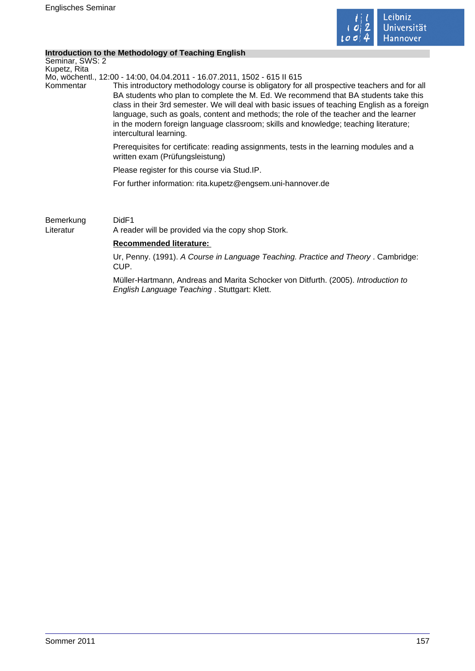

### **Introduction to the Methodology of Teaching English**

Seminar, SWS: 2 Kupetz, Rita

Mo, wöchentl., 12:00 - 14:00, 04.04.2011 - 16.07.2011, 1502 - 615 II 615

Kommentar This introductory methodology course is obligatory for all prospective teachers and for all BA students who plan to complete the M. Ed. We recommend that BA students take this class in their 3rd semester. We will deal with basic issues of teaching English as a foreign language, such as goals, content and methods; the role of the teacher and the learner in the modern foreign language classroom; skills and knowledge; teaching literature; intercultural learning.

> Prerequisites for certificate: reading assignments, tests in the learning modules and a written exam (Prüfungsleistung)

Please register for this course via Stud.IP.

For further information: rita.kupetz@engsem.uni-hannover.de

Bemerkung DidF1 Literatur A reader will be provided via the copy shop Stork.

## **Recommended literature:**

Ur, Penny. (1991). A Course in Language Teaching. Practice and Theory . Cambridge: CUP.

Müller-Hartmann, Andreas and Marita Schocker von Ditfurth. (2005). Introduction to English Language Teaching . Stuttgart: Klett.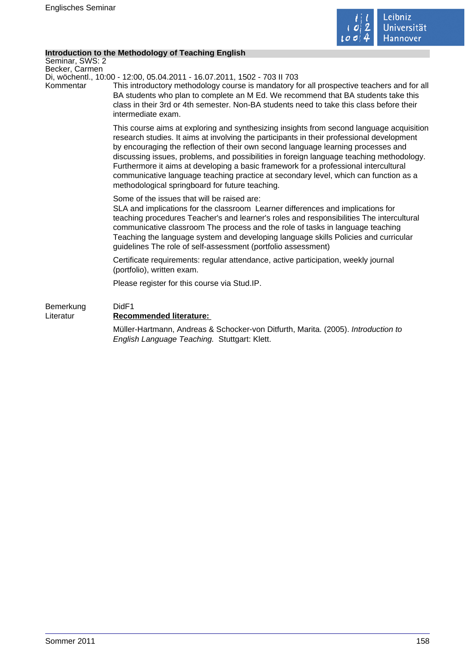

## **Introduction to the Methodology of Teaching English**

Seminar, SWS: 2 Becker, Carmen

Di, wöchentl., 10:00 - 12:00, 05.04.2011 - 16.07.2011, 1502 - 703 II 703

Kommentar This introductory methodology course is mandatory for all prospective teachers and for all BA students who plan to complete an M Ed. We recommend that BA students take this class in their 3rd or 4th semester. Non-BA students need to take this class before their intermediate exam.

> This course aims at exploring and synthesizing insights from second language acquisition research studies. It aims at involving the participants in their professional development by encouraging the reflection of their own second language learning processes and discussing issues, problems, and possibilities in foreign language teaching methodology. Furthermore it aims at developing a basic framework for a professional intercultural communicative language teaching practice at secondary level, which can function as a methodological springboard for future teaching.

Some of the issues that will be raised are:

SLA and implications for the classroom Learner differences and implications for teaching procedures Teacher's and learner's roles and responsibilities The intercultural communicative classroom The process and the role of tasks in language teaching Teaching the language system and developing language skills Policies and curricular guidelines The role of self-assessment (portfolio assessment)

Certificate requirements: regular attendance, active participation, weekly journal (portfolio), written exam.

Please register for this course via Stud.IP.

# Bemerkung DidF1 Literatur **Recommended literature:**  Müller-Hartmann, Andreas & Schocker-von Ditfurth, Marita. (2005). Introduction to English Language Teaching. Stuttgart: Klett.

Sommer 2011 158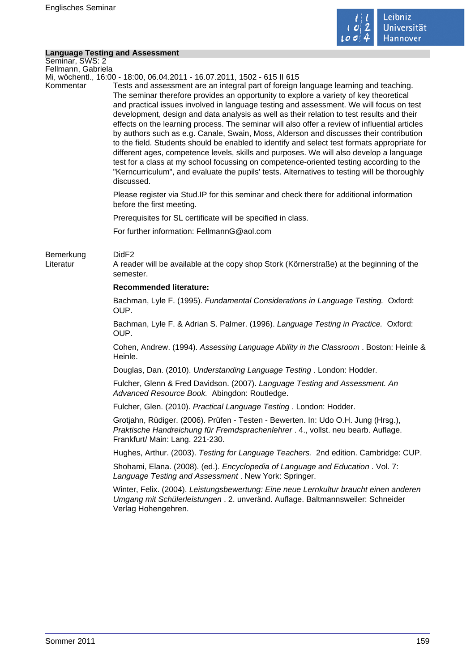

# **Language Testing and Assessment**

|                                       | <b>Language Testing and Assessment</b>                                                                                                                                                                                                                                                                                                                                                                                                                                                                                                                                                                                                                                                                                                                                                                                                                                                                                                                               |
|---------------------------------------|----------------------------------------------------------------------------------------------------------------------------------------------------------------------------------------------------------------------------------------------------------------------------------------------------------------------------------------------------------------------------------------------------------------------------------------------------------------------------------------------------------------------------------------------------------------------------------------------------------------------------------------------------------------------------------------------------------------------------------------------------------------------------------------------------------------------------------------------------------------------------------------------------------------------------------------------------------------------|
| Seminar, SWS: 2<br>Fellmann, Gabriela |                                                                                                                                                                                                                                                                                                                                                                                                                                                                                                                                                                                                                                                                                                                                                                                                                                                                                                                                                                      |
|                                       | Mi, wöchentl., 16:00 - 18:00, 06.04.2011 - 16.07.2011, 1502 - 615 II 615                                                                                                                                                                                                                                                                                                                                                                                                                                                                                                                                                                                                                                                                                                                                                                                                                                                                                             |
| Kommentar                             | Tests and assessment are an integral part of foreign language learning and teaching.<br>The seminar therefore provides an opportunity to explore a variety of key theoretical<br>and practical issues involved in language testing and assessment. We will focus on test<br>development, design and data analysis as well as their relation to test results and their<br>effects on the learning process. The seminar will also offer a review of influential articles<br>by authors such as e.g. Canale, Swain, Moss, Alderson and discusses their contribution<br>to the field. Students should be enabled to identify and select test formats appropriate for<br>different ages, competence levels, skills and purposes. We will also develop a language<br>test for a class at my school focussing on competence-oriented testing according to the<br>"Kerncurriculum", and evaluate the pupils' tests. Alternatives to testing will be thoroughly<br>discussed. |
|                                       | Please register via Stud. IP for this seminar and check there for additional information<br>before the first meeting.                                                                                                                                                                                                                                                                                                                                                                                                                                                                                                                                                                                                                                                                                                                                                                                                                                                |
|                                       | Prerequisites for SL certificate will be specified in class.                                                                                                                                                                                                                                                                                                                                                                                                                                                                                                                                                                                                                                                                                                                                                                                                                                                                                                         |
|                                       | For further information: FellmannG@aol.com                                                                                                                                                                                                                                                                                                                                                                                                                                                                                                                                                                                                                                                                                                                                                                                                                                                                                                                           |
| Bemerkung<br>Literatur                | DidF <sub>2</sub><br>A reader will be available at the copy shop Stork (Körnerstraße) at the beginning of the<br>semester.                                                                                                                                                                                                                                                                                                                                                                                                                                                                                                                                                                                                                                                                                                                                                                                                                                           |
|                                       | Recommended literature:                                                                                                                                                                                                                                                                                                                                                                                                                                                                                                                                                                                                                                                                                                                                                                                                                                                                                                                                              |
|                                       | Bachman, Lyle F. (1995). Fundamental Considerations in Language Testing. Oxford:<br>OUP.                                                                                                                                                                                                                                                                                                                                                                                                                                                                                                                                                                                                                                                                                                                                                                                                                                                                             |
|                                       | Bachman, Lyle F. & Adrian S. Palmer. (1996). Language Testing in Practice. Oxford:<br>OUP.                                                                                                                                                                                                                                                                                                                                                                                                                                                                                                                                                                                                                                                                                                                                                                                                                                                                           |
|                                       | Cohen, Andrew. (1994). Assessing Language Ability in the Classroom. Boston: Heinle &<br>Heinle.                                                                                                                                                                                                                                                                                                                                                                                                                                                                                                                                                                                                                                                                                                                                                                                                                                                                      |
|                                       | Douglas, Dan. (2010). Understanding Language Testing. London: Hodder.                                                                                                                                                                                                                                                                                                                                                                                                                                                                                                                                                                                                                                                                                                                                                                                                                                                                                                |
|                                       | Fulcher, Glenn & Fred Davidson. (2007). Language Testing and Assessment. An<br>Advanced Resource Book. Abingdon: Routledge.                                                                                                                                                                                                                                                                                                                                                                                                                                                                                                                                                                                                                                                                                                                                                                                                                                          |
|                                       | Fulcher, Glen. (2010). Practical Language Testing. London: Hodder.                                                                                                                                                                                                                                                                                                                                                                                                                                                                                                                                                                                                                                                                                                                                                                                                                                                                                                   |
|                                       | Grotjahn, Rüdiger. (2006). Prüfen - Testen - Bewerten. In: Udo O.H. Jung (Hrsg.),<br>Praktische Handreichung für Fremdsprachenlehrer . 4., vollst. neu bearb. Auflage.<br>Frankfurt/ Main: Lang. 221-230.                                                                                                                                                                                                                                                                                                                                                                                                                                                                                                                                                                                                                                                                                                                                                            |
|                                       | Hughes, Arthur. (2003). Testing for Language Teachers. 2nd edition. Cambridge: CUP.                                                                                                                                                                                                                                                                                                                                                                                                                                                                                                                                                                                                                                                                                                                                                                                                                                                                                  |
|                                       | Shohami, Elana. (2008). (ed.). Encyclopedia of Language and Education. Vol. 7:<br>Language Testing and Assessment. New York: Springer.                                                                                                                                                                                                                                                                                                                                                                                                                                                                                                                                                                                                                                                                                                                                                                                                                               |
|                                       | Winter, Felix. (2004). Leistungsbewertung: Eine neue Lernkultur braucht einen anderen<br>Umgang mit Schülerleistungen . 2. unveränd. Auflage. Baltmannsweiler: Schneider<br>Verlag Hohengehren.                                                                                                                                                                                                                                                                                                                                                                                                                                                                                                                                                                                                                                                                                                                                                                      |
|                                       |                                                                                                                                                                                                                                                                                                                                                                                                                                                                                                                                                                                                                                                                                                                                                                                                                                                                                                                                                                      |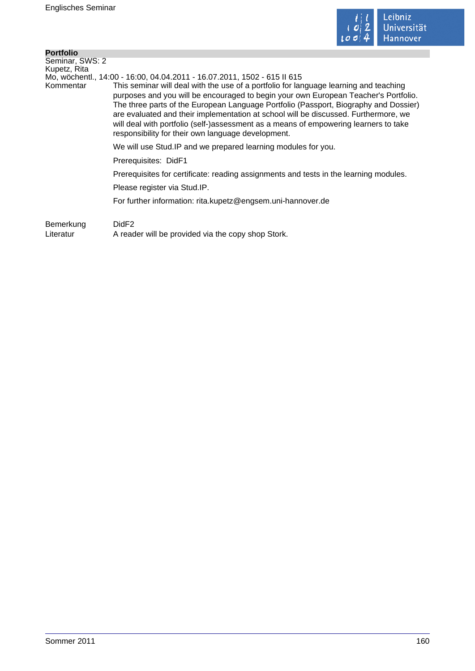

| <b>Portfolio</b>                |                                                                                                                                                                                                                                                                                                                                                                                                                                                                                                                                                                                       |
|---------------------------------|---------------------------------------------------------------------------------------------------------------------------------------------------------------------------------------------------------------------------------------------------------------------------------------------------------------------------------------------------------------------------------------------------------------------------------------------------------------------------------------------------------------------------------------------------------------------------------------|
| Seminar, SWS: 2<br>Kupetz, Rita |                                                                                                                                                                                                                                                                                                                                                                                                                                                                                                                                                                                       |
| Kommentar                       | Mo, wöchentl., 14:00 - 16:00, 04.04.2011 - 16.07.2011, 1502 - 615 II 615<br>This seminar will deal with the use of a portfolio for language learning and teaching<br>purposes and you will be encouraged to begin your own European Teacher's Portfolio.<br>The three parts of the European Language Portfolio (Passport, Biography and Dossier)<br>are evaluated and their implementation at school will be discussed. Furthermore, we<br>will deal with portfolio (self-)assessment as a means of empowering learners to take<br>responsibility for their own language development. |
|                                 | We will use Stud. IP and we prepared learning modules for you.                                                                                                                                                                                                                                                                                                                                                                                                                                                                                                                        |
|                                 | Prerequisites: DidF1                                                                                                                                                                                                                                                                                                                                                                                                                                                                                                                                                                  |
|                                 | Prerequisites for certificate: reading assignments and tests in the learning modules.                                                                                                                                                                                                                                                                                                                                                                                                                                                                                                 |
|                                 | Please register via Stud.IP.                                                                                                                                                                                                                                                                                                                                                                                                                                                                                                                                                          |
|                                 | For further information: rita.kupetz@engsem.uni-hannover.de                                                                                                                                                                                                                                                                                                                                                                                                                                                                                                                           |
| Bemerkung                       | DidF <sub>2</sub>                                                                                                                                                                                                                                                                                                                                                                                                                                                                                                                                                                     |

Literatur A reader will be provided via the copy shop Stork.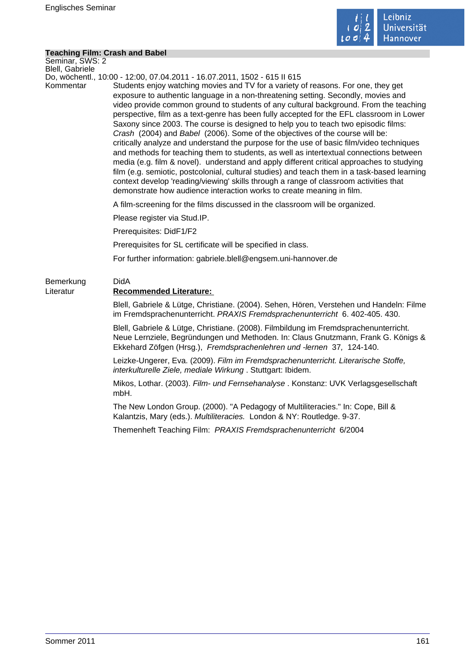

### **Teaching Film: Crash and Babel**

Seminar, SWS: 2 Blell, Gabriele

Do, wöchentl., 10:00 - 12:00, 07.04.2011 - 16.07.2011, 1502 - 615 II 615

Kommentar Students enjoy watching movies and TV for a variety of reasons. For one, they get exposure to authentic language in a non-threatening setting. Secondly, movies and video provide common ground to students of any cultural background. From the teaching perspective, film as a text-genre has been fully accepted for the EFL classroom in Lower Saxony since 2003. The course is designed to help you to teach two episodic films: Crash (2004) and Babel (2006). Some of the objectives of the course will be: critically analyze and understand the purpose for the use of basic film/video techniques and methods for teaching them to students, as well as intertextual connections between media (e.g. film & novel). understand and apply different critical approaches to studying film (e.g. semiotic, postcolonial, cultural studies) and teach them in a task-based learning context develop 'reading/viewing' skills through a range of classroom activities that demonstrate how audience interaction works to create meaning in film.

A film-screening for the films discussed in the classroom will be organized.

Please register via Stud.IP.

Prerequisites: DidF1/F2

Prerequisites for SL certificate will be specified in class.

For further information: gabriele.blell@engsem.uni-hannover.de

# Bemerkung DidA Literatur **Recommended Literature:**

Blell, Gabriele & Lütge, Christiane. (2004). Sehen, Hören, Verstehen und Handeln: Filme im Fremdsprachenunterricht. PRAXIS Fremdsprachenunterricht 6. 402-405. 430.

Blell, Gabriele & Lütge, Christiane. (2008). Filmbildung im Fremdsprachenunterricht. Neue Lernziele, Begründungen und Methoden. In: Claus Gnutzmann, Frank G. Königs & Ekkehard Zöfgen (Hrsg.), Fremdsprachenlehren und -lernen 37, 124-140.

Leizke-Ungerer, Eva. (2009). Film im Fremdsprachenunterricht. Literarische Stoffe, interkulturelle Ziele, mediale Wirkung . Stuttgart: Ibidem.

Mikos, Lothar. (2003). Film- und Fernsehanalyse . Konstanz: UVK Verlagsgesellschaft mbH.

The New London Group. (2000). "A Pedagogy of Multiliteracies." In: Cope, Bill & Kalantzis, Mary (eds.). Multiliteracies. London & NY: Routledge. 9-37.

Themenheft Teaching Film:PRAXIS Fremdsprachenunterricht 6/2004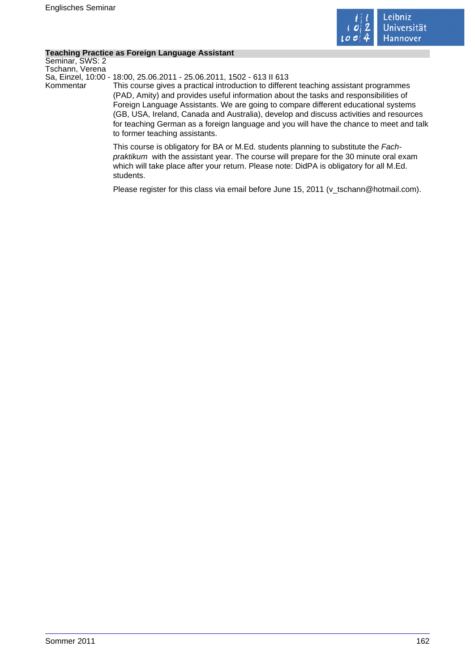

### **Teaching Practice as Foreign Language Assistant**

Seminar, SWS: 2 Tschann, Verena

Sa, Einzel, 10:00 - 18:00, 25.06.2011 - 25.06.2011, 1502 - 613 II 613

Kommentar This course gives a practical introduction to different teaching assistant programmes (PAD, Amity) and provides useful information about the tasks and responsibilities of Foreign Language Assistants. We are going to compare different educational systems (GB, USA, Ireland, Canada and Australia), develop and discuss activities and resources for teaching German as a foreign language and you will have the chance to meet and talk to former teaching assistants.

> This course is obligatory for BA or M.Ed. students planning to substitute the Fachpraktikum with the assistant year. The course will prepare for the 30 minute oral exam which will take place after your return. Please note: DidPA is obligatory for all M.Ed. students.

> Please register for this class via email before June 15, 2011 (v\_tschann@hotmail.com).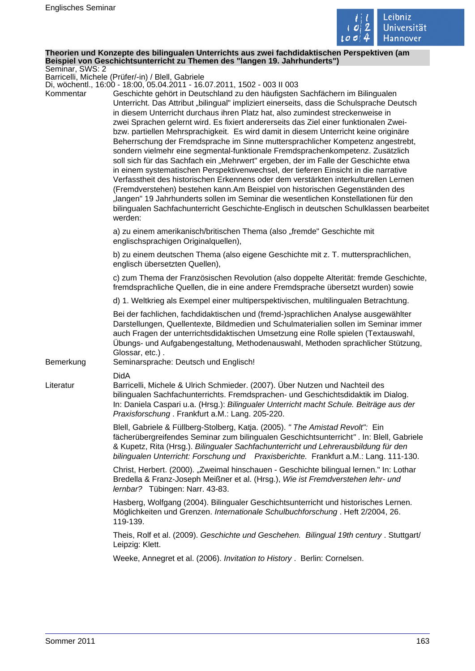

#### **Theorien und Konzepte des bilingualen Unterrichts aus zwei fachdidaktischen Perspektiven (am Beispiel von Geschichtsunterricht zu Themen des "langen 19. Jahrhunderts")** Seminar, SWS: 2

Barricelli, Michele (Prüfer/-in) / Blell, Gabriele

Di, wöchentl., 16:00 - 18:00, 05.04.2011 - 16.07.2011, 1502 - 003 II 003

| Kommentar | 200 II 600 - 200 I 600 I 600 I 700 I 700 I 700 I 700 I 700 I 700 I 700 I 700 I 1<br>Geschichte gehört in Deutschland zu den häufigsten Sachfächern im Bilingualen<br>Unterricht. Das Attribut "bilingual" impliziert einerseits, dass die Schulsprache Deutsch<br>in diesem Unterricht durchaus ihren Platz hat, also zumindest streckenweise in<br>zwei Sprachen gelernt wird. Es fixiert andererseits das Ziel einer funktionalen Zwei-<br>bzw. partiellen Mehrsprachigkeit. Es wird damit in diesem Unterricht keine originäre<br>Beherrschung der Fremdsprache im Sinne muttersprachlicher Kompetenz angestrebt,<br>sondern vielmehr eine segmental-funktionale Fremdsprachenkompetenz. Zusätzlich<br>soll sich für das Sachfach ein "Mehrwert" ergeben, der im Falle der Geschichte etwa<br>in einem systematischen Perspektivenwechsel, der tieferen Einsicht in die narrative<br>Verfasstheit des historischen Erkennens oder dem verstärkten interkulturellen Lernen<br>(Fremdverstehen) bestehen kann.Am Beispiel von historischen Gegenständen des<br>"langen" 19 Jahrhunderts sollen im Seminar die wesentlichen Konstellationen für den<br>bilingualen Sachfachunterricht Geschichte-Englisch in deutschen Schulklassen bearbeitet<br>werden: |
|-----------|-----------------------------------------------------------------------------------------------------------------------------------------------------------------------------------------------------------------------------------------------------------------------------------------------------------------------------------------------------------------------------------------------------------------------------------------------------------------------------------------------------------------------------------------------------------------------------------------------------------------------------------------------------------------------------------------------------------------------------------------------------------------------------------------------------------------------------------------------------------------------------------------------------------------------------------------------------------------------------------------------------------------------------------------------------------------------------------------------------------------------------------------------------------------------------------------------------------------------------------------------------------|
|           | a) zu einem amerikanisch/britischen Thema (also "fremde" Geschichte mit<br>englischsprachigen Originalquellen),                                                                                                                                                                                                                                                                                                                                                                                                                                                                                                                                                                                                                                                                                                                                                                                                                                                                                                                                                                                                                                                                                                                                           |
|           | b) zu einem deutschen Thema (also eigene Geschichte mit z. T. muttersprachlichen,<br>englisch übersetzten Quellen),                                                                                                                                                                                                                                                                                                                                                                                                                                                                                                                                                                                                                                                                                                                                                                                                                                                                                                                                                                                                                                                                                                                                       |
|           | c) zum Thema der Französischen Revolution (also doppelte Alterität: fremde Geschichte,<br>fremdsprachliche Quellen, die in eine andere Fremdsprache übersetzt wurden) sowie                                                                                                                                                                                                                                                                                                                                                                                                                                                                                                                                                                                                                                                                                                                                                                                                                                                                                                                                                                                                                                                                               |
|           | d) 1. Weltkrieg als Exempel einer multiperspektivischen, multilingualen Betrachtung.                                                                                                                                                                                                                                                                                                                                                                                                                                                                                                                                                                                                                                                                                                                                                                                                                                                                                                                                                                                                                                                                                                                                                                      |
| Bemerkung | Bei der fachlichen, fachdidaktischen und (fremd-)sprachlichen Analyse ausgewählter<br>Darstellungen, Quellentexte, Bildmedien und Schulmaterialien sollen im Seminar immer<br>auch Fragen der unterrichtsdidaktischen Umsetzung eine Rolle spielen (Textauswahl,<br>Übungs- und Aufgabengestaltung, Methodenauswahl, Methoden sprachlicher Stützung,<br>Glossar, etc.).<br>Seminarsprache: Deutsch und Englisch!                                                                                                                                                                                                                                                                                                                                                                                                                                                                                                                                                                                                                                                                                                                                                                                                                                          |
|           | <b>DidA</b>                                                                                                                                                                                                                                                                                                                                                                                                                                                                                                                                                                                                                                                                                                                                                                                                                                                                                                                                                                                                                                                                                                                                                                                                                                               |
| Literatur | Barricelli, Michele & Ulrich Schmieder. (2007). Über Nutzen und Nachteil des<br>bilingualen Sachfachunterrichts. Fremdsprachen- und Geschichtsdidaktik im Dialog.<br>In: Daniela Caspari u.a. (Hrsg.): Bilingualer Unterricht macht Schule. Beiträge aus der<br>Praxisforschung. Frankfurt a.M.: Lang. 205-220.                                                                                                                                                                                                                                                                                                                                                                                                                                                                                                                                                                                                                                                                                                                                                                                                                                                                                                                                           |
|           | Blell, Gabriele & Füllberg-Stolberg, Katja. (2005). " The Amistad Revolt": Ein<br>fächerübergreifendes Seminar zum bilingualen Geschichtsunterricht". In: Blell, Gabriele<br>& Kupetz, Rita (Hrsg.). Bilingualer Sachfachunterricht und Lehrerausbildung für den<br>bilingualen Unterricht: Forschung und Praxisberichte. Frankfurt a.M.: Lang. 111-130.                                                                                                                                                                                                                                                                                                                                                                                                                                                                                                                                                                                                                                                                                                                                                                                                                                                                                                  |
|           | Christ, Herbert. (2000). "Zweimal hinschauen - Geschichte bilingual lernen." In: Lothar<br>Bredella & Franz-Joseph Meißner et al. (Hrsg.), Wie ist Fremdverstehen lehr- und<br>lernbar? Tübingen: Narr. 43-83.                                                                                                                                                                                                                                                                                                                                                                                                                                                                                                                                                                                                                                                                                                                                                                                                                                                                                                                                                                                                                                            |
|           | Hasberg, Wolfgang (2004). Bilingualer Geschichtsunterricht und historisches Lernen.                                                                                                                                                                                                                                                                                                                                                                                                                                                                                                                                                                                                                                                                                                                                                                                                                                                                                                                                                                                                                                                                                                                                                                       |
|           | Möglichkeiten und Grenzen. Internationale Schulbuchforschung. Heft 2/2004, 26.<br>119-139.                                                                                                                                                                                                                                                                                                                                                                                                                                                                                                                                                                                                                                                                                                                                                                                                                                                                                                                                                                                                                                                                                                                                                                |
|           | Theis, Rolf et al. (2009). Geschichte und Geschehen. Bilingual 19th century . Stuttgart/<br>Leipzig: Klett.                                                                                                                                                                                                                                                                                                                                                                                                                                                                                                                                                                                                                                                                                                                                                                                                                                                                                                                                                                                                                                                                                                                                               |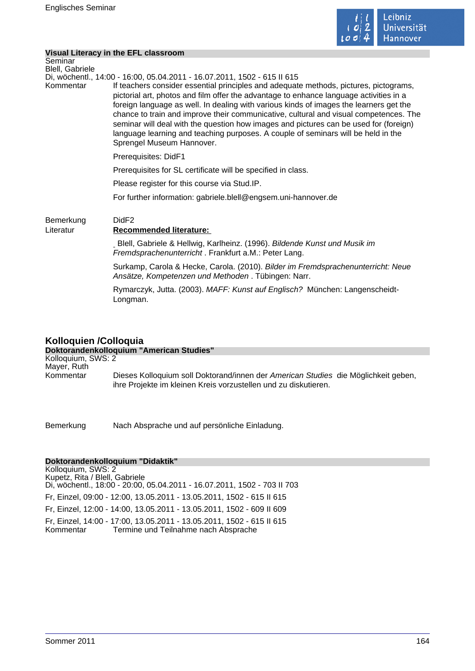**Visual Literacy in the EFL classroom**



|                            | $19001$ Little avec $11$ and $11$ Little viabor voir                                                                                                                                                                                                                                                                                                                                                                                                                                                                                                                          |
|----------------------------|-------------------------------------------------------------------------------------------------------------------------------------------------------------------------------------------------------------------------------------------------------------------------------------------------------------------------------------------------------------------------------------------------------------------------------------------------------------------------------------------------------------------------------------------------------------------------------|
| Seminar<br>Blell, Gabriele |                                                                                                                                                                                                                                                                                                                                                                                                                                                                                                                                                                               |
|                            | Di, wöchentl., 14:00 - 16:00, 05.04.2011 - 16.07.2011, 1502 - 615 II 615                                                                                                                                                                                                                                                                                                                                                                                                                                                                                                      |
| Kommentar                  | If teachers consider essential principles and adequate methods, pictures, pictograms,<br>pictorial art, photos and film offer the advantage to enhance language activities in a<br>foreign language as well. In dealing with various kinds of images the learners get the<br>chance to train and improve their communicative, cultural and visual competences. The<br>seminar will deal with the question how images and pictures can be used for (foreign)<br>language learning and teaching purposes. A couple of seminars will be held in the<br>Sprengel Museum Hannover. |
|                            | Prerequisites: DidF1                                                                                                                                                                                                                                                                                                                                                                                                                                                                                                                                                          |
|                            | Prerequisites for SL certificate will be specified in class.                                                                                                                                                                                                                                                                                                                                                                                                                                                                                                                  |
|                            | Please register for this course via Stud.IP.                                                                                                                                                                                                                                                                                                                                                                                                                                                                                                                                  |
|                            | For further information: gabriele.blell@engsem.uni-hannover.de                                                                                                                                                                                                                                                                                                                                                                                                                                                                                                                |
| Bemerkung<br>Literatur     | DidF <sub>2</sub><br><b>Recommended literature:</b>                                                                                                                                                                                                                                                                                                                                                                                                                                                                                                                           |
|                            | Blell, Gabriele & Hellwig, Karlheinz. (1996). Bildende Kunst und Musik im<br>Fremdsprachenunterricht. Frankfurt a.M.: Peter Lang.                                                                                                                                                                                                                                                                                                                                                                                                                                             |
|                            | Surkamp, Carola & Hecke, Carola. (2010). Bilder im Fremdsprachenunterricht: Neue<br>Ansätze, Kompetenzen und Methoden. Tübingen: Narr.                                                                                                                                                                                                                                                                                                                                                                                                                                        |
|                            | Rymarczyk, Jutta. (2003). MAFF: Kunst auf Englisch? München: Langenscheidt-<br>Longman.                                                                                                                                                                                                                                                                                                                                                                                                                                                                                       |
|                            |                                                                                                                                                                                                                                                                                                                                                                                                                                                                                                                                                                               |

# **Kolloquien /Colloquia**

#### **Doktorandenkolloquium "American Studies"** Kolloquium, SWS: 2 Mayer, Ruth Kommentar Dieses Kolloquium soll Doktorand/innen der American Studies die Möglichkeit geben, ihre Projekte im kleinen Kreis vorzustellen und zu diskutieren.

Bemerkung Nach Absprache und auf persönliche Einladung.

## **Doktorandenkolloquium "Didaktik"**

Kolloquium, SWS: 2 Kupetz, Rita / Blell, Gabriele Di, wöchentl., 18:00 - 20:00, 05.04.2011 - 16.07.2011, 1502 - 703 II 703 Fr, Einzel, 09:00 - 12:00, 13.05.2011 - 13.05.2011, 1502 - 615 II 615 Fr, Einzel, 12:00 - 14:00, 13.05.2011 - 13.05.2011, 1502 - 609 II 609 Fr, Einzel, 14:00 - 17:00, 13.05.2011 - 13.05.2011, 1502 - 615 II 615 Kommentar Termine und Teilnahme nach Absprache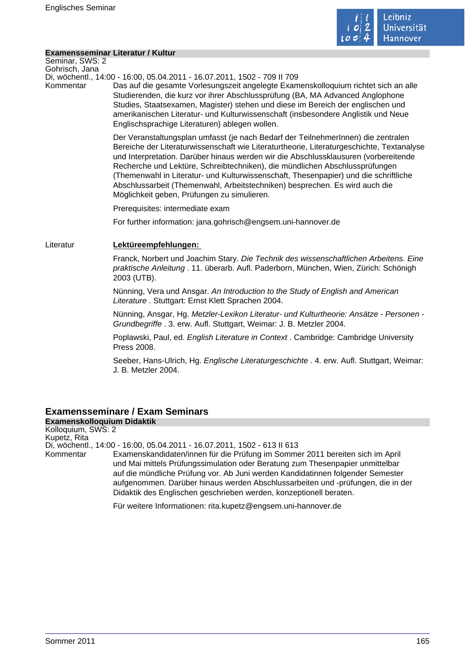

### **Examensseminar Literatur / Kultur**

Seminar, SWS: 2 Gohrisch, Jana

Di, wöchentl., 14:00 - 16:00, 05.04.2011 - 16.07.2011, 1502 - 709 II 709

Kommentar Das auf die gesamte Vorlesungszeit angelegte Examenskolloquium richtet sich an alle Studierenden, die kurz vor ihrer Abschlussprüfung (BA, MA Advanced Anglophone Studies, Staatsexamen, Magister) stehen und diese im Bereich der englischen und amerikanischen Literatur- und Kulturwissenschaft (insbesondere Anglistik und Neue Englischsprachige Literaturen) ablegen wollen.

> Der Veranstaltungsplan umfasst (je nach Bedarf der TeilnehmerInnen) die zentralen Bereiche der Literaturwissenschaft wie Literaturtheorie, Literaturgeschichte, Textanalyse und Interpretation. Darüber hinaus werden wir die Abschlussklausuren (vorbereitende Recherche und Lektüre, Schreibtechniken), die mündlichen Abschlussprüfungen (Themenwahl in Literatur- und Kulturwissenschaft, Thesenpapier) und die schriftliche Abschlussarbeit (Themenwahl, Arbeitstechniken) besprechen. Es wird auch die Möglichkeit geben, Prüfungen zu simulieren.

Prerequisites: intermediate exam

For further information: jana.gohrisch@engsem.uni-hannover.de

## Literatur **Lektüreempfehlungen:**

Franck, Norbert und Joachim Stary. Die Technik des wissenschaftlichen Arbeitens. Eine praktische Anleitung . 11. überarb. Aufl. Paderborn, München, Wien, Zürich: Schönigh 2003 (UTB).

Nünning, Vera und Ansgar. An Introduction to the Study of English and American Literature . Stuttgart: Ernst Klett Sprachen 2004.

Nünning, Ansgar, Hg. Metzler-Lexikon Literatur- und Kulturtheorie: Ansätze - Personen - Grundbegriffe . 3. erw. Aufl. Stuttgart, Weimar: J. B. Metzler 2004.

Poplawski, Paul, ed. English Literature in Context . Cambridge: Cambridge University Press 2008.

Seeber, Hans-Ulrich, Hg. Englische Literaturgeschichte . 4. erw. Aufl. Stuttgart, Weimar: J. B. Metzler 2004.

# **Examensseminare / Exam Seminars**

**Examenskolloquium Didaktik** Kolloquium, SWS: 2 Kupetz, Rita Di, wöchentl., 14:00 - 16:00, 05.04.2011 - 16.07.2011, 1502 - 613 II 613 Kommentar Examenskandidaten/innen für die Prüfung im Sommer 2011 bereiten sich im April und Mai mittels Prüfungssimulation oder Beratung zum Thesenpapier unmittelbar auf die mündliche Prüfung vor. Ab Juni werden Kandidatinnen folgender Semester aufgenommen. Darüber hinaus werden Abschlussarbeiten und -prüfungen, die in der Didaktik des Englischen geschrieben werden, konzeptionell beraten. Für weitere Informationen: rita.kupetz@engsem.uni-hannover.de